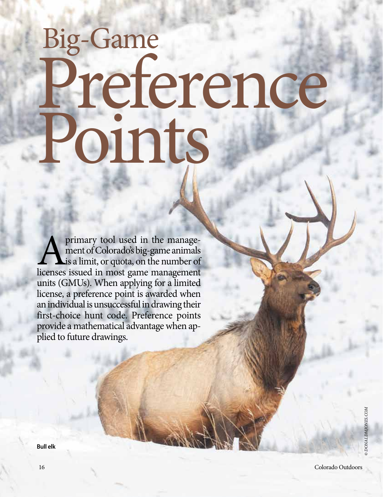## Big-Game Preference Points

primary tool used in the management of Colorado's big-game animals is a limit, or quota, on the number of licenses issued in most game management units (GMUs). When applying for a limited license, a preference point is awarded when an individual is unsuccessful in drawing their first-choice hunt code. Preference points provide a mathematical advantage when applied to future drawings.

**Bull elk**

*© CORNELIUS DOPPES*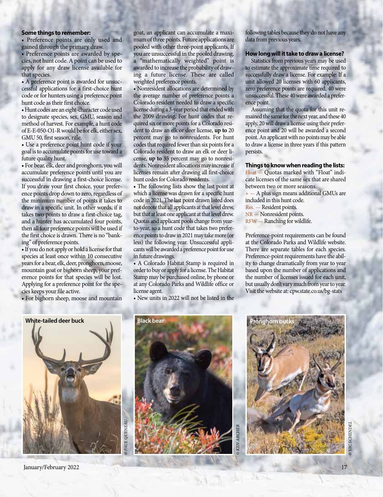## **Some things to remember:**

• Preference points are only used and gained through the primary draw.

• Preference points are awarded by species, not hunt code. A point can be used to apply for any draw license available for that species.

• A preference point is awarded for unsuccessful applications for a first-choice hunt code or for hunters using a preference point hunt code as their first choice.

• Hunt codes are an eight-character code used to designate species, sex, GMU, season and method of harvest. For example, a hunt code of E-E-050-O1-R would be for elk, either sex, GMU 50, first season, rifle.

• Use a preference point hunt code if your goal is to accumulate points for use toward a future quality hunt.

• For bear, elk, deer and pronghorn, you will accumulate preference points until you are successful in drawing a first-choice license. If you draw your first choice, your preference points drop down to zero, regardless of the minimum number of points it takes to draw in a specific unit. In other words, if it takes two points to draw a first-choice tag, and a hunter has accumulated four points, then all four preference points will be used if the first choice is drawn. There is no "banking" of preference points.

• If you do not apply or hold a license for that species at least once within 10 consecutive years for a bear, elk, deer, pronghorn, moose, mountain goat or bighorn sheep, your preference points for that species will be lost. Applying for a preference point for the species keeps your file active.

• For bighorn sheep, moose and mountain

goat, an applicant can accumulate a maximum of three points. Future applications are pooled with other three-point applicants. If you are unsuccessful in the pooled drawing, a "mathematically weighted" point is awarded to increase the probability of drawing a future license. These are called weighted preference points.

• Nonresident allocations are determined by the average number of preference points a Colorado resident needed to draw a specific license during a 3-year period that ended with the 2009 drawing. For hunt codes that required six or more points for a Colorado resident to draw an elk or deer license, **up to** 20 percent may go to nonresidents. For hunt codes that required fewer than six points for a Colorado resident to draw an elk or deer license, **up to** 35 percent may go to nonresidents. Nonresident allocations may increase if licenses remain after drawing all first-choice hunt codes for Colorado residents.

• The following lists show the last point at which a license was drawn for a specific hunt code in 2021. The last point drawn listed does not denote that all applicants at that level drew, but that at least one applicant at that level drew. Quotas and applicant pools change from yearto-year, so a hunt code that takes two preference points to draw in 2021 may take more (or less) the following year. Unsuccessful applicants will be awarded a preference point for use in future drawings.

• A Colorado Habitat Stamp is required in order to buy or apply for a license. The Habitat Stamp may be purchased online, by phone or at any Colorado Parks and Wildlife office or license agent.

• New units in 2022 will not be listed in the

following tables because they do not have any data from previous years.

## **How long will it take to draw a license?**

Statistics from previous years may be used to estimate the approximate time required to successfully draw a license. For example: If a unit allowed 20 licenses with 60 applicants, zero preference points are required, 40 were unsuccessful. These 40 were awarded a preference point.

Assuming that the quota for this unit remained the same for the next year, and these 40 apply, 20 will draw a license using their preference point and 20 will be awarded a second point. An applicant with no points may be able to draw a license in three years if this pattern persists.

**Things to know when reading the lists:**

Float — Quotas marked with "Float" indicate licenses of the same sex that are shared between two or more seasons.

+ — A plus sign means additional GMUs are included in this hunt code.

Res. — Resident points.

NR — Nonresident points.

RFW — Ranching for wildlife.

Preference-point requirements can be found at the Colorado Parks and Wildlife website. There are separate tables for each species. Preference-point requirements have the ability to change dramatically from year to year based upon the number of applications and the number of licenses issued for each unit, but usually don't vary much from year to year. Visit the website at: cpw.state.co.us/bg-stats



January/February 2022 17





*© VIC SCHENDEL* **CSCHENDE**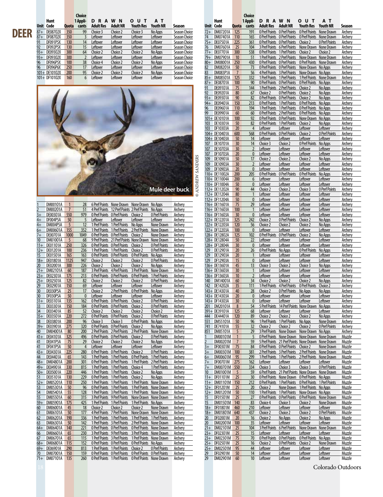## **The Choice**<br>**1 Appli-**

87+ DE08702X 350 99 Choice 3 Choice 2 Choice 3 No Apps Season Choice **BEER**  $\frac{87+}{87+}$  DE08702X 350 99 Choice 3 Choice 2 Choice 3 No Apps Season Choice 3 No Apps Season Choice 87 DE08702X 350 99 Choice 3 Choice 2 Choice 3 No Apps Season Choice<br>
87 DF08702X 350 3 Leftover Leftover Leftover Leftover Season Choice<br>
91 DF091P5X 130 14 Leftover Leftover Leftover Leftover Season Choice<br>
92 DF092P5X 13 92 DF092P5X 130 15 Leftover Leftover Leftover Leftover Season Choice 93+ DE09302X 300 64 Choice 2 Choice 2 Choice 2 No Apps Season Choice 93+ DE09302X 300 64 Choice 2 Choice Choice No Apps Season Choice<br>93+ DF09302X 300 2 Leftover Leftover Leftover Leftover Season Choice<br>96 DF096P6X 250 17 Leftover Leftover Leftover Leftover Season Choice<br>96 DF096P6X 250 17 96 DF096P5X 100 38 Choice 4 Choice 2 Choice 2 No Apps Season Choice 96 DF096P6X 250 17 Leftover Leftover Leftover Leftover Season Choice 101+ DE10102X 200 95 Choice 2 Choice 2 Choice No Apps Season Choice 101+ DF10102X 160 6 Leftover Leftover Leftover Leftover Season Choice  $101 + DF10102X$ **Unit Code Quota cants Adult Res Adult NR Youth Res Youth NR Season**



| 1              | <b>DM00101A</b> | 1              | 28             | <b>6 Pref Points</b> | None Drawn                   | None Drawn           | No Apps              | Archery        |
|----------------|-----------------|----------------|----------------|----------------------|------------------------------|----------------------|----------------------|----------------|
| $\overline{2}$ | <b>DM00201A</b> | $\overline{7}$ | 51             | <b>4 Pref Points</b> | 12 Pref Points 2 Pref Points |                      | No Apps              | Archery        |
| $3+$           | DE00301A        | 550            | 979            | <b>0 Pref Points</b> | 0 Pref Points                | Choice 2             | 0 Pref Points        | Archery        |
| $4+$           | DF004P5A        | 50             | 5              | Leftover             | Leftover                     | Leftover             | Leftover             | Archery        |
| $4+$           | DM004P5A        | 5              | 12             | 1 Pref Points        | 1 Pref Points                | No Apps              | None Drawn           | Archery        |
| $6+$           | DM00601A        | 155            | 352            | 1 Pref Points        | 1 Pref Points                | 2 Pref Points        | None Drawn           | Archery        |
| $7+$           | DE00701A        | 1000           | 1049           | 0 Pref Points        | 0 Pref Points                | Choice 2             | None Drawn           | Archery        |
| 10             | DM01001A        | 5              | 68             | <b>9 Pref Points</b> | 21 Pref Points None Drawn    |                      | None Drawn           | Archery        |
| $11 +$         | DE01101A        | 250            | 326            | 0 Pref Points        | 0 Pref Points                | Choice 2             | <b>0 Pref Points</b> | Archery        |
| $12+$          | DE01201A        | 100            | 236            | 1 Pref Points        | 1 Pref Points                | Choice <sub>2</sub>  | 0 Pref Points        | Archery        |
| 15             | DE01501A        | 165            | 163            | <b>0 Pref Points</b> | <b>0 Pref Points</b>         | 0 Pref Points        | No Apps              | Archery        |
| $18+$          | <b>DE01801A</b> | 1125           | 947            | Choice 2             | Choice 2                     | Choice 2             | 0 Pref Points        | Archerv        |
| 20             | DE02001A        | 300            | 226            | Choice 2             | Choice 2                     | Choice 2             | No Apps              | Archery        |
| $21+$          | DM02101A        | 60             | 187            | 3 Pref Points        | <b>4 Pref Points</b>         | 3 Pref Points        | None Drawn           | Archerv        |
| $23+$          | DE02301A        | 175            | 213            | <b>0 Pref Points</b> | <b>O</b> Pref Points         | 0 Pref Points        | 1 Pref Points        | Archery        |
| $25+$          | DE02501A        | 125            | 82             | Choice 2             | Choice 2                     | Choice 2             | 0 Pref Points        | Archery        |
| 29             | DE02901A        | 150            | 69             | Leftover             | Leftover                     | Leftover             | Leftover             | Archery        |
| 30             | DE030P5A        | 25             | 17             | Choice 2             | 2 Pref Points                | <b>0 Pref Points</b> | No Apps              | Archery        |
| 30             | DF030P5A        | 50             | 0              | Leftover             | Leftover                     | Leftover             | Leftover             | Archery        |
| $31+$          | DE03101A        | 135            | 162            | <b>0 Pref Points</b> | 0 Pref Points                | Choice 2             | 0 Pref Points        | Archery        |
| 33             | DE03301A        | 150            | 184            | <b>0 Pref Points</b> | 0 Pref Points                | Choice 2             | 0 Pref Points        | Archery        |
| 34             | DE03401A        | 85             | 52             | Choice 2             | Choice 2                     | Choice 2             | Choice 2             | Archery        |
| $35+$          | DE03501A        | 220            | 272            | <b>0 Pref Points</b> | 0 Pref Points                | Choice 2             | 0 Pref Points        | Archery        |
| 38             | DE03801A        | 200            | 96             | Choice 3             | Choice 3                     | <b>0 Pref Points</b> | No Apps              | Archery        |
| $39+$          | DE03901A        | 275            | 320            | <b>0 Pref Points</b> | <b>O</b> Pref Points         | Choice 2             | No Apps              | Archery        |
| 40             | DM04001A        | 80             | 200            | 2 Pref Points        | 2 Pref Points                | 2 Pref Points        | None Drawn           | Archery        |
| $41+$          | DE04101A        | 325            | 496            | 0 Pref Points        | 0 Pref Points                | Choice 2             | 0 Pref Points        | Archery        |
| 41             | DE041P5A        | 75             | 29             | Choice 2             | Choice 2                     | Choice 2             | No Apps              | Archery        |
| 41             | DF041P5A        | 50             | $\overline{4}$ | Leftover             | Leftover                     | Leftover             | Leftover             | Archery        |
| $43+$          | DE04301A        | 225            | 280            | 0 Pref Points        | <b>0 Pref Points</b>         | Choice 2             | 0 Pref Points        | Archery        |
| 44             | DE04401A        | 65             | 143            | 1 Pref Points        | 1 Pref Points                | <b>0 Pref Points</b> | 1 Pref Points        | Archery        |
| $48+$          | DM04801A        | 200            | 301            | 0 Pref Points        | <b>0 Pref Points</b>         | 1 Pref Points        | 2 Pref Points        | Archery        |
| 49+            | DE04901A        | 330            | 815            | 1 Pref Points        | 1 Pref Points                | Choice 4             | 1 Pref Points        | Archery        |
| $50+$          | DE05001A        | 220            | 446            | 1 Pref Points        | 1 Pref Points                | Choice 2             | No Apps              | Archery        |
| 51             | DE05101A        | 130            | 229            | <b>0 Pref Points</b> | 1 Pref Points                | Choice 2             | No Apps              | Archery        |
| $52+$          | DM05201A        | 110            | 250            | 1 Pref Points        | 1 Pref Points                | 1 Pref Points        | None Drawn           | Archerv        |
| 53             | DM05301A        | 50             | 96             | <b>0 Pref Points</b> | 1 Pref Points                | 1 Pref Points        | None Drawn           | Archerv        |
| 54             | DM05401A        | 55             | 128            | 1 Pref Points        | 3 Pref Points                | 1 Pref Points        | None Drawn           | Archery        |
| 55             | DM05501A        | 60             | 315            | 3 Pref Points        | 9 Pref Points                | None Drawn           | None Drawn           | Archery        |
| $59+$          | <b>DM05901A</b> | 175            | 425            | 1 Pref Points        | 1 Pref Points                | 1 Pref Points        | No Apps              | Archery        |
| 60             | DM06001A        | 45             | 18             | Choice 2             | Choice 2                     | Choice 2             | None Drawn           | Archery        |
| 61             | DM06101A        | 50             | 177            | <b>4 Pref Points</b> | <b>7 Pref Points</b>         | None Drawn           | None Drawn           | Archery        |
| 62             | DM06201A        | 190            | 336            | 1 Pref Points        | 1 Pref Points                | 1 Pref Points        | 1 Pref Points        | Archery        |
| 63             | DM06301A        | 50             | 142            | 1 Pref Points        | 3 Pref Points                | 2 Pref Points        | None Drawn           | Archery        |
| $64+$          | DM06401A        | 140            | 221            | <b>0 Pref Points</b> | <b>0 Pref Points</b>         | <b>0 Pref Points</b> | None Drawn           | Archery        |
| 66             | DM06601A        | 65             | 230            | 3 Pref Points        | <b>9 Pref Points</b>         | 3 Pref Points        | None Drawn           | <b>Archery</b> |
| 67             | DM06701A        | 65             | 115            | 1 Pref Points        | 3 Pref Points                | 1 Pref Points        | None Drawn           | Archery        |
| $68+$          | DM06801A        | 115            | 152            | 0 Pref Points        | 0 Pref Points                | <b>0 Pref Points</b> | No Apps              | Archery        |
| $69+$          | DE06901A        | 290            | 813            | 1 Pref Points        | 1 Pref Points                | Choice <sub>2</sub>  | 0 Pref Points        | Archery        |
| 70             | <b>DM07001A</b> | 150            | 159            | 0 Pref Points        | 0 Pref Points                | <b>0 Pref Points</b> | 0 Pref Points        | Archery        |
| $71+$          | <b>DM07101A</b> | 135            | 260            | <b>0 Pref Points</b> | 1 Pref Points                | <b>0 Pref Points</b> | None Drawn           | Archery        |

|                    |                           |                | Choice         |                      |                                                     |                                                                                                              |                      |                                |                 |                      |                                  | Choice                 |                             |                                                                                               |                                   |                      |                    |
|--------------------|---------------------------|----------------|----------------|----------------------|-----------------------------------------------------|--------------------------------------------------------------------------------------------------------------|----------------------|--------------------------------|-----------------|----------------------|----------------------------------|------------------------|-----------------------------|-----------------------------------------------------------------------------------------------|-----------------------------------|----------------------|--------------------|
|                    | Hunt                      |                | 1 Appli-       | <b>DRAWN</b>         |                                                     | <b>OUT</b>                                                                                                   | AТ                   |                                |                 | Hunt                 |                                  | 1 Appli-               | <b>DRAWN</b>                |                                                                                               | оυт                               | AТ                   |                    |
|                    | Unit Code                 | Quota          | cants          | <b>Adult Res</b>     | <b>Adult NR</b>                                     | <b>Youth Res</b>                                                                                             | Youth NR             | Season                         |                 | Unit Code            | Quota                            | cants                  | Adult Res                   | <b>Adult NR</b>                                                                               | <b>Youth Res</b>                  | <b>Youth NR</b>      | Season             |
|                    | 87+ DE08702X              | 350            | 99             | Choice 3             | Choice 2                                            | Choice 3                                                                                                     | No Apps              | Season Choice                  | $72+$           | DM07201A             | 125                              | 191                    | 0 Pref Points               | 0 Pref Points                                                                                 | 0 Pref Points                     | None Drawn           | Archery            |
| 37+                | DF08702X                  | 350            | $\overline{3}$ | Leftover             | Leftover                                            | Leftover                                                                                                     | Leftover             | Season Choice                  | 74              | DM07401A             | 110                              | 165                    | 0 Pref Points               | 0 Pref Points                                                                                 | 0 Pref Points                     | None Drawn           | Archery            |
| 91                 | DF091P5X                  | 130            | 14             | Leftover             | Leftover                                            | Leftover                                                                                                     | Leftover             | Season Choice                  | $75+$           | DE07501A             | 225                              | 361                    |                             | <b>O Pref Points O Pref Points</b>                                                            | Choice 2                          | <b>0 Pref Points</b> | Archery            |
| 92                 | DF092P5X                  | 130            | 15             | Leftover             | Leftover                                            | Leftover                                                                                                     | Leftover             | Season Choice                  | 76              | DM07601A             | 25                               | 104                    |                             | 3 Pref Points 6 Pref Points                                                                   | None Drawn None Drawn             |                      | Archery            |
| $3+$               | DE09302X                  | 300            | 64             | Choice 2             | Choice 2                                            | Choice 2                                                                                                     | No Apps              | Season Choice                  | $77+$           | <b>DE07701A</b>      | 300                              | 538                    | 0 Pref Points               | 1 Pref Points                                                                                 | Choice 2                          | Choice 2             | Archery            |
| 93+                | DF09302X                  | 300            | $\overline{2}$ | Leftover             | Leftover                                            | Leftover                                                                                                     | Leftover             | Season Choice                  | $79+$           | <b>DM07901A</b>      | 10                               | 51                     |                             | 1 Pref Points 2 Pref Points                                                                   | None Drawn None Drawn             |                      | Archery            |
| 96                 | DF096P5X                  | 100            | 38             | Choice 4             | Choice 2                                            | Choice 2                                                                                                     | No Apps              | Season Choice                  | $80 +$          | DM08001A             | 250                              | 430                    |                             | <b>OPrefPoints OPrefPoints</b>                                                                | 0 Pref Points None Drawn          |                      | Archery            |
| 96                 | DF096P6X<br>101+ DE10102X | 250<br>200     | 17<br>95       | Leftover<br>Choice 2 | Leftover<br>Choice 2                                | Leftover                                                                                                     | Leftover             | Season Choice<br>Season Choice | 82<br>83        | DM08201A<br>DM083P1A | 50<br>$\overline{7}$             | 73<br>56               | 0 Pref Points               | 0 Pref Points<br>4 Pref Points 3 Pref Points None Drawn No Apps                               | None Drawn                        | No Apps              | Archery            |
|                    | 101+ DF10102X             | 160            | 6              | Leftover             | Leftover                                            | Choice 2<br>Leftover                                                                                         | No Apps<br>Leftover  | Season Choice                  | $85+$           | <b>DM08501A</b>      | 125                              | 332                    |                             | 1 Pref Points 1 Pref Points                                                                   | 1 Pref Points None Drawn          |                      | Archery<br>Archery |
|                    |                           |                |                |                      |                                                     |                                                                                                              |                      |                                | $87 +$          | <b>DE08701A</b>      | 100                              | 90                     | 0 Pref Points               | 0 Pref Points                                                                                 | 0 Pref Points                     | No Apps              | Archery            |
|                    |                           |                |                |                      |                                                     |                                                                                                              |                      |                                | 91              | DE09101A             | 75                               | 144                    |                             | 1 Pref Points 2 Pref Points                                                                   | Choice 2                          | No Apps              | Archery            |
|                    |                           |                |                |                      |                                                     |                                                                                                              |                      |                                | 92              | DE09201A             | 80                               | 67                     | Choice 2                    | 0 Pref Points                                                                                 | Choice 2                          | No Apps              | Archery            |
|                    |                           |                |                |                      |                                                     |                                                                                                              |                      |                                | $93+$           | DE09301A             | 90                               | 82                     | 0 Pref Points               | <b>0 Pref Points</b>                                                                          | Choice 2                          | No Apps              | Archery            |
|                    |                           |                |                |                      |                                                     |                                                                                                              |                      |                                | $94+$           | DE09401A             | 150                              | 213                    |                             | O Pref Points 1 Pref Points 0 Pref Points No Apps                                             |                                   |                      | Archery            |
|                    |                           |                |                |                      |                                                     |                                                                                                              |                      |                                | 96              | DE09601A             | 110                              | 194                    | 1 Pref Points               | 1 Pref Points                                                                                 | 0 Pref Points                     | No Apps              | Archery            |
|                    |                           |                |                |                      |                                                     |                                                                                                              |                      |                                | 99              | DE09901A             | 60                               | 60                     | 0 Pref Points               | 2 Pref Points                                                                                 | 0 Pref Points                     | No Apps              | Archery            |
|                    |                           |                |                |                      |                                                     |                                                                                                              |                      |                                |                 | 101+ DE10101A        | 100                              | 92                     |                             | <b>O Pref Points O Pref Points</b>                                                            | None Drawn No Apps                |                      | Archery            |
|                    |                           |                |                |                      |                                                     |                                                                                                              |                      |                                | 103             | DE10301A             | 50                               | 82                     | 0 Pref Points               | 1 Pref Points                                                                                 | Choice 2                          | No Apps              | Archery            |
|                    |                           |                |                |                      |                                                     |                                                                                                              |                      |                                | 103             | DF10303A             | 20                               | $\boldsymbol{\Lambda}$ | Leftover                    | Leftover                                                                                      | Leftover                          | Leftover             | Archery            |
|                    |                           |                |                |                      |                                                     |                                                                                                              |                      |                                |                 | 104+ DE10401A        | 600                              | 568                    | 0 Pref Points               | 0 Pref Points                                                                                 | Choice 2                          | <b>0 Pref Points</b> | Archery            |
|                    |                           |                |                |                      |                                                     |                                                                                                              |                      |                                |                 | 104+ DE10403A        | 50                               | 14                     | Leftover                    | Leftover                                                                                      | Leftover                          | Leftover             | Archery            |
|                    |                           |                |                |                      |                                                     |                                                                                                              |                      |                                | 107             | DE10701A             | 30                               | 14                     | Choice 3                    | Choice 2                                                                                      | 0 Pref Points                     | No Apps              | Archery            |
|                    |                           |                |                |                      |                                                     |                                                                                                              |                      |                                | 107             | DE10703A             | 30 <sup>°</sup>                  | $\overline{2}$         | <b>Leftover</b>             | <b>Leftover</b>                                                                               | Leftover                          | Leftover             | Archery            |
|                    |                           |                |                |                      |                                                     |                                                                                                              |                      |                                | 107             | DF10703A<br>DE10901A | 20                               | $\mathbf{0}$           | Leftover                    | Leftover                                                                                      | Leftover                          | Leftover             | Archery            |
|                    |                           |                |                |                      |                                                     |                                                                                                              |                      |                                | 109<br>109      | DE10903A             | 50<br>30                         | 17<br>$\overline{2}$   | Choice 2<br>Leftover        | Choice 2                                                                                      | Choice 2                          | No Apps              | Archery            |
|                    |                           |                |                |                      |                                                     |                                                                                                              |                      |                                | 109             | DF10903A             | 20                               | $\bf{0}$               | Leftover                    | <u>Leftover</u><br>Leftover                                                                   | Leftover<br>Leftover              | Leftover<br>Leftover | Archery<br>Archery |
|                    |                           |                |                |                      |                                                     |                                                                                                              |                      |                                | ANDREW SANDERS  | 110+ DE11002A        | 200                              | 205                    | <b>0 Pref Points</b>        | 0 Pref Points                                                                                 | 0 Pref Points                     | No Apps              | Archery            |
|                    |                           |                |                |                      |                                                     |                                                                                                              |                      |                                |                 | 110+ DE11004A        | 200                              | 6                      | <b>Leftover</b>             | <u>Leftover</u>                                                                               | Leftover                          | Leftover             | Archery            |
|                    |                           |                |                |                      |                                                     |                                                                                                              |                      |                                |                 | 110+ DF11004A        | 50                               | $\mathbf{0}$           | Leftover                    | Leftover                                                                                      | Leftover                          | Leftover             | Archery            |
|                    |                           |                |                |                      |                                                     |                                                                                                              | Mule deer buck       |                                |                 | 112+ DE11202A        | 90                               | 44                     | Choice 2                    | Choice 2                                                                                      | Choice 3                          | 0 Pref Points        | Archery            |
|                    |                           |                |                |                      |                                                     |                                                                                                              |                      |                                | $\odot$         | 112+ DE11204A        | 80                               | $\mathbf{1}$           | Leftover                    | <u>Leftover</u>                                                                               | Leftover                          | Leftover             | Archery            |
|                    |                           |                |                |                      |                                                     |                                                                                                              |                      |                                |                 | 112+ DF11204A        | 50                               | $\mathbf{0}$           | Leftover                    | Leftover                                                                                      | Leftover                          | Leftover             | Archery            |
|                    | DM00101A                  | 1              | 28             |                      |                                                     | 6 Pref Points None Drawn None Drawn No Apps                                                                  |                      | Archery                        |                 | 116+ DE11601A        | 75                               | 29                     | Leftover                    | Leftover                                                                                      | Leftover                          | Leftover             | Archery            |
|                    | DM00201A                  | $\overline{7}$ | 51             |                      |                                                     | 4 Pref Points 12 Pref Points 2 Pref Points No Apps                                                           |                      | Archery                        |                 | 116+ DE11603A        | 100                              | $\mathbf{1}$           | <b>Leftover</b>             | Leftover                                                                                      | Leftover                          | Leftover             | Archery            |
|                    | DE00301A                  | 550            | 979            |                      | <b>O Pref Points O Pref Points</b>                  | Choice 2                                                                                                     | 0 Pref Points        | Archery                        |                 | 116+ DF11603A        | 30                               | $\mathbf{0}$           | Leftover                    | Leftover                                                                                      | Leftover                          | Leftover             | Archery            |
| 4+                 | DF004P5A                  | 50             | 5              | Leftover             | Leftover                                            | Leftover                                                                                                     | Leftover             | Archery                        |                 | 122+ DE12201A        | 325                              | 242                    | Choice 2                    | <b>0 Pref Points</b>                                                                          | Choice 2                          | No Apps              | Archery            |
| $^{4+}$            | DM004P5A                  | 5              | 12             |                      | 1 Pref Points 1 Pref Points                         | No Apps                                                                                                      | None Drawn           | Archery                        |                 | 122+ DE12203A        | 120                              | 56                     | Choice 2                    | Choice 2                                                                                      | Choice 2                          | No Apps              | Archery            |
| 5+                 | DM00601A                  | 155            | 352            |                      | 1 Pref Points 1 Pref Points                         | 2 Pref Points                                                                                                | None Drawn           | Archery                        |                 | 122+ DF12203A        | 100                              | $\bf{0}$               | Leftover                    | Leftover                                                                                      | Leftover                          | Leftover             | Archery            |
| 7+                 | <b>DE00701A</b>           | 1000           | 1049           |                      | <b>O Pref Points O Pref Points</b>                  | Choice 2                                                                                                     | None Drawn           | Archery                        |                 | 128+ DE12802A        | 125                              | 102                    | 0 Pref Points               | 0 Pref Points                                                                                 | Choice 2                          | No Apps              | Archery            |
| 10                 | DM01001A                  | -5             | 68             |                      |                                                     | 9 Pref Points 21 Pref Points None Drawn None Drawn                                                           |                      | Archery                        |                 | 128+ DE12804A        | 50                               | 22                     | Leftover                    | <u>Leftover</u>                                                                               | Leftover                          | Leftover             | Archery            |
| 11+                | DE01101A                  | 250            | 326            |                      | <b>O Pref Points O Pref Points</b>                  | Choice 2                                                                                                     | 0 Pref Points        | Archery                        |                 | 128+ DF12804A        | 30                               | $\bf{0}$               | Leftover                    | Leftover                                                                                      | Leftover                          | Leftover             | Archery            |
| 12+<br>15          | DE01201A<br>DE01501A      | 100<br>165     | 236<br>163     | 1 Pref Points        | 1 Pref Points<br><b>O Pref Points O Pref Points</b> | Choice 2<br><b>O Pref Points</b> No Apps                                                                     | 0 Pref Points        | Archery                        | 129<br>129      | DE12901A<br>DE12903A | 20<br>20                         | 26<br>$\mathbf{1}$     | <b>0 Pref Points</b>        | No Apps                                                                                       | 0 Pref Points<br>Leftover         | No Apps<br>Leftover  | Archery            |
| 18+                | DE01801A                  | 1125           | 947            | Choice 2             | Choice 2                                            | Choice 2                                                                                                     | 0 Pref Points        | Archery<br>Archery             | 129             | DF12903A             | 15                               | $\mathbf{0}$           | <b>Leftover</b><br>Leftover | <u>Leftover</u><br>Leftover                                                                   | Leftover                          | Leftover             | Archery<br>Archery |
| <u>20</u>          | DE02001A                  | 300            | 226            | Choice 2             | Choice 2                                            | Choice 2                                                                                                     | No Apps              | Archery                        |                 | 136+ DE13601A        | 45                               | 13                     | Choice 3                    | Choice 2                                                                                      | Choice 3                          | No Apps              | Archery            |
| $21+$              | DM02101A                  | 60             | 187            |                      | 3 Pref Points 4 Pref Points                         | 3 Pref Points None Drawn                                                                                     |                      | Archery                        |                 | 136+ DE13603A        | 30                               | $\mathbf{1}$           | <b>Leftover</b>             | <b>Leftover</b>                                                                               | Leftover                          | Leftover             | Archery            |
| 23+                | DE02301A                  | 175            | 213            |                      | <b>O Pref Points O Pref Points</b>                  | 0 Pref Points                                                                                                | 1 Pref Points        | Archery                        |                 | 136+ DF13603A        | 10                               | 2                      | Leftover                    | Leftover                                                                                      | Leftover                          | Leftover             | Archery            |
| $25+$              | DE02501A                  | 125            | 82             | Choice 2             | Choice 2                                            | Choice 2                                                                                                     | 0 Pref Points        | Archery                        | 140             | DM14001A             | 60                               | 34                     | Choice 2                    | Choice 2                                                                                      | Choice 2                          | No Apps              | Archery            |
| 29                 | DE02901A                  | 150            | 69             | Leftover             | Leftover                                            | Leftover                                                                                                     | Leftover             | Archery                        | 142             | DE14202A             | 35                               | 111                    | 1 Pref Points               | 4 Pref Points                                                                                 | 0 Pref Points                     | Choice 2             | Archery            |
| 30                 | DE030P5A                  | 25             | 17             | Choice 2             | 2 Pref Points                                       | 0 Pref Points                                                                                                | No Apps              | Archery                        |                 | 143+ DE14301A        | 40                               | 28                     | Choice 2                    | 0 Pref Points                                                                                 | No Apps                           | No Apps              | Archery            |
| 30                 | DF030P5A                  | 50             | $\mathbf{0}$   | Leftover             | Leftover                                            | Leftover                                                                                                     | Leftover             | Archery                        |                 | 143+ DE14303A        | 20                               | $\mathbf{0}$           | Leftover                    | Leftover                                                                                      | Leftover                          | Leftover             | Archery            |
|                    | 31+ DE03101A              | 135            | 162            |                      | <b>OPrefPoints OPrefPoints Choice 2</b>             |                                                                                                              | <b>O Pref Points</b> | Archery                        |                 | 143+ DF14303A        | 30                               | 0                      | Leftover                    | <u>Leftover</u>                                                                               | Leftover                          | <u>Leftover</u>      | Archery            |
| 33                 | DE03301A                  | 150            | 184            |                      | O Pref Points O Pref Points Choice 2                |                                                                                                              | 0 Pref Points        | Archery                        | 201             | DM20101A             | 8                                | 54                     |                             | 5 Pref Points 14 Pref Points None Drawn No Apps                                               |                                   |                      | Archery            |
| 34                 | DE03401A                  | 85             | 52             | Choice 2             | Choice 2                                            | Choice 2                                                                                                     | Choice 2             | Archery                        |                 | 391+ DE39101A        | 125                              | 68                     | Leftover                    | Leftover                                                                                      | Leftover                          | Leftover             | Archery            |
|                    | 35+ DE03501A              | 220            | 272            |                      | 0 Pref Points 0 Pref Points Choice 2                |                                                                                                              | 0 Pref Points        | Archery                        | 444             | DE44401A             | 120                              | 89                     | Choice 2                    | Choice 2                                                                                      | Choice 2                          | No Apps              | Archery            |
| 38                 | DE03801A                  | 200            | 96             | Choice 3             | Choice 3                                            | 0 Pref Points                                                                                                | No Apps              | <b>Archery</b>                 | 551             | DM55101A             | 50                               | 96                     |                             | 1 Pref Points 1 Pref Points No Apps                                                           |                                   | None Drawn           | Archery            |
|                    | 39+ DE03901A              | 275            | 320            |                      | <b>O Pref Points O Pref Points</b>                  | Choice 2                                                                                                     | No Apps              | Archery                        | <u>741</u>      | DE74101A             | 55                               | 32                     | Choice 2                    | Choice 2                                                                                      | Choice 2                          | 0 Pref Points        | Archery            |
| 40                 | DM04001A<br>41+ DE04101A  | 80<br>325      | 200<br>496     |                      | 0 Pref Points 0 Pref Points                         | 2 Pref Points 2 Pref Points 2 Pref Points None Drawn<br>Choice 2                                             | 0 Pref Points        | Archery<br>Archery             | 851             | DM85101A<br>DM00101M | $\overline{5}$<br>$\overline{1}$ | 29<br>5                |                             | 3 Pref Points None Drawn None Drawn No Apps<br>0 Pref Points None Drawn None Drawn None Drawn |                                   |                      | Archery<br>Muzzle  |
| <u>41 </u>         | DE041P5A                  | 75             | 29             | Choice 2             | Choice 2                                            | Choice 2                                                                                                     | No Apps              | Archery                        |                 | DM00201M             | $\overline{7}$                   | 59                     |                             | 5 Pref Points 21 Pref Points None Drawn None Drawn                                            |                                   |                      | Muzzle             |
| 41                 | <b>DF041P5A</b>           | 50             | $\overline{4}$ | Leftover             | Leftover                                            | Leftover                                                                                                     | Leftover             | Archery                        | $3+$            | DF00301M             | 75                               | 84                     |                             | O Pref Points O Pref Points Choice 2                                                          |                                   | None Drawn           | <b>Muzzle</b>      |
|                    | 43+ DE04301A              | 225            | 280            |                      | O Pref Points O Pref Points Choice 2                |                                                                                                              | 0 Pref Points        | Archery                        | $3+$            | DM00301M 100         |                                  | 381                    |                             | 2 Pref Points 3 Pref Points 2 Pref Points None Drawn                                          |                                   |                      | Muzzle             |
| 44                 | DE04401A                  | 65             | 143            |                      |                                                     | 1 Pref Points 1 Pref Points 0 Pref Points                                                                    | 1 Pref Points        | Archery                        | $6+$            | DM00601M             | 95                               | 299                    |                             | 1 Pref Points 1 Pref Points                                                                   | 2 Pref Points                     | None Drawn           | Muzzle             |
|                    | 48+ DM04801A              | 200            | 301            |                      |                                                     | O Pref Points O Pref Points 1 Pref Points 2 Pref Points                                                      |                      | Archery                        | $7+$            | DF00701M 275         |                                  | 162                    | Leftover                    | Leftover                                                                                      | Leftover                          | Leftover             | <b>Muzzle</b>      |
|                    | 49+ DE04901A              | 330            | 815            |                      | 1 Pref Points 1 Pref Points Choice 4                |                                                                                                              | 1 Pref Points        | Archery                        |                 | DM00701M 550         |                                  | 334                    | Choice 3                    | Choice 3                                                                                      | Choice 3                          | 0 Pref Points        | Muzzle             |
|                    | 50+ DE05001A              | 220            | 446            |                      | 1 Pref Points 1 Pref Points                         | Choice 2                                                                                                     | No Apps              | Archery                        | 10 <sup>°</sup> | DM01001M             | 5                                | 59                     | 6 Pref Points               | 21 Pref Points None Drawn None Drawn                                                          |                                   |                      | Muzzle             |
|                    | DE05101A                  | 130            | 229            |                      | O Pref Points 1 Pref Points Choice 2                |                                                                                                              | No Apps              | Archery                        | $11+$           | DF01101M             | 25                               | 30                     |                             | O Pref Points None Drawn O Pref Points No Apps                                                |                                   |                      | Muzzle             |
|                    | 52+ DM05201A              | 110            | 250            |                      |                                                     | 1 Pref Points 1 Pref Points 1 Pref Points None Drawn                                                         |                      | Archery                        | $11+$           | DM01101M 150         |                                  | 212                    |                             | O Pref Points 1 Pref Points 0 Pref Points 1 Pref Points                                       |                                   |                      | Muzzle             |
| <u>53 </u>         | DM05301A                  | 50             | 96             |                      |                                                     | O Pref Points 1 Pref Points 1 Pref Points None Drawn                                                         |                      | Archery                        | $12+$           | DF01201M             | 25                               | 20                     | Choice 2                    |                                                                                               | None Drawn 1 Pref Points No Apps  |                      | Muzzle             |
| 54                 | DM05401A                  | 55             | 128            |                      |                                                     | 1 Pref Points 3 Pref Points 1 Pref Points None Drawn                                                         |                      | Archery                        |                 | 12+ DM01201M 50      |                                  | 110                    |                             | 1 Pref Points 1 Pref Points None Drawn No Apps                                                |                                   |                      | <b>Muzzle</b>      |
| 55                 | <b>DM05501A</b>           | 60             | 315            |                      |                                                     | 3 Pref Points 9 Pref Points None Drawn None Drawn                                                            |                      | Archery                        | 15              | DF01501M             | 25                               | 27                     |                             | O Pref Points O Pref Points O Pref Points None Drawn                                          |                                   |                      | Muzzle             |
|                    | 59+ DM05901A              | 175            | 425            |                      | 1 Pref Points 1 Pref Points                         | 1 Pref Points No Apps                                                                                        |                      | Archery                        | 15              | DM01501M 140         |                                  | 83                     | Choice 4                    | Choice 3                                                                                      | Choice 2                          | None Drawn           | Muzzle             |
| 50                 | DM06001A                  | 45             | 18             | Choice 2             | Choice 2                                            | Choice 2                                                                                                     | None Drawn           | Archery                        | $18+$           | DF01801M             | 460                              | 210                    | Leftover                    | <b>Leftover</b>                                                                               | Leftover                          | Leftover             | <b>Muzzle</b>      |
| 51                 | DM06101A                  | 50             | 177            |                      |                                                     | 4 Pref Points 7 Pref Points None Drawn None Drawn                                                            |                      | Archery                        | $18+$           | DM01801M 640         |                                  | 437                    | Choice 2                    | Choice 2                                                                                      | Choice 2                          | 0 Pref Points        | Muzzle             |
| <u>52</u>          | DM06201A                  | 190            | 336            |                      | 1 Pref Points 1 Pref Points                         | 1 Pref Points 1 Pref Points                                                                                  |                      | Archery                        | 20              | DF02001M             | 20                               | 16                     | Choice 2                    | No Apps                                                                                       | Choice 2                          | No Apps              | Muzzle             |
| <u>53 </u>         | DM06301A                  | 50             | 142            |                      |                                                     | 1 Pref Points 3 Pref Points 2 Pref Points None Drawn                                                         |                      | <b>Archery</b>                 | 20              | DM02001M 100         |                                  | 35                     | Leftover                    | Leftover                                                                                      | Leftover                          | Leftover             | <b>Muzzle</b>      |
|                    | 64+ DM06401A<br>DM06601A  | 140<br>65      | 221<br>230     |                      |                                                     | O Pref Points O Pref Points O Pref Points None Drawn<br>3 Pref Points 9 Pref Points 3 Pref Points None Drawn |                      | Archery<br>Archery             | $21+$<br>$23+$  | DM02101M<br>DF02301M | 25<br>25                         | 104<br>15              | Leftover                    | 3 Pref Points 6 Pref Points<br>Leftover                                                       | None Drawn None Drawn<br>Leftover | Leftover             | Muzzle<br>Muzzle   |
| <u>56 </u><br>57 L | DM06701A                  | 65             | 115            |                      |                                                     | 1 Pref Points 3 Pref Points 1 Pref Points None Drawn                                                         |                      | Archery                        |                 | 23+ DM02301M         | 75                               | 70                     | 0 Pref Points               | O Pref Points O Pref Points No Apps                                                           |                                   |                      | <b>Muzzle</b>      |
|                    | 68+ DM06801A              | 115            | 152            |                      |                                                     | O Pref Points O Pref Points O Pref Points No Apps                                                            |                      | Archery                        | $25+$           | DF02501M             | 25                               | 16                     | Choice 2                    | O Pref Points                                                                                 | Choice 2                          | None Drawn           | Muzzle             |
|                    | 69+ DE06901A              | 290            | 813            |                      | 1 Pref Points 1 Pref Points                         | Choice 2                                                                                                     | 0 Pref Points        | Archery                        | $25+$           | DM02501M             | 95                               | 44                     | Leftover                    | Leftover                                                                                      | Leftover                          | Leftover             | Muzzle             |
| 70                 | DM07001A                  | 150            | 159            |                      |                                                     | O Pref Points O Pref Points O Pref Points O Pref Points                                                      |                      | Archery                        | 29              | DF02901M             | 50                               | 14                     | Leftover                    | <b>Leftover</b>                                                                               | Leftover                          | Leftover             | <b>Muzzle</b>      |
|                    | 71+ DM07101A              | 135            | 260            |                      |                                                     | O Pref Points 1 Pref Points 0 Pref Points None Drawn                                                         |                      | Archery                        | 29              | DM02901M             | 60                               | 10                     | Leftover                    | Leftover                                                                                      | Leftover                          | Leftover             | Muzzle             |
|                    |                           |                |                |                      |                                                     |                                                                                                              |                      |                                |                 |                      |                                  |                        |                             |                                                                                               |                                   |                      |                    |
|                    |                           |                |                |                      |                                                     |                                                                                                              |                      |                                |                 |                      |                                  |                        |                             |                                                                                               |                                   | Colorado Outdoors    |                    |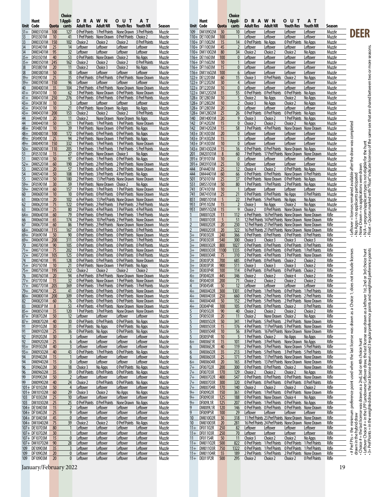|                  | Hunt                             |              | Choice<br>1 Appli-            | <b>DRAWN</b>                                               |                                   | <b>OUT</b>                                                                                                      | AТ                        |                  |              | Hunt                               |            | Choice<br>1 Appli-              | DRA                                                 | W N                                                                                                                | o u t                                      | AТ                        |                  |                                 |                                                                                        |                                                                                                                                                                                                                                         |
|------------------|----------------------------------|--------------|-------------------------------|------------------------------------------------------------|-----------------------------------|-----------------------------------------------------------------------------------------------------------------|---------------------------|------------------|--------------|------------------------------------|------------|---------------------------------|-----------------------------------------------------|--------------------------------------------------------------------------------------------------------------------|--------------------------------------------|---------------------------|------------------|---------------------------------|----------------------------------------------------------------------------------------|-----------------------------------------------------------------------------------------------------------------------------------------------------------------------------------------------------------------------------------------|
|                  | Unit Code                        | <b>Quota</b> | cants                         | <b>Adult Res</b>                                           | <b>Adult NR</b>                   | <b>Youth Res</b>                                                                                                | <b>Youth NR</b>           | Season           | Unit Code    |                                    | Quota      | cants                           | Adult Res                                           | <b>Adult NR</b>                                                                                                    | <b>Youth Res</b>                           | <b>Youth NR</b>           | Season           |                                 |                                                                                        |                                                                                                                                                                                                                                         |
| $31+$<br>33      | DM03101M<br>DF03301M             | 100<br>10    | 127<br>41                     | 0 Pref Points<br>1 Pref Points                             | 1 Pref Points<br>None Drawn       | None Drawn<br>0 Pref Points                                                                                     | 3 Pref Points<br>Choice 2 | Muzzle<br>Muzzle | 109          | DM10902M<br>110+ DE11003M          | 30<br>100  | 10                              | Leftover<br>Leftover                                | Leftover<br>Leftover                                                                                               | Leftover<br>Leftover                       | Leftover<br>Leftover      | Muzzle<br>Muzzle |                                 | DEER                                                                                   |                                                                                                                                                                                                                                         |
| 33               | DM03301M                         | 150          | 102                           | Choice 2                                                   | Choice 2                          | Choice 2                                                                                                        | 0 Pref Points             | Muzzle           |              | 110+ DF11002M                      | 15         | 14                              | 0 Pref Points                                       | No Apps                                                                                                            | 0 Pref Points                              | No Apps                   | Muzzle           |                                 |                                                                                        |                                                                                                                                                                                                                                         |
| 34<br>34         | DF03401M<br>DM03401M             | 25<br>95     | 14<br>32                      | Leftover                                                   | Leftover                          | Leftover                                                                                                        | Leftover                  | Muzzle           |              | 110+ DF11003M<br>110+ DM11002M     | 45         | $\overline{2}$<br>34            | Leftover                                            | Leftover                                                                                                           | Leftover                                   | Leftover                  | Muzzle           |                                 |                                                                                        |                                                                                                                                                                                                                                         |
|                  | 35+ DF03501M                     | 40           | 53                            | Leftover<br>0 Pref Points                                  | <b>Leftover</b><br>None Drawn     | Leftover<br>Choice 2                                                                                            | Leftover<br>No Apps       | Muzzle<br>Muzzle |              | 116+ DE11603M                      | 80<br>100  | $\mathbf{0}$                    | Choice 2<br>Leftover                                | Choice 2<br>Leftover                                                                                               | Choice 2<br>Leftover                       | No Apps<br>Leftover       | Muzzle<br>Muzzle |                                 |                                                                                        |                                                                                                                                                                                                                                         |
| $35+$            | <b>DM03501M</b>                  | 245          | 162                           | Choice 2                                                   | Choice 2                          | Choice 2                                                                                                        | 0 Pref Points             | Muzzle           |              | 116+ DF11602M                      | 10         | $\mathbf{1}$                    | Leftover                                            | Leftover                                                                                                           | Leftover                                   | Leftover                  | Muzzle           |                                 |                                                                                        | N/A = program/applicant type is not eligible for the hunt<br>Float = Quotas marked with "Float" indicate licenses of the same sex that are shared between two or more seasons.                                                          |
| 38<br>38         | DF03801M<br>DM03801M             | 20<br>50     | 11<br>18                      | Choice 2<br>Leftover                                       | Choice 3<br>Leftover              | Choice 2<br>Leftover                                                                                            | No Apps<br>Leftover       | Muzzle<br>Muzzle |              | 116+ DF11603M<br>116+ DM11602M 100 | 15         | $\mathbf{0}$<br>6               | Leftover<br>Leftover                                | Leftover<br>Leftover                                                                                               | Leftover<br>Leftover                       | Leftover<br>Leftover      | Muzzle<br>Muzzle |                                 |                                                                                        |                                                                                                                                                                                                                                         |
|                  | 39+ DF03901M                     | 25           | 35                            | 0 Pref Points                                              | 0 Pref Points                     | 0 Pref Points None Drawn                                                                                        |                           | Muzzle           |              | 122+ DE12203M                      | 60         | 15                              | Choice 3                                            | 0 Pref Points                                                                                                      | Choice 2                                   | No Apps                   | Muzzle           |                                 |                                                                                        |                                                                                                                                                                                                                                         |
| $39+$<br>40      | DM03901M<br>DM04001M             | 150<br>35    | 96<br>104                     | Leftover<br>2 Pref Points                                  | Leftover                          | Leftover<br>4 Pref Points None Drawn None Drawn                                                                 | Leftover                  | Muzzle<br>Muzzle |              | 122+ DF12202M<br>122+ DF12203M     | 30<br>10   | $\overline{4}$<br>$\mathbf{0}$  | Leftover<br>Leftover                                | Leftover<br>Leftover                                                                                               | Leftover<br>Leftover                       | Leftover<br>Leftover      | Muzzle<br>Muzzle |                                 |                                                                                        |                                                                                                                                                                                                                                         |
|                  | 41+ DF04101M                     | 10           | 62                            | 3 Pref Points                                              |                                   | None Drawn 0 Pref Points None Drawn                                                                             |                           | Muzzle           |              | 122+ DM12202M                      | 35         | 55                              | 0 Pref Points                                       | 0 Pref Points                                                                                                      | 0 Pref Points                              | No Apps                   | Muzzle           |                                 |                                                                                        |                                                                                                                                                                                                                                         |
|                  | 41+ DM04101M                     | 250          | 276                           | <b>0 Pref Points</b>                                       | 0 Pref Points                     | <b>O Pref Points O Pref Points</b>                                                                              |                           | Muzzle           |              | 128+ DE12803M                      | 10         | 5                               | Choice 2                                            | <u>No Apps</u>                                                                                                     | Choice 2                                   | No Apps                   | Muzzle           |                                 |                                                                                        |                                                                                                                                                                                                                                         |
|                  | 43+ DF043K1M<br>43+ DF04301M     | 10<br>10     | $\overline{\mathbf{3}}$<br>21 | Leftover<br>0 Pref Points                                  | Leftover<br>None Drawn            | Leftover<br>No Apps                                                                                             | Leftover<br>No Apps       | Muzzle<br>Muzzle |              | 128+ DF12802M<br>128+ DF12803M     | 10<br>20   | $\overline{2}$<br>$\mathbf{0}$  | Choice 3<br>Leftover                                | No Apps<br>Leftover                                                                                                | Choice 2<br>Leftover                       | No Apps<br>Leftover       | Muzzle<br>Muzzle |                                 |                                                                                        |                                                                                                                                                                                                                                         |
|                  | 43+ DM04301M                     | 200          | 153                           | Choice 2                                                   | Choice 2                          | Choice 2                                                                                                        | <b>O</b> Pref Points      | Muzzle           |              | 128+ DM12802M                      | 25         | 26                              | 0 Pref Points                                       | 0 Pref Points                                                                                                      | 0 Pref Points                              | No Apps                   | Muzzle           |                                 |                                                                                        |                                                                                                                                                                                                                                         |
| 44<br>44         | DF04401M<br>DM04401M             | 20<br>50     | 11<br>121                     | Choice 2<br>1 Pref Points                                  | 1 Pref Points                     | None Drawn None Drawn No Apps                                                                                   |                           | Muzzle           | 140<br>142   | DM14001M<br>DF14202M               | 20<br>15   | 9<br>$\mathbf{0}$               | Choice 3<br>Choice 2                                | Choice 2<br>Choice 2                                                                                               | 1 Pref Points No Apps<br>Choice 2          |                           | Muzzle<br>Muzzle |                                 |                                                                                        |                                                                                                                                                                                                                                         |
| 48+              | DF04801M                         | 10           | 39                            | 1 Pref Points                                              |                                   | 1 Pref Points None Drawn<br>None Drawn 0 Pref Points No Apps                                                    |                           | Muzzle<br>Muzzle | 142          | DM14202M                           | 15         | 58                              | 3 Pref Points                                       | 4 Pref Points                                                                                                      | <b>None Drawr</b>                          | No Apps<br>None Drawn     | Muzzle           | le after the draw was completed |                                                                                        |                                                                                                                                                                                                                                         |
|                  | 48+ DM04801M                     | 100          | 172                           |                                                            |                                   | O Pref Points O Pref Points O Pref Points No Apps                                                               |                           | Muzzle           |              | 143+ DE14303M                      | 20         | $\mathbf{0}$                    | Leftover                                            | Leftover                                                                                                           | Leftover                                   | Leftover                  | Muzzle           |                                 |                                                                                        |                                                                                                                                                                                                                                         |
|                  | 49+ DF04901M<br>49+ DM04901M     | 25<br>150    | 94<br>332                     | 1 Pref Points                                              | 1 Pref Points                     | 2 Pref Points None Drawn 1 Pref Points No Apps<br>1 Pref Points None Drawn                                      |                           | Muzzle<br>Muzzle |              | 143+ DF14302M<br>143+ DF14303M     | 15<br>10   | $\mathbf{1}$<br>$\mathbf{0}$    | Leftover<br>Leftover                                | Leftover<br>Leftover                                                                                               | Leftover<br>Leftover                       | Leftover<br>Leftover      | Muzzle<br>Muzzle |                                 |                                                                                        |                                                                                                                                                                                                                                         |
|                  | 50+ DM05001M                     | 110          | 205                           |                                                            | 1 Pref Points 1 Pref Points       | 1 Pref Points 5 Pref Points                                                                                     |                           | Muzzle           |              | 143+ DM14302M                      | 15         | 16                              | 0 Pref Points                                       | 0 Pref Points                                                                                                      | None Drawn                                 | No Apps                   | Muzzle           |                                 |                                                                                        |                                                                                                                                                                                                                                         |
| 51               | DF05101M                         | 15           | 27                            |                                                            | 0 Pref Points None Drawn Choice 3 |                                                                                                                 | No Apps                   | Muzzle           | 201          | DM20101M                           | 8          | 60                              | 7 Pref Points                                       | 17 Pref Points None Drawn                                                                                          |                                            | None Drawn                | Muzzle           |                                 |                                                                                        |                                                                                                                                                                                                                                         |
| 51               | DM05101M<br>52+ DM05201M         | 50<br>60     | 97<br>190                     | 0 Pref Points 1 Pref Points<br>2 Pref Points 2 Pref Points |                                   | 0 Pref Points No Apps<br>2 Pref Points None Drawn                                                               |                           | Muzzle<br>Muzzle |              | 391+ DF39101M<br>391+ DM39101M     | 10<br>25   | $\mathbf{0}$<br>10 <sup>°</sup> | Leftover<br>Leftover                                | Leftover<br>Leftover                                                                                               | Leftover<br>Leftover                       | Leftover<br>Leftover      | Muzzle<br>Muzzle |                                 |                                                                                        |                                                                                                                                                                                                                                         |
| 53               | DM05301M                         | 20           | 57                            |                                                            |                                   | 1 Pref Points 6 Pref Points 2 Pref Points None Drawn                                                            |                           | Muzzle           | 444          | DF44401M                           | 25         | 12                              | Choice 4                                            | Choice 2                                                                                                           | <b>O Pref Points</b> No Apps               |                           | Muzzle           |                                 | rawn                                                                                   |                                                                                                                                                                                                                                         |
| 54               | DM05401M                         | 50           | 108                           |                                                            |                                   | 1 Pref Points 3 Pref Points 4 Pref Points No Apps                                                               |                           | Muzzle           | 444          | DM44401M                           | 60         | 66                              | 0 Pref Points                                       | 0 Pref Points                                                                                                      | None Drawn                                 | 0 Pref Points             | Muzzle           |                                 | ਰੋ                                                                                     |                                                                                                                                                                                                                                         |
| 55<br>59+        | DM05501M<br>DF05901M             | 50<br>30     | 180<br>59                     |                                                            | 1 Pref Points None Drawn Choice 2 | 2 Pref Points 13 Pref Points None Drawn None Drawn                                                              | No Apps                   | Muzzle<br>Muzzle | 501<br>551   | DF50101M<br>DM55101M               | 25<br>50   | 37<br>80                        | 0 Pref Points<br>1 Pref Points                      | None Drawn<br>1 Pref Points                                                                                        | 0 Pref Points No Apps<br>2 Pref Points     | No Apps                   | Muzzle<br>Muzzle | availabl                        | no applicants participatec<br>m = no applications were «<br>rram/applicant type is not |                                                                                                                                                                                                                                         |
| 59+              | DM05901M                         | 60           | 157                           | 1 Pref Points 1 Pref Points                                |                                   | 1 Pref Points None Drawn                                                                                        |                           | Muzzle           | 741          | DF74101M                           | 10         |                                 | Leftover                                            | Leftover                                                                                                           | Leftover                                   | Leftover                  | Muzzle           | ined                            |                                                                                        |                                                                                                                                                                                                                                         |
| 60               | DM06001M                         | 10<br>20     | 10 <sup>°</sup><br>102        |                                                            |                                   | 0 Pref Points 0 Pref Points 0 Pref Points None Drawn                                                            |                           | Muzzle           | 741          | DM74101M                           | 25         | 21<br>22                        | 0 Pref Points                                       | 0 Pref Points                                                                                                      | No Apps                                    | 0 Pref Points             | Muzzle           | remai                           |                                                                                        |                                                                                                                                                                                                                                         |
| 61<br>62         | DM06101M<br>DM06201M             | 75           | 122                           |                                                            |                                   | 6 Pref Points 13 Pref Points None Drawn None Drawn<br>O Pref Points 2 Pref Points 3 Pref Points 2 Pref Points   |                           | Muzzle<br>Muzzle | 851<br>951   | DM85101M<br>DF95102M               | 5<br>15    |                                 | 3 Pref Points<br>Choice 3                           | 5 Pref Points<br>No Apps                                                                                           | No Apps<br>Choice 2                        | No Apps<br>No Apps        | Muzzle<br>Muzzle |                                 |                                                                                        |                                                                                                                                                                                                                                         |
| 63               | DM06301M                         | 25           | 80                            |                                                            |                                   | 2 Pref Points 4 Pref Points 3 Pref Points 4 Pref Points                                                         |                           | Muzzle           | 951          | DM95102M                           | 15         | 9                               | Choice 2                                            | 0 Pref Points None Drawn No Apps                                                                                   |                                            |                           | Muzzle           | licenses                        |                                                                                        |                                                                                                                                                                                                                                         |
| 64+<br><u>66</u> | <b>DM06401M</b><br>DM06601M      | 60<br>65     | 79<br>174                     | 2 Pref Points                                              | 0 Pref Points 0 Pref Points       | 1 Pref Points 1 Pref Points<br>10 Pref Points 2 Pref Points None Drawn                                          |                           | Muzzle<br>Muzzle |              | DM00102R<br>DM00103R               | 11<br>5    | 112<br>51                       | 6 Pref Points                                       | 16 Pref Points None Drawn<br>12 Pref Points 14 Pref Points None Drawn                                              |                                            | None Drawn<br>None Drawn  | Rifle<br>Rifle   |                                 |                                                                                        |                                                                                                                                                                                                                                         |
| 67               | DM06701M                         | 60           | 86                            |                                                            |                                   | 1 Pref Points 2 Pref Points None Drawn None Drawn                                                               |                           | Muzzle           |              | DM00202R                           | 20         | 230                             |                                                     | 12 Pref Points 21 Pref Points None Drawn None Drawn                                                                |                                            |                           | Rifle            |                                 | No Apps = no<br>None Drawn =                                                           |                                                                                                                                                                                                                                         |
|                  | 68+ DM06801M                     | 115          | 167                           |                                                            |                                   | O Pref Points O Pref Points O Pref Points O Pref Points                                                         |                           | Muzzle           |              | DM00203R                           | 20         | 322                             |                                                     | 16 Pref Points 21 Pref Points None Drawn                                                                           |                                            | None Drawn                | Rifle            | eftover                         |                                                                                        |                                                                                                                                                                                                                                         |
| 69+              | DF06901M<br>69+ DM06901M         | 50<br>200    | 90<br>311                     | 0 Pref Points                                              | 0 Pref Points                     | 0 Pref Points None Drawn<br>O Pref Points O Pref Points 1 Pref Points 1 Pref Points                             |                           | Muzzle<br>Muzzle | $3+$<br>$3+$ | DF00302R<br>DF00303R               | 240<br>540 | 366<br>300                      | 0 Pref Points<br>Choice 3                           | 0 Pref Points<br>Choice 3                                                                                          | 0 Pref Points<br>Choice 3                  | 0 Pref Points<br>Choice 3 | Rifle<br>Rifle   |                                 |                                                                                        |                                                                                                                                                                                                                                         |
| 70               | DM07001M                         | 90           | 105                           |                                                            |                                   | O Pref Points O Pref Points O Pref Points O Pref Points                                                         |                           | Muzzle           | $3+$         | DM00302R                           | 800        | 1027                            |                                                     | O Pref Points O Pref Points                                                                                        | 0 Pref Points                              | 0 Pref Points             | Rifle            |                                 |                                                                                        |                                                                                                                                                                                                                                         |
|                  | 71+ DM07101M                     | 75           | 202                           | 1 Pref Points                                              | 2 Pref Points                     | 1 Pref Points None Drawn                                                                                        |                           | Muzzle           | $3+$         | DM00303R                           | 1100       | 1335                            | 0 Pref Points                                       | 0 Pref Points                                                                                                      | 0 Pref Points                              | 1 Pref Points             | Rifle            |                                 |                                                                                        | points                                                                                                                                                                                                                                  |
| 74               | 72+ DM07201M<br>DM07401M         | 105<br>95    | 125<br>128                    |                                                            |                                   | O Pref Points O Pref Points O Pref Points O Pref Points<br>O Pref Points O Pref Points O Pref Points None Drawn |                           | Muzzle<br>Muzzle | $3+$<br>$3+$ | DM00304R<br>DE003P2R               | 75<br>700  | 310<br>685                      | 2 Pref Points<br><b>O Pref Points O Pref Points</b> | 4 Pref Points                                                                                                      | 3 Pref Points None Drawn<br>Choice 2       | Choice 2                  | Rifle<br>Rifle   | licenses                        |                                                                                        | choice hunt                                                                                                                                                                                                                             |
| 75+              | DF07501M                         | 10           | 21                            | 0 Pref Points                                              | None Drawn                        | 1 Pref Points                                                                                                   | No Apps                   | Muzzle           | $3+$         | DE003P3R                           | 900        | 511                             | Choice 3                                            | Choice 3                                                                                                           | Choice 3                                   | Choice 2                  | Rifle            | does not include                |                                                                                        | 1st, 2nd or 3rd choice<br>weighted preference                                                                                                                                                                                           |
| 76               | 75+ DM07501M<br>DM07601M         | 195<br>20    | 122<br>94                     | Choice 2<br>6 Pref Points 8 Pref Points                    | Choice 2                          | Choice 2<br>None Drawn None Drawn                                                                               | Choice 2                  | Muzzle<br>Muzzle | $3+$<br>4+   | DE003P4R<br>DF00402R               | 100<br>445 | 114<br>346                      | 0 Pref Points<br>Choice 2                           | 0 Pref Points<br>Choice 2                                                                                          | 0 Pref Points<br>Choice 4                  | Choice 2<br>Choice 2      | Rifle<br>Rifle   |                                 |                                                                                        |                                                                                                                                                                                                                                         |
|                  | 77+ DF07701M                     | 15           | 32                            | 0 Pref Points                                              | None Drawn                        | 1 Pref Points None Drawn                                                                                        |                           | Muzzle           |              | DF00403R                           | 200        | 71                              | Choice 2                                            | Choice 2                                                                                                           | Choice 2                                   | Choice 2                  | Rifle            |                                 |                                                                                        |                                                                                                                                                                                                                                         |
|                  | 77+ DM07701M                     | 205          | 369                           |                                                            |                                   | O Pref Points 1 Pref Points 0 Pref Points 1 Pref Points                                                         |                           | Muzzle           |              | DF004S4R                           | 50         | 12                              | Leftover                                            | Leftover                                                                                                           | Leftover                                   | Leftover                  | Rifle            |                                 |                                                                                        |                                                                                                                                                                                                                                         |
|                  | 79+ DM07901M<br>80+ DM08001M 200 | 25           | 41<br>309                     |                                                            |                                   | O Pref Points O Pref Points O Pref Points None Drawn<br>O Pref Points O Pref Points O Pref Points None Drawn    |                           | Muzzle<br>Muzzle | 4+           | DM00402R<br>DM00403R 250           | 300        | 1301<br>660                     |                                                     | O Pref Points 1 Pref Points 0 Pref Points 1 Pref Points<br>O Pref Points 2 Pref Points 0 Pref Points 2 Pref Points |                                            |                           | Rifle<br>Rifle   |                                 |                                                                                        |                                                                                                                                                                                                                                         |
| 82               | DM08201M 60                      |              | 76                            |                                                            |                                   | 0 Pref Points 0 Pref Points 0 Pref Points None Drawn                                                            |                           | Muzzle           | $4+$         | DM00404R 50                        |            | 152                             |                                                     | 2 Pref Points 5 Pref Points 2 Pref Points None Drawn                                                               |                                            |                           | Rifle            |                                 |                                                                                        |                                                                                                                                                                                                                                         |
| 83               | DM083P1M                         | $\bf 8$      | 53                            | 4 Pref Points 4 Pref Points                                |                                   | None Drawn None Drawn                                                                                           |                           | Muzzle           | 4+           | DE004P4R                           | 100        | 105                             | <b>OPrefPoints OPrefPoints</b>                      |                                                                                                                    | Choice 2                                   | 0 Pref Points             | Rifle            |                                 |                                                                                        |                                                                                                                                                                                                                                         |
|                  | 85+ DM08501M<br>87+ DF08702M     | 35<br>50     | 120<br>12                     | 1 Pref Points 3 Pref Points<br>Leftover                    | Leftover                          | None Drawn None Drawn<br>Leftover                                                                               | Leftover                  | Muzzle<br>Muzzle |              | <b>DF00502R</b><br>DF00503R        | 90<br>20   | 40<br>11                        | Choice 2<br>Choice 2                                | Choice 2<br>None Drawn Choice 2                                                                                    | Choice 2                                   | Choice 2<br>No Apps       | Rifle<br>Rifle   |                                 |                                                                                        |                                                                                                                                                                                                                                         |
|                  | 87+ DM08702M                     | 40           | 30 <sup>°</sup>               | <b>O Pref Points O Pref Points</b>                         |                                   | O Pref Points No Apps                                                                                           |                           | Muzzle           |              | DM00502R                           | 50         | 341                             |                                                     | 1 Pref Points 5 Pref Points 2 Pref Points                                                                          |                                            | None Drawn                | Rifle            |                                 |                                                                                        |                                                                                                                                                                                                                                         |
| 91<br>91         | DF09102M<br>DM09102M             | 30<br>25     | 31<br>36                      | <b>O Pref Points No Apps</b><br>0 Pref Points No Apps      |                                   | <b>O Pref Points No Apps</b><br>0 Pref Points No Apps                                                           |                           | Muzzle<br>Muzzle |              | DM00503R<br>DM00504R               | 15<br>10   | 176<br>56                       |                                                     | 4 Pref Points 11 Pref Points 5 Pref Points None Drawn<br>8 Pref Points 16 Pref Points None Drawn None Drawn        |                                            |                           | Rifle<br>Rifle   |                                 |                                                                                        |                                                                                                                                                                                                                                         |
| 92               | DF09202M                         | 30           | $\overline{3}$                | Leftover                                                   | Leftover                          | Leftover                                                                                                        | Leftover                  | Muzzle           | 5            | DE005P4R                           | 10         | 5                               | 1 Pref Points Choice 2                              |                                                                                                                    | No Apps                                    | No Apps                   | Rifle            |                                 |                                                                                        |                                                                                                                                                                                                                                         |
| 92               | DM09202M                         | 25           | $6\phantom{.}6$               | Leftover                                                   | Leftover                          | Leftover                                                                                                        | Leftover                  | Muzzle           | $6+$         | DM006E1R                           | 15         | 101                             |                                                     | 3 Pref Points 3 Pref Points                                                                                        | None Drawn No Apps                         |                           | Rifle            |                                 |                                                                                        |                                                                                                                                                                                                                                         |
| $93+$            | 93+ DF09302M<br>DM09302M         | 40<br>40     | $\overline{3}$<br>43          | Leftover<br>0 Pref Points                                  | Leftover<br>1 Pref Points         | Leftover<br>0 Pref Points No Apps                                                                               | Leftover                  | Muzzle<br>Muzzle | 6            | DM006E2R<br>DM00602R               | 40<br>35   | 119<br>213                      |                                                     | 2 Pref Points 3 Pref Points None Drawn 5 Pref Points<br>3 Pref Points 5 Pref Points 3 Pref Points 5 Pref Points    |                                            |                           | Rifle<br>Rifle   |                                 |                                                                                        |                                                                                                                                                                                                                                         |
| 94               | DF09402M                         | 15           | $\mathbf{1}$                  | Leftover                                                   | <b>Leftover</b>                   | Leftover                                                                                                        | Leftover                  | Muzzle           |              | DM00603R                           | 25         | 171                             |                                                     | 5 Pref Points 11 Pref Points None Drawn None Drawn                                                                 |                                            |                           | Rifle            |                                 |                                                                                        |                                                                                                                                                                                                                                         |
| 94               | DM09402M                         | 15           | $\mathbf{0}$                  | Leftover                                                   | Leftover                          | Leftover<br><b>O Pref Points No Apps</b>                                                                        | Leftover                  | Muzzle           | $6+$         | DM00604R<br>DF00702R               | 20         | 165                             |                                                     | 8 Pref Points 13 Pref Points None Drawn None Drawn                                                                 |                                            | None Drawn                | Rifle            |                                 |                                                                                        |                                                                                                                                                                                                                                         |
| 96<br>96         | DF09602M<br>DM09602M             | 30<br>35     | 18<br>39                      | Choice 3<br>0 Pref Points                                  | No Apps<br>0 Pref Points          | O Pref Points No Apps                                                                                           |                           | Muzzle<br>Muzzle | 7+<br>7+     | DF00703R                           | 200<br>170 | 300<br>129                      | O Pref Points O Pref Points<br>Choice 2             | Choice 2                                                                                                           | Choice 2<br>Choice 2                       | No Apps                   | Rifle<br>Rifle   |                                 |                                                                                        |                                                                                                                                                                                                                                         |
| 99               | DF09902M                         | 50           | $\overline{2}$                | Leftover                                                   | Leftover                          | Leftover                                                                                                        | Leftover                  | Muzzle           | $7+$         | DM00702R                           | 400        | 547                             |                                                     | 0 Pref Points 0 Pref Points 0 Pref Points None Drawn                                                               |                                            |                           | Rifle            |                                 |                                                                                        |                                                                                                                                                                                                                                         |
| 99               | DM09902M<br>101+ DF10102M        | 40<br>50     | 24<br>$\overline{4}$          | Choice 2<br>Leftover                                       | 0 Pref Points<br>Leftover         | 0 Pref Points No Apps<br>Leftover                                                                               | Leftover                  | Muzzle<br>Muzzle | 7+<br>7+     | DM00703R<br>DM00704R               | 300<br>170 | 320<br>140                      | <b>OPrefPoints OPrefPoints</b><br>Choice 2          | Choice 2                                                                                                           | <b>OPrefPoints OPrefPoints</b><br>Choice 2 | Choice 2                  | Rifle<br>Rifle   |                                 |                                                                                        |                                                                                                                                                                                                                                         |
|                  | 101+ DM10102M                    | 60           | 29                            | Choice 3                                                   | Choice 2                          | No Apps                                                                                                         | No Apps                   | Muzzle           | $9 +$        | DF00902R                           | 150        | 361                             |                                                     | O Pref Points 1 Pref Points 0 Pref Points None Drawn                                                               |                                            |                           | Rifle            |                                 |                                                                                        |                                                                                                                                                                                                                                         |
|                  | 103 DF10302M                     | 25           | 10 <sup>°</sup>               | Leftover                                                   | Leftover                          | Leftover                                                                                                        | Leftover                  | Muzzle           | $9+$         | DF00903R                           | 125        | 188                             |                                                     | 0 Pref Points None Drawn                                                                                           | Choice 4                                   | No Apps                   | Rifle            |                                 |                                                                                        |                                                                                                                                                                                                                                         |
|                  | 103 DM10302M<br>104+ DE10403M    | 25<br>15     | 25<br>$\overline{2}$          | 0 Pref Points<br>Leftover                                  | 0 Pref Point<br>Leftover          | None Drawn<br>Leftover                                                                                          | No Apps<br>Leftover       | Muzzle<br>Muzzle | $9+$<br>9    | DF009L1R<br>DM009L1R               | 125<br>120 | 207<br>146                      | 0 Pref Points                                       | 1 Pref Points<br>O Pref Points O Pref Points O Pref Points None Drawn                                              | 0 Pref Points                              | No Apps                   | Rifle<br>Rifle   |                                 |                                                                                        | - # Pref Pts = the minimum preference point used when the last license was drawn as a Choice 1<br>drawn in the hybrid draw<br>- Choice # = the last license was drawn as a 2nd, 3rd or 4th choice hunt<br>- Choice # = the last license |
|                  | 104+ DF10402M                    | 25           | 9                             | Leftover                                                   | Leftover                          | Leftover                                                                                                        | Leftover                  | Muzzle           | 9            | DF009P5R                           | 100        | 29                              | Leftover                                            | Leftover                                                                                                           | Leftover                                   | Leftover                  | Rifle            |                                 |                                                                                        |                                                                                                                                                                                                                                         |
|                  | 104+ DF10403M                    | 45           | $\mathbf{0}$                  | Leftover                                                   | <b>Leftover</b>                   | Leftover                                                                                                        | Leftover                  | Muzzle           | 10           | DM01002R                           | 30         | 318                             |                                                     | 11 Pref Points 23 Pref Points None Drawn None Drawn                                                                |                                            |                           | Rifle            |                                 |                                                                                        |                                                                                                                                                                                                                                         |
|                  | 104+ DM10402M<br>107+ DE10703M   | 75<br>80     | 39<br>$\mathbf{1}$            | Choice 2<br>Leftover                                       | Choice 2<br>Leftover              | 0 Pref Points No Apps<br>Leftover                                                                               | Leftover                  | Muzzle<br>Muzzle | 10<br>$11+$  | DM01003R<br>DF01102R               | 20<br>250  | 281<br>82                       | Leftover                                            | 16 Pref Points 24 Pref Points None Drawn None Drawn<br>Leftover                                                    | Leftover                                   | Leftover                  | Rifle<br>Rifle   |                                 |                                                                                        |                                                                                                                                                                                                                                         |
|                  | 107+ DF10702M                    | 30           |                               | Leftover                                                   | <b>Leftover</b>                   | Leftover                                                                                                        | Leftover                  | Muzzle           | $11+$        | DF01103R                           | 250        | 70                              | Leftover                                            | Leftover                                                                                                           | Leftover                                   | Leftover                  | Rifle            |                                 |                                                                                        |                                                                                                                                                                                                                                         |
|                  | 107+ DF10703M<br>107+ DM10702M   | 15           | $\mathbf{0}$<br>28            | Leftover                                                   | Leftover                          | Leftover<br>Leftover                                                                                            | Leftover<br>Leftover      | Muzzle<br>Muzzle | 11           | DF011S4R<br>11+ DM01102R           | 50<br>500  | 11<br>822                       | Choice 3<br>O Pref Points 1 Pref Points             | Choice 2                                                                                                           | Choice 2<br><b>OPrefPoints 1PrefPoints</b> | No Apps                   | Rifle<br>Rifle   |                                 |                                                                                        |                                                                                                                                                                                                                                         |
| 109              | DE10903M                         | 90<br>35     | 3                             | Leftover<br><u>Leftover</u>                                | Leftover<br>Leftover              | Leftover                                                                                                        | Leftover                  | Muzzle           | $11+$        | DM01103R 750                       |            | 1322                            | 0 Pref Points                                       | 1 Pref Points                                                                                                      | 0 Pref Points                              | 1 Pref Points             | Rifle            |                                 |                                                                                        |                                                                                                                                                                                                                                         |
|                  | 109 DF10902M                     | 20           | $\mathbf{0}$                  | Leftover                                                   | Leftover                          | Leftover                                                                                                        | Leftover                  | Muzzle           |              | 11+ DM01104R                       | $-55$      | 189                             | 2 Pref Points 5 Pref Points                         |                                                                                                                    | 2 Pref Points None Drawn                   |                           | Rifle            |                                 |                                                                                        |                                                                                                                                                                                                                                         |
|                  | 109 DF10903M                     | 20           | $\mathbf{0}$                  | Leftover                                                   | Leftover                          | Leftover                                                                                                        | Leftover                  | Muzzle           |              | 11+ DE011P2R                       | 500        | 295                             | Choice 2                                            | Choice 2                                                                                                           | Choice 2                                   | 0 Pref Points             | Rifle            |                                 |                                                                                        |                                                                                                                                                                                                                                         |

January/February 2022 2012 19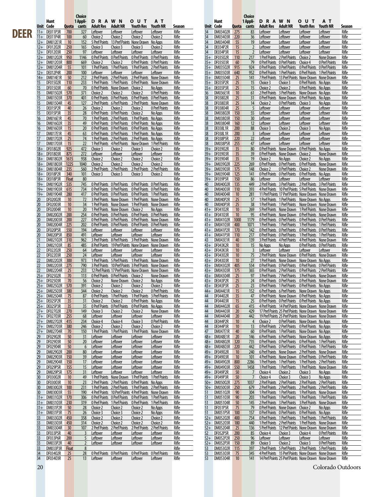|             |             |                              |              | Choice                 |                                                         |                           |                                                                                                        |                           |                 |                       |                                 |                  | Choice                   |                                                |                                                                                                                 |                                    |                             |                 |
|-------------|-------------|------------------------------|--------------|------------------------|---------------------------------------------------------|---------------------------|--------------------------------------------------------------------------------------------------------|---------------------------|-----------------|-----------------------|---------------------------------|------------------|--------------------------|------------------------------------------------|-----------------------------------------------------------------------------------------------------------------|------------------------------------|-----------------------------|-----------------|
|             |             | Hunt                         |              | 1 Appli-               | D R A W N                                               |                           | <b>OUT</b>                                                                                             | A T                       |                 |                       | Hunt                            |                  | 1 Appli-                 | <b>DRAWN</b>                                   |                                                                                                                 | <b>OUT</b>                         | A T                         |                 |
|             | Unit Code   | 11+ DE011P3R                 | 700          | Quota cants<br>327     | Adult Res Adult NR<br>Leftover                          | Leftover                  | Youth Res<br>Leftover                                                                                  | Youth NR<br>Leftover      | Season<br>Rifle | 34                    | Unit Code<br>DM03402R           | 275              | Quota cants<br>83        | Adult Res Adult NR<br>Leftover                 | Leftover                                                                                                        | Youth Res<br>Leftover              | <b>Youth NR</b><br>Leftover | Season<br>Rifle |
| <b>DEER</b> |             | 11+ DE011P4R                 | 100          | 60                     | Choice 2                                                | Choice 2                  | Choice 2                                                                                               | Choice 2                  | Rifle           | 34                    | DM03403R                        | 220              | 36                       | Leftover                                       | Leftover                                                                                                        | Leftover                           | Leftover                    | Rifle           |
|             |             | 12+ DM012E1R                 | 10           | 152                    |                                                         |                           | 5 Pref Points 13 Pref Points None Drawn No Apps                                                        |                           | Rifle           | 34                    | DM03404R                        | 55               | 19                       | Leftover                                       | Leftover                                                                                                        | Leftover                           | Leftover                    | Rifle           |
|             |             | 12+ DF01202R                 | 250          | 165                    | Choice 3                                                | Choice 3                  | Choice 3                                                                                               | Choice 2                  | Rifle           | 34                    | DE034P2R                        | 15               | $\overline{2}$           | Leftover                                       | Leftover                                                                                                        | Leftover                           | Leftover                    | Rifle           |
|             |             | 12+ DF01203R                 | 250          | 97                     | Leftover                                                | Leftover                  | Leftover                                                                                               | Leftover                  | Rifle           | 34                    | DE034P3R                        | 15               | $\overline{\phantom{0}}$ | Leftover                                       | Leftover                                                                                                        | Leftover                           | Leftover                    | Rifle           |
|             |             | 12+ DM01202R<br>12+ DM01203R | 950<br>800   | 1146<br>669            | Choice 2                                                | Choice 2                  | O Pref Points O Pref Points O Pref Points O Pref Points<br><b>OPrefPoints OPrefPoints</b>              |                           | Rifle<br>Rifle  |                       | 35+ DF03502R<br>35+ DF03503R    | 110<br>60        | 217<br>79                | <b>O Pref Points O Pref Points</b>             | 1 Pref Points 2 Pref Points Choice 2                                                                            | Choice 4                           | None Drawn<br>0 Pref Points | Rifle<br>Rifle  |
|             |             | 12+ DM01204R                 | 55           | 101                    |                                                         |                           | 1 Pref Points 1 Pref Points 1 Pref Points 2 Pref Points                                                |                           | Rifle           |                       | 35+ DM03502R                    | 915              | 924                      |                                                | O Pref Points O Pref Points O Pref Points O Pref Points                                                         |                                    |                             | Rifle           |
|             |             | 12+ DE012P4R                 | 200          | 100                    | Leftover                                                | Leftover                  | Leftover                                                                                               | Leftover                  | Rifle           |                       | 35+ DM03503R                    | 640              | 952                      |                                                | O Pref Points 1 Pref Points 0 Pref Points 1 Pref Points                                                         |                                    |                             | Rifle           |
|             |             | 14+ DM014E1R                 | 50           | 212                    |                                                         |                           | 2 Pref Points 2 Pref Points 2 Pref Points None Drawn                                                   |                           | Rifle           |                       | 35+ DM03504R                    | 25               | 141                      |                                                | 7 Pref Points 13 Pref Points None Drawn None Drawn                                                              |                                    |                             | Rifle           |
|             | 15          | <b>DF01502R</b>              | 110          | 233                    |                                                         |                           | 1 Pref Points 1 Pref Points 0 Pref Points None Drawn                                                   |                           | Rifle           |                       | 35+ DE035P2R                    | 25               | 15                       | Choice 3                                       | Choice 3                                                                                                        | 0 Pref Points No Apps              |                             | Rifle           |
|             | 15          | DF01503R                     | 60           | 70                     | 0 Pref Points None Drawn                                |                           | Choice 2                                                                                               | No Apps                   | Rifle           |                       | 35+ DE035P3R                    | 25               | 15                       | Choice 2                                       | Choice 2                                                                                                        | <b>O Pref Points</b> No Apps       |                             | Rifle           |
|             |             | DM01502R                     | 570          | 371                    | Choice 2                                                | Choice 2                  | Choice 2                                                                                               | 0 Pref Points             | Rifle           | 36                    | DM036E1R                        | 10               | 61                       |                                                | 2 Pref Points 3 Pref Points None Drawn No Apps<br>O Pref Points None Drawn O Pref Points No Apps                |                                    |                             | Rifle           |
|             | 15<br>15    | DM01503R<br>DM01504R         | 370<br>45    | 401<br>127             | 2 Pref Points 6 Pref Points                             |                           | O Pref Points O Pref Points O Pref Points O Pref Points<br>2 Pref Points None Drawn                    |                           | Rifle<br>Rifle  | 38<br>38              | DF03802R<br>DF03803R            | 25<br>25         | 31<br>14                 | Choice 2                                       | O Pref Points Choice 3                                                                                          |                                    | No Apps                     | Rifle<br>Rifle  |
|             | 15          | DE015P2R                     | 40           | 26                     | Choice 2                                                | Choice 2                  | Choice 2                                                                                               | 0 Pref Points             | Rifle           | 38                    | DF03804R                        | 25               | 5                        | Leftover                                       | Leftover                                                                                                        | Leftover                           | Leftover                    | Rifle           |
|             | 15          | DE015P3R                     | 35           | 28                     | O Pref Points O Pref Points Choice 2                    |                           |                                                                                                        | No Apps                   | Rifle           | 38                    | DM03802R                        | 150              | 55                       | Leftover                                       | Leftover                                                                                                        | Leftover                           | Leftover                    | Rifle           |
|             | 16          | DM016E1R                     | 45           | 70                     |                                                         |                           | 1 Pref Points 2 Pref Points 1 Pref Points No Apps                                                      |                           | Rifle           | 38                    | DM03803R                        | 150              | 30 <sup>°</sup>          | Leftover                                       | Leftover                                                                                                        | Leftover                           | Leftover                    | Rifle           |
|             | 16          | DM01602R                     | 35           | 49                     |                                                         |                           | O Pref Points O Pref Points O Pref Points No Apps                                                      |                           | Rifle           | 38                    | DM03804R                        | 160              | 12                       | Leftover                                       | Leftover                                                                                                        | Leftover                           | Leftover                    | Rifle           |
|             | 16<br>17    | DM01603R                     | 15<br>45     | 20                     |                                                         |                           | O Pref Points O Pref Points O Pref Points No Apps                                                      |                           | Rifle<br>Rifle  | 38                    | DE038L1R                        | 200<br>200       | 88<br>3                  | Choice 3                                       | Choice 2                                                                                                        | Choice 3                           | No Apps                     | Rifle<br>Rifle  |
|             | 17          | DM017E1R<br>DM01702R         | 25           | 63<br>74               |                                                         |                           | O Pref Points O Pref Points 1 Pref Points No Apps<br>1 Pref Points 2 Pref Points 2 Pref Points No Apps |                           | Rifle           | 38<br>38              | DF038L1R<br>DF038P5R            | 220              | 22                       | Leftover<br>Leftover                           | Leftover<br>Leftover                                                                                            | Leftover<br>Leftover               | Leftover<br>Leftover        | Rifle           |
|             | 17          | DM01703R                     | 15           | 22                     |                                                         |                           | 1 Pref Points 4 Pref Points None Drawn 1 Pref Points                                                   |                           | Rifle           | 38                    | DM038P5R                        | 255              | 47                       | Leftover                                       | Leftover                                                                                                        | Leftover                           | Leftover                    | Rifle           |
|             |             | 18+ DF01802R                 | 925          | 472                    | Choice 3                                                | Choice 2                  | Choice 3                                                                                               | Choice 2                  | Rifle           |                       | 39+ DF03902R                    | 35               | 80                       |                                                | 0 Pref Points None Drawn 0 Pref Points                                                                          |                                    | No Apps                     | Rifle           |
|             |             | 18+ DF01803R                 | 875          | 272                    | Leftover                                                | Leftover                  | Leftover                                                                                               | Leftover                  | Rifle           |                       | 39+ DF03903R                    | 35               | 39                       | 0 Pref Points None Drawn                       |                                                                                                                 | Choice 2                           | None Drawn                  | Rifle           |
|             |             | 18+ DM01802R                 | 1615         | 938                    | Choice 2                                                | Choice 2                  | Choice 2                                                                                               | Choice 2                  | Rifle           |                       | 39+ DF03904R                    | 35               | 19                       | Choice 2                                       | No Apps                                                                                                         | Choice 2                           | No Apps                     | Rifle           |
|             |             | 18+ DM01803R<br>18+ DM01804R | 1225<br>235  | 1040<br>560            | Choice 2<br>2 Pref Points 2 Pref Points                 | Choice 2                  | Choice 2<br>2 Pref Points                                                                              | Choice 2<br>2 Pref Points | Rifle<br>Rifle  |                       | 39+ DM03902R<br>39+ DM03903R    | 225<br>175       | 269<br>148               | Choice 2                                       | O Pref Points O Pref Points O Pref Points<br>0 Pref Points                                                      | Choice 2                           | None Drawn<br>None Drawn    | Rifle<br>Rifle  |
|             |             | 18+ DE018P2R                 | 340          | 101                    | Choice 3                                                | Choice 3                  | Choice 3                                                                                               | Choice 2                  | Rifle           |                       | 39+ DM03904R                    | 125              | 141                      |                                                | O Pref Points O Pref Points O Pref Points No Apps                                                               |                                    |                             | Rifle           |
|             |             | 18+ DE018P3R                 | <b>Float</b> | 80                     |                                                         |                           |                                                                                                        |                           | Rifle           |                       | 39+ DF039P5R                    | 150              | 86                       | Leftover                                       | Leftover                                                                                                        | Leftover                           | Leftover                    | Rifle           |
|             |             | 19+ DM01902R                 | 535          | 745                    |                                                         |                           | O Pref Points O Pref Points O Pref Points O Pref Points                                                |                           | Rifle           | 40                    | DM04002R                        | 135              | 449                      |                                                | 2 Pref Points 3 Pref Points 2 Pref Points 3 Pref Points                                                         |                                    |                             | Rifle           |
|             |             | 19+ DM01903R                 | 615          | 734                    |                                                         |                           | O Pref Points O Pref Points O Pref Points O Pref Points                                                |                           | Rifle           | 40                    | DM04003R                        | 110              | 393                      |                                                | 4 Pref Points 10 Pref Points 5 Pref Points None Drawn                                                           |                                    |                             | Rifle           |
|             |             | 19+ DM01904R                 | 280          | 417                    |                                                         |                           | O Pref Points O Pref Points O Pref Points 1 Pref Points                                                |                           | Rifle           | 40                    | DM04004R                        | 10               | 281                      |                                                | 11 Pref Points 17 Pref Points None Drawn None Drawn                                                             |                                    |                             | Rifle           |
|             | 20<br>20    | DF02002R<br>DF02003R         | 10<br>10     | 72<br>34               |                                                         |                           | 3 Pref Points None Drawn 1 Pref Points None Drawn<br>1 Pref Points None Drawn 1 Pref Points None Drawn |                           | Rifle<br>Rifle  | 40<br>40              | DM040P2R<br>DM040P3R            | 25<br>25         | 57<br>38                 |                                                | 1 Pref Points 1 Pref Points None Drawn No Apps<br>1 Pref Points 1 Pref Points None Drawn None Drawn             |                                    |                             | Rifle<br>Rifle  |
|             | 20          | DF02004R                     | 10           | 20                     | 1 Pref Points None Drawn Choice 2                       |                           |                                                                                                        | No Apps                   | Rifle           |                       | 41+ DF04102R                    | 10               | 269                      |                                                | 5 Pref Points None Drawn 1 Pref Points None Drawn                                                               |                                    |                             | Rifle           |
|             | 20          | DM02002R                     | 200          | 254                    |                                                         |                           | O Pref Points O Pref Points O Pref Points O Pref Points                                                |                           | Rifle           |                       | 41+ DF04103R                    | 10               | 95                       |                                                | 4 Pref Points None Drawn 0 Pref Points None Drawn                                                               |                                    |                             | Rifle           |
|             | 20          | DM02003R                     | 200          | 227                    |                                                         |                           | O Pref Points O Pref Points O Pref Points None Drawn                                                   |                           | Rifle           |                       | 41+ DM04102R                    | 1000             | 1179                     |                                                | O Pref Points O Pref Points O Pref Points O Pref Points                                                         |                                    |                             | Rifle           |
|             | 20          | DM02004R                     | 225          | 202                    |                                                         |                           | O Pref Points O Pref Points O Pref Points O Pref Points                                                |                           | Rifle           |                       | 41+ DM04103R                    | 400              | 1071                     |                                                | 1 Pref Points 1 Pref Points 1 Pref Points 1 Pref Points                                                         |                                    |                             | Rifle           |
|             | 20          | DF020P5R                     | 550          | 194                    | Leftover                                                | Leftover                  | Leftover                                                                                               | Leftover                  | Rifle           |                       | 41+ DM041P2R                    | 170              | 142                      |                                                | O Pref Points O Pref Points O Pref Points O Pref Points                                                         |                                    |                             | Rifle           |
|             | 20<br>21    | DM020P5R<br>DM02102R         | 850<br>310   | 491<br>962             | Leftover                                                | Leftover                  | Leftover<br>3 Pref Points 8 Pref Points 3 Pref Points None Drawn                                       | Leftover                  | Rifle<br>Rifle  | 43                    | 41+ DM041P3R<br>DM043E1R        | 110<br>40        | 217<br>139               |                                                | O Pref Points O Pref Points 1 Pref Points 1 Pref Points<br>3 Pref Points 4 Pref Points 4 Pref Points None Drawn |                                    |                             | Rifle<br>Rifle  |
|             |             | DM02103R                     | 85           | 485                    |                                                         |                           | 8 Pref Points 19 Pref Points None Drawn None Drawn                                                     |                           | Rifle           |                       | 43+ DF043K2R                    | 10               | 15                       | No Apps                                        | No Apps                                                                                                         | <b>O Pref Points O Pref Points</b> |                             | Rifle           |
|             | 22          | DF02202R                     | 250          | 64                     | Leftover                                                | Leftover                  | Leftover                                                                                               | Leftover                  | Rifle           |                       | 43+ DF043K3R                    | 10 <sup>10</sup> | $\overline{3}$           | Leftover                                       | Leftover                                                                                                        | Leftover                           | Leftover                    | Rifle           |
|             | 22          | <b>DF02203R</b>              | 250          | 24                     | Leftover                                                | Leftover                  | Leftover                                                                                               | Leftover                  | Rifle           |                       | 43+ DF04302R                    | 10               | 75                       |                                                | 2 Pref Points None Drawn 0 Pref Points None Drawn                                                               |                                    |                             | Rifle           |
|             |             | DM02202R                     | 300          | 973                    |                                                         |                           | 1 Pref Points 5 Pref Points 1 Pref Points None Drawn                                                   |                           | Rifle           |                       | 43+ DF04303R                    | 10               | 27                       |                                                | 1 Pref Points None Drawn None Drawn No Apps                                                                     |                                    |                             | Rifle           |
|             | 22          | DM02203R                     | 275          | 790                    |                                                         |                           | 3 Pref Points 10 Pref Points 3 Pref Points None Drawn                                                  |                           | Rifle           |                       | 43+ DM04302R                    | 405              | 554                      |                                                | O Pref Points O Pref Points O Pref Points O Pref Points                                                         |                                    |                             | Rifle           |
|             | 22<br>$25+$ | DM02204R<br>DF02502R         | 25<br>70     | 233<br>113             | O Pref Points O Pref Points Choice 2                    |                           | 12 Pref Points 17 Pref Points None Drawn None Drawn                                                    | None Drawn                | Rifle<br>Rifle  |                       | 43+ DM04303R<br>43+ DM04304R    | 175<br>25        | 365<br>97                |                                                | O Pref Points 2 Pref Points 0 Pref Points 2 Pref Points<br>3 Pref Points 7 Pref Points 3 Pref Points None Drawn |                                    |                             | Rifle<br>Rifle  |
|             |             | 25+ DF02503R                 | 70           | 56                     | Choice 2                                                | None Drawn                | Choice 2                                                                                               | No Apps                   | Rifle           |                       | 43+ DE043P2R                    | 25               | 24                       |                                                | 0 Pref Points 0 Pref Points 0 Pref Points None Drawn                                                            |                                    |                             | Rifle           |
|             | $25+$       | <b>DM02502R</b>              | 570          | 391                    | Choice 2                                                | Choice 2                  | Choice 2                                                                                               | Choice 2                  | Rifle           |                       | 43+ DE043P3R                    | 25               | 23                       |                                                | O Pref Points 1 Pref Points 0 Pref Points No Apps                                                               |                                    |                             | Rifle           |
|             |             | 25+ DM02503R                 | 380          | 344                    | Choice 2                                                | Choice 2                  | Choice 2                                                                                               | 0 Pref Points             | Rifle           |                       | 44+ DM044E1R                    | 15               | 152                      |                                                | 6 Pref Points 6 Pref Points None Drawn No Apps                                                                  |                                    |                             | Rifle           |
|             |             | 25+ DM02504R                 | 75           | 87                     | O Pref Points 1 Pref Points 1 Pref Points 3 Pref Points |                           |                                                                                                        |                           | Rifle           | 44                    | DF04402R                        | 35               | 47                       | O Pref Points None Drawn O Pref Points No Apps |                                                                                                                 |                                    |                             | Rifle           |
|             |             | 25+ DE025P2R                 | 35           | 31                     | Choice 2                                                | Choice 2                  | <b>O Pref Points</b> No Apps                                                                           |                           | Rifle           | 44                    | DF04403R                        | 15               | 25                       |                                                | O Pref Points O Pref Points O Pref Points No Apps<br>4 Pref Points 14 Pref Points None Drawn None Drawn         |                                    |                             | Rifle           |
|             |             | 25+ DE025P3R<br>27+ DF02702R | 35<br>270    | 35<br>149              | 0 Pref Points<br>Choice 3                               | 0 Pref Points<br>Choice 2 | O Pref Points No Apps<br>Choice 2                                                                      | None Drawn                | Rifle<br>Rifle  | 44<br>$\overline{44}$ | DM04402R<br>DM04403R            | 65<br>20         | 415<br>429               |                                                | 17 Pref Points 25 Pref Points None Drawn None Drawn                                                             |                                    |                             | Rifle<br>Rifle  |
|             |             | 27+ DF02703R                 | 255          | 68                     | Leftover                                                | Leftover                  | Leftover                                                                                               | Leftover                  | Rifle           | 44                    | DM04404R                        | 20               | 442                      |                                                | 19 Pref Points 25 Pref Points None Drawn None Drawn                                                             |                                    |                             | Rifle           |
|             |             | 27+ DM02702R                 | 415          | 234                    | Choice 4                                                | Choice 4                  | Choice 3                                                                                               | 0 Pref Points             | Rifle           | 44                    | DE044P2R                        | 10 <sup>°</sup>  | $\overline{4}$           | Choice 2                                       | 0 Pref Points None Drawn No Apps                                                                                |                                    |                             | Rifle           |
|             |             | 27+ DM02703R                 | 380          | 246                    | Choice 2                                                | Choice 2                  | Choice 2                                                                                               | Choice 2                  | Rifle           | $\overline{44}$       | DE044P3R                        | 10               | 13                       |                                                | O Pref Points 2 Pref Points 0 Pref Points No Apps                                                               |                                    |                             | Rifle           |
|             |             | 27+ DM02704R                 | 70           | 150                    | 1 Pref Points 1 Pref Points                             |                           | 1 Pref Points None Drawn                                                                               |                           | Rifle           | 47                    | DM047E1R                        | 40               | 60                       |                                                | O Pref Points 1 Pref Points None Drawn No Apps                                                                  |                                    |                             | Rifle           |
|             | 29          | DF02902R<br>DF02903R         | 50           | 31                     | Leftover<br>Leftover                                    | Leftover                  | Leftover                                                                                               | Leftover                  | Rifle<br>Rifle  |                       | 48+ DM048E1R<br>48+ DM04802R    | 20<br>320        | 146<br>735               |                                                | 6 Pref Points 6 Pref Points None Drawn No Apps<br>O Pref Points O Pref Points O Pref Points 1 Pref Points       |                                    |                             | Rifle<br>Rifle  |
|             | 29          | DF02904R                     | 50<br>50     | 20<br>$6 \overline{6}$ | Leftover                                                | Leftover<br>Leftover      | Leftover<br>Leftover                                                                                   | Leftover<br>Leftover      | Rifle           |                       | 48+ DM04803R                    | 220              | 442                      |                                                | O Pref Points O Pref Points O Pref Points 1 Pref Points                                                         |                                    |                             | Rifle           |
|             | 29          | DM02902R                     | 200          | 80                     | Leftover                                                | Leftover                  | Leftover                                                                                               | Leftover                  | Rifle           |                       | 49+ DF04902R                    | 10               | 240                      |                                                | 6 Pref Points None Drawn 2 Pref Points None Drawn                                                               |                                    |                             | Rifle           |
|             | 29          | DM02903R                     | 150          | 39                     | Leftover                                                | Leftover                  | Leftover                                                                                               | Leftover                  | Rifle           |                       | 49+ DF04903R                    | 10               | 101                      |                                                | 4 Pref Points None Drawn 0 Pref Points 0 Pref Points                                                            |                                    |                             | Rifle           |
|             | 29          | DM02904R                     | 150          | 17                     | Leftover                                                | Leftover                  | Leftover                                                                                               | Leftover                  | Rifle           |                       | 49+ DM04902R                    | 800              | 2286                     |                                                | 1 Pref Points 1 Pref Points 1 Pref Points 2 Pref Points                                                         |                                    |                             | Rifle           |
|             | 29          | DF029P5R                     | 155          | 15                     | Leftover                                                | Leftover                  | Leftover                                                                                               | Leftover                  | Rifle           |                       | 49+ DM04903R                    | 550              | 1458                     |                                                | 1 Pref Points 1 Pref Points 1 Pref Points None Drawn                                                            |                                    |                             | Rifle           |
|             | 29<br>30    | DM029P5R<br>DF03002R         | 175<br>10    | 31<br>49               | Leftover                                                | Leftover                  | Leftover<br>1 Pref Points None Drawn 1 Pref Points 1 Pref Points                                       | Leftover                  | Rifle<br>Rifle  |                       | 49+ DF049P2R<br>49+ DF049P3R    | 50<br>50         | $\overline{7}$<br>7      | Choice 4<br>Choice 4                           | Choice 2<br>Choice 3                                                                                            | Choice 3<br>Choice 3               | No Apps<br>No Apps          | Rifle<br>Rifle  |
|             | 30          | DF03003R                     | 10           | 23                     |                                                         |                           | 2 Pref Points 2 Pref Points 0 Pref Points No Apps                                                      |                           | Rifle           |                       | 50+ DM05002R                    | 275              | 1037                     |                                                | 2 Pref Points 2 Pref Points 2 Pref Points 2 Pref Points                                                         |                                    |                             | Rifle           |
|             | 30          | DM03002R                     | 100          | 231                    | 1 Pref Points 2 Pref Points 1 Pref Points 2 Pref Points |                           |                                                                                                        |                           | Rifle           |                       | 50+ DM05003R                    | 250              | 679                      |                                                | 2 Pref Points 2 Pref Points 2 Pref Points 2 Pref Points                                                         |                                    |                             | Rifle           |
|             | 30          | DM03003R                     | 55           | 190                    |                                                         |                           | 4 Pref Points 10 Pref Points 4 Pref Points None Drawn                                                  |                           | Rifle           | 51                    | DM05102R                        | 90               | 304                      |                                                | 1 Pref Points 1 Pref Points 1 Pref Points None Drawn                                                            |                                    |                             | Rifle           |
|             |             | 31+ DM03102R                 | 170          | 306                    |                                                         |                           | O Pref Points O Pref Points O Pref Points 1 Pref Points                                                |                           | Rifle           | 51                    | DM05103R                        | 90               | 203                      |                                                | 1 Pref Points 1 Pref Points 1 Pref Points 1 Pref Points                                                         |                                    |                             | Rifle           |
|             |             | 31+ DM03103R                 | 230          | 319                    |                                                         |                           | O Pref Points 1 Pref Points 0 Pref Points 1 Pref Points                                                |                           | Rifle           | 51                    | DM05104R                        | 50               | 145                      |                                                | 2 Pref Points 3 Pref Points 3 Pref Points None Drawn                                                            |                                    |                             | Rifle           |
|             |             | 31+ DM031P2R<br>31+ DM031P3R | - 50         | 28                     | Choice 2<br>Choice 3                                    | Choice 2                  | Choice 2                                                                                               | No Apps                   | Rifle           | 51                    | DF051P5R<br>DM051P5R            | 75               | 79                       |                                                | <b>O Pref Points None Drawn Choice 2</b>                                                                        |                                    | No Apps                     | Rifle<br>Rifle  |
|             | 33          | DM03302R                     | 75<br>450    | 26<br>358              | Choice 2                                                | Choice 3<br>Choice 2      | Choice 2<br>Choice 2                                                                                   | No Apps<br>Choice 2       | Rifle<br>Rifle  | 51                    | 52+ DM05202R                    | 100<br>400       | 157<br>754               |                                                | O Pref Points O Pref Points O Pref Points No Apps<br>O Pref Points 1 Pref Points 1 Pref Points 1 Pref Points    |                                    |                             | Rifle           |
|             | 33          | DM03303R                     | 450          | 314                    | Choice 2                                                | Choice 2                  | Choice 2                                                                                               | Choice 2                  | Rifle           |                       | 52+ DM05203R                    | 180              | 440                      |                                                | 1 Pref Points 2 Pref Points 1 Pref Points None Drawn                                                            |                                    |                             | Rifle           |
|             | 33          | DM03304R                     | 30           | 107                    | 2 Pref Points                                           | 2 Pref Points             | 2 Pref Points                                                                                          | 2 Pref Points             | Rifle           |                       | 52+ DM05204R                    | 25               | 136                      |                                                | 5 Pref Points 12 Pref Points None Drawn                                                                         |                                    | None Drawn                  | Rifle           |
|             | 33          | DF033P5R                     | 40           | $\overline{3}$         | Leftover                                                | Leftover                  | Leftover                                                                                               | Leftover                  | Rifle           | 52                    | DF052P5R                        | 200              | 85                       | Choice 4                                       | Choice 3                                                                                                        | Choice 4                           | 0 Pref Points               | Rifle           |
|             | 33          | DF033P6R                     | 200          | 5                      | Leftover                                                | Leftover                  | Leftover                                                                                               | Leftover                  | Rifle           |                       | 52+ DM052P2R                    | 250              | 96                       | Leftover                                       | Leftover                                                                                                        | Leftover                           | Leftover                    | Rifle           |
|             | 33<br>33    | DM033P2R<br>DM033P3R         | 40<br>Float  | $\overline{2}$<br>8    | Leftover                                                | Leftover                  | Leftover                                                                                               | Leftover                  | Rifle<br>Rifle  | 53                    | 52+ DM052P3R<br><b>DM05302R</b> | 150<br>115       | 89<br>397                | Choice 3                                       | Choice 2<br>2 Pref Points 5 Pref Points 2 Pref Points 5 Pref Points                                             | Choice 3                           | 0 Pref Points               | Rifle<br>Rifle  |
|             | 34          | DF03402R                     | 25           | 28                     | <b>OPrefPoints OPrefPoints</b>                          |                           | 0 Pref Points 0 Pref Points                                                                            |                           | Rifle           | 53                    | DM05303R                        | 75               | 345                      |                                                | 4 Pref Points 15 Pref Points None Drawn None Drawn                                                              |                                    |                             | Rifle           |
|             | 34          | DF03403R                     | 25           | 13                     | Leftover                                                | Leftover                  | Leftover                                                                                               | Leftover                  | Rifle           | 53                    | DM05304R                        | 10               | 141                      |                                                | 14 Pref Points 25 Pref Points None Drawn None Drawn                                                             |                                    |                             | Rifle           |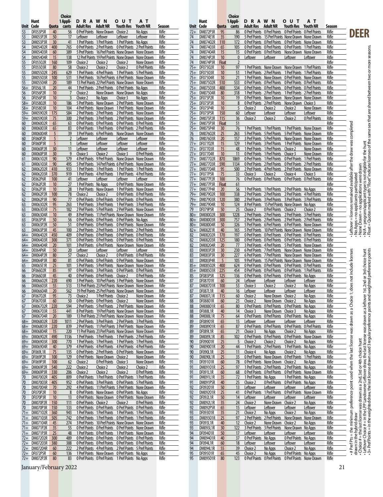|                |                              |                 | Choice             |                                    |                                          |                                                                                                                    |                             |                       |                 |                              |                                 | Choice               |                                    |                                               |                                                                                                                    |                           |                       |
|----------------|------------------------------|-----------------|--------------------|------------------------------------|------------------------------------------|--------------------------------------------------------------------------------------------------------------------|-----------------------------|-----------------------|-----------------|------------------------------|---------------------------------|----------------------|------------------------------------|-----------------------------------------------|--------------------------------------------------------------------------------------------------------------------|---------------------------|-----------------------|
| Unit Code      | Hunt                         | Quota           | 1 Appli-<br>cants  | <b>DRAWN</b><br>Adult Res Adult NR |                                          | o u t<br>Youth Res                                                                                                 | AТ<br>Youth NR              | Season                |                 | Hunt<br>Unit Code            | Quota                           | 1 Appli-<br>cants    | <b>DRAWN</b><br>Adult Res Adult NR |                                               | <b>OUT</b><br>Youth Res                                                                                            | AТ<br>Youth NR            | Season                |
| 53             | DF053P5R                     | 40              | 56                 |                                    | O Pref Points None Drawn Choice 2        |                                                                                                                    | No Apps                     | Rifle                 | 72+             | DM072P3R                     | 95                              | 86                   |                                    |                                               | O Pref Points O Pref Points O Pref Points O Pref Points                                                            |                           | Rifle                 |
| 53             | DM053P2R                     | 50              | 17                 | Leftover                           | Leftover                                 | Leftover                                                                                                           | Leftover                    | Rifle                 | 74              | DM074E1R                     | 35                              | 190                  |                                    |                                               | 5 Pref Points 15 Pref Points None Drawn None Drawn                                                                 |                           | Rifle                 |
| 53<br>54       | DM053P3R<br>DM05402R         | 30<br>400       | 41<br>765          |                                    |                                          | 1 Pref Points 1 Pref Points 1 Pref Points No Apps<br>O Pref Points 2 Pref Points 0 Pref Points 2 Pref Points       |                             | Rifle<br>Rifle        | 74<br>74        | DM07402R<br>DM07403R         | 110<br>65                       | 172<br>105           |                                    |                                               | O Pref Points O Pref Points O Pref Points None Drawn<br>O Pref Points O Pref Points O Pref Points 1 Pref Points    |                           | Rifle<br>Rifle        |
| 54             | DM05403R                     | 60              | 389                |                                    |                                          | 5 Pref Points 16 Pref Points None Drawn None Drawn                                                                 |                             | Rifle                 | $\overline{74}$ | DM07404R                     | 15                              | 15                   |                                    |                                               | O Pref Points O Pref Points None Drawn None Drawn                                                                  |                           | Rifle                 |
| 54             | DM05404R                     | 15              | 138                |                                    |                                          | 12 Pref Points 19 Pref Points None Drawn None Drawn                                                                |                             | Rifle                 | 74              | DM074P2R                     | 10                              | $\mathbf{0}$         | Leftover                           | Leftover                                      | Leftover                                                                                                           | Leftover                  | Rifle                 |
| 55<br>55       | DF05502R<br>DF05503R         | 160<br>80       | 109<br>58          | Choice 2<br>Choice 2               | Choice 2<br>Choice 2                     | Choice 2<br>Choice 2                                                                                               | None Drawn<br>0 Pref Points | Rifle<br><b>Rifle</b> | 74<br>$75+$     | DM074P3R<br>DF07502R         | <b>Float</b><br>10 <sup>°</sup> | $\overline{2}$<br>97 |                                    |                                               | 1 Pref Points None Drawn None Drawn 1 Pref Points                                                                  |                           | Rifle<br>Rifle        |
| 55             | DM05502R                     | 245             | 629                |                                    |                                          | 1 Pref Points 4 Pref Points 1 Pref Points 5 Pref Points                                                            |                             | Rifle                 |                 | 75+ DF07503R                 | 10                              | 51                   |                                    |                                               | 1 Pref Points 2 Pref Points 1 Pref Points 1 Pref Points                                                            |                           | Rifle                 |
| 55             | DM05503R                     | 100             | 531                |                                    |                                          | 5 Pref Points 16 Pref Points 6 Pref Points None Drawn                                                              |                             | Rifle                 |                 | 75+ DF07504R                 | 10                              | 21                   |                                    |                                               | 1 Pref Points None Drawn 0 Pref Points None Drawn                                                                  |                           | Rifle                 |
| 55<br>$56+$    | DM05504R<br>DF056L1R         | 20<br>20        | 189<br>44          |                                    |                                          | 13 Pref Points 22 Pref Points None Drawn None Drawn<br>1 Pref Points 2 Pref Points 0 Pref Points No Apps           |                             | Rifle<br>Rifle        |                 | 75+ DM07502R<br>75+ DM07503R | 510<br>400                      | 533<br>534           |                                    |                                               | O Pref Points O Pref Points O Pref Points O Pref Points<br>O Pref Points O Pref Points O Pref Points O Pref Points |                           | Rifle<br>Rifle        |
| 56             | DF056P2R                     | 10              | $\overline{7}$     | Choice 2                           |                                          | None Drawn None Drawn No Apps                                                                                      |                             | Rifle                 |                 | 75+ DM07504R                 | 80                              | 318                  |                                    |                                               | 1 Pref Points 2 Pref Points 1 Pref Points 2 Pref Points                                                            |                           | Rifle                 |
| 56             | DF056P3R                     | 10              | $\overline{3}$     | Choice 2                           | No Apps                                  | Choice 3                                                                                                           | No Apps                     | Rifle                 |                 | 75+ DF075P2R                 | 10 <sup>10</sup>                | 19                   |                                    |                                               | 0 Pref Points None Drawn None Drawn None Drawn                                                                     |                           | Rifle                 |
| $58+$<br>$58+$ | DF05802R<br>DF05803R         | 10<br>10        | 186<br>104         |                                    |                                          | 5 Pref Points None Drawn 2 Pref Points None Drawn<br>4 Pref Points None Drawn 1 Pref Points None Drawn             |                             | Rifle<br>Rifle        |                 | 75+ DF075P3R<br>75+ DF075P4R | 10<br>10 <sup>°</sup>           | 8<br>5               | Choice 2                           | Choice 2                                      | O Pref Points 2 Pref Points None Drawn Choice 3<br>Choice 2                                                        | None Drawn                | Rifle<br>Rifle        |
| $59+$          | DM05902R                     | 175             | 584                |                                    |                                          | 2 Pref Points 2 Pref Points 2 Pref Points None Drawn                                                               |                             | <b>Rifle</b>          |                 | 75+ DF075P5R                 | 150                             | 60                   | Leftover                           | Leftover                                      | Leftover                                                                                                           | Leftover                  | Rifle                 |
| $59+$          | DM05903R                     | 75              | 300                |                                    |                                          | 2 Pref Points 3 Pref Points 2 Pref Points None Drawn                                                               |                             | Rifle                 |                 | 75+ DM075P2R                 | 115                             | 36                   | Choice 2                           | Choice 2                                      | Choice 2                                                                                                           | 0 Pref Points             | Rifle                 |
| 60<br>60       | DM06002R<br>DM06003R         | 65<br>65        | 63<br>83           |                                    |                                          | O Pref Points O Pref Points O Pref Points O Pref Points<br>O Pref Points 1 Pref Points 0 Pref Points 2 Pref Points |                             | Rifle<br><b>Rifle</b> |                 | 75+ DM075P3R<br>75+ DM075P4R | <b>Float</b><br>30              | 51<br>76             |                                    |                                               | 1 Pref Points 1 Pref Points 1 Pref Points None Drawn                                                               |                           | Rifle<br>Rifle        |
| 60             | DM06004R                     | 5               | 39                 |                                    |                                          | 3 Pref Points 6 Pref Points None Drawn None Drawn                                                                  |                             | Rifle                 | 76              | DM07602R                     | 25                              | 263                  |                                    |                                               | 5 Pref Points 5 Pref Points 5 Pref Points None Drawn                                                               |                           | Rifle                 |
| 60             | DF060P2R                     | 5               | $\overline{2}$     | Leftover                           | Leftover                                 | Leftover                                                                                                           | Leftover                    | Rifle                 | 76              | DM07603R                     | 20                              | 157                  |                                    |                                               | 3 Pref Points 5 Pref Points None Drawn None Drawn                                                                  |                           | Rifle                 |
| 60<br>60       | DF060P3R<br>DM060P2R         | 5<br>30         | $\mathbf{1}$<br>11 | Leftover<br>Leftover               | Leftover<br>Leftover                     | Leftover<br>Leftover                                                                                               | Leftover<br>Leftover        | Rifle<br>Rifle        |                 | 77+ DF07702R<br>77+ DF07703R | 15<br>15                        | 129<br>48            |                                    | 1 Pref Points 1 Pref Points Choice 2          | 1 Pref Points 3 Pref Points 1 Pref Points None Drawn                                                               | None Drawn                | Rifle<br>Rifle        |
| 60             | DM060P3R                     | 30              | 9                  | Choice 3                           | Choice 2                                 | Choice 3                                                                                                           | 0 Pref Points               | Rifle                 |                 | 77+ DF07704R                 | 10                              | 11                   |                                    | 0 Pref Points 1 Pref Points Choice 3          |                                                                                                                    | None Drawn                | Rifle                 |
| 61             | DM06102R                     | 90              | 579                |                                    |                                          | 4 Pref Points 9 Pref Points None Drawn None Drawn                                                                  |                             | Rifle                 |                 | 77+ DM07702R                 | 870                             | 1869                 |                                    |                                               | O Pref Points 1 Pref Points 0 Pref Points 1 Pref Points                                                            |                           | Rifle                 |
| 61<br>62       | DM06103R<br>DM06202R 410     | - 90            | 495<br>933         |                                    |                                          | 5 Pref Points 14 Pref Points 6 Pref Points None Drawn<br>1 Pref Points 1 Pref Points 1 Pref Points 1 Pref Points   |                             | Rifle<br>Rifle        |                 | 77+ DM07703R<br>77+ DM07704R | 590<br>95                       | 1134<br>500          |                                    |                                               | O Pref Points 2 Pref Points 0 Pref Points 2 Pref Points<br>2 Pref Points 4 Pref Points 2 Pref Points None Drawn    |                           | Rifle<br>Rifle        |
| 62             | DM06203R                     | 370             | 919                |                                    |                                          | 1 Pref Points 4 Pref Points 1 Pref Points 4 Pref Points                                                            |                             | <b>Rifle</b>          |                 | 77+ DF077P5R                 | 75                              | 33                   | Choice 3                           | Choice 2                                      | Choice 4                                                                                                           | Choice 3                  | Rifle                 |
| 62             | DE062P6R                     | 100             | 41                 | Leftover                           | Leftover                                 | Leftover                                                                                                           | Leftover                    | Rifle                 |                 | 77+ DM077P2R                 | 100                             | 76                   |                                    |                                               | O Pref Points O Pref Points O Pref Points O Pref Points                                                            |                           | Rifle                 |
| 62<br>62       | <b>DF062P2R</b><br>DF062P3R  | 10<br>10        | 27<br>28           | 1 Pref Points No Apps              |                                          | 0 Pref Points None Drawn<br>1 Pref Points None Drawn 1 Pref Points None Drawn                                      |                             | Rifle<br><b>Rifle</b> |                 | 77+ DM077P3R<br>77+ DM077P4R | <b>Float</b><br>20              | 61<br>56             |                                    |                                               | 1 Pref Points 1 Pref Points 2 Pref Points No Apps                                                                  |                           | Rifle<br>Rifle        |
| 62             | DM062P2R                     | 100             | 78                 | Choice 2                           | Choice 2                                 | <b>O Pref Points O Pref Points</b>                                                                                 |                             | Rifle                 |                 | 79+ DM07902R                 | 100                             | 338                  |                                    |                                               | 2 Pref Points 2 Pref Points 2 Pref Points 4 Pref Points                                                            |                           | Rifle                 |
| 62             | DM062P3R                     | 90              | 77                 |                                    |                                          | O Pref Points O Pref Points O Pref Points O Pref Points                                                            |                             | Rifle                 |                 | 79+ DM07903R                 | 120                             | 380                  |                                    |                                               | 2 Pref Points 3 Pref Points 3 Pref Points 3 Pref Points                                                            |                           | Rifle                 |
| 63<br>63       | DM06302R<br>DM06303R         | 95<br>75        | 263<br>182         |                                    |                                          | 1 Pref Points 3 Pref Points 1 Pref Points 3 Pref Points<br>2 Pref Points 5 Pref Points 2 Pref Points None Drawn    |                             | Rifle<br>Rifle        | $79+$<br>79     | DM07904R<br>DF079P5R         | 10<br>50                        | 124<br>25            | Choice 2                           | 0 Pref Points Choice 2                        | 8 Pref Points 15 Pref Points None Drawn No Apps                                                                    | Choice 2                  | Rifle<br>Rifle        |
| 63             | <b>DM06304R</b>              | 10              | 49                 |                                    |                                          | 8 Pref Points 11 Pref Points None Drawn None Drawn                                                                 |                             | Rifle                 |                 | 80+ DM08002R                 | 300                             | 1228                 |                                    |                                               | 2 Pref Points 2 Pref Points 2 Pref Points 3 Pref Points                                                            |                           | Rifle                 |
| 63             | DF063P5R                     | 50              | 56                 |                                    |                                          | O Pref Points O Pref Points O Pref Points No Apps                                                                  |                             | Rifle                 |                 | 80+ DM08003R                 | 300                             | 757                  |                                    |                                               | 2 Pref Points 2 Pref Points 2 Pref Points 2 Pref Points                                                            |                           | Rifle                 |
| 63<br>63       | DM063P2R<br>DM063P3R         | 50<br>45        | 51<br>100          |                                    |                                          | O Pref Points O Pref Points O Pref Points None Drawn<br>2 Pref Points 2 Pref Points 3 Pref Points 2 Pref Points    |                             | Rifle<br>Rifle        | $82+$           | 80+ DM08004R<br>DM082E1R     | 50<br>40                        | 326<br>165           |                                    |                                               | 5 Pref Points 6 Pref Points 6 Pref Points None Drawn<br>5 Pref Points 10 Pref Points None Drawn None Drawn         |                           | Rifle<br>Rifle        |
| $64+$          | DM06402R                     | 450             | 409                |                                    |                                          | O Pref Points O Pref Points O Pref Points O Pref Points                                                            |                             | <b>Rifle</b>          | 82              | DM08202R                     | 170                             | 197                  |                                    |                                               | O Pref Points O Pref Points O Pref Points O Pref Points                                                            |                           | Rifle                 |
| $64+$          | DM06403R                     | 300             | 371                |                                    |                                          | O Pref Points O Pref Points O Pref Points O Pref Points                                                            |                             | Rifle                 | 82              | DM08203R                     | 125                             | 180                  |                                    |                                               | O Pref Points O Pref Points O Pref Points O Pref Points                                                            |                           | Rifle                 |
| $64+$<br>64+   | DM06404R<br>DE064P6R         | <b>20</b><br>50 | 101<br>20          | Leftover                           | Leftover                                 | 3 Pref Points 6 Pref Points None Drawn None Drawn<br>Leftover                                                      | Leftover                    | Rifle<br>Rifle        | 82<br>83        | DM08204R<br>DM083P2R         | 20<br>30                        | -77<br>230           |                                    |                                               | 3 Pref Points 4 Pref Points 5 Pref Points None Drawn<br>6 Pref Points 7 Pref Points None Drawn None Drawn          |                           | Rifle<br>Rifle        |
| 64+            | DM064P2R                     | 80              | 57                 | Choice 2                           | Choice 2                                 | <b>O Pref Points O Pref Points</b>                                                                                 |                             | Rifle                 | 83              | DM083P3R                     | 30                              | 227                  |                                    |                                               | 6 Pref Points 7 Pref Points None Drawn None Drawn                                                                  |                           | Rifle                 |
| $64+$          | DM064P3R<br>DM065E1R         | 80              | 81<br>101          |                                    | 5 Pref Points 5 Pref Points              | O Pref Points O Pref Points O Pref Points None Drawn<br>None Drawn None Drawn                                      |                             | Rifle                 | 83              | DM083P4R<br>DM08502R         | 5                               | 105                  |                                    |                                               | 9 Pref Points 15 Pref Points None Drawn None Drawn                                                                 |                           | Rifle                 |
| 65<br>66       | DF06602R                     | 25<br>85        | 97                 |                                    |                                          | O Pref Points 3 Pref Points 0 Pref Points 0 Pref Points                                                            |                             | Rifle<br>Rifle        | $85+$<br>$85+$  | <b>DM08503R</b>              | 400<br>225                      | 624<br>454           |                                    |                                               | O Pref Points O Pref Points O Pref Points O Pref Points<br>O Pref Points O Pref Points O Pref Points 1 Pref Points |                           | Rifle<br>Rifle        |
| 66             | DF06603R                     | 45              | 40                 |                                    | O Pref Points O Pref Points Choice 2     |                                                                                                                    | 0 Pref Points               | Rifle                 | 85              | DF085P5R                     | 125                             | 136                  |                                    |                                               | O Pref Points O Pref Points O Pref Points No Apps                                                                  |                           | Rifle                 |
| 66<br>66       | DM06602R<br>DM06603R 55      | 220             | 690<br>513         |                                    |                                          | 3 Pref Points 10 Pref Points 3 Pref Points None Drawn<br>13 Pref Points 23 Pref Points None Drawn None Drawn       |                             | Rifle<br>Rifle        | 87<br>87        | DF08701R<br>DM08701R         | 60<br>100                       | 24<br>53             | Leftover<br>Choice 3               | Leftover<br>Choice 2                          | Leftover<br>Choice 2                                                                                               | Leftover<br>No Apps       | Rifle<br>Rifle        |
| 66             | DM06604R 20                  |                 | 562                |                                    |                                          | 19 Pref Points 25 Pref Points None Drawn None Drawn                                                                |                             | Rifle                 | 87              | DF087L1R                     | 40                              | 16                   | Leftover                           | Leftover                                      | Leftover                                                                                                           | Leftover                  | Rifle                 |
| 67             | DF06702R 95                  |                 | 73                 |                                    | Choice 2 1 Pref Points Choice 2          |                                                                                                                    | None Drawn                  | Rifle                 | 87              | DM087L1R 115                 |                                 | 60                   | Choice 2                           | None Drawn Choice 2                           |                                                                                                                    | No Apps                   | Rifle                 |
| 67<br>67       | DF06703R 60<br>DM06702R 220  |                 | 50<br>594          |                                    | O Pref Points O Pref Points Choice 2     | 2 Pref Points 5 Pref Points 2 Pref Points None Drawn                                                               | None Drawn                  | Rifle<br>Rifle        | 88<br>88        | DF08801R<br>DM08801R         | 60<br>65                        | 23<br>80             | Choice 2                           | None Drawn Choice 2                           | O Pref Points O Pref Points O Pref Points No Apps                                                                  | No Apps                   | Rifle<br>Rifle        |
| 67             | DM06703R                     | 55              | 441                |                                    |                                          | 8 Pref Points 19 Pref Points None Drawn None Drawn                                                                 |                             | <b>Rifle</b>          | 88              | DF088L1R                     | 40                              | 14                   | Choice 3                           | None Drawn Choice 3                           |                                                                                                                    | No Apps                   | Rifle                 |
| 67             | DM06704R                     | 20              | 189                |                                    |                                          | 13 Pref Points 21 Pref Points None Drawn None Drawn                                                                |                             | Rifle                 | 88              | <b>DM088L1R</b>              | 75                              | 64                   |                                    |                                               | O Pref Points O Pref Points O Pref Points No Apps                                                                  |                           | Rifle                 |
| $68+$<br>$68+$ | DM06802R 320<br>DM06803R     | 220             | 1011<br>839        |                                    |                                          | 2 Pref Points 3 Pref Points 2 Pref Points 3 Pref Points<br>2 Pref Points 11 Pref Points 3 Pref Points None Drawn   |                             | Rifle<br>Rifle        | 89<br>89        | DF08901R<br>DM08901R         | 65<br>65                        | 15<br>87             | Leftover<br>0 Pref Points          | Leftover<br>0 Pref Points                     | Leftover<br>0 Pref Points                                                                                          | Leftover<br>0 Pref Points | Rifle<br>Rifle        |
|                | 68+ DM06804R                 | 15              | 220                |                                    |                                          | 11 Pref Points 23 Pref Points None Drawn None Drawn                                                                |                             | Rifle                 | 89              | DF089L1R                     | 65                              | 21                   | Choice 3                           | No Apps                                       | Choice 2                                                                                                           | No Apps                   | Rifle                 |
| $69+$          | DM06902R                     | 490             | 1136               |                                    |                                          | 1 Pref Points 1 Pref Points 1 Pref Points 2 Pref Points                                                            |                             | Rifle                 | 89              | DM089L1R                     | 85                              | 102                  |                                    |                                               | O Pref Points O Pref Points O Pref Points None Drawn                                                               |                           | Rifle                 |
| $69+$          | DM06903R<br>69+ DM06904R     | 300<br>40       | 770<br>379         |                                    |                                          | 1 Pref Points 1 Pref Points 1 Pref Points 1 Pref Points<br>4 Pref Points 4 Pref Points 4 Pref Points 4 Pref Points |                             | <b>Rifle</b><br>Rifle | 90<br>90        | DF09001R<br>DM09001R         | 25<br>20                        | 5<br>44              | Choice 2                           | Choice 2                                      | Choice 2<br>1 Pref Points 2 Pref Points 1 Pref Points No Apps                                                      | No Apps                   | Rifle<br>Rifle        |
|                | 69+ DF069L1R                 | 75              | 135                |                                    |                                          | O Pref Points 2 Pref Points 0 Pref Points None Drawn                                                               |                             | Rifle                 | 90              | DF090L1R                     | 25                              | 11                   | Choice 4                           | No Apps                                       | Choice 2                                                                                                           | No Apps                   | Rifle                 |
| $69+$          | DF069P2R                     | 100             | 129                |                                    | <b>O Pref Points</b> None Drawn Choice 2 |                                                                                                                    | None Drawn                  | <b>Rifle</b>          | 90              | DM090L1R                     | 25                              | 35                   |                                    | <b>O Pref Points None Drawn O Pref Points</b> |                                                                                                                    | 1 Pref Points             | <b>Rifle</b>          |
| $69+$          | 69+ DF069P3R<br>DM069P2R     | 100<br>540      | 62<br>222          | Choice 2<br>Choice 2               | 0 Pref Points Choice 3<br>Choice 2       | Choice 2                                                                                                           | None Drawn<br>Choice 2      | Rifle<br>Rifle        | 91<br>91        | DF09101R<br>DM09101R         | 60<br>25                        | 78<br>97             |                                    | <b>O Pref Points None Drawn Choice 2</b>      | 1 Pref Points 2 Pref Points 2 Pref Points No Apps                                                                  | No Apps                   | Rifle<br>Rifle        |
| $69+$          | DM069P3R                     | 330             | 206                | Choice 2                           | Choice 2                                 | Choice 2                                                                                                           | 0 Pref Points               | Rifle                 | 91              | DF091L1R                     | 60                              | 68                   |                                    |                                               | O Pref Points O Pref Points O Pref Points None Drawn                                                               |                           | <b>Rifle</b>          |
| 70<br>70       | DM07002R 405<br>DM07003R     | 405             | 809<br>952         |                                    |                                          | O Pref Points 1 Pref Points 0 Pref Points 1 Pref Points                                                            |                             | Rifle<br>Rifle        | 91<br>91        | <b>DM091L1R</b><br>DM091P5R  | 35<br>40                        | 72<br>25             | 1 Pref Points No Apps<br>Choice 2  |                                               | 1 Pref Points No Apps<br>0 Pref Points 0 Pref Points No Apps                                                       |                           | Rifle<br>Rifle        |
| 70             | DM07004R                     | 70              | 292                |                                    |                                          | O Pref Points 3 Pref Points 0 Pref Points 5 Pref Points<br>4 Pref Points 11 Pref Points 5 Pref Points None Drawn   |                             | Rifle                 | 92              | DF09201R                     | 50                              | 13                   | Leftover                           | Leftover                                      | Leftover                                                                                                           | Leftover                  | Rifle                 |
| 70             | DF070P2R                     | 10              | 8                  |                                    |                                          | O Pref Points None Drawn O Pref Points No Apps                                                                     |                             | Rifle                 | 92              | DM09201R                     | 25                              | 41                   |                                    |                                               | 0 Pref Points 1 Pref Points 0 Pref Points None Drawn                                                               |                           | Rifle                 |
| 70             | DF070P3R<br>DM070P2R         | 10<br>150       | 13<br>111          | O Pref Points Choice 2             |                                          | 0 Pref Points None Drawn 0 Pref Points None Drawn<br>Choice 2                                                      | 0 Pref Points               | Rifle<br>Rifle        | 92<br>92        | DF092L1R<br>DM092L1R         | 50<br>35                        | 14<br>24             | Leftover<br>Choice 2               | Leftover<br>None Drawn                        | Leftover<br>Choice 2                                                                                               | Leftover<br>No Apps       | Rifle<br>Rifle        |
| 70<br>70       | DM070P3R                     | 150             | 133                |                                    |                                          | O Pref Points O Pref Points O Pref Points O Pref Points                                                            |                             | Rifle                 | 92              | DM092P5R                     | 65                              | 15                   | Leftover                           | Leftover                                      | Leftover                                                                                                           | Leftover                  | Rifle                 |
|                | 71+ DM07102R                 | 360             | 943                |                                    |                                          | 1 Pref Points 1 Pref Points 1 Pref Points 1 Pref Points                                                            |                             | Rifle                 | 93              | DF09301R                     | 35                              | 21                   | Choice 2                           | No Apps                                       | Choice 2                                                                                                           | No Apps                   | Rifle                 |
|                | 71+ DM07103R<br>71+ DM07104R | 505<br>45       | 742<br>274         |                                    |                                          | O Pref Points 1 Pref Points 0 Pref Points 1 Pref Points<br>3 Pref Points 10 Pref Points None Drawn None Drawn      |                             | <b>Rifle</b><br>Rifle | 93<br>93        | DM09301R<br>DF093L1R         | 25<br>40                        | 97<br>12             | Choice 2                           | None Drawn Choice 2                           | 2 Pref Points 2 Pref Points None Drawn None Drawn                                                                  | No Apps                   | <b>Rifle</b><br>Rifle |
|                | 71+ DM071P2R                 | 35              | 55                 |                                    |                                          | O Pref Points O Pref Points O Pref Points None Drawn                                                               |                             | Rifle                 | 93              | DM093L1R                     | 30                              | 122                  |                                    |                                               | 3 Pref Points 3 Pref Points None Drawn No Apps                                                                     |                           | Rifle                 |
|                | 71+ DM071P3R                 | 25              | 48                 |                                    |                                          | 1 Pref Points 0 Pref Points 1 Pref Points None Drawn                                                               |                             | <b>Rifle</b>          | 94              | DF09401R                     | 50                              | 17                   | Leftover                           | Leftover                                      | Leftover                                                                                                           | Leftover                  | Rifle                 |
|                | 72+ DM07202R<br>72+ DM07203R | 300<br>380      | 489<br>388         |                                    |                                          | O Pref Points O Pref Points O Pref Points O Pref Points<br>O Pref Points O Pref Points O Pref Points O Pref Points |                             | Rifle<br>Rifle        | 94<br>94        | DM09401R<br>DF094L1R         | 40<br>60                        | 37<br>18             | 0 Pref Points No Apps<br>Leftover  | Leftover                                      | <b>O Pref Points</b> No Apps<br>Leftover                                                                           | Leftover                  | Rifle<br>Rifle        |
|                | 72+ DM07204R                 | 60              | 222                |                                    |                                          | 2 Pref Points 4 Pref Points 2 Pref Points 5 Pref Points                                                            |                             | <b>Rifle</b>          | 94              | <b>DM094L1R</b>              | 55                              | <u>39</u>            | Choice 2                           | No Apps                                       | Choice 2                                                                                                           | No Apps                   | Rifle                 |
|                | 72+ DF072P5R                 | 60              | 136                |                                    |                                          | 1 Pref Points None Drawn 0 Pref Points No Apps                                                                     |                             | Rifle                 | 95              | DF09501R                     | 65                              | 45                   | Choice 2                           | No Apps                                       | 0 Pref Points No Apps                                                                                              |                           | Rifle                 |
|                | 72+ DM072P2R                 | 80              | 83                 |                                    |                                          | O Pref Points O Pref Points 1 Pref Points No Apps                                                                  |                             | Rifle                 | 95              | DM09501R                     | 80                              | 123                  |                                    |                                               | O Pref Points O Pref Points O Pref Points None Drawn                                                               |                           | Rifle                 |

January/February 2022 21

**DEER**

- Leftover = licenses remained available after the draw was completed<br>- No Apps = no applicants participated<br>- No Apps = no applications were dram<br>- None Drawn = no applications were dram<br>- Noat = Quotas marked with "Float

# Pref Pts = the minimum preference point used when the last license was dawn as a Choice 1; does not include licenses ... Leftover = licenses remained available after the draw was completed<br>drawn in the hybrid draw<br>- Choi

- # Pref Pts = the minimum preference point used when the last license was drawn as a Choice 1; does not include licenses<br>drawn in the hybrid draw<br>- Choice # = the last license was drawn as a 2nd, 3rd or 4th choice hunt<br>-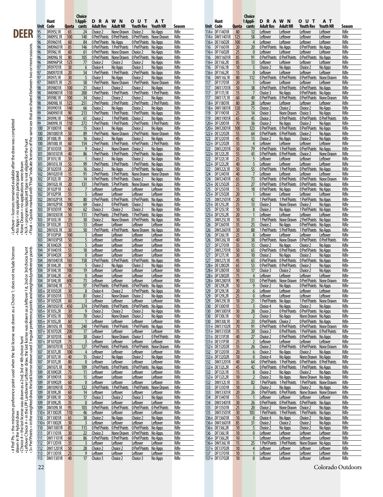|                                                                                                                                                                                                                                                         |            |                                |             | <b>Choice</b>                    |                                             |                                  |                                          |                            |                       |                   |                                  |                 | Choice               |                                                             |                                  |                                              |                                  |                   |
|---------------------------------------------------------------------------------------------------------------------------------------------------------------------------------------------------------------------------------------------------------|------------|--------------------------------|-------------|----------------------------------|---------------------------------------------|----------------------------------|------------------------------------------|----------------------------|-----------------------|-------------------|----------------------------------|-----------------|----------------------|-------------------------------------------------------------|----------------------------------|----------------------------------------------|----------------------------------|-------------------|
|                                                                                                                                                                                                                                                         |            | Hunt                           |             | 1 Appli-                         | <b>DRAWN</b>                                |                                  | o u t                                    | AТ                         |                       |                   | Hunt                             |                 | 1 Appli-             | <b>DRAWN</b>                                                |                                  | <b>OUT</b>                                   | ΑT                               |                   |
|                                                                                                                                                                                                                                                         | Unit<br>95 | Code<br>DF095L1R               | Quota<br>65 | cants<br>24                      | <b>Adult Res</b><br>Choice 2                | <b>Adult NR</b><br>None Drawn    | <b>Youth Res</b><br>Choice 2             | <b>Youth NR</b><br>No Apps | Season<br>Rifle       |                   | Unit Code<br>114+ DF11401R       | Quota<br>80     | cants<br>12          | <b>Adult Res</b><br>Leftover                                | <b>Adult NR</b><br>Leftover      | <b>Youth Res</b><br>Leftover                 | Youth NR<br>Leftover             | Season<br>Rifle   |
| DEER                                                                                                                                                                                                                                                    | 95         | <b>DM095L1R</b>                | 100         | 140                              | 0 Pref Points 0 Pref Points                 |                                  | <b>O Pref Points None Drawn</b>          |                            | Rifle                 |                   | 114+ DM11401R                    | 125             | 58                   | Leftover                                                    | Leftover                         | <u>Leftover</u>                              | <u>Leftover</u>                  | Rifle             |
|                                                                                                                                                                                                                                                         | 96         | DF09601R                       | 60          | 84                               | <b>O Pref Points</b> No Apps                |                                  | <b>O Pref Points</b> No Apps             |                            | Rifle                 |                   | 116+ DE11602R                    | 100             | $\overline{4}$       | Leftover                                                    | Leftover                         | Leftover                                     | Leftover                         | Rifle             |
|                                                                                                                                                                                                                                                         | 96         | DM09601R                       | 85          | 146                              | 0 Pref Points 1 Pref Points                 |                                  | 1 Pref Points No Apps                    |                            | Rifle                 | 116               | DF11601R                         | 20              | 20                   | 0 Pref Points                                               | No Apps                          | 0 Pref Points                                | No Apps                          | Rifle             |
|                                                                                                                                                                                                                                                         | 96<br>96   | DF096L1R<br><b>DM096L1R</b>    | 60<br>80    | 61<br>105                        | 0 Pref Points None Drawn                    |                                  | Choice 2<br>0 Pref Points                | No Apps<br>No Apps         | Rifle<br>Rifle        |                   | 116+ DF11602R<br>DM11601R        | 25<br>85        | $\mathbf{0}$<br>91   | Leftover<br>0 Pref Points                                   | Leftover<br>0 Pref Points        | <u>Leftover</u>                              | Leftover<br>No Apps              | Rifle<br>Rifle    |
| sex that are shared between two or more seasons.                                                                                                                                                                                                        | 96         | DM096P5R                       | 125         | 77                               | <b>O Pref Points</b> None Drawn<br>Choice 2 | Choice 2                         | Choice 2                                 | No Apps                    | Rifle                 | 116               | 116+ DE116L2R                    | 85              | 13                   | Leftover                                                    | Leftover                         | <b>O</b> Pref Points<br>Leftover             | Leftover                         | Rifle             |
|                                                                                                                                                                                                                                                         | 97         | DF09701R                       | 30          | $6 \overline{6}$                 | Choice 4                                    | No Apps                          | <u>Choice 3</u>                          | No Apps                    | Rifle                 |                   | 116 DF116L1R                     | 10              | 5                    | Choice 2                                                    | No Apps                          | Choice 2                                     | No Apps                          | Rifle             |
|                                                                                                                                                                                                                                                         | 97         | DM09701R                       | 20          | 54                               | 1 Pref Points                               | 1 Pref Points                    | 2 Pref Points                            | No Apps                    | Rifle                 |                   | 116+ DF116L2R                    | 15              | $\mathbf{0}$         | Leftover                                                    | Leftover                         | Leftover                                     | Leftover                         | Rifle             |
|                                                                                                                                                                                                                                                         | 97         | <b>DF097L1R</b>                | 30          | 5                                | Choice 3                                    | No Apps                          | Choice 2                                 | No Apps                    | Rifle                 | 116               | <b>DM116L1R</b>                  | 80              | 112                  | 0 Pref Points                                               | 0 Pref Points                    | 0 Pref Points                                | None Drawn                       | Rifle             |
|                                                                                                                                                                                                                                                         | 97<br>98   | <b>DM097L1R</b><br>DF09801R    | 25<br>100   | 58<br>21                         | 1 Pref Points None Drawn<br>Choice 3        | Choice 2                         | 1 Pref Points<br>Choice 2                | None Drawn<br>No Apps      | Rifle<br>Rifle        | 117<br>117        | DF11701R<br><b>DM11701R</b>      | 20<br>50        | 38                   | Leftover<br><b>O</b> Pref Points                            | Leftover<br>0 Pref Points        | <u>Leftover</u><br>O Pref Points             | Leftover<br>No Apps              | Rifle<br>Rifle    |
|                                                                                                                                                                                                                                                         | 98         | DM09801R                       | 110         | 200                              | 1 Pref Points                               | 1 Pref Points                    | 1 Pref Points                            | 1 Pref Points              | Rifle                 | 117               | <b>DF117L1R</b>                  | 15              |                      | Choice 3                                                    | No Apps                          | 0 Pref Points                                | No Apps                          | Rifle             |
|                                                                                                                                                                                                                                                         | 98         | <b>DF098L1R</b>                | 100         | 34                               | Choice 2                                    | Choice 2                         | Choice 2                                 | No Apps                    | Rifle                 | 117               | DM117L1R                         | 60              | 49                   | 0 Pref Points                                               | 0 Pref Points                    | 0 Pref Points                                | None Drawn                       | Rifle             |
|                                                                                                                                                                                                                                                         | 98         | <b>DM098L1R</b>                | 125         | 251                              | 2 Pref Points                               | 2 Pref Points                    | 2 Pref Points                            | 2 Pref Points              | Rifle                 |                   | 118+ DF11801R                    | 80              | 28                   | Leftover                                                    | Leftover                         | Leftover                                     | Leftover                         | Rifle             |
|                                                                                                                                                                                                                                                         | 99<br>99   | DF09901R<br>DM09901R           | 140<br>90   | 66<br>213                        | Choice 2<br>1 Pref Points 1 Pref Points     | No Apps                          | Choice 2<br>1 Pref Points                | No Apps<br>No Apps         | Rifle<br>Rifle        | 119               | 118+ DM11801R<br>DF11901R        | 120<br>25       | 75<br>14             | Choice 2<br>Choice 3                                        | Choice 2<br>None Drawn           | Choice 2<br>Choice 3                         | No Apps<br>No Apps               | Rifle<br>Rifle    |
|                                                                                                                                                                                                                                                         | 99         | DF099L1R                       | 140         | 61                               | Choice 2                                    | 1 Pref Points                    | Choice 2                                 | No Apps                    | Rifle                 | 119               | DM11901R                         | 65              | 45                   | Choice 2                                                    | 0 Pref Points                    | 0 Pref Points                                | 0 Pref Points                    | Rifle             |
|                                                                                                                                                                                                                                                         | 99         | DM099L1R                       | 110         | 272                              | 1 Pref Points                               | 1 Pref Points                    | 2 Pref Points                            | 3 Pref Points              | Rifle                 |                   | 120+ DF12001R                    | 70              | 36                   | Choice 2                                                    | No Apps                          | Choice 2                                     | No Apps                          | Rifle             |
| same                                                                                                                                                                                                                                                    | 100        | DF10001R                       | 60          | 15                               | Choice 3                                    | No Apps                          | <u>Choice 2</u>                          | No Apps                    | Rifle                 |                   | 120+ DM12001R                    | 100             | 123                  | 0 Pref Points                                               | 0 Pref Points                    | 0 Pref Points                                | No Apps                          | Rifle             |
|                                                                                                                                                                                                                                                         | 100<br>100 | DM10001R<br>DF100L1R           | 50<br>60    | 89<br>16                         | 1 Pref Points<br>Choice 2                   | None Drawn<br>No Apps            | 2 Pref Points<br>Choice 2                | None Drawn<br>No Apps      | Rifle<br>Rifle        | 122               | 122+ DE12202R<br>DF12201R        | 55<br>45        | 64<br>13             | 0 Pref Points<br>Choice 2                                   | 0 Pref Points<br>No Apps         | Choice 2<br>Choice 2                         | No Apps<br>No Apps               | Rifle<br>Rifle    |
| of the<br>İart                                                                                                                                                                                                                                          | 100        | <b>DM100L1R</b>                | 60          | 154                              | 2 Pref Points 3 Pref Points                 |                                  | 4 Pref Points                            | 2 Pref Points              | Rifle                 |                   | 122+ DF12202R                    | 35              | $\overline{4}$       | Leftover                                                    | Leftover                         | <u>Leftover</u>                              | <u>Leftover</u>                  | Rifle             |
|                                                                                                                                                                                                                                                         | 101        | DF10101R                       | 30          | q                                | Choice 2                                    | None Drawn                       | Choice 2                                 | No Apps                    | Rifle                 | 122               | DM12201R                         | 50              | 79                   | O Pref Points 1 Pref Points 0 Pref Points                   |                                  |                                              | No Apps                          | Rifle             |
|                                                                                                                                                                                                                                                         | 101        | DM10101R                       | 40          | 86                               | 1 Pref Points                               | 3 Pref Points                    | 2 Pref Points                            | No Apps                    | Rifle                 |                   | 122+ DE122L2R<br>122 DF122L1R    | 55              | 43<br>5              | 0 Pref Points                                               | 0 Pref Points                    | Choice 2                                     | None Drawn                       | Rifle             |
|                                                                                                                                                                                                                                                         | 101<br>101 | DF101L1R<br><b>DM101L1R</b>    | 30<br>55    | 99                               | Choice 2<br>1 Pref Points                   | No Apps<br>3 Pref Points         | Choice 2<br>1 Pref Points No Apps        | No Apps                    | Rifle<br>Rifle        |                   | 122+ DF122L2R                    | 25<br>40        | 5                    | Leftover<br>Leftover                                        | Leftover<br>Leftover             | <u>Leftover</u><br>Leftover                  | Leftover<br>Leftover             | Rifle<br>Rifle    |
| available after the draw was completed<br>pe is not eligible for the l'<br>"Float" indicate licenses<br>nigil<br>ᅙ                                                                                                                                      | 102        | DF10201R                       | 20          | 16                               | Choice 2                                    | No Apps                          | <b>O Pref Points No Apps</b>             |                            | Rifle                 | 122               | <b>DM122L1R</b>                  | 50              | 55                   | 0 Pref Points                                               | 1 Pref Points                    | 0 Pref Points                                | No Apps                          | Rifle             |
| = no applicants participated                                                                                                                                                                                                                            | 102        | DM10201R                       | 15          | 91                               | 2 Pref Points 3 Pref Points                 |                                  | None Drawn None Drawn                    |                            | Rifle                 | 124               | DF12401R                         | 40              |                      | Leftover                                                    | Leftover                         | <u>Leftover</u>                              | Leftover                         | Rifle             |
| no applications were                                                                                                                                                                                                                                    | 102        | DF102L1R                       | 20          | 14                               | <b>O Pref Points O Pref Points</b>          |                                  | Choice 2                                 | No Apps                    | Rifle                 | 124               | DM12401R                         | 65              | 73                   | O Pref Points O Pref Points O Pref Points                   |                                  |                                              | None Drawr                       | Rifle             |
| ge                                                                                                                                                                                                                                                      | 102<br>102 | DM102L1R<br>DF102P1R           | 20<br>65    | 131<br>$\overline{7}$            | 3 Pref Points<br>Leftover                   | 5 Pref Points<br><u>Leftover</u> | None Drawn<br><u>Leftover</u>            | No Apps<br>Leftover        | Rifle<br>Rifle        | 125               | 125+ DE12502R<br>DF12501R        | 25<br>15        | 27<br>18             | <b>O Pref Points O Pref Points</b><br>0 Pref Points No Apps |                                  | 0 Pref Points<br>0 Pref Points               | No Apps<br>No Apps               | Rifle<br>Rifle    |
| licenses remained<br>N/A = program appness<br>Float = Quotas marked with                                                                                                                                                                                | 102        | <b>DF102P5R</b>                | 55          | 5                                | Leftover                                    | Leftover                         | Leftover                                 | Leftover                   | Rifle                 |                   | 125+ DF12502R                    | 20              |                      | Leftover                                                    | Leftover                         | Leftover                                     | Leftover                         | Rifle             |
|                                                                                                                                                                                                                                                         | 102        | DM102P1R                       | 95          | 80                               | 0 Pref Points                               | 0 Pref Points                    | 0 Pref Points                            | No Apps                    | Rifle                 | 125               | DM12501R                         | 20              | 42                   | 1 Pref Points                                               | 1 Pref Points                    | 1 Pref Points                                | No Apps                          | Rifle             |
|                                                                                                                                                                                                                                                         | 102        | DM102P5R                       | 100         | 69                               | Choice 2                                    | <b>0 Pref Points</b>             | Choice 2                                 | No Apps                    | Rifle                 |                   | 125+ DE125L2R                    | 25              | 13                   | Choice 2                                                    | None Drawn                       | Choice 2                                     | No Apps                          | Rifle             |
|                                                                                                                                                                                                                                                         | 103<br>103 | DF10301R<br>DM10301R           | 90<br>50    | 62<br>111                        | Choice 2<br>1 Pref Points                   | Choice 2<br>2 Pref Points        | Choice 2<br>1 Pref Points                | No Apps<br>No Apps         | Rifle<br>Rifle        | 125               | DF125L1R<br>125+ DF125L2R        | 10<br>20        | 8                    | Choice 2<br>Leftover                                        | No Apps<br>Leftover              | 1 Pref Points<br>Leftover                    | No Apps<br>Leftover              | Rifle<br>Rifle    |
| - Leftover = lice<br>- No Apps = no<br>- None Drawn =                                                                                                                                                                                                   | 103        | DF103L1R                       | 35          | 30                               | Choice 2                                    | None Drawn                       | O Pref Points No Apps                    |                            | Rifle                 | 125               | <b>DM125L1R</b>                  | 10              | 31                   | 1 Pref Points                                               | None Drawn                       | 2 Pref Points                                | No Apps                          | Rifle             |
|                                                                                                                                                                                                                                                         |            | 103+ DF103L2R                  | 125         | 13                               | Leftover                                    | Leftover                         | Leftover                                 | Leftover                   | Rifle                 | 126               | DF12601R                         | 35              | 25                   | Choice 2                                                    | No Apps                          | <b>O</b> Pref Points                         | No Apps                          | Rifle             |
|                                                                                                                                                                                                                                                         | 103        | DM103L1R                       | 30          | 50                               | 1 Pref Points                               | 4 Pref Points                    | None Drawn                               | No Apps                    | Rifle                 | 126               | DM12601R                         | 30              | 88                   | 1 Pref Points                                               | 5 Pref Points                    | 1 Pref Points                                | No Apps                          | Rifle             |
|                                                                                                                                                                                                                                                         | 103<br>103 | DF103P5R<br>DM103P5R           | 100<br>50   | $\overline{1}$<br>$\overline{5}$ | Leftover<br>Leftover                        | <u>Leftover</u><br>Leftover      | <u>Leftover</u><br>Leftover              | Leftover<br>Leftover       | Rifle<br>Rifle        | 126<br>126        | DF126L1R<br>DM126L1R             | 25<br>40        | 8<br>38              | Leftover<br><b>O</b> Pref Points                            | Leftover<br>None Drawn           | <u>Leftover</u><br>O Pref Points             | <u>Leftover</u><br>0 Pref Points | Rifle<br>Rifle    |
|                                                                                                                                                                                                                                                         | 104        | DE10402R                       | 10          | 5                                | Leftover                                    | Leftover                         | Leftover                                 | Leftover                   | Rifle                 | 127               | DF12701R                         | 35              | 15                   | Choice 2                                                    | No Apps                          | Choice 2                                     | No Apps                          | Rifle             |
| 1; does not include licenses<br>r 3rd choice hunt<br>preference points                                                                                                                                                                                  | 104        | DF10401R                       | 55          | 18                               | Leftover                                    | <u>Leftover</u>                  | <u>Leftover</u>                          | Leftover                   | Rifle                 | 127               | DM12701R                         | 50              | 65                   | 0 Pref Points                                               | 0 Pref Points                    | 0 Pref Points                                | No Apps                          | Rifle             |
|                                                                                                                                                                                                                                                         | 104        | DF10402R                       | 50          | $\mathbf{0}$                     | Leftover                                    | Leftover                         | Leftover                                 | Leftover                   | Rifle                 | 127               | <b>DF127L1R</b>                  | 30              | 10                   | Choice 2                                                    | No Apps                          | Choice 2                                     | No Apps                          | Rifle             |
|                                                                                                                                                                                                                                                         | 104<br>104 | DM10401R<br>DE104L2R           | 165<br>10   | 158<br>5                         | 0 Pref Points<br>Choice 2                   | 0 Pref Points<br>No Apps         | 0 Pref Points<br>Choice 2                | No Apps<br>No Apps         | Rifle<br>Rifle        | 127               | <b>DM127L1R</b><br>128+ DE12802R | 45<br>65        | 65<br>53             | 0 Pref Points<br>0 Pref Points                              | 0 Pref Points<br>0 Pref Points   | 0 Pref Points<br>Choice 2                    | No Apps<br>No Apps               | Rifle<br>Rifle    |
|                                                                                                                                                                                                                                                         | 104        | DF104L1R                       | 100         | 19                               | Leftover                                    | Leftover                         | Leftover                                 | Leftover                   | Rifle                 |                   | 128+DF12801R                     | 50              | 17                   | Choice 3                                                    | Choice 2                         | Choice 2                                     | No Apps                          | Rifle             |
| ŏ                                                                                                                                                                                                                                                       | 104        | DF104L2R                       | 45          | 0                                | Leftover                                    | Leftover                         | Leftover                                 | Leftover                   | Rifle                 |                   | 128+ DF12802R                    | 75              | $\overline{4}$       | Leftover                                                    | Leftover                         | Leftover                                     | Leftover                         | Rifle             |
| r 1st, 2nd o<br>Iweighted                                                                                                                                                                                                                               | 104        | DF104L3R                       | 600         | 73                               | Leftover                                    | <u>Leftover</u>                  | <u>Leftover</u>                          | Leftover                   | Rifle                 |                   | 128+ DM12801R                    | 90              | 133                  | 0 Pref Points                                               | None Drawn                       | 0 Pref Points                                | None Drawn                       | Rifle             |
|                                                                                                                                                                                                                                                         | 104        | DM104L1R<br>105+ DE10502R      | 75<br>30    | 97<br>8                          | 0 Pref Points<br>Choice 4                   | 0 Pref Points<br>Choice 2        | 0 Pref Points<br>0 Pref Points No Apps   | No Apps                    | Rifle<br>Rifle        | 129<br>129        | <b>DE129L2R</b><br>DF129L1R      | 10<br>20        | 9<br>6               | Choice 2<br>Leftover                                        | No Apps<br>Leftover              | 0 Pref Points<br>Leftover                    | No Apps<br>Leftover              | Rifle<br>Rifle    |
| 空夏<br>ප                                                                                                                                                                                                                                                 |            | 105+ DF10501R                  | 135         | 81                               | Choice 2                                    | None Drawn                       | Choice 2                                 | No Apps                    | Rifle                 | 129               | <b>DF129L2R</b>                  | 25              | $\mathbf{0}$         | <b>Leftover</b>                                             | <b>Leftover</b>                  | <u>Leftover</u>                              | <u>Leftover</u>                  | Rifle             |
| Ğ<br>lefto<br>πš                                                                                                                                                                                                                                        |            | 105+ DF10502R                  | 60          | 3                                | Leftover                                    | Leftover                         | Leftover                                 | Leftover                   | Rifle                 | 129               | DM129L1R                         | 10              | 21                   | 1 Pref Points                                               | No Apps                          | 1 Pref Points None Drawn                     |                                  | Rifle             |
| ō<br>as a<br>ā                                                                                                                                                                                                                                          |            | 105+ DM10501R                  | 450         | 374                              | 0 Pref Points                               | 0 Pref Points                    | 0 Pref Points                            | No Apps                    | Rifle                 | 130               | DF13001R                         | 15              | $\overline{3}$       | Choice 4                                                    | No Apps                          | Choice 2                                     | No Apps                          | Rifle             |
| ಜ                                                                                                                                                                                                                                                       |            | 105+ DE105L2R<br>105+ DF105L1R | 30<br>105   | 9<br>70                          | Choice 2<br>Choice 2                        | Choice 2<br>None Drawn           | <u>Choice 2</u><br>Choice 2              | No Apps<br>No Apps         | Rifle<br>Rifle        | 130<br>130        | DM13001R<br>DF130L1R             | 30<br>10        | 28<br>$\overline{2}$ | Choice 2<br>Choice 3                                        | 0 Pref Points<br>No Apps         | O Pref Points No Apps<br>None Drawn No Apps  |                                  | Rifle<br>Rifle    |
| ference                                                                                                                                                                                                                                                 |            | 105+ DF105L2R                  | 60          |                                  | Leftover                                    | Leftover                         | Leftover                                 | Leftover                   | Rifle                 | 130               | <b>DM130L1R</b>                  | 30              | 23                   | 0 Pref Points                                               | Choice 2                         | <b>O Pref Points</b> No Apps                 |                                  | Rifle             |
|                                                                                                                                                                                                                                                         |            | 105+ DM105L1R                  | 105         | 240                              | 1 Pref Points                               | 1 Pref Points                    | 1 Pref Points                            | No Apps                    | Rifle                 |                   | 131+ DM13102R                    | 70              | 91                   | 0 Pref Points                                               |                                  | 0 Pref Points 0 Pref Points None Drawn       |                                  | Rifle             |
| - # Pref Pts = the minimum preference point used when the last license was drawn<br>drawn in the hybrid draw<br>- Choice # = the last line was drawn as a 2nd, 3rd or 4th choice hunt<br>- Choice # = the last line the LPP Landowner L<br>regular pret |            | 107+ DE10702R                  | 200         | 17                               | Leftover                                    | Leftover                         | Leftover                                 | Leftover                   | Rifle                 |                   | 131+ DM13103R                    | 35              | 20                   | Choice 2                                                    | 0 Pref Points                    | 1 Pref Points 0 Pref Points                  |                                  | Rifle             |
|                                                                                                                                                                                                                                                         | 107        | DF10701R<br>107+ DF10702R      | 60<br>75    | 30<br>$\overline{3}$             | Choice 3<br><b>Leftover</b>                 | None Drawn<br><b>Leftover</b>    | Choice 3<br><u>Leftover</u>              | 0 Pref Points<br>Leftover  | Rifle<br>Rifle        |                   | 131+ DE131P2R<br>131+ DE131P3R   | 40<br>25        | 27<br>$\overline{2}$ | Choice 2<br><b>Leftover</b>                                 | 0 Pref Points<br><b>Leftover</b> | 0 Pref Points<br><u>Leftover</u>             | No Apps<br>Leftover              | Rifle<br>Rifle    |
|                                                                                                                                                                                                                                                         | 107        | DM10701R                       | 125         | 127                              | <b>O</b> Pref Points                        | <b>O</b> Pref Points             | <b>O</b> Pref Points                     | None Drawn                 | Rifle                 |                   | 132+ DE13202R                    | 35              | 26                   | Choice 2                                                    | O Pref Points                    | O Pref Points                                | None Drawn                       | Rifle             |
|                                                                                                                                                                                                                                                         | 107        | <b>DE107L2R</b>                | 100         | $\overline{4}$                   | Leftover                                    | Leftover                         | Leftover                                 | Leftover                   | Rifle                 |                   | 132 DF13201R                     | 20              | 6                    | Choice 2                                                    | No Apps                          | Choice 2                                     | No Apps                          | Rifle             |
|                                                                                                                                                                                                                                                         | 107        | DF107L1R                       | 40          | 15                               | Choice 2                                    | No Apps                          | Choice 2                                 | No Apps                    | Rifle                 |                   | 132+ DF13202R                    | 10              | $\mathbf{0}$         | Choice 4                                                    | No Apps                          | None Drawn No Apps                           |                                  | Rifle             |
|                                                                                                                                                                                                                                                         | 107<br>107 | DF107L2R<br>DM107L1R           | 80<br>90    | 0<br>109                         | Leftover<br>0 Pref Points                   | Leftover<br>0 Pref Points        | Leftover<br>0 Pref Points                | Leftover<br>No Apps        | Rifle<br>Rifle        |                   | 132 DM13201R<br>132+ DE132L2R    | 40<br>45        | 64<br>42             | <b>O</b> Pref Points<br>0 Pref Points                       | 0 Pref Points                    | 1 Pref Points 0 Pref Points<br>1 Pref Points | 0 Pref Points<br>No Apps         | Rifle<br>Rifle    |
|                                                                                                                                                                                                                                                         | 109        | DE10902R                       | 75          | 11                               | Leftover                                    | <b>Leftover</b>                  | Leftover                                 | Leftover                   | Rifle                 |                   | 132 DF132L1R                     | 15              | 8                    | Choice 2                                                    | No Apps                          | Choice 2                                     | No Apps                          | Rifle             |
|                                                                                                                                                                                                                                                         | 109        | DF10901R                       | 50          | 15                               | Leftover                                    | Leftover                         | Leftover                                 | Leftover                   | Rifle                 |                   | 132+ DF132L2R                    | 10              | $\overline{2}$       | Choice 2                                                    | No Apps                          | None Drawn                                   | No Apps                          | Rifle             |
|                                                                                                                                                                                                                                                         | 109        | DF10902R                       | 60          | $\bf{0}$                         | Leftover                                    | Leftover                         | Leftover                                 | Leftover                   | Rifle                 | 132               | <b>DM132L1R</b>                  | 35              | 82                   | 1 Pref Points                                               | 1 Pref Points                    | 1 Pref Points                                | None Drawn                       | Rifle             |
|                                                                                                                                                                                                                                                         | 109<br>109 | DM10901R<br>DE109L2R           | 70<br>60    | 122<br>14                        | 0 Pref Points<br>Leftover                   | 1 Pref Points<br>Leftover        | 1 Pref Points<br>Leftover                | None Drawn<br>Leftover     | <b>Rifle</b><br>Rifle | <u>133</u><br>133 | DF13301R<br>DM13301R             | 10<br>20        | $\overline{3}$<br>26 | Choice 2<br><b>0 Pref Points</b>                            | No Apps<br>O Pref Points         | Choice 2<br>None Drawn                       | No Apps<br>None Drawn            | Rifle<br>Rifle    |
|                                                                                                                                                                                                                                                         | 109        | DF109L1R                       | 50          | 17                               | Choice 3                                    | Choice 2                         | Choice 3                                 | No Apps                    | Rifle                 | 134               | DF13401R                         | 15              |                      | Leftover                                                    | Leftover                         | Leftover                                     | Leftover                         | Rifle             |
|                                                                                                                                                                                                                                                         | 109        | DF109L2R                       | 35          | $\mathbf{0}$                     | <b>Leftover</b>                             | <u>Leftover</u>                  | <b>Leftover</b>                          | <b>Leftover</b>            | Rifle                 | 134               | DM13401R                         | 30              | 26                   |                                                             |                                  | O Pref Points O Pref Points O Pref Points    | No Apps                          | Rifle             |
| the LPP Landowner<br>weighted draw, the l                                                                                                                                                                                                               | 109        | DM109L1R                       | 95          | 103                              | <b>O</b> Pref Points                        | <b>O</b> Pref Points             | <b>O</b> Pref Points                     | <b>O</b> Pref Points       | Rifle                 | 135               | DF13501R                         | 25              | 20                   | Choice 2                                                    | None Drawn                       | Choice 2                                     | No Apps                          | Rifle             |
|                                                                                                                                                                                                                                                         | 110        | 110+ DE11002R<br>DF11001R      | 110<br>65   | 46<br>38                         | Leftover                                    | Leftover                         | Leftover                                 | Leftover                   | Rifle<br>Rifle        | 135               | <b>DM13501R</b><br>136+ DF13601R | 30<br>10        | 103<br>$\mathbf{0}$  | 1 Pref Points                                               | 1 Pref Points                    | 1 Pref Points                                | No Apps                          | Rifle<br>Rifle    |
|                                                                                                                                                                                                                                                         |            | 110+ DF11002R                  | 30          | २                                | Choice 2<br>Leftover                        | No Apps<br>Leftover              | Choice 2<br>Leftover                     | No Apps<br>Leftover        | Rifle                 |                   | 136+ DM13601R                    | 85              | 31                   | Choice 4<br>Choice 2                                        | No Apps<br>Choice 2              | <u>Choice 2</u><br>Choice 2                  | No Apps<br>No Apps               | Rifle             |
|                                                                                                                                                                                                                                                         | 110        | DM11001R                       | 85          | 113                              | 0 Pref Points                               | 0 Pref Points                    | O Pref Points No Apps                    |                            | Rifle                 |                   | 136+ DE136L2R                    | 10 <sup>°</sup> | 5                    | Choice 2                                                    | No Apps                          | Choice 2                                     | No Apps                          | Rifle             |
|                                                                                                                                                                                                                                                         | 111        | DF11101R                       | 30          | 22                               | Choice 2                                    | None Drawn                       | O Pref Points No Apps                    |                            | Rifle                 |                   | 136 DF136L1R                     | 10              | $\mathbf{0}$         | <b>Leftover</b>                                             | Leftover                         | <u>Leftover</u>                              | Leftover                         | Rifle             |
|                                                                                                                                                                                                                                                         | 111<br>112 | DM11101R<br>DF11201R           | 60<br>35    | 86<br>3                          | <b>0 Pref Points</b><br>Leftover            | <b>O</b> Pref Points             | <b>O Pref Points</b> No Apps<br>Leftover | Leftover                   | Rifle<br>Rifle        |                   | 136+ DF136L2R<br>136+ DM136L1R   | 10<br>15        | 25                   | Leftover<br>1 Pref Points                                   | Leftover<br>3 Pref Points        | Leftover<br>None Drawn                       | Leftover<br>No Apps              | Rifle<br>Rifle    |
|                                                                                                                                                                                                                                                         | 112        | DM11201R                       | 50          | 28                               | Choice 2                                    | Leftover<br>Choice 2             | 0 Pref Points                            | No Apps                    | Rifle                 |                   | 137+ DE13702R                    | 10              | $\overline{4}$       | <b>Leftover</b>                                             | Leftover                         | <u>Leftover</u>                              | Leftover                         | Rifle             |
|                                                                                                                                                                                                                                                         | 113        | DF11301R                       | 25          | 9                                | Leftover                                    | Leftover                         | Leftover                                 | Leftover                   | Rifle                 |                   | 137 DF13701R                     | 10 <sup>°</sup> |                      | Leftover                                                    | Leftover                         | Leftover                                     | Leftover                         | Rifle             |
|                                                                                                                                                                                                                                                         | 113        | DM11301R                       | 40          | 17                               | Choice 3                                    | Choice 2                         | Choice 3                                 | No Apps                    | Rifle                 |                   | 137+ DF13702R                    | 10 <sup>°</sup> | $\boldsymbol{0}$     | Leftover                                                    | Leftover                         | Leftover                                     | Leftover                         | Rifle             |
|                                                                                                                                                                                                                                                         | 22         |                                |             |                                  |                                             |                                  |                                          |                            |                       |                   |                                  |                 |                      |                                                             |                                  |                                              |                                  | Colorado Outdoors |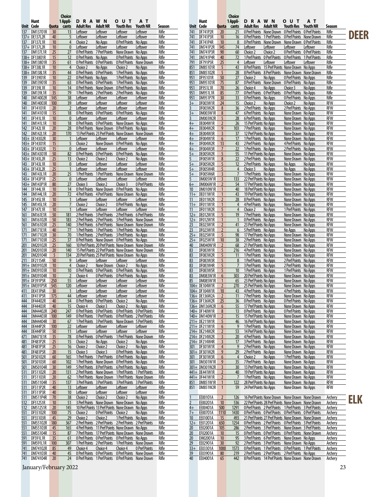|                   |                                |             | Choice               |                       |                                                |                                                                                                            |                             |                       |              |                                |                                  | Choice               |                                                        |                                                                                                              |                                                |                           |                    |      |
|-------------------|--------------------------------|-------------|----------------------|-----------------------|------------------------------------------------|------------------------------------------------------------------------------------------------------------|-----------------------------|-----------------------|--------------|--------------------------------|----------------------------------|----------------------|--------------------------------------------------------|--------------------------------------------------------------------------------------------------------------|------------------------------------------------|---------------------------|--------------------|------|
|                   | Hunt                           |             | 1 Appli-             | <b>DRAWN</b>          |                                                | <b>OUT</b>                                                                                                 | A T                         |                       |              | Hunt                           |                                  | 1 Appli-             | <b>DRAWN</b>                                           |                                                                                                              | <b>OUT</b>                                     | A T                       |                    |      |
| 137               | Unit Code<br>DM13701R          | Quota<br>30 | cants<br>13          | Adult Res<br>Leftover | <b>Adult NR</b><br>Leftover                    | Youth Res<br>Leftover                                                                                      | <b>Youth NR</b><br>Leftover | Season<br>Rifle       | 741          | Unit Code<br>DF741P2R          | 20                               | Quota cants<br>21    | Adult Res                                              | <b>Adult NR</b><br>0 Pref Points None Drawn 0 Pref Points                                                    | Youth Res                                      | Youth NR<br>0 Pref Points | Season<br>Rifle    |      |
|                   | 137+ DE137L2R                  | 40          | 5                    | <b>Leftover</b>       | Leftover                                       | Leftover                                                                                                   | Leftover                    | Rifle                 | 741          | <b>DF741P3R</b>                | 10                               | 16                   |                                                        | O Pref Points 1 Pref Points 0 Pref Points                                                                    |                                                | None Drawn                | Rifle              | DEER |
|                   | 137 DF137L1R                   | 10          | $\overline{4}$       | Choice 2              | No Apps                                        | <b>O Pref Points</b> No Apps                                                                               |                             | Rifle                 | 741          | <b>DF741P4R</b>                | 10                               | 8                    |                                                        | O Pref Points None Drawn None Drawn O Pref Points                                                            |                                                |                           | Rifle              |      |
|                   | 137+ DF137L2R                  | 10          | $\mathbf 0$          | Leftover              | Leftover                                       | Leftover                                                                                                   | Leftover                    | Rifle                 | 741          | DM741P2R                       | 145                              | 74                   | Leftover                                               | Leftover                                                                                                     | Leftover                                       | Leftover                  | Rifle              |      |
| 137               | <b>DM137L1R</b>                | 25          | 27                   |                       | 0 Pref Points 7 Pref Points                    | None Drawn No Apps                                                                                         |                             | Rifle                 | 741          | <b>DM741P3R</b>                | 90                               | 60                   | Choice 2                                               | Choice 2                                                                                                     | <b>O Pref Points O Pref Points</b>             |                           | Rifle              |      |
|                   | 138+ DF13801R                  | 15          | 12                   | O Pref Points No Apps |                                                | O Pref Points No Apps                                                                                      |                             | Rifle                 | 741          | DM741P4R                       | 40                               | 72                   |                                                        | 1 Pref Points 0 Pref Points 0 Pref Points 1 Pref Points                                                      |                                                |                           | Rifle              |      |
|                   | 138+ DM13801R<br>138+ DF138L1R | 35          | 61<br>$\overline{4}$ |                       | 0 Pref Points 0 Pref Points<br>No Apps         | 0 Pref Points None Drawn                                                                                   |                             | Rifle<br>Rifle        | 791          | DF791P5R<br>DM85101R           | 25<br>5                          | $\overline{4}$<br>43 | Leftover                                               | Leftover<br>8 Pref Points 15 Pref Points None Drawn                                                          | Leftover                                       | Leftover<br>No Apps       | Rifle              |      |
|                   | 138+ DM138L1R                  | 10<br>35    | 44                   | Choice 2              |                                                | Choice 2<br>O Pref Points O Pref Points 1 Pref Points No Apps                                              | No Apps                     | Rifle                 | 851<br>851   | DM85102R                       | 5                                | 28                   |                                                        | 8 Pref Points 8 Pref Points None Drawn None Drawn                                                            |                                                |                           | Rifle<br>Rifle     |      |
| 139               | DF13901R                       | 10          | 22                   | 0 Pref Points No Apps |                                                | 1 Pref Points No Apps                                                                                      |                             | Rifle                 | 951          | DF95101R                       | 50                               | 27                   | Choice 2                                               | No Apps                                                                                                      | <b>O Pref Points</b> No Apps                   |                           | Rifle              |      |
| 139               | DM13901R                       | 35          | 63                   |                       | <b>O Pref Points O Pref Points</b>             | 1 Pref Points No Apps                                                                                      |                             | Rifle                 | 951          | DM95101R                       | 75                               | 87                   |                                                        | 0 Pref Points None Drawn                                                                                     | 0 Pref Points No Apps                          |                           | Rifle              |      |
| 139               | DF139L1R                       | 10          | 14                   |                       |                                                | 0 Pref Points None Drawn 0 Pref Points No Apps                                                             |                             | Rifle                 | 951          | <b>DF951L1R</b>                | 70                               | 26                   | Choice 4                                               | No Apps                                                                                                      | Choice 3                                       | No Apps                   | Rifle              |      |
| 139               | DM139L1R                       | 35          | 79                   |                       |                                                | 1 Pref Points 2 Pref Points 2 Pref Points No Apps                                                          |                             | Rifle                 | 951          | <b>DM951L1R</b>                | 85                               | 77                   |                                                        | <b>O Pref Points O Pref Points</b>                                                                           | O Pref Points No Apps                          |                           | Rifle              |      |
| 140               | DM14002R                       | 145         | 38                   | <b>Leftover</b>       | Leftover                                       | Leftover                                                                                                   | Leftover                    | Rifle                 | 951          | <b>DM951P7R</b>                | 30                               | 33                   | O Pref Points No Apps                                  |                                                                                                              | 0 Pref Points                                  | No Apps                   | Rifle              |      |
| 140               | DM14003R                       | 100         | 39                   | Leftover              | Leftover                                       | Leftover                                                                                                   | Leftover                    | Rifle                 | $3+$<br>3    | DF003W1R                       | 24<br>8                          | 15<br>36             | Choice 2                                               | No Apps                                                                                                      | Choice 2                                       | No Apps                   | <b>RFW</b><br>RFW  |      |
| 141<br>141        | DF14101R<br>DM14101R           | 20<br>15    | $\overline{2}$<br>18 | Leftover              | Leftover<br><b>OPrefPoints OPrefPoints</b>     | Leftover<br>0 Pref Points                                                                                  | Leftover<br>No Apps         | Rifle<br>Rifle        | $3+$         | DF003W2R<br><b>DM003W1R</b>    | 8                                | 47                   | 2 Pref Points No Apps<br>6 Pref Points No Apps         |                                                                                                              | 2 Pref Points No Apps<br>None Drawn No Apps    |                           | RFW                |      |
| 141               | DF141L1R                       | 10          | $\mathbf{0}$         | Leftover              | Leftover                                       | Leftover                                                                                                   | Leftover                    | Rifle                 | 3            | DM003W2R                       | 5                                | 28                   | 6 Pref Points No Apps                                  |                                                                                                              | None Drawn No Apps                             |                           | <b>RFW</b>         |      |
| 141               | DM141L1R                       | 10          | 18                   |                       |                                                | O Pref Points O Pref Points None Drawn No Apps                                                             |                             | Rifle                 | $4+$         | DE004W1R                       | $\overline{2}$                   | 26                   | 15 Pref Points No Apps                                 |                                                                                                              | None Drawn No Apps                             |                           | RFW                |      |
| 142               | <b>DF142L1R</b>                | 20          | 28                   |                       |                                                | O Pref Points None Drawn O Pref Points No Apps                                                             |                             | Rifle                 | $4+$         | DE004W2R                       | 9                                | 103                  | 7 Pref Points No Apps                                  |                                                                                                              | None Drawn No Apps                             |                           | RFW                |      |
| 142               | <b>DM142L1R</b>                | 20          | 170                  |                       |                                                | 13 Pref Points 23 Pref Points None Drawn None Drawn                                                        |                             | Rifle                 | $4+$         | DE004W3R                       | $\overline{3}$                   | 37                   | 12 Pref Points No Apps                                 |                                                                                                              | None Drawn No Apps                             |                           | <b>RFW</b>         |      |
|                   | 143+ DE14302R                  | 30          | $\overline{1}$       | Leftover              | Leftover                                       | Leftover                                                                                                   | Leftover                    | Rifle                 | 4+           | DF004W1R                       | $6\phantom{.}6$                  | 17                   | 1 Pref Points No Apps                                  |                                                                                                              | None Drawn No Apps                             |                           | RFW                |      |
|                   | 143+ DF14301R                  | 15          | 5                    | Choice 2              | None Drawn                                     | O Pref Points                                                                                              | No Apps                     | Rifle                 | $4+$         | DF004W2R                       | 13                               | 43                   | 2 Pref Points No Apps                                  |                                                                                                              | 4 Pref Points No Apps                          |                           | RFW                |      |
|                   | 143+ DF14302R<br>143+ DM14301R | 15<br>50    | $\mathbf{0}$<br>82   | Leftover              | Leftover<br><b>O Pref Points O Pref Points</b> | Leftover<br>0 Pref Points                                                                                  | Leftover<br>No Apps         | Rifle<br>Rifle        | $4+$<br>$5+$ | DF004W3R<br>DE005W2R           | $\overline{7}$<br>5              | 22<br>55             | 1 Pref Points No Apps<br>11 Pref Points No Apps        |                                                                                                              | 2 Pref Points No Apps<br>None Drawn No Apps    |                           | <b>RFW</b><br>RFW  |      |
|                   | 143+ DE143L2R                  | 25          | 13                   | Choice 2              | Choice 2                                       | Choice 2                                                                                                   | No Apps                     | Rifle                 | 5            | DF005W1R                       | 8                                | 22                   | 2 Pref Points No Apps                                  |                                                                                                              | None Drawn No Apps                             |                           | RFW                |      |
|                   | 143 DF143L1R                   | 10          | $\mathbf{0}$         | Leftover              | Leftover                                       | Leftover                                                                                                   | Leftover                    | Rifle                 | $5+$         | DF005W2R                       | 5                                | 12                   | 2 Pref Points No Apps                                  |                                                                                                              | No Apps                                        | No Apps                   | <b>RFW</b>         |      |
|                   | 143+ DF143L2R                  | 25          | $\overline{1}$       | Leftover              | Leftover                                       | Leftover                                                                                                   | Leftover                    | Rifle                 | $5+$         | DF005W4R                       | 5                                | $\overline{4}$       | Choice 3                                               | No Apps                                                                                                      | No Apps                                        | No Apps                   | RFW                |      |
| 143               | <b>DM143L1R</b>                | 20          | 25                   | 1 Pref Points         | 1 Pref Points                                  | None Drawn                                                                                                 | None Drawn                  | Rifle                 | $5+$         | DF005W6R                       | $\overline{3}$                   |                      | 1 Pref Points No Apps                                  |                                                                                                              | None Drawn No Apps                             |                           | RFW                |      |
|                   | 143+ DF143P1R                  | 25          | $\mathbf{0}$         | Leftover              | Leftover                                       | Leftover                                                                                                   | Leftover                    | Rifle                 | 5            | <b>DM005W1R</b>                | $\overline{3}$                   | 133                  | 22 Pref Points No Apps                                 |                                                                                                              | None Drawn No Apps                             |                           | <b>RFW</b>         |      |
|                   | 143+ DM143P1R                  | 80          | 27                   | Choice 3              | Choice 2                                       | Choice 3                                                                                                   | 0 Pref Points               | Rifle                 | $6+$         | DM006W1R                       | $\overline{2}$                   | 54                   | 17 Pref Points No Apps                                 |                                                                                                              | None Drawn No Apps                             |                           | RFW                |      |
|                   | 144 DF144L1R<br>144 DM144L1R   | 10<br>20    | 14<br>72             |                       |                                                | 0 Pref Points None Drawn 0 Pref Points<br>4 Pref Points 4 Pref Points None Drawn No Apps                   | No Apps                     | Rifle<br>Rifle        | 10           | DM010W1R<br>11+ DE011W1R       |                                  | 40<br>43             | 18 Pref Points No Apps<br>19 Pref Points No Apps       |                                                                                                              | None Drawn No Apps<br>None Drawn No Apps       |                           | RFW<br><b>RFW</b>  |      |
| 145               | <b>DF145L1R</b>                | 10          | $\overline{1}$       | Leftover              | Leftover                                       | Leftover                                                                                                   | Leftover                    | Rifle                 | 11           | DE011W2R                       | $\overline{2}$                   | 28                   | 8 Pref Points No Apps                                  |                                                                                                              | None Drawn No Apps                             |                           | RFW                |      |
| 145               | <b>DM145L1R</b>                | 20          | $\overline{7}$       | Choice 2              | Choice 2                                       | 0 Pref Points                                                                                              | No Apps                     | Rifle                 | $11+$        | DF011W1R                       |                                  | $\overline{4}$       | 4 Pref Points No Apps                                  |                                                                                                              | None Drawn No Apps                             |                           | RFW                |      |
| 147               | DF147L1R                       | 10          | $\overline{1}$       | Leftover              | Leftover                                       | Leftover                                                                                                   | Leftover                    | Rifle                 | 11           | DF011W2R                       | 5                                | $\overline{4}$       | Choice 2                                               | No Apps                                                                                                      | 1 Pref Points No Apps                          |                           | <b>RFW</b>         |      |
| 161               | DM161E1R                       | 50          | 181                  |                       |                                                | 2 Pref Points 3 Pref Points 2 Pref Points 6 Pref Points                                                    |                             | Rifle                 |              | 12+ DE012W1R                   | 5                                | 19                   | 7 Pref Points No Apps                                  |                                                                                                              | None Drawn No Apps                             |                           | RFW                |      |
| 161               | DM16102R                       | 50          | 183                  |                       |                                                | 2 Pref Points 2 Pref Points 3 Pref Points None Drawn                                                       |                             | Rifle                 | $12+$        | DF012W1R                       |                                  |                      | O Pref Points No Apps                                  |                                                                                                              | None Drawn No Apps                             |                           | RFW                |      |
| 161               | DM16103R<br>DM171E1R           | 25<br>40    | 140<br>77            |                       |                                                | 3 Pref Points 6 Pref Points None Drawn None Drawn                                                          |                             | Rifle<br>Rifle        | 23<br>23     | DE023W1R<br>DF023W1R           | $\overline{2}$<br>$\overline{2}$ | 41<br>6              | 23 Pref Points No Apps                                 |                                                                                                              | None Drawn No Apps<br>No Apps                  | No Apps                   | <b>RFW</b><br>RFW  |      |
| 171<br>171        | DM17102R                       | 30          | 70                   |                       |                                                | 1 Pref Points 1 Pref Points 1 Pref Points No Apps<br>1 Pref Points 2 Pref Points 3 Pref Points No Apps     |                             | Rifle                 | $25+$        | DE025W1R                       | 5                                | 98                   | 5 Pref Points No Apps<br>17 Pref Points No Apps        |                                                                                                              | None Drawn No Apps                             |                           | RFW                |      |
| 171               | <b>DM17103R</b>                | 25          | 37                   |                       |                                                | O Pref Points None Drawn O Pref Points No Apps                                                             |                             | Rifle                 | $25+$        | DF025W1R                       | 10                               | 38                   | 2 Pref Points No Apps                                  |                                                                                                              | None Drawn No Apps                             |                           | <b>RFW</b>         |      |
| 201               | DM20102R                       | 25          | 160                  |                       |                                                | 10 Pref Points 20 Pref Points None Drawn None Drawn                                                        |                             | Rifle                 | 40           | DM040W1R                       | $\overline{2}$                   | 68                   | 21 Pref Points No Apps                                 |                                                                                                              | None Drawn No Apps                             |                           | RFW                |      |
| 201               | DM20103R                       | 20          | 140                  |                       |                                                | 15 Pref Points 22 Pref Points None Drawn None Drawn                                                        |                             | Rifle                 | 83           | DF083W1R                       | 5                                | 216                  | 4 Pref Points No Apps                                  |                                                                                                              | None Drawn No Apps                             |                           | RFW                |      |
| 201               | DM20104R                       | 5           | 134                  |                       |                                                | 20 Pref Points 25 Pref Points None Drawn No Apps                                                           |                             | Rifle                 | 83           | DF083W2R                       | 5                                | 11                   | 1 Pref Points No Apps                                  |                                                                                                              | None Drawn No Apps                             |                           | <b>RFW</b>         |      |
| 211               | DF211S4R                       | 50          | 9                    | Leftover              | Leftover                                       | Leftover                                                                                                   | Leftover                    | Rifle                 | 83           | DF083W3R                       | 5                                | 8                    | 1 Pref Points No Apps                                  |                                                                                                              | 2 Pref Points No Apps                          |                           | RFW                |      |
|                   | 391+ DM39102R<br>391+ DM39103R | 10<br>10    | $\overline{4}$<br>10 | Choice 2              | None Drawn Choice 2                            | O Pref Points O Pref Points O Pref Points No Apps                                                          | No Apps                     | Rifle<br>Rifle        | 83<br>83     | DF083W4R<br>DF083W5R           | 5<br>5                           | 10                   | 3 Pref Points No Apps<br>1 Pref Points No Apps         |                                                                                                              | 2 Pref Points No Apps<br>1 Pref Points No Apps |                           | RFW<br><b>RFW</b>  |      |
|                   | 391+ DM39104R                  | 10          | $\overline{2}$       | Choice 4              |                                                | O Pref Points O Pref Points No Apps                                                                        |                             | Rifle                 | 83           | DM083W1R                       | 6                                | 303                  | 20 Pref Points No Apps                                 |                                                                                                              | None Drawn No Apps                             |                           | RFW                |      |
|                   | 391+ DF391P5R                  | 250         | 55                   | Leftover              | Leftover                                       | Leftover                                                                                                   | <b>Leftover</b>             | Rifle                 | 85           | <b>DM085W1R</b>                |                                  | 65                   | 23 Pref Points No Apps                                 |                                                                                                              | None Drawn No Apps                             |                           | RFW                |      |
|                   | 391+ DM391P5R                  | 545         | 120                  | Leftover              | Leftover                                       | Leftover                                                                                                   | Leftover                    | Rifle                 |              | 104+ DE104W1R                  | $\overline{2}$                   | 270                  | 25 Pref Points No Apps                                 |                                                                                                              | None Drawn No Apps                             |                           | <b>RFW</b>         |      |
| 411               | <b>DE411P6R</b>                | 30          | $\overline{1}$       | Leftover              | Leftover                                       | Leftover                                                                                                   | Leftover                    | Rifle                 |              | 104+ DF104W1R                  | 10                               | 43                   | 4 Pref Points No Apps                                  |                                                                                                              | 4 Pref Points No Apps                          |                           | RFW                |      |
|                   | 411 DF411P5R                   | 175         | 44                   | Leftover              | Leftover                                       | Leftover                                                                                                   | Leftover                    | Rifle                 |              | 136+ DE136W2A                  | $\overline{2}$                   | 11                   | 7 Pref Points No Apps                                  |                                                                                                              | None Drawn No Apps                             |                           | RFW                |      |
| <u>444</u><br>444 | DF44402R<br>DF44403R           | 40<br>40    | 54<br>15             | Choice 4              | O Pref Points O Pref Points Choice 2           |                                                                                                            | No Apps<br>No Apps          | Rifle<br>Rifle        |              | 136+ DF136W2R                  | 25<br>6                          | <u>36</u><br>55      | O Pref Points No Apps                                  |                                                                                                              | <b>O Pref Points</b> No Apps                   |                           | RFW<br>RFW         |      |
| 444               | DM44402R                       | 240         | 247                  |                       | Choice 3                                       | Choice 2<br>O Pref Points O Pref Points O Pref Points O Pref Points                                        |                             | Rifle                 |              | 136+ DM136W2R<br>140+ DF140W1R | 8                                | 13                   | 17 Pref Points No Apps<br><b>O Pref Points</b> No Apps |                                                                                                              | None Drawn No Apps<br>O Pref Points No Apps    |                           | RFW                |      |
| 444               | DM44403R                       | 100         | 149                  |                       |                                                | O Pref Points 1 Pref Points 0 Pref Points 2 Pref Points                                                    |                             | Rifle                 |              | 140+ DM140W1R                  | $\overline{2}$                   | 15                   | 15 Pref Points No Apps                                 |                                                                                                              | None Drawn No Apps                             |                           | RFW                |      |
| 444               | DM44404R                       | 30          | 67                   |                       |                                                | 1 Pref Points 3 Pref Points None Drawn 5 Pref Points                                                       |                             | Rifle                 |              | 211+ DE211W1R                  | 5                                | 46                   | 16 Pref Points No Apps                                 |                                                                                                              | None Drawn No Apps                             |                           | RFW                |      |
| 444               | DE444P2R                       | 100         | 22                   | Leftover              | Leftover                                       | <b>Leftover</b>                                                                                            | <b>Leftover</b>             | <b>Rifle</b>          |              | 211+ DF211W1R                  | 6                                | 9                    | 1 Pref Points No Apps                                  |                                                                                                              | None Drawn No Apps                             |                           | RFW                |      |
| 444               | <b>DE444P3R</b>                | 50          | 11                   | Leftover              | Leftover                                       | Leftover                                                                                                   | Leftover                    | Rifle                 |              | 214+ DE214W2R                  | $\overline{z}$                   | 53                   | 14 Pref Points No Apps                                 |                                                                                                              | None Drawn No Apps                             |                           | RFW                |      |
| 471               | DM471E1R                       | 35          | 78                   |                       |                                                | O Pref Points O Pref Points 1 Pref Points None Drawn                                                       |                             | Rifle                 |              | 214+ DF214W2R                  | 3                                | 20                   | 4 Pref Points No Apps                                  |                                                                                                              | None Drawn No Apps                             |                           | RFW                |      |
| 481<br>481        | <b>DF481P2R</b><br>DF481P3R    | 25<br>25    | 15<br>16             | Choice 2<br>Choice 2  | No Apps<br>Choice 2                            | Choice 2<br>Choice 2                                                                                       | No Apps<br>No Apps          | <b>Rifle</b><br>Rifle |              | 214+ DF214W4R<br>301 DF301W1R  | 3<br>$\overline{4}$              | 17<br>9              | 3 Pref Points No Apps<br>2 Pref Points No Apps         |                                                                                                              | None Drawn No Apps<br>None Drawn No Apps       |                           | RFW<br>RFW         |      |
| 481               | <b>DF481P5R</b>                | 20          | 15                   | Choice 3              | Choice 3                                       | <b>O Pref Points</b> No Apps                                                                               |                             | Rifle                 |              | 301+ DF301W2R                  | 9                                | 29                   | 2 Pref Points No Apps                                  |                                                                                                              | None Drawn No Apps                             |                           | RFW                |      |
| 501               | DF50102R                       | 60          | 165                  |                       |                                                | 1 Pref Points 1 Pref Points 0 Pref Points No Apps                                                          |                             | Rifle                 | 301          | DF301W3R                       | $6\phantom{.}6$                  | $\overline{4}$       | Choice 2                                               | No Apps                                                                                                      | 1 Pref Points No Apps                          |                           | RFW                |      |
| 501               | DF50103R                       | 60          | 102                  |                       |                                                | 1 Pref Points None Drawn 0 Pref Points No Apps                                                             |                             | Rifle                 | 301          | <b>DM301W1R</b>                | 9                                | 35                   | 7 Pref Points No Apps                                  |                                                                                                              | None Drawn No Apps                             |                           | RFW                |      |
| 501               | DM50104R                       | 30          | 149                  |                       |                                                | 5 Pref Points 8 Pref Points 6 Pref Points No Apps                                                          |                             | Rifle                 |              | 301+ DM301W2R                  | $\overline{3}$                   | 30 <sup>°</sup>      | 13 Pref Points No Apps                                 |                                                                                                              | None Drawn No Apps                             |                           | RFW                |      |
| 511               | DF51102R                       | 20          | 131                  |                       |                                                | 2 Pref Points None Drawn 1 Pref Points 1 Pref Points                                                       |                             | Rifle                 |              | 441+ DE441W1R                  |                                  | 40                   | 19 Pref Points No Apps                                 |                                                                                                              | None Drawn No Apps                             |                           | RFW                |      |
| 511               | DF51103R                       | 20          | 62                   |                       |                                                | 1 Pref Points None Drawn 1 Pref Points None Drawn                                                          |                             | Rifle                 |              | 441+ DF441W1R                  |                                  | $\overline{7}$       | 1 Pref Points No Apps                                  |                                                                                                              | None Drawn No Apps                             |                           | RFW                |      |
| 511<br>511        | DM51104R<br>DF511P2R           | 35<br>40    | 137<br>13            | Leftover              |                                                | 3 Pref Points 3 Pref Points 3 Pref Points 3 Pref Points                                                    |                             | <u>Rifle</u><br>Rifle | 851<br>851   | DM851W1R<br><b>DM851W2R</b>    | $\mathbf{1}$<br>$\mathbf{1}$     | 122<br>59            | 28 Pref Points No Apps<br>24 Pref Points No Apps       |                                                                                                              | None Drawn No Apps<br>None Drawn No Apps       |                           | RFW<br>RFW         |      |
| 511               | <b>DF511P3R</b>                | 40          | 10                   | Leftover              | <u>Leftover</u><br>Leftover                    | <b>Leftover</b><br>Leftover                                                                                | <b>Leftover</b><br>Leftover | Rifle                 |              |                                |                                  |                      |                                                        |                                                                                                              |                                                |                           |                    |      |
| 511               | DM511P4R                       | 70          | 38                   | Choice 2              | Choice 2                                       | Choice 2                                                                                                   | No Apps                     | Rifle                 |              | EE00101A                       | $\overline{2}$                   | 126                  |                                                        | 16 Pref Points None Drawn None Drawn None Drawn                                                              |                                                |                           | Archery            |      |
| 512               | <b>DF512S1R</b>                | 10          | 51                   |                       |                                                | 3 Pref Points None Drawn None Drawn No Apps                                                                |                             | Rifle                 | 2            | EE00201A                       | 10                               | 536                  |                                                        | 22 Pref Points 28 Pref Points None Drawn None Drawn                                                          |                                                |                           | Archery            | ELK  |
| 512               | <b>DM512S1R</b>                | 20          | 145                  |                       |                                                | 10 Pref Points 13 Pref Points None Drawn No Apps                                                           |                             | Rifle                 | $4+$         | EE00401A                       | 500                              | 1291                 |                                                        | O Pref Points 2 Pref Points 1 Pref Points 3 Pref Points                                                      |                                                |                           | Archery            |      |
| 551               | DF55102R                       | 100         | 75                   | Choice 2              | O Pref Points Choice 2                         |                                                                                                            | No Apps                     | Rifle                 | $7+$         | EE00701A                       | 1110                             | 1430                 |                                                        | O Pref Points O Pref Points O Pref Points O Pref Points                                                      |                                                |                           | Archery            |      |
| 551               | <b>DF55103R</b>                | 45          | 29                   | Choice 2              | Choice 2                                       | 1 Pref Points No Apps                                                                                      |                             | Rifle                 | 10           | EE01001A                       | 15                               | 493                  |                                                        | 21 Pref Points 27 Pref Points None Drawn None Drawn                                                          |                                                |                           | Archery            |      |
| 551<br>551        | <b>DM55102R</b>                | 180         | 367                  |                       |                                                | 2 Pref Points 2 Pref Points 2 Pref Points 2 Pref Points<br>4 Pref Points 11 Pref Points None Drawn No Apps |                             | Rifle                 | $12+$        | EE01201A                       | 650                              | 1254                 |                                                        | O Pref Points 2 Pref Points 0 Pref Points 3 Pref Points                                                      |                                                |                           | Archery            |      |
| 551               | DM55103R<br><b>DM55104R</b>    | 45<br>15    | 165<br>87            |                       |                                                | 7 Pref Points 17 Pref Points None Drawn None Drawn                                                         |                             | Rifle<br>Rifle        | 20<br>20     | EE02001A<br>EF02001A           | 105<br>10                        | 286<br>15            |                                                        | 2 Pref Points 3 Pref Points None Drawn 3 Pref Points<br>O Pref Points O Pref Points O Pref Points None Drawn |                                                |                           | Archery<br>Archery |      |
| 591               | DF591L1R                       | 35          | 61                   |                       |                                                | O Pref Points O Pref Points O Pref Points No Apps                                                          |                             | Rifle                 | 20           | EM02001A                       | 10                               | 95                   |                                                        | 3 Pref Points 6 Pref Points None Drawn No Apps                                                               |                                                |                           | Archery            |      |
| 591               | DM591L1R                       | 100         | 307                  |                       |                                                | 1 Pref Points 2 Pref Points 1 Pref Points None Drawn                                                       |                             | Rifle                 | 29           | EE02901A                       | 30                               | 92                   |                                                        | 2 Pref Points 3 Pref Points None Drawn No Apps                                                               |                                                |                           | Archery            |      |
| 741               | DM74102R                       | 85          | 49                   | Choice 4              | Choice 4                                       | Choice 4                                                                                                   | 0 Pref Points               | Rifle                 | $33 +$       | EE03301A                       | 1000                             | 1573                 |                                                        | O Pref Points 1 Pref Points 0 Pref Points 1 Pref Points                                                      |                                                |                           | Archery            |      |
| 741               | DM74103R                       | 40          | 45                   |                       |                                                | O Pref Points O Pref Points O Pref Points None Drawn                                                       |                             | Rifle                 | 39           | EE03901A                       | 80                               | 219                  |                                                        | 2 Pref Points 2 Pref Points 2 Pref Points No Apps                                                            |                                                |                           | <b>Archery</b>     |      |
| 741               | DM74104R                       | 20          | 24                   |                       |                                                | O Pref Points 1 Pref Points 0 Pref Points None Drawn                                                       |                             | Rifle                 | 40           | EE04001A                       | 65                               | 442                  |                                                        | 8 Pref Points 14 Pref Points None Drawn None Drawn                                                           |                                                |                           | Archery            |      |
|                   | January/February 2022          |             |                      |                       |                                                |                                                                                                            |                             |                       |              |                                |                                  |                      |                                                        |                                                                                                              |                                                |                           | 23                 |      |
|                   |                                |             |                      |                       |                                                |                                                                                                            |                             |                       |              |                                |                                  |                      |                                                        |                                                                                                              |                                                |                           |                    |      |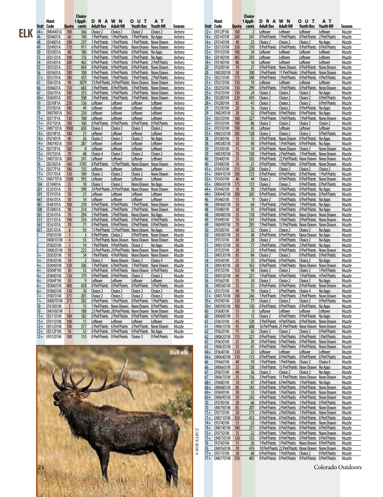|     |                 | Hunt<br>Unit Code            | Quota          | Choice<br>1 Appli-<br>cants | <b>DRAWN</b><br>Adult Res                                                                                          | <b>Adult NR</b>             | <b>OUT</b><br>Youth Res                 | AТ<br>Youth NR                  | Season                    |          | Hunt<br>Unit Code |                              | Quota      | Choice<br>1 Appli-<br>cants | <b>DRAWN</b><br>Adult Res      | <b>Adult NR</b>                                | <b>OUT</b><br>Youth Res                                                                                         | A T<br><b>Youth NR</b>                                   | Season           |
|-----|-----------------|------------------------------|----------------|-----------------------------|--------------------------------------------------------------------------------------------------------------------|-----------------------------|-----------------------------------------|---------------------------------|---------------------------|----------|-------------------|------------------------------|------------|-----------------------------|--------------------------------|------------------------------------------------|-----------------------------------------------------------------------------------------------------------------|----------------------------------------------------------|------------------|
| ELK | $44+$           | EM04401A                     | 700            | 366                         | Choice 2                                                                                                           | Choice 2                    | Choice 2                                | Choice 2                        | Archery                   |          |                   | 12+ EF012P1M                 | 100        |                             | Leftover                       | Leftover                                       | Leftover                                                                                                        | Leftover                                                 | Muzzle           |
|     | 46              | EE04601A                     | 60             | 140                         | 1 Pref Points 1 Pref Points                                                                                        |                             | 1 Pref Points No Apps                   |                                 | <b>Archery</b>            |          |                   | 14+ EE01401M                 | 200        | 341                         |                                | <b>OPrefPoints 1PrefPoints</b>                 | 0 Pref Points 2 Pref Points                                                                                     |                                                          | Muzzle           |
|     | 48              | EE04801A                     | 100            | 237                         | 1 Pref Points 1 Pref Points 1 Pref Points None Drawn                                                               |                             |                                         |                                 | Archery                   |          |                   | 14+ EF01401M                 | 40         | 23                          | Choice 2                       | Choice 2                                       | Choice 2                                                                                                        | No Apps                                                  | Muzzle           |
|     | 49              | EE04901A<br>EE05001A         | 170<br>80      | 911<br>186                  | 6 Pref Points 7 Pref Points None Drawn None Drawn                                                                  |                             |                                         |                                 | Archery                   |          |                   | 15+ EE01501M<br>15+ EF01501M | 350        | 370                         |                                | <b>O Pref Points O Pref Points</b>             | <b>O Pref Points O Pref Points</b>                                                                              |                                                          | Muzzle           |
|     | 50<br>51        | EE05101A                     | 100            | 176                         | O Pref Points O Pref Points O Pref Points No Apps<br>1 Pref Points 1 Pref Points 2 Pref Points No Apps             |                             |                                         |                                 | <b>Archery</b><br>Archery |          |                   | 18+ EE01801M                 | 100<br>485 | 34<br>293                   | Leftover<br>Leftover           | <u>Leftover</u><br>Leftover                    | Leftover<br>Leftover                                                                                            | Leftover<br>Leftover                                     | Muzzle<br>Muzzle |
|     | 54              | EE05401A                     | 200            | 462                         | O Pref Points 1 Pref Points 0 Pref Points 2 Pref Points                                                            |                             |                                         |                                 | Archery                   |          |                   | 18+ EF01801M                 | 80         | 16                          | Leftover                       | Leftover                                       | Leftover                                                                                                        | Leftover                                                 | Muzzle           |
|     | 55              | EE05501A                     | 335            | 604                         | O Pref Points O Pref Points O Pref Points None Drawn                                                               |                             |                                         |                                 | Archery                   | 20       |                   | EF02001M                     | 10         | 21                          |                                |                                                | O Pref Points None Drawn O Pref Points None Drawn                                                               |                                                          | Muzzle           |
|     | 56              | EE05601A                     | 100            | 100                         | O Pref Points O Pref Points O Pref Points None Drawn                                                               |                             |                                         |                                 | Archery                   | 20       |                   | EM02001M                     | 30         | 100                         |                                |                                                | 3 Pref Points 11 Pref Points 3 Pref Points None Drawn                                                           |                                                          | Muzzle           |
|     | $57+$           | EE05701A                     | 180            | 435                         | 1 Pref Points 1 Pref Points 1 Pref Points 2 Pref Points                                                            |                             |                                         |                                 | Archery                   |          |                   | 21+ EE02101M                 | 175        | 340                         |                                |                                                | O Pref Points 3 Pref Points 0 Pref Points 4 Pref Points                                                         |                                                          | Muzzle           |
|     | 61<br>66        | EE06101A<br>EE06601A         | 90<br>150      | 1079<br>683                 | 15 Pref Points 24 Pref Points None Drawn None Drawn<br>3 Pref Points 8 Pref Points 5 Pref Points None Drawn        |                             |                                         |                                 | Archery                   |          |                   | 21+ EF02101M<br>25+ EE02501M | 150<br>150 | 19<br>299                   | Leftover                       | <b>Leftover</b><br>0 Pref Points 1 Pref Points | <b>Leftover</b><br>0 Pref Points None Drawn                                                                     | Leftover                                                 | Muzzle<br>Muzzle |
|     | 67              | EE06701A                     | 100            | 355                         | 2 Pref Points 5 Pref Points 2 Pref Points None Drawn                                                               |                             |                                         |                                 | Archery<br>Archery        |          |                   | 25+ EF02501M                 | 150        | 24                          | Choice 2                       | Choice 2                                       | Choice 2                                                                                                        | No Apps                                                  | Muzzle           |
|     | $69+$           | EE06901A                     | 105            | 508                         | 3 Pref Points 3 Pref Points                                                                                        |                             | 3 Pref Points None Drawn                |                                 | Archery                   |          |                   | 28+ EE02801M                 | 520        | 439                         | Choice 2                       | Choice 2                                       | Choice 2                                                                                                        | 0 Pref Points                                            | Muzzle           |
|     | 70              | EE070P1A                     | 250            | 136                         | Leftover                                                                                                           | Leftover                    | Leftover                                | Leftover                        | Archery                   |          |                   | 28+ EF02801M                 | 85         | 41                          | Choice 3                       | Choice 2                                       | Choice 2                                                                                                        | 0 Pref Points                                            | Muzzle           |
|     | 70              | EF07001A                     | 180            | 49                          | Leftover                                                                                                           | Leftover                    | Leftover                                | Leftover                        | Archery                   | 29       |                   | EF02901M                     | 20         | 16                          | Choice 2                       | Choice 2                                       | O Pref Points No Apps                                                                                           |                                                          | Muzzle           |
|     | 70              | <b>EM07001A</b>              | 565            | 234                         | Leftover                                                                                                           | <b>Leftover</b>             | Leftover                                | Leftover                        | <b>Archery</b>            | 29       |                   | EM02901M                     | 30         | 52                          | <b>OPrefPoints OPrefPoints</b> |                                                | O Pref Points No Apps                                                                                           |                                                          | Muzzle           |
|     |                 | 71+ EE071P1A<br>71+ EF07101A | 130<br>100     | 100<br>106                  | Leftover<br>0 Pref Points 0 Pref Points                                                                            | Leftover                    | Leftover<br>0 Pref Points 0 Pref Points | Leftover                        | Archery<br>Archery        |          |                   | 33+ EE03301M<br>33+ EF03301M | 100<br>100 | 327<br>86                   | Choice 2                       | 1 Pref Points 5 Pref Points<br>Choice 2        | 1 Pref Points None Drawn<br>Choice 2                                                                            | Choice 2                                                 | Muzzle<br>Muzzle |
|     |                 | 71+ EM07101A                 | 1000           | 650                         | Choice 3                                                                                                           | Choice 3                    | Choice 3                                | Choice 2                        | <b>Archery</b>            |          |                   | 35+ EF03501M                 | 100        | 45                          | Leftover                       | <b>Leftover</b>                                | Leftover                                                                                                        | Leftover                                                 | Muzzle           |
|     |                 | 74+ EE074P1A                 | 100            | 31                          | Leftover                                                                                                           | Leftover                    | Leftover                                | Leftover                        | Archery                   |          |                   | 35+ EM03501M                 | 185        | 128                         | Choice 2                       | Choice 2                                       | Choice 2                                                                                                        | 0 Pref Points                                            | Muzzle           |
|     |                 | 74+ EF07401A                 | 40             | 26                          | Choice 2                                                                                                           | Choice 2                    | Choice 2                                | No Apps                         | Archery                   | 38       |                   | EF03801M                     | 10         | 15                          |                                |                                                | <b>OPref Points None Drawn OPref Points No Apps</b>                                                             |                                                          | Muzzle           |
|     |                 | 74+ EM07401A                 | 550            | 287                         | Leftover                                                                                                           | <b>Leftover</b>             | <b>Leftover</b>                         | Leftover                        | <b>Archery</b>            | 38       |                   | EM03801M                     | 30         | 40                          |                                |                                                | O Pref Points 1 Pref Points 0 Pref Points No Apps                                                               |                                                          | Muzzle           |
|     |                 | 75+ EE075P1A                 | 100            | 8                           | Leftover                                                                                                           | Leftover                    | Leftover                                | Leftover                        | Archery                   | 39       |                   | EF03901M                     | 15         | 19                          |                                | 0 Pref Points None Drawn Choice 2              |                                                                                                                 | None Drawn                                               | Muzzle           |
|     |                 | 75+ EF07501A<br>75+ EM07501A | 70<br>500      | 48<br>241                   | Choice 4<br>Leftover                                                                                               | Choice 3<br><b>Leftover</b> | Choice 2<br>Leftover                    | Choice 2<br>Leftover            | Archery<br><b>Archery</b> | 39<br>40 |                   | EM03901M<br>EE04001M         | 70<br>35   | 158<br>183                  |                                |                                                | 1 Pref Points 2 Pref Points 1 Pref Points None Drawn<br>9 Pref Points 22 Pref Points None Drawn None Drawn      |                                                          | Muzzle<br>Muzzle |
|     | 76              | EE07601A                     | 160            | 1195                        | 8 Pref Points 15 Pref Points None Drawn None Drawn                                                                 |                             |                                         |                                 | Archery                   | 40       |                   | EF04001M                     | 10         | 21                          |                                |                                                | O Pref Points 1 Pref Points 0 Pref Points None Drawn                                                            |                                                          | Muzzle           |
|     |                 | 77+ EE077P1A                 | 180            | 135                         | Leftover                                                                                                           | Leftover                    | Leftover                                | Leftover                        | Archery                   |          |                   | 41+ EF04101M                 | 315        | 228                         | Choice 2                       | Choice 2                                       | Choice 2                                                                                                        | Choice 2                                                 | Muzzle           |
|     |                 | 77+ EF07701A                 | 130            | 109                         | Choice 2                                                                                                           | Choice 2                    | Choice 2                                | None Drawn                      | Archery                   |          |                   | 41+ EM04101M                 | 500        | 723                         |                                | <b>O Pref Points O Pref Points</b>             | 0 Pref Points 1 Pref Points                                                                                     |                                                          | Muzzle           |
|     |                 | 77+ EM07701A                 | 1300           | 593                         | Leftover                                                                                                           | Leftover                    | Leftover                                | Leftover                        | Archery                   |          |                   | 43+ EF04301M                 | 40         | 44                          | Choice 2                       |                                                | O Pref Points O Pref Points None Drawn                                                                          |                                                          | Muzzle           |
|     | 104             | EE10401A<br>EE20101A         | 25<br>10       | 10<br>590                   | Choice 3<br>24 Pref Points 29 Pref Points None Drawn None Drawn                                                    | Choice 2                    | None Drawn No Apps                      |                                 | Archery                   |          |                   | 43+ EM04301M<br>44+ EF04401M | 175<br>10  | 172<br>50                   | Choice 2                       | Choice 2                                       | <b>O Pref Points O Pref Points</b><br>2 Pref Points 3 Pref Points 0 Pref Points No Apps                         |                                                          | Muzzle<br>Muzzle |
|     | 201<br>391      | EE39101A                     | 50             | 21                          | Leftover                                                                                                           | Leftover                    | Leftover                                | Leftover                        | Archery<br>Archery        |          |                   | 44+ EM04401M                 | 200        | 265                         |                                |                                                | O Pref Points O Pref Points O Pref Points O Pref Points                                                         |                                                          | Muzzle           |
|     | 461             | EE46101A                     | 50             | 14                          | Leftover                                                                                                           | Leftover                    | Leftover                                | Leftover                        | Archery                   | 46       |                   | EF04601M                     | 15         | 9                           | Choice 2                       |                                                | O Pref Points O Pref Points No Apps                                                                             |                                                          | Muzzle           |
|     | 481             | EE48101A                     | 100            | 210                         | <b>O Pref Points O Pref Points</b>                                                                                 |                             | 1 Pref Points None Drawn                |                                 | Archery                   | 46       |                   | EM04601M                     | 30         | 64                          |                                |                                                | 1 Pref Points 2 Pref Points 1 Pref Points No Apps                                                               |                                                          | Muzzle           |
|     | 500             | EE50001A                     | 90             | 314                         | 2 Pref Points 2 Pref Points 2 Pref Points None Drawn                                                               |                             |                                         |                                 | Archery                   | 48       |                   | EF04801M                     | 30         | 35                          |                                |                                                | <b>OPrefPoints OPrefPoints OPrefPoints No Apps</b>                                                              |                                                          | Muzzle           |
|     | 501             | EE50101A                     | 70             | 294                         | 3 Pref Points 3 Pref Points None Drawn No Apps                                                                     |                             |                                         |                                 | Archery                   | 48       |                   | EM04801M                     | 35         | 118                         |                                |                                                | 2 Pref Points 8 Pref Points None Drawn None Drawn                                                               |                                                          | Muzzle           |
|     | 551<br>561      | EE55101A<br>EE56101A         | 190<br>70      | 316<br>71                   | O Pref Points O Pref Points O Pref Points O Pref Points<br>O Pref Points O Pref Points O Pref Points O Pref Points |                             |                                         |                                 | Archery<br>Archery        | 49<br>49 |                   | EF04901M<br>EM04901M         | 70<br>70   | 141<br>295                  |                                |                                                | 1 Pref Points 1 Pref Points 0 Pref Points None Drawn<br>7 Pref Points 13 Pref Points None Drawn None Drawn      |                                                          | Muzzle<br>Muzzle |
|     | 851             | EE85101A                     | 8              | 93                          | 11 Pref Points 13 Pref Points None Drawn No Apps                                                                   |                             |                                         |                                 | Archery                   | 50       |                   | EF05001M                     | 40         | 32                          | Choice 2                       | Choice 2                                       | Choice 2                                                                                                        | No Apps                                                  | Muzzle           |
|     |                 | EF00101M                     | 5              | $\overline{3}$              | 0 Pref Points Choice 2                                                                                             |                             |                                         | <b>O Pref Points None Drawn</b> | Muzzle                    | 50       |                   | EM05001M                     | 30         | 48                          |                                |                                                | O Pref Points O Pref Points None Drawn No Apps                                                                  |                                                          | Muzzle           |
|     |                 | EM00101M                     | $\overline{4}$ | 53                          | 12 Pref Points None Drawn None Drawn None Drawn                                                                    |                             |                                         |                                 | Muzzle                    | 51       |                   | EF05101M                     | 40         | 28                          | Choice 2                       | O Pref Points Choice 2                         |                                                                                                                 | No Apps                                                  | Muzzle           |
|     |                 | EF00201M                     | 5              | 14                          | 1 Pref Points 9 Pref Points Choice 2                                                                               |                             |                                         | No Apps                         | Muzzle                    | 51       |                   | EM05101M                     | 30         | 77                          |                                |                                                | 2 Pref Points 2 Pref Points 2 Pref Points No Apps                                                               |                                                          | Muzzle           |
|     | $3+$            | EM00201M<br>EE00301M         | 10<br>10       | 223<br>34                   | 23 Pref Points 29 Pref Points None Drawn None Drawn<br>1 Pref Points 4 Pref Points None Drawn None Drawn           |                             |                                         |                                 | Muzzle<br>Muzzle          | 53<br>53 |                   | EF05301M<br>EM05301M         | 20<br>85   | 23<br>84                    | Choice 2                       | Choice 2                                       | O Pref Points O Pref Points O Pref Points None Drawn<br><b>O Pref Points O Pref Points</b>                      |                                                          | Muzzle<br>Muzzle |
|     |                 | EF00301M                     | 10             | $\overline{2}$              | Choice 2                                                                                                           | None Drawn Choice 2         |                                         | Choice 4                        | Muzzle                    | 54       |                   | EF05401M                     | 25         | 35                          |                                | O Pref Points O Pref Points Choice 2           |                                                                                                                 | No Apps                                                  | Muzzle           |
|     |                 | EE00401M                     | 130            | 506                         | 1 Pref Points 6 Pref Points                                                                                        |                             | 1 Pref Points None Drawn                |                                 | Muzzle                    | 54       |                   | EM05401M                     | 60         | 163                         |                                | <b>O Pref Points 3 Pref Points</b>             | None Drawn None Drawn                                                                                           |                                                          | Muzzle           |
|     | 4+              | EE004P1M                     | 50             | 52                          | O Pref Points O Pref Points None Drawn O Pref Points                                                               |                             |                                         |                                 | Muzzle                    | 55       |                   | EF05501M                     | 125        | 94                          | Choice 2                       | Choice 2                                       | Choice 2                                                                                                        | 1 Pref Points                                            | Muzzle           |
|     |                 | EF00401M                     | 130            | 179                         | O Pref Points O Pref Points Choice 2                                                                               |                             |                                         | Choice 2                        | Muzzle                    | 55       |                   | EM05501M                     | 60         | 221                         |                                |                                                | 1 Pref Points 4 Pref Points 1 Pref Points 4 Pref Points                                                         |                                                          | Muzzle           |
|     |                 | EF004P1M                     | 50             | 9                           | Leftover                                                                                                           | Leftover                    | Leftover                                | Leftover                        | Muzzle                    | 56       |                   | EF05601M                     | 35         | 24                          | Choice 2                       | Choice 2                                       | Choice 2                                                                                                        | No Apps                                                  | Muzzle           |
|     | $6+$            | EE00601M<br>EF00601M 150     | 400            | 658<br>50                   | O Pref Points O Pref Points O Pref Points 3 Pref Points<br>Choice 2                                                | Choice 2                    | Choice 2                                | Choice 2                        | Muzzle<br>Muzzle          | 56       |                   | EM05601M<br>57+ EF05701M     | 35<br>90   | 55<br>79                    | Choice 2                       | 0 Pref Points Choice 4                         | O Pref Points O Pref Points O Pref Points None Drawn                                                            | No Apps                                                  | Muzzle<br>Muzzle |
|     |                 | 7+ EF00701M 375              |                |                             | 201 Choice 2 Choice 2 Choice 2 Choice 2                                                                            |                             |                                         |                                 | Muzzle                    |          |                   | 57+ EM05701M 100             |            |                             |                                |                                                |                                                                                                                 | 246 1 Pref Points 3 Pref Points 2 Pref Points None Drawn | Muzzle           |
|     |                 | 7+ EM00701M 375              |                |                             | 582 O Pref Points 1 Pref Points 0 Pref Points 1 Pref Points                                                        |                             |                                         |                                 | Muzzle                    |          |                   | 59+ EF05901M                 | 120        |                             | 77 Choice 2                    | Choice 2                                       |                                                                                                                 | Choice 2 0 Pref Points                                   | Muzzle           |
|     |                 | 10 EF01001M                  | $5^{\circ}$    | 15                          | 1 Pref Points None Drawn None Drawn 0 Pref Points                                                                  |                             |                                         |                                 | Muzzle                    |          |                   | 59+ EM05901M                 | 100        | 150                         |                                |                                                | O Pref Points O Pref Points O Pref Points No Apps                                                               |                                                          | Muzzle           |
|     | 10 <sup>°</sup> | EM01001M                     | $-5$           | 188                         | 23 Pref Points 28 Pref Points None Drawn None Drawn                                                                |                             |                                         |                                 | Muzzle                    | 60       |                   | EF06001M                     | 15         | $\mathbf{0}$                | Leftover                       | Leftover                                       | Leftover                                                                                                        | Leftover                                                 | Muzzle           |
|     |                 | 11+ EE01101M 100             |                |                             | 182 OPref Points 2 Pref Points OPref Points 6 Pref Points                                                          |                             |                                         |                                 | Muzzle                    | 60       |                   | EM06001M                     | 15         |                             | 13 Choice 2                    |                                                | O Pref Points O Pref Points No Apps                                                                             |                                                          | Muzzle           |
|     |                 | 11+ EF01101M<br>12+ EE01201M | 100<br>100     | 11<br>377                   | Leftover<br>2 Pref Points 6 Pref Points 2 Pref Points None Drawn                                                   | Leftover                    | Leftover                                | Leftover                        | Muzzle<br>Muzzle          | 61<br>61 |                   | EF06101M<br>EM06101M         | 45<br>45   | 608                         |                                |                                                | 120 3 Pref Points 4 Pref Points 0 Pref Points None Drawn<br>16 Pref Points 25 Pref Points None Drawn None Drawn |                                                          | Muzzle<br>Muzzle |
|     |                 | 12+ EE012P1M                 | 50             | 53                          | O Pref Points O Pref Points O Pref Points No Apps                                                                  |                             |                                         |                                 | Muzzle                    | 62       |                   | EF06201M                     | 75         | 62                          | Choice 2                       | Choice 2                                       | Choice 2                                                                                                        | 0 Pref Points                                            | Muzzle           |
|     |                 | 12+ EF01201M                 | 100            | 133                         | O Pref Points O Pref Points Choice 3                                                                               |                             |                                         | 0 Pref Points                   | Muzzle                    | 62       |                   | EM06201M                     | 115        | 221                         |                                |                                                | O Pref Points 3 Pref Points 0 Pref Points 3 Pref Points                                                         |                                                          | Muzzle           |
|     |                 |                              |                |                             |                                                                                                                    |                             |                                         |                                 |                           | 63       |                   | EF06301M                     | 25         | 30 <sup>°</sup>             |                                |                                                | O Pref Points O Pref Points O Pref Points None Drawn                                                            |                                                          | Muzzle           |
|     |                 |                              |                |                             |                                                                                                                    |                             |                                         |                                 |                           | 63       |                   | EM06301M                     | 35         |                             |                                |                                                |                                                                                                                 | 65 OPref Points 1 Pref Points 0 Pref Points None Drawn   | Muzzle           |
|     |                 |                              |                |                             |                                                                                                                    |                             |                                         |                                 | <b>Bull elk</b>           |          |                   | 64+ EF06401M 120             |            |                             | 22 Leftover                    | Leftover                                       | Leftover                                                                                                        | Leftover                                                 | Muzzle           |



*© BOB KARCZ*

**KARCZ**  $BOB$  $\circ$ 

Points 2 Pref Points Muzzle 14+ EF014O1M 40 23 Choice 2 Choice 2 Choice 2 No Apps Muzzle Points OPref Points Muzzle 15+ EF015O1M 100 34 Leftover Leftover Leftover Leftover Muzzle 18+ EE018O1M 485 293 Leftover Leftover Leftover Leftover Muzzle 18+ EF018O1M 80 16 Leftover Leftover Leftover Leftover Muzzle 20 Points None Drawn Muzzle<br>Points None Drawn Muzzle 20 Points None Drawn Muzzle<br>Points 4 Pref Points Muzzle 21 Points 4 Pref Points 2 Muzzle<br>21 Points 2 Perfover 2 Prezzle 21+ EF021O1M 150 19 Leftover Leftover Leftover Leftover Muzzle 25+ EE025O1M 150 299 0 Pref Points 1 Pref Points 0 Pref Points None Drawn Muzzle 25+ EF025O1M 150 24 Choice 2 Choice 2 Choice 2 No Apps Muzzle 0 Pref Points Muzzle<br>0 Pref Points Muzzle 28+ EF02801M 85 41 Choice 3 Choice 2 Choice 2 0 Pref Points Muzzle Points No Apps Muzzle Points No Apps Muzzle 33+ EE033O1M 100 327 1 Pref Points 5 Pref Points 1 Pref Points None Drawn Muzzle <u>33+ EF03301M 100 86 Choice 2 Choice 2 Choice 2 Muzzle</u> 35+ EF035O1M 100 45 Leftover Leftover Leftover Leftover Muzzle 2 O Pref Points Muzzle<br>Points No Apps Muzzle 3 No Apps Muzzle<br>30 No Apps Muzzle 3 Employee No Apps Muzzle<br>12 None Drawn Muzzle 39 None Drawn Muzzle<br>39 None Drawn Muzzle <u>Points None Drawn Muzzle</u><br>Drawn None Drawn Muzzle <u>Drawn None Drawn Muzzle</u><br>Points None Drawn Muzzle 40 EF040O1M 10 21 0 Pref Points 1 Pref Points 0 Pref Points None Drawn Muzzle 41+ EF041O1M 315 228 Choice 2 Choice 2 Choice 2 Choice 2 Muzzle 41 Pref Points Muzzle<br>Points None Drawn Muzzle Points None Drawn Points 0.Pref.Points - Muzzle<br>Points No.Apps - Muzzle Points No Apps Points 0.Pref Points - Muzzle<br>Points No.Apps - Muzzle Points No Apps 46 Points No Apps Muzzle<br>Points No Apps Muzzle eroints No Apps Muzzle<br>Drawn None Drawn Muzzle <u>Drawn None Drawn Muzzle</u><br>Points None Drawn Muzzle Points None Drawn Muzzle<br>Drawn None Drawn Muzzle 49 EM049O1M 70 295 7 Pref Points 13 Pref Points None Drawn None Drawn Muzzle 50 EF050O1M 40 32 Choice 2 Choice 2 Choice 2 No Apps Muzzle 3<br><u>2 No Apps Muzzle No</u> Apps Muzzle 51 EF051O1M 40 28 Choice 2 0 Pref Points Choice 2 No Apps Muzzle 51 Points No Apps Muzzle<br>Points None Drawn Muzzle 53 Points None Drawn Muzzle<br>Points 0 Pref Points Muzzle 53 Points O Pref Points Muzzle<br>2 No Apps Muzzle 54 EF054O1M 25 35 0 Pref Points 0 Pref Points Choice 2 No Apps Muzzle **Drawn None Drawn Muzzle** 1 Pref Points Muzzle<br>4 Pref Points Muzzle Points 4 Pref Points 56 EF056O1M 35 24 Choice 2 Choice 2 Choice 2 No Apps Muzzle 55 Employee None Drawn Muzzle<br>14 No Apps Muzzle 57+ EF057O1M 90 79 Choice 2 0 Pref Points Choice 4 No Apps Muzzle 57 Points None Drawn Muzzle<br>-2 0 Pref Points Muzzle 0 Pref Points Muzzle<br>No Apps Muzzle 59 - Points No Apps 100 Muzzle<br>1995 - Muzzle Points No Apple 60 EF060O1M 15 0 Leftover Leftover Leftover Leftover Muzzle Foints No Apps Muzzle<br>Points None Drawn Muzzle Points None Drawn Muzzle<br>Drawn None Drawn Muzzle Frawn None Drawn Muzzle<br>12 O Pref Points Muzzle 62 EF062O1M 75 62 Choice 2 Choice 2 Choice 2 0 Pref Points Muzzle Points 3 Pref Points - Muzzle<br>Points None Drawn - Muzzle Points None Drawn Muzzle<br>Points None Drawn Muzzle Points None Drawn 64+ EF064O1M 120 22 Leftover Leftover Leftover Leftover Muzzle 64+ EM064O1M 110 113 0 Pref Points 0 Pref Points 0 Pref Points 0 Pref Points Muzzle 64 EM06401M 110 113 OPref Points OPref Points Choice 4 Muzzle<br>66 EF06601M 40 59 1 Pref Points 1 Pref Points Choice 2 Choice 4 Muzzle<br>66 EM06601M 35 158 5 Pref Points 15 Pref Points None Drawn No Apps Muzzle 66 EM066O1M 35 158 5 Pref Points 15 Pref Points None Drawn No Apps Muzzle EF06701M 40 36 Choice 2 Choice 2 Choice 2 No Apps Muzzle<br>EM06701M 35 136 3 Pref Points 11 Pref Points None Drawn None Drawn Muzzle 67 EM067O1M 35 136 3 Pref Points 11 Pref Points None Drawn None Drawn Muzzle 68+ EF068O1M 10 47 2 Pref Points 6 Pref Points 1 Pref Points No Apps Muzzle 68+ EM068O1M 85 143 0 Pref Points 0 Pref Points 0 Pref Points None Drawn Muzzle EF06901M 30 53 1 Pref Points 1 Pref Points 0 Pref Points None Drawn Muzzle<br>EM06901M 50 242 4 Pref Points 5 Pref Points 4 Pref Points None Drawn Muzzle 69+ EM069O1M 50 242 4 Pref Points 5 Pref Points 4 Pref Points None Drawn Muzzle 70 EF070O1M 20 66 0 Pref Points 1 Pref Points 1 Pref Points 0 Pref Points Muzzle 70 EM070O1M 85 207 0 Pref Points 2 Pref Points 0 Pref Points None Drawn Muzzle 71+ EF071O1M 30 173 2 Pref Points 2 Pref Points 1 Pref Points None Drawn Muzzle 71+ EM07101M 350 453 0 Pref Points 0 Pref Points 0 Pref Points 0 Pref Points <br>74+ EF07401M 15 33 1 Pref Points 1 Pref Points 0 Pref Points None Drawn 33 1 Pref Points 1 Pref Points 0 Pref Points None Drawn Muzzle 74+ EM074O1M 180 231 0 Pref Points 0 Pref Points 0 Pref Points 0 Pref Points Muzzle 75+ EF075O1M 15 32 0 Pref Points 1 Pref Points 0 Pref Points None Drawn Muzzle EM07501M 120 135 0 Pref Points 0 Pref Points 0 Pref Points Muzzle<br>EF07601M 15 26 1 Pref Points 3 Pref Points None Drawn 0 Pref Points Muzzle 76 EF076O1M 15 26 1 Pref Points 3 Pref Points None Drawn 0 Pref Points Muzzle 76 EM07601M 70 476 10 Pref Points 22 Pref Points None Drawn None Drawn<br>77+ EF07701M 30 68 0 Pref Points 1 Pref Points Choice 2 0 Pref Points 77+ EF077O1M 30 68 0 Pref Points 1 Pref Points Choice 2 0 Pref Points Muzzle 405 OPref Points OPref Points OPref Points OPref Points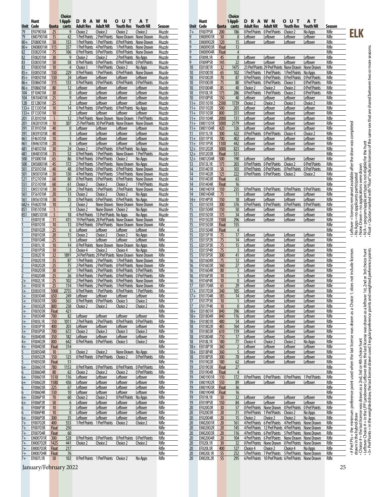|                      |                                    |                       | Choice                         |                                                       |                             |                                                                                                          |                           |                  |                 |                             |                       | Choice                   |                                                                   |                                  |                                                                                                        |                                 |                 |                                                                                                                                                                                                                                                                                   |
|----------------------|------------------------------------|-----------------------|--------------------------------|-------------------------------------------------------|-----------------------------|----------------------------------------------------------------------------------------------------------|---------------------------|------------------|-----------------|-----------------------------|-----------------------|--------------------------|-------------------------------------------------------------------|----------------------------------|--------------------------------------------------------------------------------------------------------|---------------------------------|-----------------|-----------------------------------------------------------------------------------------------------------------------------------------------------------------------------------------------------------------------------------------------------------------------------------|
|                      | Hunt                               |                       | 1 Appli-                       | <b>DRAWN</b>                                          |                             | <b>OUT</b>                                                                                               | AТ                        |                  |                 | Hunt                        |                       | 1 Appli-                 | <b>DRAWN</b>                                                      |                                  | <b>OUT</b>                                                                                             | AТ                              |                 |                                                                                                                                                                                                                                                                                   |
| Unit Code<br>79      | EF07901M                           | Quota<br>25           | cants<br>9                     | <b>Adult Res</b><br>Choice 2                          | <b>Adult NR</b><br>Choice 2 | Youth Res<br>Choice 2                                                                                    | Youth NR<br>Choice 2      | Season<br>Muzzle | 7+              | Unit Code<br>EF007P5R       | Quota<br>200          | cants<br>186             | <b>Adult Res</b><br>0 Pref Points                                 | <b>Adult NR</b><br>0 Pref Points | <b>Youth Res</b><br>Choice 2                                                                           | <b>Youth NR</b><br>No Apps      | Season<br>Rifle |                                                                                                                                                                                                                                                                                   |
| 79                   | EM07901M                           | 15                    | 42                             |                                                       |                             | 1 Pref Points 2 Pref Points None Drawn None Drawn                                                        |                           | Muzzle           |                 | EM00901R                    | 50                    | 8                        | Leftover                                                          | Leftover                         | Leftover                                                                                               | Leftover                        | Rifle           | ELK                                                                                                                                                                                                                                                                               |
| $80 +$               | EF08001M                           | 50                    | 153                            |                                                       |                             | 1 Pref Points 1 Pref Points 0 Pref Points None Drawn                                                     |                           | Muzzle           |                 | <b>EM00902R</b>             | 120                   | 15                       | Leftover                                                          | Leftover                         | Leftover                                                                                               | Leftover                        | Rifle           |                                                                                                                                                                                                                                                                                   |
| $80 +$               | <b>EM08001M</b>                    | 115                   | 357                            | 1 Pref Points 4 Pref Points                           |                             | 1 Pref Points                                                                                            | None Drawn                | Muzzle           |                 | EM00903R                    | <b>Float</b>          | 13                       |                                                                   |                                  |                                                                                                        |                                 | Rifle           |                                                                                                                                                                                                                                                                                   |
| 82                   | EE08201M                           | 75                    | 106                            |                                                       |                             | O Pref Points O Pref Points O Pref Points None Drawn                                                     |                           | Muzzle           |                 | <b>EM00904R</b>             | Float                 | $\overline{4}$           |                                                                   |                                  |                                                                                                        |                                 | Rifle           |                                                                                                                                                                                                                                                                                   |
| 82<br>83             | EF08201M<br>EE08301M               | 30<br>50              | 9<br>58                        | Choice 2<br>O Pref Points O Pref Points O Pref Points | Choice 2                    | 2 Pref Points No Apps                                                                                    | 0 Pref Points             | Muzzle<br>Muzzle |                 | EF009L1R<br>EF009P5R        | 45<br>145             | 8<br>22                  | Leftover<br>Leftover                                              | Leftover<br>Leftover             | Leftover<br>Leftover                                                                                   | Leftover<br>Leftover            | Rifle<br>Rifle  |                                                                                                                                                                                                                                                                                   |
| 83                   | EF08301M                           | 10                    | $\overline{4}$                 | Choice 3                                              | 1 Pref Points               | Choice 2                                                                                                 | No Apps                   | Muzzle           |                 | EE010E1R                    | 32                    | 1475                     |                                                                   |                                  | 23 Pref Points 29 Pref Points None Drawn None Drawn                                                    |                                 | Rifle           |                                                                                                                                                                                                                                                                                   |
| $85+$                | EE08501M                           | 130                   | 229                            | <b>O Pref Points 1 Pref Points</b>                    |                             | O Pref Points                                                                                            | None Drawn                | Muzzle           | 10              | EF01001R                    | 65                    | 102                      |                                                                   | 1 Pref Points 1 Pref Points      | 1 Pref Points No Apps                                                                                  |                                 | Rifle           |                                                                                                                                                                                                                                                                                   |
| $85+$                | EF08501M                           | 130                   | 24                             | Leftover                                              | Leftover                    | Leftover                                                                                                 | Leftover                  | Muzzle           | 10              | EF01002R                    | 70                    | 87                       | 0 Pref Points                                                     | 0 Pref Points                    | <b>O</b> Pref Points                                                                                   | 0 Pref Points                   | Rifle           |                                                                                                                                                                                                                                                                                   |
| $86+$<br>$86+$       | EE08601M<br>EF08601M               | 115<br>80             | 133<br>12                      | <b>O Pref Points O Pref Points</b><br>Leftover        | Leftover                    | 0 Pref Points<br>Leftover                                                                                | 0 Pref Points<br>Leftover | Muzzle<br>Muzzle | 10              | EF01003R<br>EF01004R        | 75<br>85              | 80<br>40                 | <b>O Pref Points O Pref Points</b><br>Choice 2                    | Choice 2                         | Choice 3<br>Choice 2                                                                                   | 0 Pref Points<br>0 Pref Points  | Rifle<br>Rifle  |                                                                                                                                                                                                                                                                                   |
| 104                  | EF10401M                           | 30                    | $\mathbf 0$                    | Leftover                                              | Leftover                    | Leftover                                                                                                 | Leftover                  | Muzzle           | 10              | <b>EF010L1R</b>             | 175                   | 286                      | O Pref Points                                                     | 1 Pref Points                    | Choice 2                                                                                               | 0 Pref Points                   | Rifle           |                                                                                                                                                                                                                                                                                   |
| 104                  | EM10401M                           | 25                    | 9                              | Leftover                                              | Leftover                    | Leftover                                                                                                 | Leftover                  | Muzzle           | 10              | EF010P5R                    | 150                   | 40                       | Leftover                                                          | Leftover                         | Leftover                                                                                               | Leftover                        | Rifle           |                                                                                                                                                                                                                                                                                   |
| 128                  | EE12801M                           | 25                    | $\overline{2}$                 | Leftover                                              | Leftover                    | Leftover                                                                                                 | Leftover                  | Muzzle           | $11+$           | EF01101R                    | 2500                  | 1739                     | Choice 2                                                          | Choice 2                         | Choice 3                                                                                               | Choice 2                        | Rifle           |                                                                                                                                                                                                                                                                                   |
|                      | 133+ EE13301M<br>133+ EF13301M     | 10<br>10              | 14<br>$\overline{2}$           | <b>O Pref Points</b><br>Leftover                      | Leftover                    | O Pref Points O Pref Points No Apps<br>Leftover                                                          | Leftover                  | Muzzle<br>Muzzle | $11+$           | 11+ EF01102R<br>EF01103R    | 500<br>800            | 203<br>351               | Leftover<br>Leftover                                              | Leftover<br>Leftover             | Leftover<br>Leftover                                                                                   | Leftover<br>Leftover            | Rifle<br>Rifle  |                                                                                                                                                                                                                                                                                   |
| 201                  | EF20101M                           | 5                     | 12                             | 3 Pref Points None Drawn None Drawn                   |                             |                                                                                                          | 1 Pref Points             | Muzzle           |                 | 11+ EF01104R                | 2000                  | 131                      | Leftover                                                          | <u>Leftover</u>                  | Leftover                                                                                               | Leftover                        | Rifle           |                                                                                                                                                                                                                                                                                   |
| 201                  | EM20101M                           | 10                    | 307                            |                                                       |                             | 25 Pref Points 30 Pref Points None Drawn                                                                 | None Drawn                | Muzzle           |                 | 11+ EM01101R                | 5000                  | 2179                     | Leftover                                                          | Leftover                         | Leftover                                                                                               | Leftover                        | Rifle           |                                                                                                                                                                                                                                                                                   |
| 391                  | EF39101M                           | 40                    | $\mathbf{0}$                   | Leftover                                              | Leftover                    | Leftover                                                                                                 | Leftover                  | Muzzle           | $11+$           | EM01104R                    | 420                   | 126                      | Leftover                                                          | Leftover                         | Leftover                                                                                               | Leftover                        | Rifle           |                                                                                                                                                                                                                                                                                   |
| 391                  | EM39101M<br>EF46101M               | 40                    | $\overline{3}$                 | Leftover                                              | Leftover                    | Leftover                                                                                                 | Leftover                  | Muzzle           | 11              | EF011L1R<br>EE011P1R        | 300<br>700            | 422                      | 0 Pref Points                                                     | <b>O</b> Pref Points             | Choice 4                                                                                               | Choice 2                        | Rifle           | No Apps = no applicants participated<br>None Drawn = no applications were dawn<br>Mone Drawn = no applications were digible for the hunt<br>Float = Quotas marked with "Float" indicate licenses of the same sex that are shared betwee<br>available after the draw was completed |
| 461<br>461           | EM46101M                           | 10<br>20              | $\mathbf{1}$<br>6              | Leftover<br>Leftover                                  | Leftover<br>Leftover        | Leftover<br>Leftover                                                                                     | Leftover<br>Leftover      | Muzzle<br>Muzzle | $11+$<br>$11+$  | EF011P5R                    | 1100                  | 402<br>442               | Leftover<br>Leftover                                              | Leftover<br>Leftover             | Leftover<br>Leftover                                                                                   | Leftover<br>Leftover            | Rifle<br>Rifle  |                                                                                                                                                                                                                                                                                   |
| 481                  | EF48101M                           | 30                    | 24                             | Choice 2                                              |                             | 0 Pref Points 0 Pref Points No Apps                                                                      |                           | Muzzle           | $12+$           | EF01202R                    | 3000                  | 823                      | Leftover                                                          | Leftover                         | Leftover                                                                                               | Leftover                        | Rifle           |                                                                                                                                                                                                                                                                                   |
| 481                  | EM48101M                           | 35                    | 52                             | 0 Pref Points                                         | 1 Pref Points               | None Drawn                                                                                               | 1 Pref Points             | Muzzle           |                 | 12+ EF01203R                | <b>Float</b>          | 531                      |                                                                   |                                  |                                                                                                        |                                 | Rifle           |                                                                                                                                                                                                                                                                                   |
| 500                  | EF50001M                           | 65                    | 86                             | <b>O Pref Points O Pref Points</b>                    |                             | Choice 2                                                                                                 | No Apps                   | Muzzle           | $12+$           | <b>EM01204R</b>             | 500                   | 190                      | Leftover                                                          | Leftover                         | Leftover                                                                                               | Leftover                        | Rifle           |                                                                                                                                                                                                                                                                                   |
| 500<br>501           | EM50001M<br>EF50101M               | 45<br>40              | 172<br>48                      | <b>O Pref Points O Pref Points O Pref Points</b>      |                             | 2 Pref Points 5 Pref Points None Drawn No Apps                                                           | None Drawn                | Muzzle<br>Muzzle | 13<br>14        | EF013L1R<br>EF01401R        | 175<br>50             | 203<br>103               | 0 Pref Points<br>O Pref Points O Pref Points                      | 0 Pref Points                    | Choice 2<br>0 Pref Points                                                                              | 0 Pref Points<br>0 Pref Points  | Rifle<br>Rifle  |                                                                                                                                                                                                                                                                                   |
| 501                  | EM50101M                           | 30                    | 130                            |                                                       |                             | 4 Pref Points 7 Pref Points 5 Pref Points None Drawn                                                     |                           | Muzzle           | 14              | EF01402R                    | 125                   | 222                      | <b>O Pref Points O Pref Points</b>                                |                                  | Choice 2                                                                                               | Choice 2                        | Rifle           |                                                                                                                                                                                                                                                                                   |
| 521                  | EF52101M                           | 60                    | 80                             |                                                       |                             | 0 Pref Points 0 Pref Points 0 Pref Points None Drawn                                                     |                           | Muzzle           | 14              | EF01403R                    | Float                 | 63                       |                                                                   |                                  |                                                                                                        |                                 | Rifle           |                                                                                                                                                                                                                                                                                   |
| 551                  | EF55101M                           | 60                    | 61                             | Choice 2                                              | Choice 2                    | Choice 2                                                                                                 | 1 Pref Points             | Muzzle           | 14              | EF01404R                    | <b>Float</b>          | 16                       |                                                                   |                                  |                                                                                                        |                                 | Rifle           |                                                                                                                                                                                                                                                                                   |
| 551<br>561           | EM55101M<br>EF56101M               | 30<br>20              | 124<br>13                      | Choice 2                                              |                             | 2 Pref Points 3 Pref Points 2 Pref Points None Drawn<br>Choice 2                                         |                           | Muzzle<br>Muzzle | 14<br>14        | EM01401R<br>EM01404R        | 150<br>75             | 235<br>11                | <b>OPrefPoints OPrefPoints</b><br>Leftover                        |                                  | 0 Pref Points                                                                                          | 0 Pref Points                   | Rifle<br>Rifle  | remained                                                                                                                                                                                                                                                                          |
| 561                  | EM56101M                           | 30                    | 35                             | <b>O Pref Points</b>                                  | Choice 2                    | O Pref Points O Pref Points No Apps                                                                      | No Apps                   | Muzzle           | $14+$           | EF014P5R                    | 150                   | 18                       | Leftover                                                          | <u>Leftover</u><br>Leftover      | Leftover<br>Leftover                                                                                   | Leftover<br>Leftover            | Rifle           |                                                                                                                                                                                                                                                                                   |
|                      | 682+ EF68201M                      | 10                    | $\overline{2}$                 | Choice 2                                              |                             | None Drawn None Drawn None Drawn                                                                         |                           | Muzzle           | 15              | EE01501R                    | 300                   | 376                      | <b>OPrefPoints OPrefPoints</b>                                    |                                  | 0 Pref Points                                                                                          | 0 Pref Points                   | Rifle           |                                                                                                                                                                                                                                                                                   |
| 851                  | EF85101M                           | 5                     | $\mathbf{1}$                   | Choice 2                                              | None Drawn                  | Choice 2                                                                                                 | No Apps                   | Muzzle           | 15              | EE01504R                    | 150                   | 50                       | Leftover                                                          | <u>Leftover</u>                  | Leftover                                                                                               | Leftover                        | Rifle           | licen                                                                                                                                                                                                                                                                             |
| 851                  | EM85101M                           | 5                     | 18                             | 4 Pref Points 13 Pref Points No Apps                  |                             |                                                                                                          | No Apps                   | Muzzle           | 15              | EF01501R                    | 175                   | 34                       | Leftover                                                          | Leftover                         | Leftover                                                                                               | Leftover                        | Rifle           | $\mathbf{H}$                                                                                                                                                                                                                                                                      |
|                      | <b>EE001E1R</b><br>EF00101R        | 11<br>10              | 415<br>13                      |                                                       |                             | 19 Pref Points 28 Pref Points None Drawn None Drawn<br>O Pref Points O Pref Points None Drawn None Drawn |                           | Rifle<br>Rifle   | 15<br>15        | EF01502R<br>EF01503R        | 1500<br>Float         | 296<br>155               | Leftover                                                          | Leftover                         | Leftover                                                                                               | Leftover                        | Rifle<br>Rifle  |                                                                                                                                                                                                                                                                                   |
|                      | EF00102R                           | 25                    | $6\phantom{.}6$                | Leftover                                              | Leftover                    | Leftover                                                                                                 | Leftover                  | Rifle            | 15              | EF01504R                    | <b>Float</b>          | $\overline{4}$           |                                                                   |                                  |                                                                                                        |                                 | Rifle           | Leftover                                                                                                                                                                                                                                                                          |
|                      | EF00103R                           | 20                    | 15                             | Choice 2                                              | Choice 2                    | Choice 2                                                                                                 | No Apps                   | Rifle            | 15              | EE015P1R                    | 75                    | 17                       | Leftover                                                          | Leftover                         | Leftover                                                                                               | Leftover                        | Rifle           |                                                                                                                                                                                                                                                                                   |
|                      | EF00104R                           | 25                    | $\overline{1}$                 | Leftover                                              | Leftover                    | Leftover                                                                                                 | Leftover                  | Rifle            | 15              | EE015P2R                    | 75                    | 14                       | Leftover                                                          | <u>Leftover</u>                  | Leftover                                                                                               | Leftover                        | Rifle           |                                                                                                                                                                                                                                                                                   |
|                      | EF001L1R<br>EF001P5R               | 10<br>10              | 14<br>$\overline{3}$           | <b>O Pref Points</b><br>Choice 4                      | None Drawn<br>Choice 2      | None Drawn No Apps<br>Choice 4                                                                           | No Apps                   | Rifle<br>Rifle   | 15<br>15        | EE015P3R<br>EE015P4R        | 75<br>75              | 15<br>$\overline{3}$     | Leftover<br>Leftover                                              | Leftover<br>Leftover             | Leftover<br>Leftover                                                                                   | Leftover<br>Leftover            | Rifle<br>Rifle  |                                                                                                                                                                                                                                                                                   |
|                      | EE002E1R                           | 32                    | 1891                           |                                                       |                             | 24 Pref Points 29 Pref Points None Drawn None Drawn                                                      |                           | Rifle            | 15              | EF015P5R                    | 300                   | 41                       | Leftover                                                          | <u>Leftover</u>                  | Leftover                                                                                               | Leftover                        | Rifle           | licenses<br>1st, 2nd or 3rd choice hunt<br>weighted preference points                                                                                                                                                                                                             |
|                      | EF00201R                           | 35                    | 87                             | 1 Pref Points 2 Pref Points                           |                             | 1 Pref Points                                                                                            | None Drawn                | Rifle            | 16              | EE01604R                    | 75                    | 12                       | Leftover                                                          | Leftover                         | Leftover                                                                                               | Leftover                        | Rifle           |                                                                                                                                                                                                                                                                                   |
|                      | EF00202R                           | 25                    | 75                             |                                                       |                             | 2 Pref Points 2 Pref Points 0 Pref Points None Drawn                                                     |                           | Rifle            | 16              | EF01603R                    | 160                   | 27                       | Leftover                                                          | Leftover                         | Leftover                                                                                               | Leftover                        | Rifle           | does not include                                                                                                                                                                                                                                                                  |
|                      | EF00203R<br>EF00204R               | 30<br>25              | 67<br>26                       | <b>O Pref Points 1 Pref Points</b>                    |                             | 1 Pref Points 2 Pref Points 0 Pref Points 0 Pref Points<br>0 Pref Points                                 | 0 Pref Points             | Rifle<br>Rifle   | 16<br>16        | EF01604R<br>EF016P3R        | 80<br>10              | $\overline{\phantom{0}}$ | Leftover<br>Leftover                                              | Leftover<br>Leftover             | Leftover<br>Leftover                                                                                   | Leftover<br>Leftover            | Rifle<br>Rifle  |                                                                                                                                                                                                                                                                                   |
|                      | EF002L1R                           | 25                    | 102                            |                                                       |                             | 2 Pref Points 3 Pref Points 0 Pref Points None Drawn                                                     |                           | Rifle            | 16              | EF016P4R                    | 10 <sup>°</sup>       | $\mathbf{0}$             | Leftover                                                          | Leftover                         | Leftover                                                                                               | Leftover                        | Rifle           |                                                                                                                                                                                                                                                                                   |
| $3+$                 | EF003E1R                           | 25                    | 114                            |                                                       |                             | 1 Pref Points 2 Pref Points 1 Pref Points None Drawn                                                     |                           | Rifle            | 17              | EE01704R                    | 65                    | 29                       | Leftover                                                          | <u>Leftover</u>                  | Leftover                                                                                               | Leftover                        | Rifle           |                                                                                                                                                                                                                                                                                   |
|                      | EE00301R                           | 1000                  | 2755                           |                                                       |                             | O Pref Points 1 Pref Points 0 Pref Points 1 Pref Points                                                  |                           | Rifle            | $17+$           | EF01703R                    | 340                   | 105                      | Leftover                                                          | Leftover                         | Leftover                                                                                               | Leftover                        | Rifle           |                                                                                                                                                                                                                                                                                   |
| $3+$                 | EE00304R                           | 650                   | 249                            | Leftover                                              | Leftover                    | Leftover                                                                                                 | Leftover                  | Rifle<br>Rifle   | $17+$<br>17     | EF01704R                    | 185<br>10             | 14<br>$\mathbf{1}$       | Leftover                                                          | Leftover                         | Leftover                                                                                               | Leftover                        | Rifle<br>Rifle  |                                                                                                                                                                                                                                                                                   |
| $rac{3+}{2}$<br>$3+$ | EF00301R<br>EF00302R               | 500<br>800            | 565<br>238                     | O Pref Points O Pref Points Choice 3<br>Choice 2      | Choice 2                    | Choice 2                                                                                                 | Choice 2<br>Choice 2      | Rifle            | 17              | EF017P3R<br><b>EF017P4R</b> | 10                    | $\pmb{0}$                | Leftover<br>Leftover                                              | Leftover<br>Leftover             | Leftover<br>Leftover                                                                                   | Leftover<br>Leftover            | Rifle           |                                                                                                                                                                                                                                                                                   |
| $3+$                 | EF00303R                           | Float                 | 421                            |                                                       |                             |                                                                                                          |                           | Rifle            | $18+$           | EE01801R                    | 840                   | 396                      | Leftover                                                          | Leftover                         | Leftover                                                                                               | Leftover                        | Rifle           |                                                                                                                                                                                                                                                                                   |
| $3+$                 | EF00304R                           | 700                   | 82                             | Leftover                                              | Leftover                    | Leftover                                                                                                 | Leftover                  | Rifle            | $18+$           | EE01804R                    | 840                   | 116                      | Leftover                                                          | Leftover                         | Leftover                                                                                               | Leftover                        | Rifle           |                                                                                                                                                                                                                                                                                   |
| $3+$                 | EF003L1R                           | 150                   | 1011                           | 2 Pref Points 2 Pref Points                           |                             | 0 Pref Points                                                                                            | 0 Pref Points             | Rifle            | $18+$           | EF01801R                    | 480                   | 54                       | Leftover                                                          | Leftover                         | Leftover                                                                                               | Leftover                        | Rifle           |                                                                                                                                                                                                                                                                                   |
| $3+$<br>$3+$         | EE003P1R<br>EF003P5R               | 400<br>700            | 203<br>672                     | Leftover<br>Choice 2                                  | Leftover<br>Choice 2        | Leftover<br>Choice 3                                                                                     | Leftover<br>Choice 2      | Rifle<br>Rifle   | 18<br><u>18</u> | EF01802R<br>EF01803R        | 485<br>610            | 164<br>119               | Leftover<br>Leftover                                              | Leftover<br>Leftover             | Leftover<br>Leftover                                                                                   | Leftover<br>Leftover            | Rifle<br>Rifle  |                                                                                                                                                                                                                                                                                   |
| $4+$                 | EE00404R                           | 350                   | 182                            | Leftover                                              | Leftover                    | Leftover                                                                                                 | Leftover                  | Rifle            | 18              | EF01804R                    | 710                   | 17                       | Leftover                                                          | Leftover                         | Leftover                                                                                               | Leftover                        | Rifle           |                                                                                                                                                                                                                                                                                   |
| $4+$                 | EF00402R                           | 800                   | 642                            | 0 Pref Points 0 Pref Points Choice 3                  |                             |                                                                                                          | Choice 2                  | Rifle            | 18              | <b>EF018L1R</b>             | 180                   | 77                       | Choice 4                                                          | Choice 2                         | Choice 2                                                                                               | No Apps                         | Rifle           |                                                                                                                                                                                                                                                                                   |
| $4+$                 | EF00403R                           | Float                 | 314                            |                                                       |                             |                                                                                                          |                           | Rifle            | $18+$           | EE018P1R                    | 360                   | $\overline{2}$           | Leftover                                                          | Leftover                         | Leftover                                                                                               | Leftover                        | Rifle           |                                                                                                                                                                                                                                                                                   |
| 5                    | EE00504R<br>EF00502R               | 10<br>150             | $\overline{\mathbf{3}}$<br>123 | Choice 2<br>0 Pref Points 0 Pref Points Choice 2      | Choice 2                    | None Drawn No Apps                                                                                       | 0 Pref Points             | Rifle<br>Rifle   | $18+$<br>18     | EE018P4R<br>EF018P5R        | 360<br>300            | 5<br>78                  | Leftover<br>Leftover                                              | Leftover<br>Leftover             | Leftover<br>Leftover                                                                                   | Leftover<br>Leftover            | Rifle<br>Rifle  |                                                                                                                                                                                                                                                                                   |
| $\overline{5}$       | EF00503R                           | Float                 | 51                             |                                                       |                             |                                                                                                          |                           | Rifle            | 19              | EF01902R                    | 180                   | 62                       | Leftover                                                          | Leftover                         | Leftover                                                                                               | Leftover                        | Rifle           |                                                                                                                                                                                                                                                                                   |
| $6+$                 | EE00601R                           | 780                   | 1153                           | O Pref Points O Pref Points                           |                             | 0 Pref Points                                                                                            | 0 Pref Points             | Rifle            | 19              | EF01903R                    | Float                 | 27                       |                                                                   |                                  |                                                                                                        |                                 | Rifle           |                                                                                                                                                                                                                                                                                   |
| 6                    | EE00604R                           | 80                    | 62                             | Choice 2                                              | Choice 2                    | Choice 2                                                                                                 | 0 Pref Points             | Rifle            | 19              | EF01904R                    | Float                 | $\overline{4}$           |                                                                   |                                  |                                                                                                        |                                 | Rifle           |                                                                                                                                                                                                                                                                                   |
| $6+$                 | EF00601R<br>EF00602R               | 1510                  | 116                            | Leftover<br>Leftover                                  | Leftover<br>Leftover        | Leftover<br>Leftover                                                                                     | Leftover                  | Rifle<br>Rifle   | 19              | EM01901R<br>EM01902R        | 110<br>550            | 172<br>89                |                                                                   |                                  | O Pref Points O Pref Points O Pref Points 1 Pref Points                                                |                                 | Rifle<br>Rifle  |                                                                                                                                                                                                                                                                                   |
| $6+$<br>6            | EF00603R                           | 1580<br>225           | 436<br>67                      | Leftover                                              | Leftover                    | Leftover                                                                                                 | Leftover<br>Leftover      | Rifle            | 19<br>19        | EM01903R                    | Float                 | 36                       | Leftover                                                          | Leftover                         | Leftover                                                                                               | Leftover                        | Rifle           |                                                                                                                                                                                                                                                                                   |
| 6                    | EF00604R                           | 130                   | 10                             | Leftover                                              | Leftover                    | Leftover                                                                                                 | Leftover                  | Rifle            | 19              | EM01904R                    | <b>Float</b>          | 16                       |                                                                   |                                  |                                                                                                        |                                 | Rifle           |                                                                                                                                                                                                                                                                                   |
| $6+$                 | EE006P1R                           | 70                    | 60                             | Choice 2                                              | Choice 2                    | 0 Pref Points                                                                                            | No Apps                   | Rifle            | 19              | EF019L1R                    | 50                    | 32                       | Leftover                                                          | Leftover                         | Leftover                                                                                               | Leftover                        | Rifle           | - # Pref Pts = the minimum preference point used when the last license was drawn as a Choice 1<br>drawn in the hybrid draw<br>- Lehove # choice # in line LPP Landowner Leftover draw the last license was drawn as a leftover<br>- Leh                                           |
| $6+$                 | EF006P2R                           | 50                    | $6 \overline{6}$               | Leftover                                              | Leftover                    | Leftover                                                                                                 | Leftover                  | Rifle            | 19              | EF019P5R                    | 150                   | 84                       | Leftover                                                          | Leftover                         | Leftover                                                                                               | Leftover                        | Rifle           |                                                                                                                                                                                                                                                                                   |
| 6                    | EF006P3R<br>EF006P4R               | 10<br>10 <sup>°</sup> | $\overline{2}$<br>$\mathbf 0$  | Leftover<br>Leftover                                  | Leftover<br>Leftover        | Leftover<br>Leftover                                                                                     | Leftover<br>Leftover      | Rifle<br>Rifle   | 20              | EF02002R<br>EF02003R        | 30<br>$20\,$          | 57<br>31                 | <b>O Pref Points None Drawn</b><br><b>OPrefPoints 1PrefPoints</b> |                                  | 0 Pref Points<br>Choice 2                                                                              | <b>O Pref Points</b><br>No Apps | Rifle<br>Rifle  |                                                                                                                                                                                                                                                                                   |
| 6<br>$6+$            | EF006P5R                           | 300                   | 35                             | Leftover                                              | Leftover                    | Leftover                                                                                                 | Leftover                  | Rifle            | 20<br>20        | EF02004R                    | 20                    | 15                       | Choice 2                                                          | Choice 2                         | Choice 2                                                                                               | No Apps                         | Rifle           |                                                                                                                                                                                                                                                                                   |
| $7+$                 | EF00702R                           | 400                   | 553                            | 1 Pref Points 1 Pref Points Choice 2                  |                             |                                                                                                          | Choice 2                  | Rifle            | 20              | EM02001R                    | 20                    | 161                      |                                                                   |                                  | 4 Pref Points 6 Pref Points 4 Pref Points None Drawn                                                   |                                 | Rifle           |                                                                                                                                                                                                                                                                                   |
| $7+$                 | EF00703R                           | Float                 | 250                            |                                                       |                             |                                                                                                          |                           | Rifle            | 20              | EM02002R                    | 20                    | 145                      | <b>4 Pref Points</b>                                              |                                  | 12 Pref Points 4 Pref Points None Drawn                                                                |                                 | Rifle           |                                                                                                                                                                                                                                                                                   |
| $7+$                 | EF00704R                           | Float                 | 60                             |                                                       |                             |                                                                                                          |                           | Rifle            | 20              | EM02003R                    | 20                    | 116                      |                                                                   |                                  | 4 Pref Points 6 Pref Points 5 Pref Points None Drawn                                                   |                                 | Rifle           |                                                                                                                                                                                                                                                                                   |
| $7+$<br>$7+$         | <b>EM00701R</b><br><b>EM00702R</b> | 300<br>1425           | 528<br>441                     | Choice 2                                              | Choice 2                    | O Pref Points O Pref Points O Pref Points O Pref Points<br>Choice 2                                      | Choice 2                  | Rifle<br>Rifle   | 20<br>20        | EM02004R<br>EF020L1R        | 20<br>30 <sup>°</sup> | 104<br>32                |                                                                   |                                  | 4 Pref Points 6 Pref Points None Drawn None Drawn<br>O Pref Points None Drawn O Pref Points None Drawn |                                 | Rifle<br>Rifle  |                                                                                                                                                                                                                                                                                   |
| $7+$                 | <b>EM00703R</b>                    | Float                 | 217                            |                                                       |                             |                                                                                                          |                           | Rifle            | 20              | EF020L3R                    | 400                   | 127                      | Choice 4                                                          | Choice 2                         | Choice 4                                                                                               | No Apps                         | Rifle           |                                                                                                                                                                                                                                                                                   |
| $7+$                 | <b>EM00704R</b>                    | Float                 | 76                             |                                                       |                             |                                                                                                          |                           | Rifle            | 20              | <b>EM020L1R</b>             | 55                    | 252                      |                                                                   |                                  | 5 Pref Points 7 Pref Points 5 Pref Points None Drawn                                                   |                                 | Rifle           |                                                                                                                                                                                                                                                                                   |
| $7+$                 | EF007L1R                           | 50                    | 102                            | 0 Pref Points 1 Pref Points                           |                             | Choice 2                                                                                                 | No Apps                   | Rifle            | 20              | EM020L2R                    | 55                    | 295                      |                                                                   |                                  | 6 Pref Points 10 Pref Points 6 Pref Points None Drawn                                                  |                                 | Rifle           |                                                                                                                                                                                                                                                                                   |

January/Fe<mark>brua</mark>ry 2022 25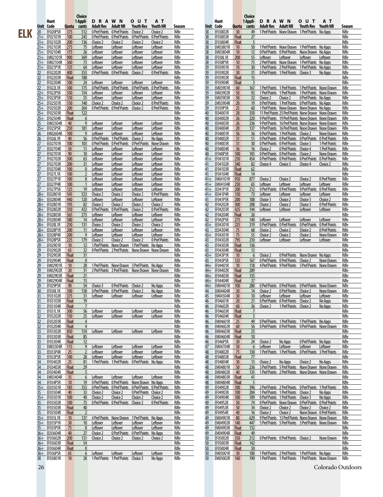|     |                  |                              |                              | Choice                |                                                                     |                                                |                                                                                                           |                                |                       |                       |                                 |                              | Choice                        |                                      |                                      |                                                                                                  |                                                      |                 |
|-----|------------------|------------------------------|------------------------------|-----------------------|---------------------------------------------------------------------|------------------------------------------------|-----------------------------------------------------------------------------------------------------------|--------------------------------|-----------------------|-----------------------|---------------------------------|------------------------------|-------------------------------|--------------------------------------|--------------------------------------|--------------------------------------------------------------------------------------------------|------------------------------------------------------|-----------------|
|     |                  | Hunt                         |                              | 1 Appli-              | <b>DRAWN</b>                                                        |                                                | <b>OUT</b>                                                                                                | AТ                             |                       |                       | Hunt                            |                              | 1 Appli-                      | <b>DRAWN</b>                         |                                      | <b>OUT</b>                                                                                       | AТ                                                   |                 |
|     | 20               | Unit Code<br>EF020P5R        | Quota<br>375                 | cants<br>512          | Adult Res                                                           | <b>Adult NR</b><br>0 Pref Points 0 Pref Points | Youth Res<br>Choice 2                                                                                     | <b>Youth NR</b><br>Choice 2    | Season<br>Rifle       | 38                    | Unit Code<br>EF03802R           | 30                           | Quota cants<br>49             | Adult Res Adult NR                   |                                      | Youth Res Youth NR<br>1 Pref Points None Drawn 1 Pref Points No Apps                             |                                                      | Season<br>Rifle |
| ELK |                  | 21+ EF02101R                 | 100                          | 243                   |                                                                     | 0 Pref Points 0 Pref Points                    | 0 Pref Points                                                                                             | 0 Pref Points                  | Rifle                 | 38                    | EF03803R                        | <b>Float</b>                 | 27                            |                                      |                                      |                                                                                                  |                                                      | Rifle           |
|     |                  | 21+ EF02102R                 | 200                          | 136                   | Choice 2                                                            | Choice 2                                       | Choice 2                                                                                                  | Choice 2                       | Rifle                 | 38                    | EF03804R                        | Float                        | 5                             |                                      |                                      |                                                                                                  |                                                      | Rifle           |
|     |                  | 21+ EF02103R                 | 275<br>175                   | 75<br>26              | Leftover<br>Leftover                                                | Leftover                                       | Leftover                                                                                                  | Leftover                       | Rifle<br>Rifle        | 38<br>38              | EM03801R<br>EM03804R            | 10<br>10                     | 50<br>12                      |                                      |                                      | 1 Pref Points None Drawn 1 Pref Points No Apps<br>O Pref Points O Pref Points None Drawn No Apps |                                                      | Rifle<br>Rifle  |
|     |                  | 21+ EF02104R<br>21+ EM02101R | 900                          | 369                   | Leftover                                                            | Leftover<br>Leftover                           | Leftover<br>Leftover                                                                                      | Leftover<br>Leftover           | Rifle                 | 38                    | EF038L1R                        | 200                          | 55                            | Leftover                             | Leftover                             | Leftover                                                                                         | Leftover                                             | Rifle           |
|     |                  | 21+ EM02104R                 | 360                          | 73                    | Leftover                                                            | Leftover                                       | Leftover                                                                                                  | Leftover                       | Rifle                 | 38                    | EF038P5R                        | 10                           | 75                            |                                      |                                      | 2 Pref Points None Drawn 1 Pref Points No Apps                                                   |                                                      | Rifle           |
|     |                  | 21+ EE021P1R                 | 125                          | 64                    | Leftover                                                            | Leftover                                       | Leftover                                                                                                  | Leftover                       | Rifle                 | 39                    | EF03901R                        | 10                           | 30 <sup>°</sup>               |                                      |                                      | 1 Pref Points 2 Pref Points 1 Pref Points No Apps                                                |                                                      | Rifle           |
|     | 22<br>22         | EF02202R<br>EF02203R         | 400                          | 353                   |                                                                     | 0 Pref Points 0 Pref Points                    | Choice 2                                                                                                  | 0 Pref Points                  | Rifle<br>Rifle        | $\overline{39}$       | EF03902R                        | 30                           | 31                            |                                      | 0 Pref Points 1 Pref Points Choice 3 |                                                                                                  | No Apps                                              | Rifle<br>Rifle  |
|     | 22               | EF02204R                     | Float<br>100                 | 188<br>24             | Leftover                                                            | Leftover                                       | Leftover                                                                                                  | Leftover                       | Rifle                 | $\frac{39}{2}$<br>39  | EF03903R<br>EF03904R            | <b>Float</b><br><b>Float</b> | 15<br>$\overline{\mathbf{3}}$ |                                      |                                      |                                                                                                  |                                                      | Rifle           |
|     | 22               | EF022L1R                     | 100                          | 175                   |                                                                     | 0 Pref Points 0 Pref Points                    | 0 Pref Points                                                                                             | 0 Pref Points                  | Rifle                 | 39                    | EM03901R                        | 60                           | 167                           |                                      |                                      | 1 Pref Points 1 Pref Points 1 Pref Points None Drawn                                             |                                                      | Rifle           |
|     |                  | 22+ EF022P5R                 | 350                          | 154                   | Leftover                                                            | Leftover                                       | Leftover                                                                                                  | Leftover                       | Rifle                 | $\frac{39}{2}$        | EM03902R                        | 50                           | 92                            |                                      |                                      | 1 Pref Points 1 Pref Points 1 Pref Points None Drawn                                             |                                                      | Rifle           |
|     |                  | 23+ EF023P5R                 | 150                          | 55                    | Leftover                                                            | Leftover                                       | Leftover                                                                                                  | Leftover                       | Rifle                 | 39                    | EM03903R                        | 50                           | 32                            | Choice 2                             | Choice 2                             | <b>O Pref Points No Apps</b>                                                                     |                                                      | Rifle           |
|     | $25+$            | EF02501R<br>25+ EF02502R     | 150<br>200                   | 140<br>264            | Choice 2                                                            | Choice 2<br>0 Pref Points 0 Pref Points        | Choice 2<br>Choice 2                                                                                      | 0 Pref Points<br>0 Pref Points | Rifle<br>Rifle        | 39<br>$\frac{39}{2}$  | EM03904R<br>EF039P5R            | 20<br>25                     | 19<br>60                      |                                      |                                      | O Pref Points 1 Pref Points 0 Pref Points No Apps<br>1 Pref Points None Drawn None Drawn No Apps |                                                      | Rifle<br>Rifle  |
|     |                  | 25+ EF02503R                 | <b>Float</b>                 | 122                   |                                                                     |                                                |                                                                                                           |                                | Rifle                 | 40                    | EE04001R                        | 28                           | 350                           |                                      |                                      | 11 Pref Points 25 Pref Points None Drawn None Drawn                                              |                                                      | Rifle           |
|     | $25+$            | EF02504R                     | <b>Float</b>                 | $6 \overline{6}$      |                                                                     |                                                |                                                                                                           |                                | Rifle                 | 40                    | EE04002R                        | 26                           | 220                           |                                      |                                      | 9 Pref Points 19 Pref Points None Drawn None Drawn                                               |                                                      | Rifle           |
|     | 25               | <b>EM02504R</b>              | 40                           | 9                     | Leftover                                                            | Leftover                                       | Leftover                                                                                                  | Leftover                       | Rifle                 | 40                    | EE04003R                        | 26                           | 236                           |                                      |                                      | 9 Pref Points 16 Pref Points None Drawn None Drawn                                               |                                                      | Rifle           |
|     | 26               | 25+ EF025P5R<br>EM02604R     | 250<br>100                   | 181<br>9              | Leftover<br>Leftover                                                | Leftover<br>Leftover                           | Leftover<br>Leftover                                                                                      | Leftover<br>Leftover           | Rifle<br>Rifle        | 40<br>40              | EE04004R<br>EF04001R            | 20<br>36                     | 137<br>36                     |                                      | 0 Pref Points 1 Pref Points Choice 2 | 9 Pref Points 16 Pref Points None Drawn None Drawn                                               | None Drawn                                           | Rifle<br>Rifle  |
|     | 26               | EF026L1R                     | 40                           | 56                    |                                                                     | 0 Pref Points 1 Pref Points                    | Choice 2                                                                                                  | No Apps                        | Rifle                 | 40                    | EF04002R                        | 31                           | 51                            |                                      |                                      | O Pref Points O Pref Points O Pref Points O Pref Points                                          |                                                      | Rifle           |
|     | 27               | EE02701R                     | 100                          | 103                   |                                                                     | 0 Pref Points 0 Pref Points                    | 0 Pref Points                                                                                             | None Drawn                     | Rifle                 | 40                    | EF04003R                        | 31                           | 30 <sup>°</sup>               |                                      | O Pref Points O Pref Points Choice 3 |                                                                                                  | 1 Pref Points                                        | Rifle           |
|     | 27               | EE02704R                     | 50                           | 11                    | Leftover                                                            | Leftover                                       | Leftover                                                                                                  | Leftover                       | Rifle                 | 40                    | EF04004R                        | 36                           | 16                            | Choice 2                             | 0 Pref Points Choice 4               |                                                                                                  | 1 Pref Points                                        | Rifle           |
|     | 27<br>27         | EF02701R<br>EF02702R         | 90<br>300                    | 10 <sup>°</sup><br>63 | Leftover<br>Leftover                                                | Leftover<br>Leftover                           | Leftover<br>Leftover                                                                                      | Leftover<br>Leftover           | Rifle<br>Rifle        | 40<br>$41+$           | EF040P5R<br>EF04101R            | 100<br>250                   | 105<br>454                    |                                      | O Pref Points O Pref Points Choice 2 | O Pref Points O Pref Points O Pref Points O Pref Points                                          | None Drawn                                           | Rifle<br>Rifle  |
|     | 27               | EF02703R                     | 200                          | 31                    | Leftover                                                            | Leftover                                       | Leftover                                                                                                  | Leftover                       | Rifle                 | 41                    | EF04102R                        | 340                          | 82                            | Choice 4                             | Choice 3                             | Choice 4                                                                                         | Choice 2                                             | Rifle           |
|     | 27               | EF02704R                     | 100                          | $\overline{0}$        | Leftover                                                            | Leftover                                       | Leftover                                                                                                  | Leftover                       | Rifle                 | 41                    | EF04103R                        | <b>Float</b>                 | 62                            |                                      |                                      |                                                                                                  |                                                      | Rifle           |
|     | 27               | EF027L1R                     | 100                          | $\overline{2}$        | Leftover                                                            | Leftover                                       | Leftover                                                                                                  | Leftover                       | Rifle                 | 41                    | EF04104R                        | Float                        | 14                            |                                      |                                      |                                                                                                  |                                                      | Rifle           |
|     | 27<br>27         | EE027P1R<br>EE027P4R         | 100<br>100                   | 8<br>$\overline{1}$   | Leftover<br>Leftover                                                | Leftover<br>Leftover                           | Leftover<br>Leftover                                                                                      | Leftover<br>Leftover           | Rifle<br>Rifle        | $41 +$<br>$41+$       | EM04101R<br><b>EM04104R</b>     | 950<br>250                   | 877<br>65                     | Choice 2<br>Leftover                 | Choice 2<br>Leftover                 | Choice 2<br>Leftover                                                                             | 0 Pref Points<br>Leftover                            | Rifle<br>Rifle  |
|     | 27               | EF027P5R                     | 125                          | 19                    | Leftover                                                            | Leftover                                       | Leftover                                                                                                  | Leftover                       | Rifle                 | $41+$                 | <b>EE041P1R</b>                 | 200                          | 212                           | 0 Pref Points                        | 0 Pref Points                        | O Pref Points O Pref Points                                                                      |                                                      | Rifle           |
|     | $28+$            | EE02801R                     | 545                          | 523                   | Choice 2                                                            | Choice 2                                       | Choice 2                                                                                                  | 0 Pref Points                  | Rifle                 | $41+$                 | EE041P4R                        | 150                          | 73                            | Leftover                             | Leftover                             | Leftover                                                                                         | Leftover                                             | Rifle           |
|     | $28+$            | EE02804R                     | 440                          | 120                   | Leftover                                                            | Leftover                                       | Leftover                                                                                                  | Leftover                       | Rifle                 | 41                    | EF041P5R                        | 200                          | 108                           | Choice 3                             | Choice 2                             | Choice 3                                                                                         | Choice 2                                             | Rifle           |
|     | $28+$            | 28+ EF02801R<br>EF02802R     | 195<br>350                   | 82<br>432             | Choice 2<br>0 Pref Points                                           | Choice 2<br>0 Pref Points                      | Choice 2<br>Choice 2                                                                                      | Choice 2<br>0 Pref Points      | Rifle<br>Rifle        | 42<br>42              | EF04202R<br>EF04203R            | 300<br>425                   | 208<br>144                    | Choice 2<br>Leftover                 | Choice 2<br>Leftover                 | Choice 3<br>Leftover                                                                             | 0 Pref Points<br>Leftover                            | Rifle<br>Rifle  |
|     |                  | 28+ EF02803R                 | 565                          | 273                   | Leftover                                                            | Leftover                                       | Leftover                                                                                                  | Leftover                       | Rifle                 | 42                    | EF04204R                        | Float                        | 26                            |                                      |                                      |                                                                                                  |                                                      | Rifle           |
|     |                  | 28+ EF02804R                 | 580                          | 14                    | Leftover                                                            | Leftover                                       | Leftover                                                                                                  | Leftover                       | Rifle                 | 42                    | EF042P5R                        | 275                          | 140                           | Leftover                             | Leftover                             | Leftover                                                                                         | Leftover                                             | Rifle           |
|     | $28+$            | EF028L1R                     | 250                          | 131                   | Choice 2                                                            | Choice 2                                       | Choice 2                                                                                                  | Choice 2                       | Rifle                 | $43+$                 | EE04301R                        | 225                          | 319                           | 0 Pref Points                        | 0 Pref Points                        | 0 Pref Points                                                                                    | 0 Pref Points                                        | Rifle           |
|     |                  | 28+ EE028P1R<br>28+ EE028P4R | 200<br>200                   | 11<br>9               | Leftover<br>Leftover                                                | Leftover<br>Leftover                           | Leftover<br>Leftover                                                                                      | Leftover<br>Leftover           | Rifle<br>Rifle        | 43<br>$43+$           | EE04304R<br>EF04301R            | 75<br>75                     | 68<br>55                      | Choice 2<br>Choice 2                 | Choice 2<br>Choice 2                 | Choice 2<br>Choice 2                                                                             | 0 Pref Points<br>None Drawn                          | Rifle<br>Rifle  |
|     | $28+$            | <b>EF028P5R</b>              | 225                          | 179                   | Choice 2                                                            | Choice 2                                       | Choice 2                                                                                                  | 0 Pref Points                  | Rifle                 | 43                    | EF04302R                        | 795                          | 210                           | Leftover                             | Leftover                             | Leftover                                                                                         | Leftover                                             | Rifle           |
|     | 29               | EF02901R                     | 10                           | 12                    |                                                                     | 1 Pref Points None Drawn                       | 1 Pref Points No Apps                                                                                     |                                | Rifle                 | 43                    | EF04303R                        | <b>Float</b>                 | 136                           |                                      |                                      |                                                                                                  |                                                      | Rifle           |
|     | 29               | EF02902R                     | 65                           | 32                    |                                                                     |                                                | 0 Pref Points 2 Pref Points None Drawn None Drawn                                                         |                                | <b>Rifle</b>          | 43                    | EF04304R                        | <b>Float</b>                 | 13                            |                                      |                                      |                                                                                                  |                                                      | Rifle           |
|     | 29<br>29         | EF02903R<br>EF02904R         | <b>Float</b><br><b>Float</b> | 31<br>$\mathbf{0}$    |                                                                     |                                                |                                                                                                           |                                | Rifle<br>Rifle        | $43+$<br>43           | EE043P1R<br>EF043P5R            | 10<br>125                    | 6<br>167                      | Choice 2                             | 0 Pref Points 0 Pref Points Choice 2 | 0 Pref Points None Drawn                                                                         | No Apps<br>None Drawn                                | Rifle<br>Rifle  |
|     | 29               | EM02901R                     | 10                           | 28                    |                                                                     |                                                | 1 Pref Points None Drawn 3 Pref Points No Apps                                                            |                                | Rifle                 | $44+$                 | EF04401R                        | 10                           | 118                           |                                      |                                      | 4 Pref Points 9 Pref Points 3 Pref Points None Drawn                                             |                                                      | Rifle           |
|     | 29               | EM02902R                     | 20                           | 31                    |                                                                     |                                                | 2 Pref Points 2 Pref Points None Drawn None Drawn                                                         |                                | Rifle                 | $44+$                 | EF04402R                        | Float                        | 289                           |                                      |                                      |                                                                                                  |                                                      | Rifle           |
|     | 29               | EM02903R                     | <b>Float</b>                 | 21                    |                                                                     |                                                |                                                                                                           |                                | Rifle                 |                       | 44+ EF04403R                    | <b>Float</b>                 | 135                           |                                      |                                      |                                                                                                  |                                                      | Rifle           |
|     |                  | EM02904R<br>EF029P5R         | <b>Float</b><br>90           | 13<br>54              | Choice 3                                                            | 0 Pref Points Choice 2                         |                                                                                                           | No Apps                        | Rifle<br>Rifle        | $44+$                 | 44+ EF04404R<br><b>EM04401R</b> | Float<br>100                 | 37<br>280                     |                                      |                                      | O Pref Points O Pref Points O Pref Points None Drawn                                             |                                                      | Rifle<br>Rifle  |
|     | 30               | EF030L1R                     | 100                          | 158                   |                                                                     | O Pref Points O Pref Points Choice 2           |                                                                                                           | No Apps                        | Rifle                 | 44                    | EM04404R                        | 30                           | 14                            | Choice 2                             | O Pref Points Choice 2               |                                                                                                  | None Drawn                                           | Rifle           |
|     | $\underline{31}$ | EF03102R                     | 375                          |                       | 31 Leftover Leftover Leftover Leftover                              |                                                |                                                                                                           |                                | Rifle                 |                       | 45 EM04504R 30                  |                              |                               |                                      |                                      |                                                                                                  | 10 Leftover Leftover Leftover Leftover               | Rifle           |
|     | 31               | EF03103R                     | <b>Float</b>                 | 19                    |                                                                     |                                                |                                                                                                           |                                | Rifle                 | 46                    | EF04601R                        | 20                           | 21                            | O Pref Points O Pref Points Choice 2 |                                      |                                                                                                  | No Apps                                              | Rifle           |
|     | 31<br>31         | EF03104R<br>EF031L1R         | <b>Float</b><br>300          | 7                     | 56 Leftover                                                         | Leftover                                       | Leftover                                                                                                  | Leftover                       | Rifle<br>Rifle        | 46<br>46              | EF04602R<br>EF04603R            | 60<br>Float                  | 36<br>$\overline{7}$          | Choice 2                             | 1 Pref Points Choice 2               |                                                                                                  | No Apps                                              | Rifle<br>Rifle  |
|     | 32               | EF03202R                     | 150                          |                       | 25 Leftover                                                         | Leftover                                       | Leftover                                                                                                  | Leftover                       | Rifle                 | $\frac{46}{3}$        | EF04604R                        | <b>Float</b>                 | $\overline{3}$                |                                      |                                      |                                                                                                  |                                                      | Rifle           |
|     | 32               | EF03203R                     | Float                        | $\overline{4}$        |                                                                     |                                                |                                                                                                           |                                | Rifle                 | 46                    | <b>EM04601R</b>                 | 25                           | 49                            |                                      |                                      | O Pref Points 1 Pref Points 1 Pref Points No Apps                                                |                                                      | Rifle           |
|     | 32               | EF03204R                     | <b>Float</b>                 | $\overline{4}$        |                                                                     |                                                |                                                                                                           |                                | Rifle                 | 46                    | EM04602R                        | 60                           | 56                            |                                      |                                      | 0 Pref Points 0 Pref Points 0 Pref Points None Drawn                                             |                                                      | Rifle           |
|     | 33<br>33         | EF03302R<br>EF03303R         | 850<br>Float                 | 85                    | 154 Leftover                                                        | Leftover                                       | Leftover                                                                                                  | Leftover                       | Rifle<br>Rifle        | $\overline{46}$<br>46 | EM04603R<br>EM04604R            | Float<br><b>Float</b>        | 23<br>10 <sup>°</sup>         |                                      |                                      |                                                                                                  |                                                      | Rifle<br>Rifle  |
|     | 33               | EF03304R                     | <b>Float</b>                 | 12                    |                                                                     |                                                |                                                                                                           |                                | Rifle                 | 46                    | EF046P5R                        | 30 <sup>°</sup>              | 24                            | Choice 2                             | No Apps                              | <b>O Pref Points</b> No Apps                                                                     |                                                      | Rifle           |
|     | 33               | EM03304R                     | 115                          | 9                     | Leftover                                                            | Leftover                                       | Leftover                                                                                                  | Leftover                       | Rifle                 | $\overline{47}$       | <b>EM04704R</b>                 | 50                           | 6                             | Leftover                             | Leftover                             | Leftover                                                                                         | Leftover                                             | Rifle           |
|     | 33               | EE033P4R                     | 25                           | $\overline{2}$        | Leftover                                                            | Leftover                                       | Leftover                                                                                                  | Leftover                       | Rifle                 | 48                    | EF04802R                        | 75                           | 130 <sup>°</sup>              |                                      |                                      | 1 Pref Points 1 Pref Points 0 Pref Points 3 Pref Points                                          |                                                      | Rifle           |
|     | 33<br>34         | EF033P5R<br>EF03402R         | 100<br>25                    |                       | 28 Leftover<br>81 1 Pref Points 1 Pref Points 0 Pref Points No Apps | Leftover                                       | Leftover                                                                                                  | Leftover                       | Rifle<br>Rifle        | 48<br>$\frac{48}{3}$  | EF04803R<br>EF04804R            | <b>Float</b><br>30           | 77<br>13                      | Choice 2                             | No Apps                              | Choice 2                                                                                         | No Apps                                              | Rifle<br>Rifle  |
|     | 34               | EF03403R                     | Float                        | 29                    |                                                                     |                                                |                                                                                                           |                                | Rifle                 | $\overline{48}$       | EM04801R                        | 50                           | 236                           |                                      |                                      | 3 Pref Points 5 Pref Points None Drawn None Drawn                                                |                                                      | Rifle           |
|     | 34               | EF03404R                     | Float                        | 5 <sup>5</sup>        |                                                                     |                                                |                                                                                                           |                                | Rifle                 | 48                    | <b>EM04802R</b>                 | 40                           | 135                           |                                      |                                      | 1 Pref Points 2 Pref Points None Drawn None Drawn                                                |                                                      | Rifle           |
|     | 34               | EM03404R                     | 35                           | $6 \mid$              | Leftover                                                            | Leftover                                       | Leftover                                                                                                  | Leftover                       | Rifle                 | $\frac{48}{3}$        | EM04803R                        | Float                        | 41                            |                                      |                                      |                                                                                                  |                                                      | Rifle           |
|     | 34               | EF034P5R<br>35+ EE03501R     | 10<br>185                    | 19<br>353             |                                                                     |                                                | 0 Pref Points 0 Pref Points None Drawn No Apps<br>O Pref Points O Pref Points O Pref Points O Pref Points |                                | Rifle<br><b>Rifle</b> | $\overline{48}$<br>49 | <b>EM04804R</b><br>EF04902R     | <b>Float</b><br>100          | 5<br>396                      |                                      |                                      | 2 Pref Points 2 Pref Points 0 Pref Points 1 Pref Points                                          |                                                      | Rifle<br>Rifle  |
|     | 35               | EE03504R                     | 40                           | 33 <sup>2</sup>       | Choice 2                                                            | Choice 2                                       | 0 Pref Points Choice 2                                                                                    |                                | Rifle                 |                       | EF04903R                        | 100                          | 204                           |                                      | 1 Pref Points 1 Pref Points Choice 2 |                                                                                                  | No Apps                                              | Rifle           |
|     |                  | 35+ EF03501R                 | 100                          | 40                    | Choice 2                                                            | Choice 2                                       | Choice 2                                                                                                  | Choice 2                       | Rifle                 | $\frac{49}{49}$       | EF04904R                        | 100                          | 109                           |                                      | O Pref Points 1 Pref Points Choice 3 |                                                                                                  | No Apps                                              | Rifle           |
|     | 35               | EF03502R                     | 100                          |                       | 75 OPref Points OPref Points Choice 2                               |                                                |                                                                                                           | 0 Pref Points                  | <b>Rifle</b>          | $\frac{49}{3}$        | EF049S2R                        | 50                           | 74                            |                                      |                                      | O Pref Points None Drawn O Pref Points O Pref Points                                             |                                                      | Rifle           |
|     | 35               | EF03503R<br>EF03504R         | Float                        | 40<br>$\overline{2}$  |                                                                     |                                                |                                                                                                           |                                | Rifle<br>Rifle        | $\frac{49}{49}$       | EF049S3R<br>EF049S4R            | 50                           | 34<br>16                      | Choice 2                             | Choice 2                             | Choice 2                                                                                         | Choice 2<br>None Drawn 0 Pref Points                 | Rifle           |
|     | 35               | 35+ EF035L1R                 | <b>Float</b><br>10           | 137                   |                                                                     |                                                | 4 Pref Points None Drawn 1 Pref Points No Apps                                                            |                                | Rifle                 | 49                    | EM04901R                        | 40<br>80                     | 629                           | Choice 2                             | Choice 2                             | 9 Pref Points 13 Pref Points None Drawn None Drawn                                               |                                                      | Rifle<br>Rifle  |
|     |                  | 35+ EE035P1R                 | 30                           | 10 <sup>10</sup>      | Leftover                                                            | Leftover                                       | Leftover                                                                                                  | Leftover                       | Rifle                 |                       | EM04902R                        | 140                          | 447                           |                                      |                                      | 5 Pref Points 5 Pref Points 5 Pref Points None Drawn                                             |                                                      | Rifle           |
|     | 35               | EF035P5R                     | 75                           | 8 <sup>8</sup>        | Leftover                                                            | Leftover                                       | Leftover                                                                                                  | Leftover                       | Rifle                 | $\frac{49}{49}$       | EM04903R                        | <b>Float</b>                 | 132                           |                                      |                                      |                                                                                                  |                                                      | Rifle           |
|     |                  | 36+ EE03604R                 | 40                           |                       | 27 Choice 2                                                         |                                                | O Pref Points O Pref Points No Apps                                                                       |                                | Rifle                 | 49                    | EM04904R                        | <b>Float</b>                 | 49                            |                                      |                                      |                                                                                                  |                                                      | Rifle           |
|     |                  | 36+ EF03602R<br>36+ EF03603R | 200<br>Float                 | 131<br>54             | Choice 2                                                            | Choice 2                                       | Choice 2                                                                                                  | Choice 2                       | Rifle<br>Rifle        | $\overline{50}$<br>50 | EF05002R<br>EF05003R            | 350<br><b>Float</b>          | 212<br>142                    |                                      | 0 Pref Points 0 Pref Points Choice 2 |                                                                                                  | None Drawn                                           | Rifle<br>Rifle  |
|     |                  | 36+ EF03604R                 | <b>Float</b>                 | $\mathbf{0}$          |                                                                     |                                                |                                                                                                           |                                | Rifle                 | 50                    | EF05004R                        | <b>Float</b>                 | 50                            |                                      |                                      |                                                                                                  |                                                      | Rifle           |
|     |                  | 36+ EF036P5R                 | 65                           |                       | 6 Leftover                                                          | Leftover                                       | Leftover                                                                                                  | Leftover                       | Rifle                 | $\overline{50}$       | <b>EM05001R</b>                 | 30                           | 100                           |                                      |                                      | 1 Pref Points 2 Pref Points 1 Pref Points No Apps                                                |                                                      | Rifle           |
|     | 38               | EF03801R                     | 10                           | 28                    | 1 Pref Points 1 Pref Points Choice 3                                |                                                |                                                                                                           | No Apps                        | Rifle                 | 50                    | <b>EM05002R</b>                 | 160                          | 190                           |                                      |                                      |                                                                                                  | 1 Pref Points 1 Pref Points 1 Pref Points None Drawn | Rifle           |
|     | 26               |                              |                              |                       |                                                                     |                                                |                                                                                                           |                                |                       |                       |                                 |                              |                               |                                      |                                      |                                                                                                  | Colorado Outdoors                                    |                 |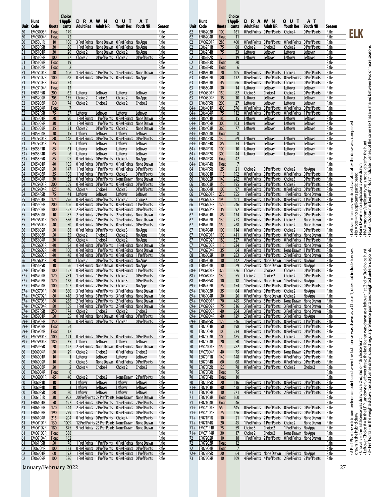|                |                              |                       | Choice                |                                |                                    |                                                                                     |                           |                 |
|----------------|------------------------------|-----------------------|-----------------------|--------------------------------|------------------------------------|-------------------------------------------------------------------------------------|---------------------------|-----------------|
|                | Hunt                         |                       | 1 Appli-              | R<br>A<br>D                    | W<br>N                             | υ<br>Т<br>Ο<br><b>Youth Res</b>                                                     | АΤ                        |                 |
| 50             | Unit Code<br><b>EM05003R</b> | Quota<br><b>Float</b> | cants<br>179          | Adult Res                      | Adult NR                           |                                                                                     | <b>Youth NR</b>           | Season<br>Rifle |
| 50             | <b>EM05004R</b>              | <b>Float</b>          | 72                    |                                |                                    |                                                                                     |                           | Rifle           |
| 50             | <b>EF050L1R</b>              | 10                    | 106                   | 3 Pref Points                  | None Drawn                         | <b>0 Pref Points</b>                                                                | No Apps                   | Rifle           |
| 50             | EF050P5R                     | 30                    | 86                    | 1 Pref Points                  | None Drawn                         | 0 Pref Points                                                                       | No Apps                   | Rifle           |
| 51             | EF05101R                     | 30                    | 26                    | Choice 2                       | None Drawn                         | Choice 2                                                                            | No Apps                   | Rifle           |
| 51             | EF05102R                     | 100                   | 37                    | Choice 2                       | <b>O</b> Pref Points               | Choice 2                                                                            | <b>O</b> Pref Points      | Rifle           |
| 51             | EF05103R                     | <b>Float</b>          | 19                    |                                |                                    |                                                                                     |                           | Rifle           |
| 51<br>51       | EF05104R<br><b>EM05101R</b>  | <b>Float</b><br>40    | $\overline{2}$<br>106 | 1 Pref Points                  | 1 Pref Points                      | 1 Pref Points                                                                       | None Drawn                | Rifle<br>Rifle  |
| 51             | EM05102R                     | 100                   | 68                    | 0 Pref Points                  | 0 Pref Points                      | 0 Pref Points                                                                       | No Apps                   | Rifle           |
| 51             | <b>EM05103R</b>              | Float                 | 34                    |                                |                                    |                                                                                     |                           | Rifle           |
| 51             | <b>EM05104R</b>              | <b>Float</b>          | 13                    |                                |                                    |                                                                                     |                           | Rifle           |
| 51             | EF051P5R                     | 200                   | 62                    | Leftover                       | Leftover                           | Leftover                                                                            | Leftover                  | Rifle           |
| 52             | EF05202R                     | 205                   | 135                   | Choice 2                       | Choice 2                           | Choice 2                                                                            | No Apps                   | Rifle           |
| 52<br>52       | EF05203R<br>EF05204R         | 130<br><b>Float</b>   | 74<br>7               | Choice 2                       | Choice 2                           | Choice 2                                                                            | Choice 2                  | Rifle<br>Rifle  |
| 52             | EF052P5R                     | 75                    | 37                    | Leftover                       | Leftover                           | Leftover                                                                            | Leftover                  | Rifle           |
| 53             | EF05301R                     | 20                    | 90                    | 1 Pref Points                  | 1 Pref Points                      | <b>0 Pref Points</b>                                                                | None Drawn                | Rifle           |
| 53             | EF05302R                     | 30                    | 81                    | 1 Pref Points                  | 1 Pref Points                      | 0 Pref Points                                                                       | None Drawn                | Rifle           |
| 53             | EF05303R                     | 35                    | 31                    | Choice 2                       | 0 Pref Points                      | Choice 2                                                                            | None Drawn                | Rifle           |
| 53             | EF05304R                     | 30                    | 15                    | Leftover                       | Leftover                           | Leftover                                                                            | Leftover                  | Rifle           |
| 53             | EM05301R                     | 80                    | 148                   | 0 Pref Points                  | 0 Pref Points                      | 0 Pref Points                                                                       | 0 Pref Points             | Rifle           |
| 53<br>$53+$    | <b>EM05304R</b>              | 25                    | 5                     | Leftover                       | Leftover                           | Leftover                                                                            | Leftover                  | Rifle           |
| $53+$          | EE053P1R<br>EE053P4R         | 85<br>65              | 61<br>6               | Leftover<br>Leftover           | Leftover<br>Leftover               | Leftover<br>Leftover                                                                | Leftover<br>Leftover      | Rifle<br>Rifle  |
| $53+$          | EF053P5R                     | 85                    | 95                    | 0 Pref Points                  | 0 Pref Points                      | Choice 4                                                                            | No Apps                   | Rifle           |
| 54             | EF05401R                     | 40                    | 105                   | 0 Pref Points                  | 0 Pref Points                      | 0 Pref Points                                                                       | None Drawn                | Rifle           |
| 54             | EF05402R                     | 50                    | 147                   | 1 Pref Points                  | 1 Pref Points                      | 0 Pref Points                                                                       | 0 Pref Points             | Rifle           |
| 54             | EF05403R                     | 35                    | 108                   | 1 Pref Points                  | 1 Pref Points                      | Choice 3                                                                            | 0 Pref Points             | Rifle           |
| 54             | EF05404R                     | 30                    | 32                    | 0 Pref Points                  | 0 Pref Points                      | None Drawn                                                                          | None Drawn                | Rifle           |
| 54             | EM05401R                     | 200                   | 359                   | 0 Pref Points                  | 0 Pref Points                      | 0 Pref Points                                                                       | 0 Pref Points             | Rifle           |
| 54             | <b>EM05404R</b>              | 125                   | 46                    | Choice 4                       | Choice 4                           | Choice 3                                                                            | 0 Pref Points             | Rifle           |
| 54<br>55       | <b>EF054P5R</b><br>EF05501R  | 75<br>175             | 41<br>296             | Leftover<br>0 Pref Points      | Leftover<br>0 Pref Points          | Leftover<br>Choice 2                                                                | Leftover<br>Choice 2      | Rifle<br>Rifle  |
| 55             | EF05502R                     | 200                   | 406                   | 0 Pref Points                  | 0 Pref Points                      | <b>0 Pref Points</b>                                                                | 1 Pref Points             | Rifle           |
| 55             | EF05503R                     | 100                   | 357                   | 2 Pref Points                  | 2 Pref Points                      | <b>O</b> Pref Points                                                                | 0 Pref Points             | Rifle           |
| 55             | EF05504R                     | 10                    | 87                    | 2 Pref Points                  | 2 Pref Points                      | 2 Pref Points                                                                       | None Drawn                | Rifle           |
| 55             | <b>EM05501R</b>              | 140                   | 356                   |                                | 0 Pref Points 1 Pref Points        | 1 Pref Points                                                                       | None Drawn                | Rifle           |
| 55             | <b>EM05504R</b>              | 40                    | 50                    | 0 Pref Points                  | 0 Pref Points                      | 0 Pref Points                                                                       | 0 Pref Points             | Rifle           |
| 56             | EF05602R                     | 50                    | 88                    | 0 Pref Points                  | 0 Pref Points                      | Choice 3                                                                            | No Apps                   | Rifle           |
| 56             | EF05603R                     | 50                    | 35                    | Choice 2                       | Choice 2                           | Choice 2                                                                            | No Apps                   | Rifle           |
| 56<br>56       | EF05604R<br>EM05601R         | 30<br>40              | 10<br>94              | Choice 4<br>0 Pref Points      | Choice 4<br>0 Pref Points          | Choice 2<br>1 Pref Points                                                           | No Apps<br>None Drawn     | Rifle<br>Rifle  |
| 56             | <b>EM05602R</b>              | 40                    | 100                   | 0 Pref Points                  | 1 Pref Points                      | <b>0 Pref Points</b>                                                                | None Drawn                | Rifle           |
| 56             | EM05603R                     | 40                    | 48                    | <b>0 Pref Points</b>           | 0 Pref Points                      | <b>O</b> Pref Points                                                                | 1 Pref Points             | Rifle           |
| 56             | <b>EM05604R</b>              | 20                    | 10                    | Choice 2                       | 0 Pref Points                      | 0 Pref Points                                                                       | No Apps                   | Rifle           |
| 56             | EF056P5R                     | 10                    | 56                    | 1 Pref Points                  | None Drawn                         | <b>0 Pref Points</b>                                                                | No Apps                   | Rifle           |
| $57+$          | EF05701R                     | 100                   | 157                   | 0 Pref Points                  | 0 Pref Points                      | 0 Pref Points                                                                       | 1 Pref Points             | Rifle           |
| $57+$          | EF05702R                     | 120                   | 281                   | 1 Pref Points                  | 1 Pref Points                      | Choice 2                                                                            | 0 Pref Points             | Rifle           |
| $57+$          | EF05703R                     | 120                   | 138                   | 0 Pref Points                  | 0 Pref Points                      | Choice 3                                                                            | 0 Pref Points             | Rifle           |
| $57+$<br>57+   | EF05704R                     | 100<br>80             | 107<br>360            | 0 Pref Points<br>3 Pref Points | 2 Pref Points<br>4 Pref Points     | Choice 2                                                                            | No Apps                   | Rifle<br>Rifle  |
| $57 +$         | <b>EM05701R</b><br>EM05702R  | 80                    | 418                   | 3 Pref Points                  | 3 Pref Points                      | 3 Pref Points<br>3 Pref Points                                                      | None Drawn<br>None Drawn  | <b>Rifle</b>    |
|                | 57+ EM05703R                 | 80                    | 258                   |                                | 2 Pref Points 2 Pref Points        | 2 Pref Points                                                                       | None Drawn                | Rifle           |
|                | 57+ EM05704R                 | 80                    | 159                   |                                | 1 Pref Points 2 Pref Points        | 2 Pref Points                                                                       | None Drawn                | Rifle           |
| $57+$          | EF057P5R                     | 250                   | 174                   | Choice 2                       | Choice 2                           | Choice 2                                                                            | Choice 2                  | Rifle           |
| $59+$          | EF05901R                     | 50                    | 55                    | 0 Pref Points                  | None Drawn                         | 0 Pref Points                                                                       | <b>O Pref Points</b>      | Rifle           |
| $59+$          | EF05902R                     | 150                   | 116                   | 0 Pref Points                  | 0 Pref Points                      | Choice 4                                                                            | <b>0 Pref Points</b>      | Rifle           |
| $59+$          | EF05903R                     | <b>Float</b>          | 54                    |                                |                                    |                                                                                     |                           | Rifle           |
| $59+$<br>$59+$ | EF05904R<br>EM05901R         | Float<br>100          | 12<br>121             | 0 Pref Points                  | 0 Pref Points                      | 0 Pref Points                                                                       | 0 Pref Points             | Rifle<br>Rifle  |
| $59+$          | <b>EM05904R</b>              | 180                   | 35                    | Leftover                       | Leftover                           | Leftover                                                                            | Leftover                  | Rifle           |
| 59             | EF059P5R                     | 20                    | 127                   | 2 Pref Points                  | None Drawn                         | <b>0 Pref Points</b>                                                                | None Drawn                | Rifle           |
| 60             | EE06004R                     | 50                    | <u>29</u>             | Choice 2                       | Choice 2                           | 0 Pref Points                                                                       | Choice 2                  | Rifle           |
| 60             | EF06001R                     | 10                    | 1                     | Leftover                       | Leftover                           | Leftover                                                                            | Leftover                  | Rifle           |
| 60             | EF06002R                     | 10                    | 8                     | Choice 3                       | None Drawn                         | 0 Pref Points                                                                       | <b>0 Pref Points</b>      | Rifle           |
| 60             | EF06003R                     | 20                    | 2                     | Choice 4                       | Choice 4                           | Choice 2                                                                            | Choice 2                  | Rifle           |
| 60             | EF06004R<br>EM06001R         | <b>Float</b>          | 0                     |                                | Choice 2                           |                                                                                     |                           | Rifle           |
| 60<br>60       | EE060P1R                     | 45<br>10              | 40<br>1               | Choice 2<br>Leftover           | Leftover                           | None Drawn<br>Leftover                                                              | 2 Pref Points<br>Leftover | Rifle<br>Rifle  |
| 60             | <b>EE060P4R</b>              | 10                    | 3                     | Leftover                       | Leftover                           | Leftover                                                                            | Leftover                  | Rifle           |
| 60             | EF060P5R                     | 80                    | 20                    | Leftover                       | Leftover                           | Leftover                                                                            | Leftover                  | Rifle           |
| 61             | EE061E1R                     | 30                    | 952                   |                                |                                    | 20 Pref Points 27 Pref Points None Drawn                                            | None Drawn                | Rifle           |
| 61             | EF06101R                     | 50                    | 197                   |                                | 3 Pref Points 4 Pref Points        | 1 Pref Points                                                                       | 2 Pref Points             | Rifle           |
| <u>61</u>      | EF06102R                     | 170                   | 444                   | 2 Pref Points                  | 2 Pref Points                      | <b>0 Pref Points</b>                                                                | <b>O Pref Points</b>      | Rifle           |
| 61             | EF06103R                     | 190                   | 279                   | 1 Pref Points                  | 1 Pref Points                      | 0 Pref Points                                                                       | <b>O Pref Points</b>      | Rifle           |
| 61             | EF06104R                     | 215                   | 204                   |                                | <b>0 Pref Points 0 Pref Points</b> | Choice 4                                                                            | 0 Pref Points             | Rifle           |
| <u>61</u>      | EM06101R<br>EM06102R         | 130<br>180            | 1009<br>875           |                                |                                    | 12 Pref Points 23 Pref Points None Drawn<br>9 Pref Points 22 Pref Points None Drawn | None Drawn<br>None Drawn  | Rifle<br>Rifle  |
| 61<br>61       | EM06103R                     | <b>Float</b>          | 388                   |                                |                                    |                                                                                     |                           | Rifle           |
| <u>61</u>      | EM06104R                     | <b>Float</b>          | 162                   |                                |                                    |                                                                                     |                           | Rifle           |
| 61             | EF061P5R                     | 50                    | 78                    | 1 Pref Points                  | 1 Pref Points                      | 0 Pref Points                                                                       | None Drawn                | Rifle           |
| 62             | EE06204R                     | 100                   | 123                   | 0 Pref Points                  | 0 Pref Points                      | 0 Pref Points                                                                       | 0 Pref Points             | Rifle           |
| 62             | EF06201R                     | 60                    | 192                   | 1 Pref Points                  | 1 Pref Points                      | <b>0 Pref Points</b>                                                                | 1 Pref Points             | Rifle           |
| 62             | EF06202R                     | 100                   | 326                   | 1 Pref Points                  | 1 Pref Points                      | 0 Pref Points                                                                       | 0 Pref Points             | Rifle           |

|                | Hunt                        |                     | 1 Appli-       | A<br>R<br>D                           | W N                                                 | υ<br>т<br>Ο                                  | ΑТ                               |                       |                                                                                                                                                     |
|----------------|-----------------------------|---------------------|----------------|---------------------------------------|-----------------------------------------------------|----------------------------------------------|----------------------------------|-----------------------|-----------------------------------------------------------------------------------------------------------------------------------------------------|
|                | Unit Code                   | Quota               | cants          | <b>Adult Res</b>                      | <b>Adult NR</b>                                     | <b>Youth Res</b>                             | <b>Youth NR</b>                  | Season                |                                                                                                                                                     |
| 62             | EF06203R                    | 100                 | 161            | <b>0 Pref Points</b>                  | <b>O Pref Points</b>                                | Choice 4                                     | 0 Pref Points                    | Rifle                 | ELK                                                                                                                                                 |
| 62             | EF06204R<br>EM06201R        | <b>Float</b>        | 11             | <b>0 Pref Points</b>                  | 0 Pref Points                                       | <b>0 Pref Points</b>                         | <b>OPrefPoints</b>               | Rifle                 |                                                                                                                                                     |
| 62<br>62       | EE062P1R                    | 285<br>75           | 460<br>68      | Choice 2                              | Choice 2                                            | Choice 2                                     | <b>O Pref Points</b>             | Rifle<br>Rifle        |                                                                                                                                                     |
| 62             | EE062P4R                    | 75                  | 33             | <u>Leftover</u>                       | <u>Leftover</u>                                     | Leftover                                     | Leftover                         | Rifle                 |                                                                                                                                                     |
| 62             | EF062P2R                    | 170                 | 19             | Leftover                              | Leftover                                            | Leftover                                     | Leftover                         | Rifle                 |                                                                                                                                                     |
| 62             | EF062P3R                    | <b>Float</b>        | 20             |                                       |                                                     |                                              |                                  | Rifle                 |                                                                                                                                                     |
| 62             | EF062P4R                    | <b>Float</b>        | 6              |                                       |                                                     |                                              |                                  | Rifle                 |                                                                                                                                                     |
| 63             | EF06301R                    | 70                  | 105            | 0 Pref Points                         | <b>0 Pref Points</b>                                | Choice 2                                     | <b>O Pref Points</b>             | Rifle                 |                                                                                                                                                     |
| 63             | EF06302R                    | 80                  | 132            | <b>0 Pref Points</b>                  | 0 Pref Points                                       | <b>0 Pref Points</b>                         | <b>O Pref Points</b>             | Rifle                 |                                                                                                                                                     |
| 63             | EF06303R                    | 45                  | 66             | 0 Pref Points                         | 0 Pref Points                                       | Choice 2                                     | <b>0 Pref Points</b>             | Rifle                 |                                                                                                                                                     |
| 63             | EF06304R<br>EM06301R        | 30<br>150           | 14<br>82       | Leftover                              | <u>Leftover</u><br>Choice 4                         | Leftover                                     | Leftover<br><b>0 Pref Points</b> | Rifle<br>Rifle        |                                                                                                                                                     |
| 63<br>63       | EM06304R                    | 15                  | 10             | Choice 3<br>Leftover                  | Leftover                                            | Choice 2<br><u>Leftover</u>                  | Leftover                         | Rifle                 |                                                                                                                                                     |
| 63             | EF063P5R                    | 200                 | 27             | Leftover                              | Leftover                                            | Leftover                                     | Leftover                         | Rifle                 |                                                                                                                                                     |
| $64+$          | EE06401R                    | 400                 | 576            | <b>0 Pref Points</b>                  | 0 Pref Points                                       | 0 Pref Points                                | <b>0 Pref Points</b>             | Rifle                 |                                                                                                                                                     |
| $64+$          | EE06404R                    | 75                  | 112            | <b>0 Pref Points</b>                  | 0 Pref Points                                       | <b>0 Pref Points</b>                         | 1 Pref Points                    | Rifle                 |                                                                                                                                                     |
| $64+$          | EF06401R                    | 180                 | 15             | Leftover                              | <b>Leftover</b>                                     | Leftover                                     | Leftover                         | Rifle                 |                                                                                                                                                     |
| $64+$          | EF06402R                    | 300                 | 103            | Leftover                              | Leftover                                            | Leftover                                     | Leftover                         | Rifle                 |                                                                                                                                                     |
| $64+$          | EF06403R                    | 360                 | 77             | <b>Leftover</b>                       | Leftover                                            | <u>Leftover</u>                              | Leftover                         | Rifle                 |                                                                                                                                                     |
| $64+$          | EF06404R                    | <b>Float</b>        | 8              |                                       |                                                     |                                              |                                  | Rifle                 |                                                                                                                                                     |
| $64+$<br>$64+$ | EE064P1R<br><b>EE064P4R</b> | 130<br>85           | 69<br>34       | Leftover<br>Leftover                  | Leftover<br>Leftover                                | Leftover                                     | Leftover<br><b>Leftover</b>      | Rifle<br>Rifle        |                                                                                                                                                     |
| $64+$          | EF064P1R                    | 100                 | 10             | Leftover                              | <u>Leftover</u>                                     | <u>Leftover</u><br>Leftover                  | Leftover                         | Rifle                 |                                                                                                                                                     |
| $64+$          | EF064P2R                    | 300                 | 44             | Leftover                              | Leftover                                            | Leftover                                     | Leftover                         | Rifle                 |                                                                                                                                                     |
| $64+$          | EF064P3R                    | <b>Float</b>        | 42             |                                       |                                                     |                                              |                                  | Rifle                 |                                                                                                                                                     |
| $64+$          | EF064P4R                    | <b>Float</b>        | 7              |                                       |                                                     |                                              |                                  | Rifle                 |                                                                                                                                                     |
| 64             | EF064P5R                    | 25                  | 21             | Choice 2                              | <b>0 Pref Points</b>                                | Choice 2                                     | No Apps                          | Rifle                 | Leftover = licenses remained available after the draw was completed<br>None Drawn = no applications were drawn                                      |
| 66             | EF06601R                    | 115                 | 192            | <b>0 Pref Points</b>                  | 0 Pref Points                                       | <b>0 Pref Points</b>                         | <b>OPrefPoints</b>               | Rifle                 |                                                                                                                                                     |
| 66             | EF06602R                    | 140                 | 242            | 0 Pref Points                         | <b>0 Pref Points</b>                                | Choice 3                                     | <b>O Pref Points</b>             | Rifle                 | No Apps = no applicants participated                                                                                                                |
| 66             | EF06603R                    | 150                 | 195            | 0 Pref Points                         | 0 Pref Points                                       | Choice 2                                     | <b>O Pref Points</b>             | Rifle                 |                                                                                                                                                     |
| 66<br>66       | EF06604R<br>EM06601R        | 100<br>230          | 97<br>755      | 0 Pref Points<br>1 Pref Points        | 0 Pref Points<br>3 Pref Points                      | <b>O Pref Points</b><br>1 Pref Points        | <b>OPrefPoints</b><br>None Drawn | Rifle<br><b>Rifle</b> |                                                                                                                                                     |
| 66             | <b>EM06602R</b>             | 190                 | 401            | <b>0 Pref Points</b>                  | 1 Pref Points                                       | <b>0 Pref Points</b>                         | 1 Pref Points                    | Rifle                 |                                                                                                                                                     |
| 66             | EM06603R                    | 125                 | 246            | <b>0 Pref Points</b>                  | 1 Pref Points                                       | <b>O Pref Points</b>                         | 2 Pref Points                    | Rifle                 |                                                                                                                                                     |
| 66             | EM06604R                    | 35                  | 92             | <b>0 Pref Points</b>                  | 2 Pref Points                                       | <b>0 Pref Points</b>                         | 2 Pref Points                    | <b>Rifle</b>          |                                                                                                                                                     |
| 67             | EF06701R                    | 85                  | 134            | 0 Pref Points                         | 0 Pref Points                                       | 0 Pref Points                                | 0 Pref Points                    | Rifle                 |                                                                                                                                                     |
| 67             | EF06702R                    | 130                 | 273            | <b>O Pref Points</b>                  | 0 Pref Points                                       | Choice 3                                     | <b>None Drawn</b>                | Rifle                 |                                                                                                                                                     |
| 67             | EF06703R                    | 150                 | 268            | 0 Pref Points                         | <b>0 Pref Points</b>                                | Choice 2                                     | <b>None Drawn</b>                | Rifle                 |                                                                                                                                                     |
| 67             | EF06704R                    | 100                 | 114            | 0 Pref Points                         | 0 Pref Points                                       | Choice 2                                     | <b>O Pref Points</b>             | Rifle                 |                                                                                                                                                     |
| 67             | EM06701R                    | 190                 | 411            | <b>0 Pref Points</b>                  | 1 Pref Points                                       | <b>O Pref Points</b>                         | None Drawn                       | Rifle                 |                                                                                                                                                     |
| 67             | EM06702R                    | 180                 | 327<br>234     | 0 Pref Points                         | <b>0 Pref Points</b>                                | <b>O</b> Pref Points                         | 1 Pref Points                    | Rifle                 |                                                                                                                                                     |
| 67<br>67       | <b>EM06703R</b><br>EM06704R | 110<br>35           | 64             | 1 Pref Points<br>0 Pref Points        | 1 Pref Points<br>1 Pref Points                      | 1 Pref Points<br>None Drawn                  | None Drawn<br>1 Pref Points      | Rifle<br><u>Rifle</u> |                                                                                                                                                     |
| 68             | EF06802R                    | 10                  | 283            | 3 Pref Points                         | <b>4 Pref Points</b>                                | 2 Pref Points                                | <b>None Drawn</b>                | Rifle                 |                                                                                                                                                     |
| 68             | EF06803R                    | 10                  | 142            | 2 Pref Points                         | None Drawn                                          | 1 Pref Points                                | No Apps                          | Rifle                 |                                                                                                                                                     |
| 68             | EF06804R                    | 10                  | <u>29</u>      | 2 Pref Points                         | None Drawn                                          | <b>O Pref Points</b>                         | No Apps                          | Rifle                 |                                                                                                                                                     |
| $68+$          | EM06801R                    | 375                 | 326            | Choice 2                              | Choice 2                                            | Choice 2                                     | <b>OPrefPoints</b>               | Rifle                 |                                                                                                                                                     |
| $68+$          | EM06804R                    | 130                 | 55             | Choice 2                              | Choice 2                                            | Choice 2                                     | 0 Pref Points                    | Rifle                 |                                                                                                                                                     |
| 68             | EF068P5R                    | 10                  | 18             | 1 Pref Points                         | None Drawn                                          | 1 Pref Points                                | No Apps                          | Rifle                 |                                                                                                                                                     |
| $69+$          | EF06902R                    | 75                  | 154            | 1 Pref Points                         | 1 Pref Points<br><b>0 Pref Points</b>               | <b>O</b> Pref Points                         | 0 Pref Points                    | Rifle                 |                                                                                                                                                     |
| $69+$<br>$69+$ | EF06903R<br>EF06904R        | 35<br>30            | 64<br>26       | 0 Pref Points<br><b>0 Pref Points</b> | None Drawn                                          | Choice 2<br>Choice 2                         | No Apps<br>No Apps               | Rifle<br><u>Rifle</u> |                                                                                                                                                     |
| $69+$          | EM06901R                    | 70                  | 445            | 5 Pref Points                         | 5 Pref Points                                       | <b>None Drawn</b>                            | <b>None Drawn</b>                | Rifle                 |                                                                                                                                                     |
|                | 69+ EM06902R                | 75                  | 316            |                                       | 3 Pref Points 3 Pref Points                         |                                              | 3 Pref Points None Drawn         | Rifle                 |                                                                                                                                                     |
| $69+$          | EM06903R                    | 40                  | 204            |                                       | 3 Pref Points 3 Pref Points                         |                                              | 3 Pref Points None Drawn         | Rifle                 |                                                                                                                                                     |
| $69+$          | EM06904R                    | 40                  | 129            | 2 Pref Points                         | 2 Pref Points                                       | 3 Pref Points                                | No Apps                          | Rifle                 |                                                                                                                                                     |
| $69+$          | EF069P5R                    | 125                 | 346            |                                       | 1 Pref Points 1 Pref Points                         | 0 Pref Points                                | 1 Pref Points                    | Rifle                 |                                                                                                                                                     |
| 70             | EF07001R                    | 50                  | 198            |                                       | 1 Pref Points 1 Pref Points                         |                                              | <b>OPrefPoints 1PrefPoints</b>   | Rifle                 |                                                                                                                                                     |
| 70             | EF07002R                    | 100                 | 234            | <b>0 Pref Points</b>                  | 1 Pref Points                                       |                                              | <b>OPrefPoints OPrefPoints</b>   | Rifle                 |                                                                                                                                                     |
| 70             | EF07003R                    | 100                 | 185            |                                       | <b>O Pref Points O Pref Points</b>                  | Choice 2                                     | <b>0 Pref Points</b>             | Rifle                 |                                                                                                                                                     |
| 70<br>70       | EF07004R<br>EM07001R        | 20<br>150           | 50<br>282      | <b>0 Pref Points</b>                  | 1 Pref Points 1 Pref Points<br><b>O Pref Points</b> | <b>O Pref Points</b><br><b>0 Pref Points</b> | 1 Pref Points<br>1 Pref Points   | Rifle<br>Rifle        |                                                                                                                                                     |
| 70             | <b>EM07004R</b>             | 40                  | 75             | <b>0 Pref Points</b>                  | 1 Pref Points                                       |                                              | None Drawn 2 Pref Points         | Rifle                 |                                                                                                                                                     |
| 70             | EE070P1R                    | 140                 | 148            |                                       | <b>O Pref Points O Pref Points</b>                  |                                              | <b>OPrefPoints OPrefPoints</b>   | Rifle                 |                                                                                                                                                     |
| 70             | EE070P4R                    | 60                  | 68             | <b>O Pref Points</b>                  | <b>O Pref Points</b>                                | <b>O</b> Pref Points                         | <b>O Pref Points</b>             | Rifle                 |                                                                                                                                                     |
| 70             | EF070P2R                    | 125                 | 78             |                                       | <b>OPrefPoints OPrefPoints</b>                      | Choice 2                                     | Choice 2                         | Rifle                 |                                                                                                                                                     |
| 70             | EF070P3R                    | Float               | 75             |                                       |                                                     |                                              |                                  | Rifle                 |                                                                                                                                                     |
| 70             | EF070P4R                    | <b>Float</b>        | 10             |                                       |                                                     |                                              |                                  | Rifle                 |                                                                                                                                                     |
| 70             | EF070P5R                    | 20 <sub>2</sub>     | 116            | 1 Pref Points                         | 1 Pref Points                                       |                                              | <b>OPrefPoints OPrefPoints</b>   | Rifle                 |                                                                                                                                                     |
| $71+$          | EF07101R                    | 40                  | 438            |                                       | 3 Pref Points 3 Pref Points                         |                                              | 2 Pref Points 3 Pref Points      | Rifle                 |                                                                                                                                                     |
| 71             | EF07102R                    | 10                  | 271            | <b>4 Pref Points</b>                  | <b>4 Pref Points</b>                                | 2 Pref Points                                | 2 Pref Points                    | Rifle                 |                                                                                                                                                     |
| 71             | EF07103R<br>EF07104R        | Float               | 160            |                                       |                                                     |                                              |                                  | Rifle<br>Rifle        |                                                                                                                                                     |
| 71<br>$71+$    | EM07101R                    | <b>Float</b><br>550 | 46<br>645      | <b>0 Pref Points</b>                  | 0 Pref Points                                       | <b>O</b> Pref Points                         | 0 Pref Points                    | Rifle                 |                                                                                                                                                     |
| $71+$          | EM07104R                    | 75                  | 126            |                                       | <b>OPrefPoints OPrefPoints</b>                      |                                              | <b>OPrefPoints OPrefPoints</b>   | Rifle                 |                                                                                                                                                     |
| $71+$          | EF071P1R                    | 10                  | 21             |                                       | 1 Pref Points 2 Pref Points                         |                                              | 1 Pref Points None Drawn         | Rifle                 |                                                                                                                                                     |
| $71+$          | EF071P4R                    | 20                  | 45             | 1 Pref Points                         | 1 Pref Points                                       | Choice 2                                     | None Drawn                       | Rifle                 |                                                                                                                                                     |
| $71+$          | <b>EM071P1R</b>             | 75                  | 59             | Choice 3                              | Choice 2                                            | 1 Pref Points                                | No Apps                          | Rifle                 |                                                                                                                                                     |
| $71+$          | <b>EM071P4R</b>             | 30                  | 17             | Choice 2                              | Choice 2                                            | None Drawn No Apps                           |                                  | Rifle                 |                                                                                                                                                     |
| <u>72</u>      | EF07202R                    | 10                  | 18             | 1 Pref Points                         | 2 Pref Points                                       | <b>0 Pref Points</b>                         | None Drawn                       | Rifle                 |                                                                                                                                                     |
| 72             | EF07203R                    | Float               | 12             |                                       |                                                     |                                              |                                  | Rifle                 | Choice $#$ = the last license was drawn as a 2nd, 3rd or 4th choice hunt                                                                            |
| 72             | EF07204R                    | <b>Float</b>        | $\overline{7}$ |                                       |                                                     |                                              |                                  | Rifle                 | # Pref Pts = the minimum preference point used when the last license was drawn as a Choice 1; does not include licenses<br>drawn in the hybrid draw |
| $72+$          | EF072P5R                    | 20                  | 64             | 1 Pref Points                         | None Drawn                                          | 1 Pref Points                                | No Apps                          | Rifle                 |                                                                                                                                                     |
| 73             | EF07302R                    | 10                  | 109            | 4 Pref Points                         | <b>4 Pref Points</b>                                | 2 Pref Points                                | 2 Pref Points                    | Rifle                 |                                                                                                                                                     |

 **Choice**

January/February 2022 27

- No Apps = no applicants participated<br>- None Drawn = no applicants were drawn<br>- None Drawn = no applications were drawn<br>- Float = Quotas marked with "Float" indicate licenses of the same sex that are shared between two or • Float = Quotas marked with "Float" indicate licenses of the same sex that are shared between two or more seasons.• N/A = program/applicant type is not eligible for the hunt • None Drawn = no applications were drawn • No Apps = no applicants participated

drawn in the hybrid draw<br>• Choice # = the last license was drawn as a 2nd, 3rd or 4th choice hunt<br>• Leftover Choice # = in the LPP Landowner Leftover draw, the last license was drawn as a leftover 1 st, 2nd or 3rd choice h # Pref Pts = the minimum preference point used when the last license was drawn as a Choice 1; does not include licenses<br>drawn in the hybrid draw<br>Leftover Choice # = in the LPP Landowner Leftover draw, the last license was • 3+ Pref Points = in the weighted draw, the last license drawn used 3 regular preference points and weighted preference points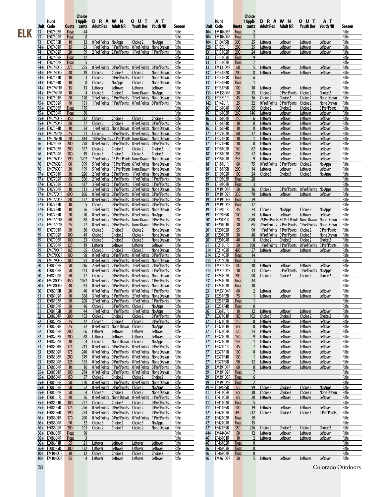Choice<br>Hunt 1Appli-<br><u>Unit Code Quota cants</u>

**Hunt 1 Appli- D**<br>**P** Adult Res Adult NR **Unit Code Quota cants Adult Res Adult NR Youth Res Youth NR Season**  **Choice**

| 73              | EF07303R             | <b>Float</b> | 44             |                                              |                                |                                              |                             | Rifle          |
|-----------------|----------------------|--------------|----------------|----------------------------------------------|--------------------------------|----------------------------------------------|-----------------------------|----------------|
| 73              | EF07304R             | <b>Float</b> | 8              |                                              |                                |                                              |                             | Rifle          |
| 73              | EF073P5R             | 10           | 12             | 0 Pref Points                                | No Apps                        | Choice 2                                     | No Apps                     | Rifle          |
| $74+$           | EF07401R             | 15           | 83             | 1 Pref Points                                | 1 Pref Points                  | 0 Pref Points                                | None Drawn                  | Rifle          |
| 74              | EF07402R             | 20           | 99             | 2 Pref Points                                | 2 Pref Points                  | 1 Pref Points                                | 1 Pref Points               | Rifle          |
| 74              | EF07403R             | <b>Float</b> | 42             |                                              |                                |                                              |                             | Rifle          |
| 74              | EF07404R             | <b>Float</b> | 5              |                                              |                                |                                              |                             | Rifle          |
| $74+$           | EM07401R             | 275          | 285            | 0 Pref Points                                | 0 Pref Points                  | <b>0 Pref Points</b>                         | 0 Pref Points               | Rifle          |
| $74+$           | <b>EM07404R</b>      | 40           | 19             | Choice 2                                     | Choice 2                       | Choice 2                                     | None Drawn                  | Rifle          |
| $74+$           | EF074P1R             | 10           | 3              | Choice 2                                     | <b>0 Pref Points</b>           | Choice 4                                     | None Drawn                  | Rifle          |
| $74+$           | EF074P4R             | 10           | 8              | Choice 2                                     | No Apps                        | Choice 2                                     | None Drawn                  | Rifle          |
| $74+$           | <b>EM074P1R</b>      | 15           | 13             | Leftover                                     | Leftover                       | Leftover                                     | Leftover                    | Rifle          |
| $74+$           | EM074P4R             | 10           | 4              | Choice 3                                     | Choice 2                       | None Drawn                                   | No Apps                     | Rifle          |
| $75+$           | EF07501R             | 20           | 120            | 1 Pref Points                                | 1 Pref Points                  | 1 Pref Points                                | None Drawn                  | Rifle          |
| $75+$           | EF07502R             | 90           | 181            | 1 Pref Points                                | 1 Pref Points                  | 0 Pref Points                                | 0 Pref Points               | Rifle          |
| $75+$           | EF07503R             | <b>Float</b> | 175            |                                              |                                |                                              |                             | Rifle          |
| $75+$           | EF07504R             | <b>Float</b> | 80             |                                              |                                |                                              |                             | Rifle          |
| $75+$           | EM07501R             | 350          | 312            | Choice 2                                     | Choice 2                       | Choice 2                                     | Choice 2                    | Rifle          |
| $75+$           | <b>EM07504R</b>      | 80           | 77             | Choice 2                                     | Choice 2                       | 0 Pref Points                                | <b>0 Pref Points</b>        | Rifle          |
| $75+$           | EF075P4R             | 10           | 34             | 1 Pref Points                                | None Drawn                     | <b>0 Pref Points</b>                         | None Drawn                  | Rifle          |
| $75+$           | EM075P4R             | 25           | <u>21</u>      | Choice 2                                     | 0 Pref Points                  | <b>0 Pref Points</b>                         | <b>None Drawn</b>           | Rifle          |
| 76              | <b>EM076E1R</b>      | 20           | 814            |                                              | 18 Pref Points 25 Pref Points  | None Drawn                                   | None Drawn                  | Rifle          |
| $\frac{76}{9}$  | EF07602R             | 200          | 298            | <b>0 Pref Points 0 Pref Points</b>           |                                | <b>0 Pref Points</b>                         | 0 Pref Points               | Rifle          |
| <u>76</u>       | EF07603R             | 200          | 167            | Choice 2                                     | Choice 2                       | Choice 2                                     | Choice 2                    | Rifle          |
| 76              | EF07604R             | 180          | 19             | Choice 3                                     | Choice 2                       | Choice 3                                     | Choice 2                    | Rifle          |
| $\frac{76}{9}$  | EM07601R             | 190          | 1202           | 7 Pref Points                                | 16 Pref Points None Drawn      |                                              | None Drawn                  | Rifle          |
| 76              | EM07602R             | 60           | 399            | 5 Pref Points                                | 13 Pref Points 6 Pref Points   |                                              | None Drawn                  | Rifle          |
| 76              | EM07603R             | 30           | 199            | 5 Pref Points                                | 10 Pref Points None Drawn      |                                              | None Drawn                  | Rifle          |
| $77+$           | EF07701R             | 30           | 226            | 2 Pref Points                                | 3 Pref Points                  | 1 Pref Points                                | None Drawn                  | Rifle          |
| $77+$           | EF07702R             | 60           | 556            | 2 Pref Points                                | 3 Pref Points                  | 1 Pref Points                                | 1 Pref Points               | Rifle          |
| $77+$           | EF07703R             | 35           | 437            | 3 Pref Points                                | 5 Pref Points                  | 1 Pref Points                                | 1 Pref Points               | Rifle          |
| $77+$           | EF07704R             | 10           | 111            | 3 Pref Points                                | 3 Pref Points                  | 2 Pref Points                                | None Drawn                  | Rifle          |
| $77+$           | EM07701R             | 690          | 806            | <b>0 Pref Points</b>                         | <b>0 Pref Points</b>           | <b>0 Pref Points</b>                         | <b>0 Pref Points</b>        | Rifle          |
| $77+$           | <b>EM07704R</b>      | 80           | 157            | <b>0 Pref Points</b>                         | <b>0 Pref Points</b>           | 0 Pref Points                                | 0 Pref Points               | Rifle          |
| $77+$           | <b>EF077P1R</b>      | 10           | 5              | Choice 2                                     | <b>0 Pref Points</b>           | 0 Pref Points                                | 0 Pref Points               | Rifle          |
| $77+$           | <b>EF077P4R</b>      | 10           | 26             | 1 Pref Points                                | 1 Pref Points                  | <b>0 Pref Points</b>                         | None Drawn                  | Rifle          |
| $77+$           | EF077P5R             | 20           | 20             | 0 Pref Points                                | <b>0 Pref Points</b>           | 0 Pref Points                                | No Apps                     | Rifle          |
| $77+$           | <b>EM077P1R</b>      | 60           | 68             | 0 Pref Points                                | 0 Pref Points                  | None Drawn                                   | 0 Pref Points               | Rifle          |
| $77+$           | EM077P4R             | 25           | 27             | <b>O</b> Pref Points                         | <b>0 Pref Points</b>           | None Drawn                                   | <b>0 Pref Points</b>        | Rifle          |
| 79              | EF07901R             | 50           | 30             | Choice 3                                     | Choice 3                       | Choice 2                                     | None Drawn                  | Rifle          |
| $\overline{79}$ | EF07902R             | 100          | 49             | Choice 3                                     | Choice 2                       | Choice 4                                     | None Drawn                  | Rifle          |
|                 |                      |              |                |                                              |                                |                                              |                             |                |
| 79              | EF07903R             | 100          | 53             | Choice 3                                     | Choice 3                       | Choice 3                                     | None Drawn                  | Rifle          |
| $\overline{79}$ | EF07904R             | 125          | 19             | Leftover                                     | Leftover                       | Leftover                                     | Leftover                    | Rifle          |
| $\overline{79}$ | EM07901R             | 165          | 65             | Choice 3                                     | Choice 3                       | Choice 3                                     | None Drawn                  | Rifle          |
| 79              | <b>EM07902R</b>      | 100          | 98             | <b>O</b> Pref Points                         | <b>0 Pref Points</b>           | <b>O</b> Pref Points                         | <b>0 Pref Points</b>        | Rifle          |
| $\overline{79}$ | <b>EM07903R</b>      | 100          | 91             | 0 Pref Points                                | 0 Pref Points                  | <b>0 Pref Points</b>                         | None Drawn                  | Rifle          |
| 80              | EF08002R             | 50           | 316            | 2 Pref Points                                | 2 Pref Points                  | 1 Pref Points                                | 2 Pref Points               | Rifle          |
| 80              | EF08003R             | 50           | 143            | <b>O</b> Pref Points                         | <b>0 Pref Points</b>           | <b>0 Pref Points</b>                         | 1 Pref Points               | Rifle          |
| 80              | EF08004R             | 50           | 47             | Choice 2                                     | <b>0 Pref Points</b>           | 0 Pref Points                                | None Drawn                  | Rifle          |
| $80+$           | <b>EM08001R</b>      | 450          | 1072           | <b>0 Pref Points</b>                         | 1 Pref Points                  | <b>0 Pref Points</b>                         | 1 Pref Points               | Rifle          |
| $80 +$          | <b>EM08004R</b>      | 40           | 63             | <b>0 Pref Points</b>                         | <b>0 Pref Points</b>           | <b>0 Pref Points</b>                         | None Drawn                  | Rifle          |
| 80              | EF080P5R             | 20           | 40             | <b>0 Pref Points</b>                         | 1 Pref Points                  | 0 Pref Points                                | 1 Pref Points               | Rifle          |
| 81              | EF08102R             | 50           | 368            | 3 Pref Points                                | 3 Pref Points                  | 2 Pref Points                                | None Drawn                  | Rifle          |
| 81              | EF08103R             | 50           | 208            | 2 Pref Points                                | 2 Pref Points                  | 1 Pref Points                                | 1 Pref Points               | Rifle          |
| 81              | EF08104R             | 50           | 46             | Choice 2                                     | 0 Pref Points                  | Choice 2                                     | No Apps                     | Rifle          |
| 81              | <b>EF081P5R</b>      | 20           | 44             | 1 Pref Points                                | 1 Pref Points                  | 1 Pref Points                                | No Apps                     | Rifle          |
| <u>82</u>       | EE08201R             | 300          | 192            | <u>Choice 2</u>                              | Choice 2                       | <u>Choice 2</u>                              | <u>O Pret Points</u>        | <u>Rifle</u>   |
| 82              | EE08204R             | 75           | 42             | Choice 4                                     | Choice 4                       | Choice 2                                     | 0 Pref Points               | Rifle          |
| 82              | EF08201R             | 25           | 32             | <b>0 Pref Points</b>                         | None Drawn                     | Choice 2                                     | No Apps                     | Rifle          |
| 82              | EF08202R             | 200          | 66             | <b>Leftover</b>                              | Leftover                       | Leftover                                     | Leftover                    | Rifle          |
| 82              | EF08203R             | 200          | 68             | Leftover                                     | Leftover                       | Leftover                                     | Leftover                    | Rifle          |
| 82              | EF08204R             | 40           | 4              | Choice 4                                     | None Drawn                     | Choice 2                                     | No Apps                     | Rifle          |
| 83              | EE08301R             | 175          | <u>211</u>     | <b>O</b> Pref Points                         | <b>0 Pref Points</b>           | <b>0 Pref Points</b>                         | <b>0 Pref Points</b>        | Rifle          |
| 83              | EE08302R             | 175          | 240            | <b>0 Pref Points</b>                         | 0 Pref Points                  | <b>0 Pref Points</b>                         | None Drawn                  | Rifle          |
| 83              | EE08303R             | 200          | 319            | <b>0 Pref Points</b>                         | 0 Pref Points                  | <b>0 Pref Points</b>                         | None Drawn                  | Rifle          |
| 83              | EE08304R             | 125<br>10    | 155            | <b>O</b> Pref Points                         | <b>0 Pref Points</b>           | <b>0 Pref Points</b>                         | None Drawn                  | Rifle<br>Rifle |
| 83              | EF08304R<br>EE08501R |              | 16             | <b>0 Pref Points</b><br><b>0 Pref Points</b> | 1 Pref Points<br>0 Pref Points | <b>0 Pref Points</b><br><b>0 Pref Points</b> | 0 Pref Points<br>None Drawn | Rifle          |
| $85+$           | EE08504R             | 100          | 274            |                                              |                                |                                              |                             | Rifle          |
| $85+$<br>$85+$  | EF08502R             | 150<br>50    | 87<br>120      | Choice 2<br><b>0 Pref Points</b>             | Choice 2<br>1 Pref Points      | Choice 2<br>0 Pref Points                    | Choice 2<br>None Drawn      | Rifle          |
| $85+$           | EF08503R             |              | 52             | <b>0 Pref Points</b>                         | 0 Pref Points                  | Choice 3                                     | No Apps                     | Rifle          |
| $85+$           | EF08504R             | 50<br>50     | 4              | Choice 4                                     | Choice 3                       | Choice 2                                     | None Drawn                  | Rifle          |
| $85+$           | EF085L1R             | 40           | 76             | 0 Pref Points                                | None Drawn                     | 0 Pref Points                                | 1 Pref Points               | Rifle          |
| $85+$           | EE085P1R             | 300          | 227            | Choice 2                                     | Choice 2                       | Choice 2                                     | <b>0 Pref Points</b>        | Rifle          |
| $85+$           | EF085P5R             | 175          | 296            | <b>0 Pref Points</b>                         | <b>0 Pref Points</b>           | Choice 2                                     | <b>0 Pref Points</b>        | Rifle          |
| $85+$           | EF085P6R             | 190          | 274            | <b>0 Pref Points</b>                         | <b>0 Pref Points</b>           | Choice 2                                     | 0 Pref Points               | Rifle          |
| $86+$           | EE08601R             | 170          | 260            | <b>0 Pref Points</b>                         | 0 Pref Points                  | <b>0 Pref Points</b>                         | 1 Pref Points               | Rifle          |
| $86+$           | EE08604R             | 90           | 32             | Choice 3                                     | Choice 2                       | Choice 3                                     | No Apps                     | Rifle          |
| $86+$           | EF08602R             | 200          | 103            | Choice 2                                     | Choice 2                       | Choice 2                                     | None Drawn                  | Rifle          |
| $86+$           | EF08603R             | <b>Float</b> | 80             |                                              |                                |                                              |                             | Rifle          |
| $86+$           | EF08604R             | <b>Float</b> | 3              |                                              |                                |                                              |                             | Rifle          |
| $86+$           | EE086P1R             | 55           | 21             | Leftover                                     | Leftover                       | Leftover                                     | Leftover                    | Rifle          |
| $86+$           | EF086P5R             | 300          | 132            | Leftover                                     | Leftover                       | Leftover                                     | Leftover                    | Rifle          |
| 104<br>104      | EM10401R<br>EM10402R | 30<br>85     | <u>12</u><br>4 | Choice 3<br>Leftover                         | Choice 3<br>Leftover           | Choice 2<br>Leftover                         | Choice 2<br>Leftover        | Rifle<br>Rifle |

|                          | Hunt<br>Unit Code           | Quota                        | 1 Appli-<br>cants | R<br>A<br>D<br><b>Adult Res</b> | N<br>W<br>Adult NR                       | U<br>Ο<br>Т<br><b>Youth Res</b> | A<br>Т<br><b>Youth NR</b>          | Season         |
|--------------------------|-----------------------------|------------------------------|-------------------|---------------------------------|------------------------------------------|---------------------------------|------------------------------------|----------------|
| 104                      | EM10403R                    | <b>Float</b>                 | 2                 |                                 |                                          |                                 |                                    | Rifle          |
| <u>104</u>               | EM10404R                    | <b>Float</b>                 | $\overline{3}$    |                                 |                                          |                                 |                                    | Rifle          |
| 104                      | EF104P5R                    | 300                          | 25                | Leftover                        | Leftover                                 | Leftover                        | Leftover                           | Rifle          |
| 128                      | EF128L1R                    | 200                          | 25                | Leftover                        | Leftover                                 | Leftover                        | Leftover                           | Rifle          |
| <u>131</u>               | EF13102R                    | 200                          | 24                | Leftover                        | Leftover                                 | Leftover                        | Leftover                           | Rifle          |
| 131                      | EF13103R                    | <b>Float</b>                 | 9                 |                                 |                                          |                                 |                                    | Rifle          |
| 131                      | EF13104R                    | Float                        | 7                 |                                 |                                          |                                 |                                    | Rifle          |
| <u>131</u><br>131        | EM13104R<br>EF131P2R        | 60<br>200                    | 5<br>8            | Leftover<br>Leftover            | Leftover<br>Leftover                     | Leftover<br>Leftover            | Leftover<br>Leftover               | Rifle<br>Rifle |
| 131                      | EF131P3R                    | <b>Float</b>                 | 6                 |                                 |                                          |                                 |                                    | Rifle          |
| 131                      | EF131P4R                    | <b>Float</b>                 | 1                 |                                 |                                          |                                 |                                    | Rifle          |
| 131                      | EF131P5R                    | 100                          | 10                | <b>Leftover</b>                 | Leftover                                 | Leftover                        | Leftover                           | Rifle          |
|                          | 133+ EM13304R               | 30                           | 15                | Choice 2                        | 0 Pref Points                            | Choice 2                        | Choice 2                           | Rifle          |
|                          | 133+ EF133L1R               | 45                           | 36                | Choice 2                        | Choice 2                                 | Choice 2                        | <b>None Drawn</b>                  | Rifle          |
| 142                      | EF142L1R                    | 25                           | 32                | <b>0 Pref Points</b>            | <b>O</b> Pref Points                     | Choice 2                        | None Drawn                         | Rifle          |
| 161                      | EE16104R                    | 100                          | 85                | Choice 2                        | Choice 2                                 | Choice 2                        | 0 Pref Points                      | Rifle          |
| <u>161</u>               | EF16103R                    | 260                          | 146               | Leftover                        | <u>Leftover</u>                          | <b>Leftover</b>                 | <u>Leftover</u>                    | Rifle          |
| 161<br>161               | EF16104R                    | 150                          | 6                 | Leftover                        | Leftover                                 | Leftover                        | <b>Leftover</b>                    | Rifle<br>Rifle |
|                          | EF161P3R                    | 10<br>10                     | 0<br>0            | Leftover                        | Leftover                                 | Leftover                        | Leftover                           | Rifle          |
| <u>161</u><br>171        | <u>EF161P4R</u><br>EE17104R | 60                           | 37                | <b>Leftover</b><br>Leftover     | <u>Leftover</u><br>Leftover              | <b>Leftover</b><br>Leftover     | <u>Leftover</u><br><b>Leftover</b> | Rifle          |
| 171                      | EF171P3R                    | 10                           | 1                 | Leftover                        | Leftover                                 | Leftover                        | Leftover                           | Rifle          |
| 171                      | EF171P4R                    | 10                           | 0                 | <b>Leftover</b>                 | <u>Leftover</u>                          | <b>Leftover</b>                 | <u>Leftover</u>                    | Rifle          |
| 181                      | EF18102R                    | 160                          | 62                | Leftover                        | Leftover                                 | Leftover                        | <b>Leftover</b>                    | Rifle          |
| 181                      | EF18103R                    | 205                          | 52                | Leftover                        | Leftover                                 | Leftover                        | Leftover                           | Rifle          |
| <u>181</u>               | EF18104R                    | 235                          | 9                 | Leftover                        | <u>Leftover</u>                          | <b>Leftover</b>                 | Leftover                           | Rifle          |
| 181                      | EF181L1R                    | 60                           | 75                | 0 Pref Points                   | 0 Pref Points                            | Choice 2                        | No Apps                            | Rifle          |
| 181                      | EF181P5R                    | 200                          | 14                | Leftover                        | Leftover                                 | Leftover                        | Leftover                           | Rifle          |
| <u>191</u>               | EF19102R                    | 100                          | 24                | Choice 3                        | Choice 3                                 | Choice 3                        | No Apps                            | Rifle          |
| 191                      | EF19103R                    | <b>Float</b>                 | 28                |                                 |                                          |                                 |                                    | Rifle          |
| 191                      | EF19104R                    | <b>Float</b>                 | 3                 |                                 |                                          |                                 |                                    | Rifle          |
| <u>191</u>               | EM19101R                    | 50                           | 36                | Choice 2                        | <b>0 Pref Points</b>                     | 0 Pref Points                   | No Apps                            | Rifle          |
| 191                      | EM19102R                    | 330                          | 70<br>59          | Leftover                        | Leftover                                 | Leftover                        | Leftover                           | Rifle          |
| 191<br><u>191</u>        | EM19103R<br>EM19104R        | <b>Float</b><br><b>Float</b> | 17                |                                 |                                          |                                 |                                    | Rifle<br>Rifle |
| 191                      | EF191L1R                    | 45                           | 24                | Choice 2                        | No Apps                                  | Choice 2                        | No Apps                            | Rifle          |
| 191                      | EF191P5R                    | 100                          | 54                | Leftover                        | Leftover                                 | Leftover                        | Leftover                           | Rifle          |
| 201                      | EE201E1R                    | 28                           | 2080              |                                 | 26 Pref Points 30 Pref Points None Drawn |                                 | <b>None Drawn</b>                  | Rifle          |
| 201                      | EF20101R                    | 30                           | 65                | 2 Pref Points                   | 2 Pref Points                            | 1 Pref Points                   | <b>None Drawn</b>                  | Rifle          |
| 201                      | EF20102R                    | 55                           | 90                | 1 Pref Points                   | 1 Pref Points                            | Choice 2                        | 0 Pref Points                      | Rifle          |
| 201                      | EF20103R                    | 30                           | 48                | <b>0 Pref Points</b>            | <b>0 Pref Points</b>                     | Choice 3                        | <b>None Drawn</b>                  | Rifle          |
| <u> 201</u>              | EF20104R                    | 40                           | 8                 | Choice 2                        | Choice 2                                 | Choice 2                        | Choice 2                           | Rifle          |
| <u>211</u>               | EF211L1R                    | 50                           | 190               | 1 Pref Points                   | 1 Pref Points                            | <b>0 Pref Points</b>            | 0 Pref Points                      | Rifle          |
| 214                      | EF21402R                    | 400                          | 57                | Leftover                        | Leftover                                 | Leftover                        | Leftover                           | Rifle          |
| 214                      | EF21403R                    | <b>Float</b>                 | 14                |                                 |                                          |                                 |                                    | Rifle          |
| 214                      | EF21404R                    | <b>Float</b><br>100          | 3                 |                                 |                                          |                                 |                                    | Rifle          |
| 214<br>214               | EM21401R<br>EM21404R        | 10                           | 48<br>13          | Leftover<br>Choice 2            | Leftover<br><b>0 Pref Points</b>         | Leftover<br>1 Pref Points       | Leftover<br>No Apps                | Rifle<br>Rifle |
| 231                      | EF23102R                    | 200                          | 90                | Choice 2                        | Choice 2                                 | Choice 2                        | Choice 2                           | Rifle          |
| <u>231</u>               | EF23103R                    | <b>Float</b>                 | 44                |                                 |                                          |                                 |                                    | Rifle          |
| <u>231</u>               | EF23104R                    | Float                        | 10                |                                 |                                          |                                 |                                    | Rifle          |
| 231                      | EM23104R                    | 60                           | 2                 | Leftover                        | Leftover                                 | Leftover                        | Leftover                           | Rifle          |
| <u>231</u>               | EE231P2R                    | 75                           | 1                 | Leftover                        | Leftover                                 | Leftover                        | Leftover                           | Rifle          |
| <u>231</u>               | EE231P3R                    | <b>Float</b>                 | 1                 |                                 |                                          |                                 |                                    | Rifle          |
| 231                      | EE231P4R                    | <b>Float</b>                 | 0                 |                                 |                                          |                                 |                                    | Rifle          |
| <u>361</u>               | <u>EF361L1R</u>             | 10                           | 12                | Leftover                        | Leftover                                 | <b>Leftover</b>                 | <b>Leftover</b>                    | Rifle          |
| 371                      | EE37101R                    | 180                          | <u> 102</u>       | Choice 3                        | Choice 3                                 | Choice 2                        | Choice 2                           | Rifle          |
| 371                      | EE37104R                    | 110                          | 8                 | Leftover                        | Leftover                                 | Leftover                        | Leftover                           | Rifle          |
| <u>371</u><br><u>371</u> | <u>EF37101R</u><br>EF37102R | 65<br>120                    | 8<br>24           | Leftover<br>Leftover            | <u>Leftover</u><br>Leftover              | <b>Leftover</b><br>Leftover     | <u>Leftover</u><br><b>Leftover</b> | Rifle<br>Rifle |
| <u>371</u>               | EF37103R                    | 140                          | 9                 | Leftover                        | Leftover                                 | Leftover                        | Leftover                           | Rifle          |
| <u>371</u>               | EF37104R                    | 145                          | 1                 | <b>Leftover</b>                 | <u>Leftover</u>                          | <b>Leftover</b>                 | <u>Leftover</u>                    | Rifle          |
| <u>371</u>               | EF371L1R                    | 45                           | 7                 | Leftover                        | Leftover                                 | Leftover                        | <b>Leftover</b>                    | Rifle          |
| <u>371</u>               | <b>EE371P1R</b>             | 100                          | 0                 | Leftover                        | Leftover                                 | Leftover                        | Leftover                           | Rifle          |
| <u>371</u>               | EE371P4R                    | 100                          | 1                 | Leftover                        | <u>Leftover</u>                          | <b>Leftover</b>                 | <u>Leftover</u>                    | Rifle          |
| <u>371</u>               | EF371P5R                    | 90                           | 12                | Leftover                        | Leftover                                 | Leftover                        | <b>Leftover</b>                    | Rifle          |
| <u>391</u>               | EM39101R                    | 60                           | 8                 | Leftover                        | Leftover                                 | Leftover                        | Leftover                           | Rifle          |
| <u>391</u>               | <u>EM39102R</u>             | <b>Float</b>                 | $\overline{1}$    |                                 |                                          |                                 |                                    | Rifle          |
| $\frac{1}{391}$          | EM39103R                    | <b>Float</b>                 | $\overline{6}$    |                                 |                                          |                                 |                                    | Rifle          |
| <u>391</u>               | EM39104R                    | <b>Float</b>                 | 2                 |                                 |                                          |                                 |                                    | Rifle          |
|                          | <u>391+ EF391P5R</u>        | 175                          | 99                | Choice 2                        | Choice 2                                 | Choice 2                        | No Apps                            | Rifle          |
| 411                      | EF41102R                    | 65<br>65                     | 38                | Choice 2<br>Leftover            | Choice 2                                 | Choice 3                        | <u>None Drawn</u>                  | Rifle<br>Rifle |
| 411                      | EF41103R<br>EF41104R        | <b>Float</b>                 | 20<br>5           |                                 | Leftover                                 | Leftover                        | Leftover                           | Rifle          |
| <u>411</u><br>411        | EF411P5R                    | 100                          | 39                | Leftover                        | Leftover                                 | Leftover                        | Leftover                           | Rifle          |
| 421                      | EF42102R                    | 490                          | 212               | Choice 3                        | Choice 2                                 | Choice 3                        | 0 Pref Points                      | Rifle          |
| <u>421</u>               | EF42103R                    | <b>Float</b>                 | <u>59</u>         |                                 |                                          |                                 |                                    | Rifle          |
| $\frac{4}{21}$           | EF42104R                    | <b>Float</b>                 | 15                |                                 |                                          |                                 |                                    | Rifle          |
| 421                      | EF421P5R                    | 350                          | 226               | Choice 2                        | Choice 2                                 | Choice 2                        | Choice 2                           | Rifle          |
| 444                      | <u>EM44404R</u>             | 50                           | <u> 12</u>        | <b>Leftover</b>                 | <u>Leftover</u>                          | <b>Leftover</b>                 | <u>Leftover</u>                    | Rifle          |
| 461                      | EF46101R                    | 10                           | 2                 | Leftover                        | <u>Leftover</u>                          | Leftover                        | <u>Leftover</u>                    | Rifle          |
| 461                      | EF46102R                    | <b>Float</b>                 | 0                 |                                 |                                          |                                 |                                    | Rifle          |
| <u>461</u>               | EF46103R                    | <b>Float</b>                 | $\bf{0}$          |                                 |                                          |                                 |                                    | Rifle          |
| 461                      | EF46104R                    | <b>Float</b>                 | $\bf{0}$          |                                 |                                          |                                 |                                    | Rifle          |
| 461                      | EM46101R                    | 50                           | 5                 | Leftover                        | Leftover                                 | Leftover                        | Leftover                           | Rifle          |

28 Colorado Outdoors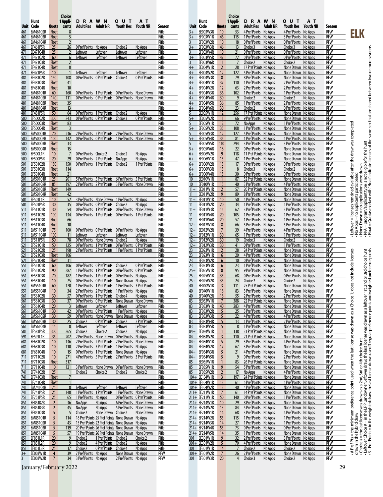| Hunt<br>1 Appli-<br>R<br>w<br>N<br>D<br>A<br>Ο<br><b>Adult NR</b><br>Unit Code<br><b>Adult Res</b><br>Quota<br>cants<br>461<br>EM46102R<br><b>Float</b><br>8<br>461<br>5<br>EM46103R<br><b>Float</b><br>461<br>EM46104R<br>$\overline{2}$<br><b>Float</b><br>EF461P5R<br>26<br>0 Pref Points<br>Choice 2<br>461<br>25<br>No Apps<br>EE47104R<br>25<br>471<br>Leftover<br>Leftover<br>Leftover<br>2<br>471<br>EF47102R<br>60<br>6<br>Leftover<br>Leftover<br>Leftover<br>EF47103R<br>471<br><b>Float</b><br>2<br>471<br>EF47104R<br><b>Float</b><br>0<br>$\mathbf{1}$<br>471<br><b>EF471P5R</b><br>10<br>Leftover<br>Leftover<br>Leftover<br>481<br>EF48102R<br>150<br>108<br>0 Pref Points<br><b>O</b> Pref Points<br>Choice 4<br>481<br><b>Float</b><br>41<br>EF48103R<br>10<br>481<br>EF48104R<br><b>Float</b><br>EM48101R<br>160<br>0 Pref Points<br>1 Pref Points<br>481<br>60<br>481<br>140<br><b>0 Pref Points</b><br>EM48102R<br>111<br><b>O Pref Points</b><br>481<br>35<br>EM48103R<br><b>Float</b><br>13<br>481<br><b>EM48104R</b><br><b>Float</b><br>EF481P5R<br>50<br>64<br><b>0 Pref Points</b><br>1 Pref Points<br>481<br>Choice 2<br>500<br>EF50002R<br>300<br>243<br>0 Pref Points<br><b>O</b> Pref Points<br>Choice 3<br>500<br>83<br>EF50003R<br><b>Float</b><br>500<br>EF50004R<br>3<br><b>Float</b><br>500<br>70<br>236<br>2 Pref Points<br><b>EM50001R</b><br>2 Pref Points<br>500<br>0 Pref Points<br><b>O</b> Pref Points<br><b>EM50002R</b><br>100<br>142<br>500<br><b>EM50003R</b><br>Float<br>33<br>500<br>15<br><b>EM50004R</b><br><b>Float</b><br><b>O Pref Points</b><br>500<br>Choice 2<br>Choice 2<br>EF500L1R<br>10<br>7<br>500<br>20<br>29<br><b>0 Pref Points</b><br>2 Pref Points<br>EF500P5R<br>No Apps<br>501<br>150<br>150<br>1 Pref Points<br>EF50102R<br>0 Pref Points<br>Choice 2<br>114<br>501<br>EF50103R<br><b>Float</b><br>501<br>21<br>EF50104R<br><b>Float</b><br>501<br>25<br>201<br>5 Pref Points<br><b>EM50101R</b><br>5 Pref Points<br>2 Pref Points 2 Pref Points<br>501<br><b>EM50102R</b><br>85<br>197<br>501<br>Float<br>149<br>EM50103R<br>501<br>42<br><b>EM50104R</b><br><b>Float</b><br>EF501L1R<br>52<br>3 Pref Points<br>None Drawn<br>501<br>10<br>501<br>30<br><b>0 Pref Points</b><br>EF501P5R<br>35<br>0 Pref Points<br>Choice 2<br>511<br>30<br>54<br><b>0 Pref Points</b><br>1 Pref Points<br><b>0 Pref Points</b><br>EF51101R | U<br>Т<br>AТ<br>Youth Res<br><b>Youth NR</b><br>Season<br>Rifle<br>Rifle<br>Rifle<br>No Apps<br>Rifle<br>Rifle<br>Leftover<br>Rifle<br>Leftover<br>Rifle<br>Rifle<br>Leftover<br>Rifle<br>0 Pref Points<br>Rifle<br>Rifle<br>Rifle<br><b>O Pref Points</b><br>None Drawn<br>Rifle<br><b>0 Pref Points</b><br>Rifle<br>None Drawn<br>Rifle<br>Rifle |
|---------------------------------------------------------------------------------------------------------------------------------------------------------------------------------------------------------------------------------------------------------------------------------------------------------------------------------------------------------------------------------------------------------------------------------------------------------------------------------------------------------------------------------------------------------------------------------------------------------------------------------------------------------------------------------------------------------------------------------------------------------------------------------------------------------------------------------------------------------------------------------------------------------------------------------------------------------------------------------------------------------------------------------------------------------------------------------------------------------------------------------------------------------------------------------------------------------------------------------------------------------------------------------------------------------------------------------------------------------------------------------------------------------------------------------------------------------------------------------------------------------------------------------------------------------------------------------------------------------------------------------------------------------------------------------------------------------------------------------------------------------------------------------------------------------------------------------------------------------------------------------------------------------------------------------------------------------------------------------------------------------------------------------------------------------------------------------------------------------------------------------------------------------------------------------------------------------------------------------------------------------------------------------------------------------------------------------------------------------------------------------------------------|----------------------------------------------------------------------------------------------------------------------------------------------------------------------------------------------------------------------------------------------------------------------------------------------------------------------------------------------------|
|                                                                                                                                                                                                                                                                                                                                                                                                                                                                                                                                                                                                                                                                                                                                                                                                                                                                                                                                                                                                                                                                                                                                                                                                                                                                                                                                                                                                                                                                                                                                                                                                                                                                                                                                                                                                                                                                                                                                                                                                                                                                                                                                                                                                                                                                                                                                                                                                   |                                                                                                                                                                                                                                                                                                                                                    |
|                                                                                                                                                                                                                                                                                                                                                                                                                                                                                                                                                                                                                                                                                                                                                                                                                                                                                                                                                                                                                                                                                                                                                                                                                                                                                                                                                                                                                                                                                                                                                                                                                                                                                                                                                                                                                                                                                                                                                                                                                                                                                                                                                                                                                                                                                                                                                                                                   |                                                                                                                                                                                                                                                                                                                                                    |
|                                                                                                                                                                                                                                                                                                                                                                                                                                                                                                                                                                                                                                                                                                                                                                                                                                                                                                                                                                                                                                                                                                                                                                                                                                                                                                                                                                                                                                                                                                                                                                                                                                                                                                                                                                                                                                                                                                                                                                                                                                                                                                                                                                                                                                                                                                                                                                                                   |                                                                                                                                                                                                                                                                                                                                                    |
|                                                                                                                                                                                                                                                                                                                                                                                                                                                                                                                                                                                                                                                                                                                                                                                                                                                                                                                                                                                                                                                                                                                                                                                                                                                                                                                                                                                                                                                                                                                                                                                                                                                                                                                                                                                                                                                                                                                                                                                                                                                                                                                                                                                                                                                                                                                                                                                                   |                                                                                                                                                                                                                                                                                                                                                    |
|                                                                                                                                                                                                                                                                                                                                                                                                                                                                                                                                                                                                                                                                                                                                                                                                                                                                                                                                                                                                                                                                                                                                                                                                                                                                                                                                                                                                                                                                                                                                                                                                                                                                                                                                                                                                                                                                                                                                                                                                                                                                                                                                                                                                                                                                                                                                                                                                   |                                                                                                                                                                                                                                                                                                                                                    |
|                                                                                                                                                                                                                                                                                                                                                                                                                                                                                                                                                                                                                                                                                                                                                                                                                                                                                                                                                                                                                                                                                                                                                                                                                                                                                                                                                                                                                                                                                                                                                                                                                                                                                                                                                                                                                                                                                                                                                                                                                                                                                                                                                                                                                                                                                                                                                                                                   |                                                                                                                                                                                                                                                                                                                                                    |
|                                                                                                                                                                                                                                                                                                                                                                                                                                                                                                                                                                                                                                                                                                                                                                                                                                                                                                                                                                                                                                                                                                                                                                                                                                                                                                                                                                                                                                                                                                                                                                                                                                                                                                                                                                                                                                                                                                                                                                                                                                                                                                                                                                                                                                                                                                                                                                                                   |                                                                                                                                                                                                                                                                                                                                                    |
|                                                                                                                                                                                                                                                                                                                                                                                                                                                                                                                                                                                                                                                                                                                                                                                                                                                                                                                                                                                                                                                                                                                                                                                                                                                                                                                                                                                                                                                                                                                                                                                                                                                                                                                                                                                                                                                                                                                                                                                                                                                                                                                                                                                                                                                                                                                                                                                                   |                                                                                                                                                                                                                                                                                                                                                    |
|                                                                                                                                                                                                                                                                                                                                                                                                                                                                                                                                                                                                                                                                                                                                                                                                                                                                                                                                                                                                                                                                                                                                                                                                                                                                                                                                                                                                                                                                                                                                                                                                                                                                                                                                                                                                                                                                                                                                                                                                                                                                                                                                                                                                                                                                                                                                                                                                   |                                                                                                                                                                                                                                                                                                                                                    |
|                                                                                                                                                                                                                                                                                                                                                                                                                                                                                                                                                                                                                                                                                                                                                                                                                                                                                                                                                                                                                                                                                                                                                                                                                                                                                                                                                                                                                                                                                                                                                                                                                                                                                                                                                                                                                                                                                                                                                                                                                                                                                                                                                                                                                                                                                                                                                                                                   |                                                                                                                                                                                                                                                                                                                                                    |
|                                                                                                                                                                                                                                                                                                                                                                                                                                                                                                                                                                                                                                                                                                                                                                                                                                                                                                                                                                                                                                                                                                                                                                                                                                                                                                                                                                                                                                                                                                                                                                                                                                                                                                                                                                                                                                                                                                                                                                                                                                                                                                                                                                                                                                                                                                                                                                                                   |                                                                                                                                                                                                                                                                                                                                                    |
|                                                                                                                                                                                                                                                                                                                                                                                                                                                                                                                                                                                                                                                                                                                                                                                                                                                                                                                                                                                                                                                                                                                                                                                                                                                                                                                                                                                                                                                                                                                                                                                                                                                                                                                                                                                                                                                                                                                                                                                                                                                                                                                                                                                                                                                                                                                                                                                                   |                                                                                                                                                                                                                                                                                                                                                    |
|                                                                                                                                                                                                                                                                                                                                                                                                                                                                                                                                                                                                                                                                                                                                                                                                                                                                                                                                                                                                                                                                                                                                                                                                                                                                                                                                                                                                                                                                                                                                                                                                                                                                                                                                                                                                                                                                                                                                                                                                                                                                                                                                                                                                                                                                                                                                                                                                   |                                                                                                                                                                                                                                                                                                                                                    |
|                                                                                                                                                                                                                                                                                                                                                                                                                                                                                                                                                                                                                                                                                                                                                                                                                                                                                                                                                                                                                                                                                                                                                                                                                                                                                                                                                                                                                                                                                                                                                                                                                                                                                                                                                                                                                                                                                                                                                                                                                                                                                                                                                                                                                                                                                                                                                                                                   |                                                                                                                                                                                                                                                                                                                                                    |
|                                                                                                                                                                                                                                                                                                                                                                                                                                                                                                                                                                                                                                                                                                                                                                                                                                                                                                                                                                                                                                                                                                                                                                                                                                                                                                                                                                                                                                                                                                                                                                                                                                                                                                                                                                                                                                                                                                                                                                                                                                                                                                                                                                                                                                                                                                                                                                                                   |                                                                                                                                                                                                                                                                                                                                                    |
|                                                                                                                                                                                                                                                                                                                                                                                                                                                                                                                                                                                                                                                                                                                                                                                                                                                                                                                                                                                                                                                                                                                                                                                                                                                                                                                                                                                                                                                                                                                                                                                                                                                                                                                                                                                                                                                                                                                                                                                                                                                                                                                                                                                                                                                                                                                                                                                                   |                                                                                                                                                                                                                                                                                                                                                    |
|                                                                                                                                                                                                                                                                                                                                                                                                                                                                                                                                                                                                                                                                                                                                                                                                                                                                                                                                                                                                                                                                                                                                                                                                                                                                                                                                                                                                                                                                                                                                                                                                                                                                                                                                                                                                                                                                                                                                                                                                                                                                                                                                                                                                                                                                                                                                                                                                   | Rifle<br>No Apps                                                                                                                                                                                                                                                                                                                                   |
|                                                                                                                                                                                                                                                                                                                                                                                                                                                                                                                                                                                                                                                                                                                                                                                                                                                                                                                                                                                                                                                                                                                                                                                                                                                                                                                                                                                                                                                                                                                                                                                                                                                                                                                                                                                                                                                                                                                                                                                                                                                                                                                                                                                                                                                                                                                                                                                                   | <b>0 Pref Points</b><br>Rifle                                                                                                                                                                                                                                                                                                                      |
|                                                                                                                                                                                                                                                                                                                                                                                                                                                                                                                                                                                                                                                                                                                                                                                                                                                                                                                                                                                                                                                                                                                                                                                                                                                                                                                                                                                                                                                                                                                                                                                                                                                                                                                                                                                                                                                                                                                                                                                                                                                                                                                                                                                                                                                                                                                                                                                                   | Rifle<br>Rifle                                                                                                                                                                                                                                                                                                                                     |
|                                                                                                                                                                                                                                                                                                                                                                                                                                                                                                                                                                                                                                                                                                                                                                                                                                                                                                                                                                                                                                                                                                                                                                                                                                                                                                                                                                                                                                                                                                                                                                                                                                                                                                                                                                                                                                                                                                                                                                                                                                                                                                                                                                                                                                                                                                                                                                                                   | 2 Pref Points<br>Rifle<br>None Drawn                                                                                                                                                                                                                                                                                                               |
|                                                                                                                                                                                                                                                                                                                                                                                                                                                                                                                                                                                                                                                                                                                                                                                                                                                                                                                                                                                                                                                                                                                                                                                                                                                                                                                                                                                                                                                                                                                                                                                                                                                                                                                                                                                                                                                                                                                                                                                                                                                                                                                                                                                                                                                                                                                                                                                                   | 1 Pref Points<br>None Drawn<br>Rifle                                                                                                                                                                                                                                                                                                               |
|                                                                                                                                                                                                                                                                                                                                                                                                                                                                                                                                                                                                                                                                                                                                                                                                                                                                                                                                                                                                                                                                                                                                                                                                                                                                                                                                                                                                                                                                                                                                                                                                                                                                                                                                                                                                                                                                                                                                                                                                                                                                                                                                                                                                                                                                                                                                                                                                   | Rifle                                                                                                                                                                                                                                                                                                                                              |
|                                                                                                                                                                                                                                                                                                                                                                                                                                                                                                                                                                                                                                                                                                                                                                                                                                                                                                                                                                                                                                                                                                                                                                                                                                                                                                                                                                                                                                                                                                                                                                                                                                                                                                                                                                                                                                                                                                                                                                                                                                                                                                                                                                                                                                                                                                                                                                                                   | Rifle                                                                                                                                                                                                                                                                                                                                              |
|                                                                                                                                                                                                                                                                                                                                                                                                                                                                                                                                                                                                                                                                                                                                                                                                                                                                                                                                                                                                                                                                                                                                                                                                                                                                                                                                                                                                                                                                                                                                                                                                                                                                                                                                                                                                                                                                                                                                                                                                                                                                                                                                                                                                                                                                                                                                                                                                   | No Apps<br>Rifle                                                                                                                                                                                                                                                                                                                                   |
|                                                                                                                                                                                                                                                                                                                                                                                                                                                                                                                                                                                                                                                                                                                                                                                                                                                                                                                                                                                                                                                                                                                                                                                                                                                                                                                                                                                                                                                                                                                                                                                                                                                                                                                                                                                                                                                                                                                                                                                                                                                                                                                                                                                                                                                                                                                                                                                                   | Rifle<br>No Apps                                                                                                                                                                                                                                                                                                                                   |
|                                                                                                                                                                                                                                                                                                                                                                                                                                                                                                                                                                                                                                                                                                                                                                                                                                                                                                                                                                                                                                                                                                                                                                                                                                                                                                                                                                                                                                                                                                                                                                                                                                                                                                                                                                                                                                                                                                                                                                                                                                                                                                                                                                                                                                                                                                                                                                                                   | 1 Pref Points<br>Rifle                                                                                                                                                                                                                                                                                                                             |
|                                                                                                                                                                                                                                                                                                                                                                                                                                                                                                                                                                                                                                                                                                                                                                                                                                                                                                                                                                                                                                                                                                                                                                                                                                                                                                                                                                                                                                                                                                                                                                                                                                                                                                                                                                                                                                                                                                                                                                                                                                                                                                                                                                                                                                                                                                                                                                                                   | Rifle<br>Rifle                                                                                                                                                                                                                                                                                                                                     |
|                                                                                                                                                                                                                                                                                                                                                                                                                                                                                                                                                                                                                                                                                                                                                                                                                                                                                                                                                                                                                                                                                                                                                                                                                                                                                                                                                                                                                                                                                                                                                                                                                                                                                                                                                                                                                                                                                                                                                                                                                                                                                                                                                                                                                                                                                                                                                                                                   | <b>6 Pref Points</b><br>5 Pref Points<br>Rifle                                                                                                                                                                                                                                                                                                     |
|                                                                                                                                                                                                                                                                                                                                                                                                                                                                                                                                                                                                                                                                                                                                                                                                                                                                                                                                                                                                                                                                                                                                                                                                                                                                                                                                                                                                                                                                                                                                                                                                                                                                                                                                                                                                                                                                                                                                                                                                                                                                                                                                                                                                                                                                                                                                                                                                   | 3 Pref Points<br>None Drawn<br>Rifle                                                                                                                                                                                                                                                                                                               |
|                                                                                                                                                                                                                                                                                                                                                                                                                                                                                                                                                                                                                                                                                                                                                                                                                                                                                                                                                                                                                                                                                                                                                                                                                                                                                                                                                                                                                                                                                                                                                                                                                                                                                                                                                                                                                                                                                                                                                                                                                                                                                                                                                                                                                                                                                                                                                                                                   | Rifle                                                                                                                                                                                                                                                                                                                                              |
|                                                                                                                                                                                                                                                                                                                                                                                                                                                                                                                                                                                                                                                                                                                                                                                                                                                                                                                                                                                                                                                                                                                                                                                                                                                                                                                                                                                                                                                                                                                                                                                                                                                                                                                                                                                                                                                                                                                                                                                                                                                                                                                                                                                                                                                                                                                                                                                                   | Rifle                                                                                                                                                                                                                                                                                                                                              |
|                                                                                                                                                                                                                                                                                                                                                                                                                                                                                                                                                                                                                                                                                                                                                                                                                                                                                                                                                                                                                                                                                                                                                                                                                                                                                                                                                                                                                                                                                                                                                                                                                                                                                                                                                                                                                                                                                                                                                                                                                                                                                                                                                                                                                                                                                                                                                                                                   | 1 Pref Points<br>No Apps<br>Rifle                                                                                                                                                                                                                                                                                                                  |
|                                                                                                                                                                                                                                                                                                                                                                                                                                                                                                                                                                                                                                                                                                                                                                                                                                                                                                                                                                                                                                                                                                                                                                                                                                                                                                                                                                                                                                                                                                                                                                                                                                                                                                                                                                                                                                                                                                                                                                                                                                                                                                                                                                                                                                                                                                                                                                                                   | Rifle<br>No Apps                                                                                                                                                                                                                                                                                                                                   |
|                                                                                                                                                                                                                                                                                                                                                                                                                                                                                                                                                                                                                                                                                                                                                                                                                                                                                                                                                                                                                                                                                                                                                                                                                                                                                                                                                                                                                                                                                                                                                                                                                                                                                                                                                                                                                                                                                                                                                                                                                                                                                                                                                                                                                                                                                                                                                                                                   | None Drawn<br>Rifle                                                                                                                                                                                                                                                                                                                                |
| 511<br>EF51102R<br>100<br>134<br>0 Pref Points<br>1 Pref Points<br>511<br><b>Float</b><br>EF51103R<br>66                                                                                                                                                                                                                                                                                                                                                                                                                                                                                                                                                                                                                                                                                                                                                                                                                                                                                                                                                                                                                                                                                                                                                                                                                                                                                                                                                                                                                                                                                                                                                                                                                                                                                                                                                                                                                                                                                                                                                                                                                                                                                                                                                                                                                                                                                          | <b>O Pref Points</b><br>1 Pref Points<br>Rifle<br>Rifle                                                                                                                                                                                                                                                                                            |
| 511<br>EF51104R<br>10<br><b>Float</b>                                                                                                                                                                                                                                                                                                                                                                                                                                                                                                                                                                                                                                                                                                                                                                                                                                                                                                                                                                                                                                                                                                                                                                                                                                                                                                                                                                                                                                                                                                                                                                                                                                                                                                                                                                                                                                                                                                                                                                                                                                                                                                                                                                                                                                                                                                                                                             | Rifle                                                                                                                                                                                                                                                                                                                                              |
| 511<br><b>EM51101R</b><br>100<br>0 Pref Points<br><b>O</b> Pref Points<br>75                                                                                                                                                                                                                                                                                                                                                                                                                                                                                                                                                                                                                                                                                                                                                                                                                                                                                                                                                                                                                                                                                                                                                                                                                                                                                                                                                                                                                                                                                                                                                                                                                                                                                                                                                                                                                                                                                                                                                                                                                                                                                                                                                                                                                                                                                                                      | <b>O Pref Points</b><br>No Apps<br>Rifle                                                                                                                                                                                                                                                                                                           |
| 511<br>100<br><b>EM51104R</b><br>11<br>Leftover<br>Leftover<br>Leftover                                                                                                                                                                                                                                                                                                                                                                                                                                                                                                                                                                                                                                                                                                                                                                                                                                                                                                                                                                                                                                                                                                                                                                                                                                                                                                                                                                                                                                                                                                                                                                                                                                                                                                                                                                                                                                                                                                                                                                                                                                                                                                                                                                                                                                                                                                                           | Rifle<br>Leftover                                                                                                                                                                                                                                                                                                                                  |
| 511<br><b>EF511P5R</b><br>50<br>78<br><b>0 Pref Points</b><br>None Drawn<br>Choice 2                                                                                                                                                                                                                                                                                                                                                                                                                                                                                                                                                                                                                                                                                                                                                                                                                                                                                                                                                                                                                                                                                                                                                                                                                                                                                                                                                                                                                                                                                                                                                                                                                                                                                                                                                                                                                                                                                                                                                                                                                                                                                                                                                                                                                                                                                                              | Rifle<br>No Apps                                                                                                                                                                                                                                                                                                                                   |
| 50<br>125<br>0 Pref Points<br>521<br>EF52101R<br>1 Pref Points                                                                                                                                                                                                                                                                                                                                                                                                                                                                                                                                                                                                                                                                                                                                                                                                                                                                                                                                                                                                                                                                                                                                                                                                                                                                                                                                                                                                                                                                                                                                                                                                                                                                                                                                                                                                                                                                                                                                                                                                                                                                                                                                                                                                                                                                                                                                    | <b>O Pref Points</b><br>0 Pref Points<br>Rifle                                                                                                                                                                                                                                                                                                     |
| 25<br>198<br>2 Pref Points<br>2 Pref Points<br>521<br>EF52102R                                                                                                                                                                                                                                                                                                                                                                                                                                                                                                                                                                                                                                                                                                                                                                                                                                                                                                                                                                                                                                                                                                                                                                                                                                                                                                                                                                                                                                                                                                                                                                                                                                                                                                                                                                                                                                                                                                                                                                                                                                                                                                                                                                                                                                                                                                                                    | 1 Pref Points<br>1 Pref Points<br>Rifle                                                                                                                                                                                                                                                                                                            |
| 521<br>EF52103R<br>106<br><b>Float</b>                                                                                                                                                                                                                                                                                                                                                                                                                                                                                                                                                                                                                                                                                                                                                                                                                                                                                                                                                                                                                                                                                                                                                                                                                                                                                                                                                                                                                                                                                                                                                                                                                                                                                                                                                                                                                                                                                                                                                                                                                                                                                                                                                                                                                                                                                                                                                            | Rifle                                                                                                                                                                                                                                                                                                                                              |
| 521<br>EF52104R<br><b>Float</b><br>31<br>551<br>106<br><b>0 Pref Points</b><br><b>0 Pref Points</b><br>Choice 2<br>EF55101R<br>60                                                                                                                                                                                                                                                                                                                                                                                                                                                                                                                                                                                                                                                                                                                                                                                                                                                                                                                                                                                                                                                                                                                                                                                                                                                                                                                                                                                                                                                                                                                                                                                                                                                                                                                                                                                                                                                                                                                                                                                                                                                                                                                                                                                                                                                                 | Rifle<br><b>0 Pref Points</b><br>Rifle                                                                                                                                                                                                                                                                                                             |
| 551<br>EF55102R<br>90<br>287<br>1 Pref Points<br>1 Pref Points                                                                                                                                                                                                                                                                                                                                                                                                                                                                                                                                                                                                                                                                                                                                                                                                                                                                                                                                                                                                                                                                                                                                                                                                                                                                                                                                                                                                                                                                                                                                                                                                                                                                                                                                                                                                                                                                                                                                                                                                                                                                                                                                                                                                                                                                                                                                    | <b>0 Pref Points</b><br><b>0 Pref Points</b><br>Rifle                                                                                                                                                                                                                                                                                              |
| 182<br>1 Pref Points<br>1 Pref Points<br>551<br>EF55103R<br>70                                                                                                                                                                                                                                                                                                                                                                                                                                                                                                                                                                                                                                                                                                                                                                                                                                                                                                                                                                                                                                                                                                                                                                                                                                                                                                                                                                                                                                                                                                                                                                                                                                                                                                                                                                                                                                                                                                                                                                                                                                                                                                                                                                                                                                                                                                                                    | <b>O Pref Points</b><br>No Apps<br>Rifle                                                                                                                                                                                                                                                                                                           |
| 551<br><b>0 Pref Points</b><br>EF55104R<br>10<br>25<br><b>O Pref Points</b>                                                                                                                                                                                                                                                                                                                                                                                                                                                                                                                                                                                                                                                                                                                                                                                                                                                                                                                                                                                                                                                                                                                                                                                                                                                                                                                                                                                                                                                                                                                                                                                                                                                                                                                                                                                                                                                                                                                                                                                                                                                                                                                                                                                                                                                                                                                       | None Drawn<br>No Apps<br>Rifle                                                                                                                                                                                                                                                                                                                     |
| 551<br>60<br>170<br>1 Pref Points<br>1 Pref Points<br><b>EM55101R</b>                                                                                                                                                                                                                                                                                                                                                                                                                                                                                                                                                                                                                                                                                                                                                                                                                                                                                                                                                                                                                                                                                                                                                                                                                                                                                                                                                                                                                                                                                                                                                                                                                                                                                                                                                                                                                                                                                                                                                                                                                                                                                                                                                                                                                                                                                                                             | 1 Pref Points<br>3 Pref Points<br>Rifle                                                                                                                                                                                                                                                                                                            |
| 34<br>2 Pref Points<br>2 Pref Points<br>551<br><b>EM55104R</b><br>10                                                                                                                                                                                                                                                                                                                                                                                                                                                                                                                                                                                                                                                                                                                                                                                                                                                                                                                                                                                                                                                                                                                                                                                                                                                                                                                                                                                                                                                                                                                                                                                                                                                                                                                                                                                                                                                                                                                                                                                                                                                                                                                                                                                                                                                                                                                              | 1 Pref Points<br>No Apps<br>Rifle                                                                                                                                                                                                                                                                                                                  |
| 30<br>57<br>561<br>EF56102R<br>0 Pref Points<br>1 Pref Points<br><u>Choice 4</u>                                                                                                                                                                                                                                                                                                                                                                                                                                                                                                                                                                                                                                                                                                                                                                                                                                                                                                                                                                                                                                                                                                                                                                                                                                                                                                                                                                                                                                                                                                                                                                                                                                                                                                                                                                                                                                                                                                                                                                                                                                                                                                                                                                                                                                                                                                                  | Rifle<br><u>No Apps</u>                                                                                                                                                                                                                                                                                                                            |
| 561<br>EF56103R<br>30<br>37<br>0 Pref Points<br><b>O Pref Points</b>                                                                                                                                                                                                                                                                                                                                                                                                                                                                                                                                                                                                                                                                                                                                                                                                                                                                                                                                                                                                                                                                                                                                                                                                                                                                                                                                                                                                                                                                                                                                                                                                                                                                                                                                                                                                                                                                                                                                                                                                                                                                                                                                                                                                                                                                                                                              | None Drawn<br>None Drawn<br>Rifle                                                                                                                                                                                                                                                                                                                  |
| 3<br>561<br>EF56104R<br>20<br><b>Leftover</b><br>Leftover<br>Leftover<br><b>EM56101R</b><br><b>O Pref Points</b><br><b>O Pref Points</b><br>42                                                                                                                                                                                                                                                                                                                                                                                                                                                                                                                                                                                                                                                                                                                                                                                                                                                                                                                                                                                                                                                                                                                                                                                                                                                                                                                                                                                                                                                                                                                                                                                                                                                                                                                                                                                                                                                                                                                                                                                                                                                                                                                                                                                                                                                    | Leftover<br>Rifle<br>1 Pref Points<br>No Apps<br>Rifle                                                                                                                                                                                                                                                                                             |
| 561<br>30<br>561<br><b>EM56102R</b><br>30<br>59<br><b>OPrefPoints</b><br>None Drawn                                                                                                                                                                                                                                                                                                                                                                                                                                                                                                                                                                                                                                                                                                                                                                                                                                                                                                                                                                                                                                                                                                                                                                                                                                                                                                                                                                                                                                                                                                                                                                                                                                                                                                                                                                                                                                                                                                                                                                                                                                                                                                                                                                                                                                                                                                               | None Drawn<br>No Apps<br>Rifle                                                                                                                                                                                                                                                                                                                     |
| 561<br>EM56103R<br>30<br>25<br>Choice 2<br><u>O Pref Points</u><br>Choice 2                                                                                                                                                                                                                                                                                                                                                                                                                                                                                                                                                                                                                                                                                                                                                                                                                                                                                                                                                                                                                                                                                                                                                                                                                                                                                                                                                                                                                                                                                                                                                                                                                                                                                                                                                                                                                                                                                                                                                                                                                                                                                                                                                                                                                                                                                                                       | 2 Pref Points<br>Rifle                                                                                                                                                                                                                                                                                                                             |
| 561<br>EM56104R<br>15<br>Leftover<br>Leftover<br>Leftover<br>0                                                                                                                                                                                                                                                                                                                                                                                                                                                                                                                                                                                                                                                                                                                                                                                                                                                                                                                                                                                                                                                                                                                                                                                                                                                                                                                                                                                                                                                                                                                                                                                                                                                                                                                                                                                                                                                                                                                                                                                                                                                                                                                                                                                                                                                                                                                                    | Leftover<br>Rifle                                                                                                                                                                                                                                                                                                                                  |
| 581<br>EF581P5R<br>300<br>265<br>Choice 2<br>Choice 2<br>Choice 2                                                                                                                                                                                                                                                                                                                                                                                                                                                                                                                                                                                                                                                                                                                                                                                                                                                                                                                                                                                                                                                                                                                                                                                                                                                                                                                                                                                                                                                                                                                                                                                                                                                                                                                                                                                                                                                                                                                                                                                                                                                                                                                                                                                                                                                                                                                                 | No Apps<br>Rifle                                                                                                                                                                                                                                                                                                                                   |
| 2 Pref Points<br>591<br>EF591L1R<br><u>35</u><br>202<br>None Drawn                                                                                                                                                                                                                                                                                                                                                                                                                                                                                                                                                                                                                                                                                                                                                                                                                                                                                                                                                                                                                                                                                                                                                                                                                                                                                                                                                                                                                                                                                                                                                                                                                                                                                                                                                                                                                                                                                                                                                                                                                                                                                                                                                                                                                                                                                                                                | <b>OPrefPoints</b><br>No Apps<br>Rifle                                                                                                                                                                                                                                                                                                             |
| 2 Pref Points<br>681<br>EF68102R<br>10<br>136<br>2 Pref Points                                                                                                                                                                                                                                                                                                                                                                                                                                                                                                                                                                                                                                                                                                                                                                                                                                                                                                                                                                                                                                                                                                                                                                                                                                                                                                                                                                                                                                                                                                                                                                                                                                                                                                                                                                                                                                                                                                                                                                                                                                                                                                                                                                                                                                                                                                                                    | 2 Pref Points<br>None Drawn<br>Rifle                                                                                                                                                                                                                                                                                                               |
| 681<br>EF68103R<br>10<br>110<br>2 Pref Points<br>3 Pref Points                                                                                                                                                                                                                                                                                                                                                                                                                                                                                                                                                                                                                                                                                                                                                                                                                                                                                                                                                                                                                                                                                                                                                                                                                                                                                                                                                                                                                                                                                                                                                                                                                                                                                                                                                                                                                                                                                                                                                                                                                                                                                                                                                                                                                                                                                                                                    | 1 Pref Points<br>Rifle<br>No Apps                                                                                                                                                                                                                                                                                                                  |
| 10<br>681<br>EF68104R<br>15<br>O Pref Points<br>1 Pref Points<br>5 Pref Points                                                                                                                                                                                                                                                                                                                                                                                                                                                                                                                                                                                                                                                                                                                                                                                                                                                                                                                                                                                                                                                                                                                                                                                                                                                                                                                                                                                                                                                                                                                                                                                                                                                                                                                                                                                                                                                                                                                                                                                                                                                                                                                                                                                                                                                                                                                    | None Drawn<br>No Apps<br>Rifle<br>2 Pref Points                                                                                                                                                                                                                                                                                                    |
| 711<br>EF71102R<br>10<br>271<br><b>4 Pref Points</b><br>711<br>EF71103R<br><b>Float</b><br>317                                                                                                                                                                                                                                                                                                                                                                                                                                                                                                                                                                                                                                                                                                                                                                                                                                                                                                                                                                                                                                                                                                                                                                                                                                                                                                                                                                                                                                                                                                                                                                                                                                                                                                                                                                                                                                                                                                                                                                                                                                                                                                                                                                                                                                                                                                    | 3 Pref Points<br>Rifle<br>Rifle                                                                                                                                                                                                                                                                                                                    |
| 3 Pref Points<br>None Drawn<br>711<br>EF71104R<br>10<br>121                                                                                                                                                                                                                                                                                                                                                                                                                                                                                                                                                                                                                                                                                                                                                                                                                                                                                                                                                                                                                                                                                                                                                                                                                                                                                                                                                                                                                                                                                                                                                                                                                                                                                                                                                                                                                                                                                                                                                                                                                                                                                                                                                                                                                                                                                                                                       | 0 Pref Points<br>None Drawn<br>Rifle                                                                                                                                                                                                                                                                                                               |
| 25<br>741<br>EF74102R<br>Choice 2<br>Choice 2<br>Choice 2<br>1                                                                                                                                                                                                                                                                                                                                                                                                                                                                                                                                                                                                                                                                                                                                                                                                                                                                                                                                                                                                                                                                                                                                                                                                                                                                                                                                                                                                                                                                                                                                                                                                                                                                                                                                                                                                                                                                                                                                                                                                                                                                                                                                                                                                                                                                                                                                    | Choice 2<br>Rifle                                                                                                                                                                                                                                                                                                                                  |
| 741<br>$\overline{7}$<br>EF74103R<br><b>Float</b>                                                                                                                                                                                                                                                                                                                                                                                                                                                                                                                                                                                                                                                                                                                                                                                                                                                                                                                                                                                                                                                                                                                                                                                                                                                                                                                                                                                                                                                                                                                                                                                                                                                                                                                                                                                                                                                                                                                                                                                                                                                                                                                                                                                                                                                                                                                                                 | Rifle                                                                                                                                                                                                                                                                                                                                              |
| 741<br>$\mathbf{1}$<br>EF74104R<br><b>Float</b>                                                                                                                                                                                                                                                                                                                                                                                                                                                                                                                                                                                                                                                                                                                                                                                                                                                                                                                                                                                                                                                                                                                                                                                                                                                                                                                                                                                                                                                                                                                                                                                                                                                                                                                                                                                                                                                                                                                                                                                                                                                                                                                                                                                                                                                                                                                                                   | Rifle                                                                                                                                                                                                                                                                                                                                              |
| $\pmb{0}$<br>Leftover<br>Leftover<br>Leftover<br>741<br><b>EM74104R</b><br>75                                                                                                                                                                                                                                                                                                                                                                                                                                                                                                                                                                                                                                                                                                                                                                                                                                                                                                                                                                                                                                                                                                                                                                                                                                                                                                                                                                                                                                                                                                                                                                                                                                                                                                                                                                                                                                                                                                                                                                                                                                                                                                                                                                                                                                                                                                                     | Leftover<br>Rifle                                                                                                                                                                                                                                                                                                                                  |
| 25<br>741<br>EF741P5R<br>140<br>1 Pref Points<br>1 Pref Points                                                                                                                                                                                                                                                                                                                                                                                                                                                                                                                                                                                                                                                                                                                                                                                                                                                                                                                                                                                                                                                                                                                                                                                                                                                                                                                                                                                                                                                                                                                                                                                                                                                                                                                                                                                                                                                                                                                                                                                                                                                                                                                                                                                                                                                                                                                                    | 1 Pref Points<br>None Drawn<br>Rifle                                                                                                                                                                                                                                                                                                               |
| 1 Pref Points<br>751<br>EF751P5R<br><u>25</u><br>65<br>No Apps                                                                                                                                                                                                                                                                                                                                                                                                                                                                                                                                                                                                                                                                                                                                                                                                                                                                                                                                                                                                                                                                                                                                                                                                                                                                                                                                                                                                                                                                                                                                                                                                                                                                                                                                                                                                                                                                                                                                                                                                                                                                                                                                                                                                                                                                                                                                    | <b>O</b> Pref Points<br>0 Pref Points<br>Rifle                                                                                                                                                                                                                                                                                                     |
| 851<br><b>EE851K2R</b><br>$\overline{2}$<br>36<br>No Apps<br>No Apps<br>$\overline{2}$<br>851<br><b>EE851K3R</b><br>45<br>No Apps<br>No Apps                                                                                                                                                                                                                                                                                                                                                                                                                                                                                                                                                                                                                                                                                                                                                                                                                                                                                                                                                                                                                                                                                                                                                                                                                                                                                                                                                                                                                                                                                                                                                                                                                                                                                                                                                                                                                                                                                                                                                                                                                                                                                                                                                                                                                                                      | <b>6 Pref Points</b><br>None Drawn<br>Rifle<br>5 Pref Points<br>None Drawn<br>Rifle                                                                                                                                                                                                                                                                |
| 5<br>5<br>851<br>EF85103R<br>Choice 2<br>None Drawn<br>Choice 2                                                                                                                                                                                                                                                                                                                                                                                                                                                                                                                                                                                                                                                                                                                                                                                                                                                                                                                                                                                                                                                                                                                                                                                                                                                                                                                                                                                                                                                                                                                                                                                                                                                                                                                                                                                                                                                                                                                                                                                                                                                                                                                                                                                                                                                                                                                                   | None Drawn<br>Rifle                                                                                                                                                                                                                                                                                                                                |
| $\overline{5}$<br><b>EM85101R</b><br>114<br>851<br>18 Pref Points 25 Pref Points None Drawn                                                                                                                                                                                                                                                                                                                                                                                                                                                                                                                                                                                                                                                                                                                                                                                                                                                                                                                                                                                                                                                                                                                                                                                                                                                                                                                                                                                                                                                                                                                                                                                                                                                                                                                                                                                                                                                                                                                                                                                                                                                                                                                                                                                                                                                                                                       | No Apps<br>Rifle                                                                                                                                                                                                                                                                                                                                   |
| $\overline{5}$<br>851<br><b>EM85102R</b><br>43<br>15 Pref Points 22 Pref Points None Drawn No Apps                                                                                                                                                                                                                                                                                                                                                                                                                                                                                                                                                                                                                                                                                                                                                                                                                                                                                                                                                                                                                                                                                                                                                                                                                                                                                                                                                                                                                                                                                                                                                                                                                                                                                                                                                                                                                                                                                                                                                                                                                                                                                                                                                                                                                                                                                                |                                                                                                                                                                                                                                                                                                                                                    |
| 5<br>851<br>EM85103R<br>119<br>20 Pref Points 26 Pref Points None Drawn No Apps                                                                                                                                                                                                                                                                                                                                                                                                                                                                                                                                                                                                                                                                                                                                                                                                                                                                                                                                                                                                                                                                                                                                                                                                                                                                                                                                                                                                                                                                                                                                                                                                                                                                                                                                                                                                                                                                                                                                                                                                                                                                                                                                                                                                                                                                                                                   | Rifle                                                                                                                                                                                                                                                                                                                                              |
| 5<br>851<br><b>EM85104R</b><br>57<br>19 Pref Points 26 Pref Points None Drawn                                                                                                                                                                                                                                                                                                                                                                                                                                                                                                                                                                                                                                                                                                                                                                                                                                                                                                                                                                                                                                                                                                                                                                                                                                                                                                                                                                                                                                                                                                                                                                                                                                                                                                                                                                                                                                                                                                                                                                                                                                                                                                                                                                                                                                                                                                                     | Rifle                                                                                                                                                                                                                                                                                                                                              |
| 851<br>EF851L1R<br>20<br>$\overline{9}$<br>Choice 2<br>1 Pref Points<br>Choice 2                                                                                                                                                                                                                                                                                                                                                                                                                                                                                                                                                                                                                                                                                                                                                                                                                                                                                                                                                                                                                                                                                                                                                                                                                                                                                                                                                                                                                                                                                                                                                                                                                                                                                                                                                                                                                                                                                                                                                                                                                                                                                                                                                                                                                                                                                                                  | None Drawn<br>Rifle                                                                                                                                                                                                                                                                                                                                |
| EF851L2R<br>851<br>20<br>9<br>Choice 2<br>4 Pref Points<br>Choice 2                                                                                                                                                                                                                                                                                                                                                                                                                                                                                                                                                                                                                                                                                                                                                                                                                                                                                                                                                                                                                                                                                                                                                                                                                                                                                                                                                                                                                                                                                                                                                                                                                                                                                                                                                                                                                                                                                                                                                                                                                                                                                                                                                                                                                                                                                                                               | Rifle<br>Choice 2                                                                                                                                                                                                                                                                                                                                  |
| EF851L3R<br>Choice 4<br>851<br>25<br>17<br>Choice 2<br><b>O Pref Points</b><br>$\overline{4}$<br>EE003W1R<br>39<br>7 Pref Points<br>No Apps                                                                                                                                                                                                                                                                                                                                                                                                                                                                                                                                                                                                                                                                                                                                                                                                                                                                                                                                                                                                                                                                                                                                                                                                                                                                                                                                                                                                                                                                                                                                                                                                                                                                                                                                                                                                                                                                                                                                                                                                                                                                                                                                                                                                                                                       | No Apps<br>Rifle                                                                                                                                                                                                                                                                                                                                   |
| $\frac{3+}{3}$<br>$\overline{7}$<br>34<br>EE003W2R<br>3 Pref Points<br>No Apps<br>2 Pref Points                                                                                                                                                                                                                                                                                                                                                                                                                                                                                                                                                                                                                                                                                                                                                                                                                                                                                                                                                                                                                                                                                                                                                                                                                                                                                                                                                                                                                                                                                                                                                                                                                                                                                                                                                                                                                                                                                                                                                                                                                                                                                                                                                                                                                                                                                                   | No Apps<br>Rifle<br>None Drawn<br>rfw<br>No Apps                                                                                                                                                                                                                                                                                                   |

**Hunt 1 Appli- DRAWN OUT AT Unit Code Quota cants Adult Res Adult NR Youth Res Youth NR Season ELK**3+ EE003W3R 10 53 4 Pref Points No Apps 4 Pref Points No Apps RFW 3+ EF003W1R 46 115 1 Pref Points No Apps 3 Pref Points No Apps RFW <u>EFOO3W2R 10 18 OPref Points No Apps OPref Points No Apps RFW</u><br>EFOO3W3R 46 13 Choice 3 No Apps Choice 3 No Apps RFW 3+ EF003W3R 46 13 Choice 3 No Apps Choice 3 No Apps EFOO3W4R 10 21 O Pref Points No Apps 0 Pref Points No Apps RFW<br>EFOO3W5R 47 72 O Pref Points No Apps 0 Pref Points No Apps RFW 3+ EF003W5R 47 72 0 Pref Points No Apps 0 Pref Points No Apps RFW EFOO3W6R 11 7 Choice 2 No Apps Choice 2 No Apps RFW<br>EEOO4W1R 2 28 17 Pref Points No Apps None Drawn No Apps RFW 4+ EE004W1R 2 28 17 Pref Points No Apps None Drawn No Apps RFW 4+ EE004W2R 12 122 5 Pref Points No Apps None Drawn No Apps RFW EE004W3R 8 79 8 Pref Points No Apps None Drawn No Apps RFW<br>EF004W1R 37 110 1 Pref Points No Apps 2 Pref Points No Apps RFW 4+ EF004W1R 37 110 1 Pref Points No Apps 2 Pref Points No Apps RFW EF004W2R 12 63 2 Pref Points No Apps 2 Pref Points No Apps RFW<br>EF004W3R 36 102 1 Pref Points No Apps 1 Pref Points No Apps RFW 4+ EF004W3R 36 102 1 Pref Points No Apps 1 Pref Points No Apps RFW 4+ EF004W4R 30 9 Choice 2 No Apps Choice 2 No Apps RFW 4+ EF004W5R 36 85 1 Pref Points No Apps 2 Pref Points No Apps RFW 4+ EF004W6R 30 23 Choice 2 No Apps 0 Pref Points No Apps RFW 12 256 17 Pref Points No Apps None Drawn No Apps RFW<br>11 66 9 Pref Points No Apps None Drawn No Apps RFW EE005W2R 11 66 9 Pref Points No Apps None Drawn No Apps RFW<br>EF005W1R 12 72 No Apps No Apps 1 Pref Points No Apps RFW 72 No Apps No Apps 1 Pref Points No Apps EFOOSW2R 35 108 1 Pref Points No Apps None Drawn No Apps RFW<br>EFOOSW3R 12 127 5 Pref Points No Apps None Drawn No Apps RFW EFOOSW3R 12 127 5 Pref Points No Apps None Drawn No Apps RFW<br>EFOOSW4R 35 81 1 Pref Points No Apps 1 Pref Points No Apps RFW EFOOSW4R 35 81 1 Pref Points No Apps 1 Pref Points No Apps RFW<br>EFOOSWSR 110 294 3 Pref Points No Apps 3 Pref Points No Apps RFW EFOOSWSR 110 294 3 Pref Points No Apps 3 Pref Points No Apps RFW<br>EFOOSW6R 18 22 OPref Points No Apps None Drawn No Apps RFW 5+ EF005W6R 18 22 0 Pref Points No Apps None Drawn No Apps RFW 6+ EE006W2R 9 118 11 Pref Points No Apps None Drawn No Apps RFW 6+ EF006W1R 15 47 1 Pref Points No Apps None Drawn No Apps RFW 6+ EF006W2R 15 17 0 Pref Points No Apps 0 Pref Points No Apps RFW 6+ EF006W3R 15 8 Choice 3 No Apps Choice 2 No Apps RFW 6+ EF006W4R 15 30 0 Pref Points No Apps 0 Pref Points No Apps RFW 10 EE010W1R 1 87 32 Pref Points No Apps 10 EF010W1R 15 40 3 Pref Points No Apps 4 Pref Points No Apps RFW 11+ EE011W1R 2 57 20 Pref Points No Apps None Drawn No Apps RFW 11 EE011W2R 9 89 8 Pref Points No Apps None Drawn No Apps RFW 1 Pref Points No Apps 11 EF011W2R 20 34 1 Pref Points No Apps 1 Pref Points No Apps RFW 11+ EF011W3R 15 62 3 Pref Points No Apps 3 Pref Points No Apps RFW 11 EF011W4R 20 105 1 Pref Points No Apps 1 Pref Points No Apps RFW 11 EF011W6R 20 57 1 Pref Points No Apps 1 Pref Points No Apps RFW<br>12+ EE012W1R 8 66 5 Pref Points No Apps 5 Pref Points No Apps RFW 12+ EE012W1R 8 66 5 Pref Points No Apps 5 Pref Points No Apps RFW 12+ EE012W2R 7 39 4 Pref Points No Apps 4 Pref Points No Apps RFW 12+ EF012W1R 30 65 1 Pref Points No Apps 1 Pref Points No Apps RFW 12+ EF012W2R 30 19 Choice 3 No Apps Choice 2 No Apps RFW 12+ EF012W3R 30 41 0 Pref Points No Apps 1 Pref Points No Apps RFW 23 EE023W1R 2 28 24 Pref Points No Apps None Drawn No Apps RFW<br>23 EF023W1R 6 20 4 Pref Points No Apps None Drawn No Apps RFW # Pref Pts = the minimum preference point used when the last license was drawn as a Choice 1; does not include licenses<br>drawn in the hybrid draw<br>Leftover Choice # = in the LPP Landowner Leftover draw, the last license was drawn as a Choice 1; does not include licenses 23 EF023W1R 6 20 4 Pref Points No Apps None Drawn No Apps RFW<br>23 EF023W2R 6 10 0 Pref Points No Apps None Drawn No Apps RFW 23 EF023W2R 6 10 0 Pref Points No Apps None Drawn No Apps RFW 23 EF023W3R 6 23 1 Pref Points No Apps None Drawn No Apps<br>25+ EE025W1R 8 95 9 Pref Points No Apps None Drawn No Apps 25+ EE025W1R 8 95 9 Pref Points No Apps None Drawn No Apps RFW 25+ EF025W1R 35 68 OPref Points No Apps 0 Pref Points No Apps RFW<br>25+ EF025W2R 35 24 Choice 2 No Apps Choice 2 No Apps RFW 25+ EF025W2R 35 24 Choice 2 No Apps Choice 2 No Apps RFW 40 EE040W1R 3 111 25 Pref Points No Apps None Drawn No Apps RFW 40 EF040W1R 18 83 3 Pref Points No Apps None Drawn No Apps RFW 2 Pref Points No Apps 2 Pref Points No Apps RFW<br>22 Pref Points No Apps None Drawn No Apps RFW 83 EE083W1R 7 388 22 Pref Points No Apps None Drawn No Apps RFW<br>83 EF083W1R 40 283 4 Pref Points No Apps None Drawn No Apps RFW 83 EF083W1R 40 283 4 Pref Points No Apps None Drawn No Apps RFW<br>83 EF083W2R 5 25 3 Pref Points No Apps None Drawn No Apps RFW 83 EF083W2R 5 25 3 Pref Points No Apps None Drawn No Apps RFW<br>83 EF083W3R 5 22 4 Pref Points No Apps 4 Pref Points No Apps RFW 83 EF083W3R 5 22 4 Pref Points No Apps 4 Pref Points No Apps RFW<br>83 EF083W4R 5 13 1 Pref Points No Apps 2 Pref Points No Apps RFW 83 EF083W4R 5 13 1 Pref Points No Apps 2 Pref Points No Apps RFW<br>83 EF083W5R 5 8 1 Pref Points No Apps None Drawn No Apps RFW 83 EF083W5R 5 8 1 Pref Points No Apps None Drawn No Apps RFW<br>84+ EE084W1R 1 138 31 Pref Points No Apps None Drawn No Apps RFW the last license was 84+ EE084W1R 1 138 31 Pref Points No Apps None Drawn No Apps RFW 84 EE084W2R 3 110 21 Pref Points No Apps None Drawn No Apps RFW EFO84W1R 5 29 3 Pref Points No Apps 4 Pref Points No Apps RFW<br>EFO84W2R 17 67 3 Pref Points No Apps None Drawn No Apps RFW 84 EF084W2R 17 67 3 Pref Points No Apps None Drawn No Apps 84+ EF084W3R 5 21 4 Pref Points No Apps None Drawn No Apps RFW 84+ EF084W5R 5 9 0 Pref Points No Apps 2 Pref Points No Apps RFW<br>85 EE085W1R 1 83 26 Pref Points No Apps None Drawn No Apps RFW 85 EE085W1R 1 83 26 Pref Points No Apps None Drawn No Apps RFW<br>85 EF085W1R 9 54 5 Pref Points No Apps None Drawn No Apps RFW used when 85 EF085W1R 9 54 5 Pref Points No Apps None Drawn No Apps RFW 85 EF085W2R 2 17 No Apps No Apps 4 Pref Points No Apps RFW<br>104+ EE104W1R 3 197 24 Pref Points No Apps None Drawn No Apps RFW 104+ EE104W1R 3 197 24 Pref Points No Apps None Drawn No Apps RFW 104+ EF104W1R 13 61 5 Pref Points No Apps 5 Pref Points No Apps RFW . # Pref Pts = the minimum preference point 104+ EF104W2R 13 40 4 Pref Points No Apps None Drawn No Apps RFW 211+ EE211W1R 7 61 14 Pref Points No Apps None Drawn No Apps RFW 211+ EF211W1R 50 140 0 Pref Points No Apps 1 Pref Points No Apps RFW *© LISA DENSMORE BALLARD* 214+ EE214W1R 10 29 8 Pref Points No Apps None Drawn No Apps RFW 21 13 284 5 Pref Points No Apps None Drawn No Apps RFW<br>214 68 3 Pref Points No Apps 4 Pref Points No Apps RFW 214+ EF214W1R 14 68 3 Pref Points No Apps 4 Pref Points No Apps RFW 214+ EF214W2R 55 115 1 Pref Points No Apps 1 Pref Points No Apps RFW 214+ EF214W3R 14 27 1 Pref Points No Apps 1 Pref Points No Apps RFW 214+ EF214W4R 55 73 0 Pref Points No Apps 0 Pref Points No Apps RFW 214+ EF214W5R 14 35 1 Pref Points No Apps None Drawn No Apps RFW 301 EE301W1R 9 32 2 Pref Points No Apps 3 Pref Points No Apps RFW 31 101 1 Pref Points No Apps None Drawn No Apps RFW<br>14 12 Choice 2 No Apps Choice 2 No Apps RFW 301 EF301W1R 14 7 Choice 2 No Apps Choice 2 No Apps RFW<br>301+ EF301W2R 7 26 2 Pref Points No Apps None Drawn No Apps RFW 301+ EF301W2R 7 26 2 Pref Points No Apps None Drawn No Apps RFW 301 EF301W3R

**The Choice**<br>**Hunt** 1 Appli-

January/February 2022 29

- Leftover = licenses remained available after the draw was completed<br>- No Apps = no applicants participated<br>- No Apps = no applications were digible for the hunt<br>- N/A = Davas marked with "Float" indicate licenses of the • Float = Quotas marked with "Float" indicate licenses of the same sex that are shared between two or more seasons. • Leftover = licenses remained available after the draw was completed • N/A = program/applicant type is not eligible for the hunt • None Drawn = no applications were drawn • No Apps = no applicants participated

• 3+ Pref Points = in the weighted draw, the last license drawn used 3 regular preference points and weighted preference points

drawn in the hybrid claw<br>- Choice # = the last license up and where Leftover draw the last license was drawn as a leftover 1st, 2nd or 3rd choice hunt<br>- Choice # = the last license upP Landowner Leftover draw, the last lic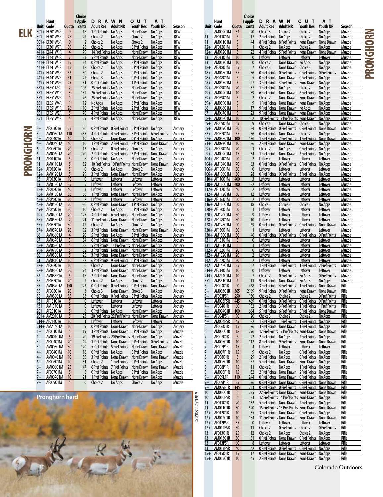|          |              | Hunt                           |                                  | Choice<br>1 Appli-               | <b>DRAWN</b>                                   |                                                                                                              | <b>OUT</b>                                            | AТ                   |                           |                    | Hunt             |                                    |                      | Choice<br>1 Appli-             | <b>DRAWN</b>                                         |                                           | <b>OUT</b>                                                                                                         | AТ                               |                   |
|----------|--------------|--------------------------------|----------------------------------|----------------------------------|------------------------------------------------|--------------------------------------------------------------------------------------------------------------|-------------------------------------------------------|----------------------|---------------------------|--------------------|------------------|------------------------------------|----------------------|--------------------------------|------------------------------------------------------|-------------------------------------------|--------------------------------------------------------------------------------------------------------------------|----------------------------------|-------------------|
|          |              | Unit Code<br>301+ EF301W4R     | Quota<br>- 9                     | cants<br>18                      | Adult Res<br>1 Pref Points No Apps             | <b>Adult NR</b>                                                                                              | Youth Res Youth NR<br>None Drawn                      | No Apps              | Season<br>RFW             | $9+$               | <b>Unit Code</b> | AM00901M 33                        |                      | Quota cants<br>20              | <b>Adult Res</b><br>Choice 3                         | <b>Adult NR</b><br>Choice 2               | <b>Youth Res</b><br>Choice 2                                                                                       | Youth NR<br>No Apps              | Season<br>Muzzle  |
| ELK      | 301          | <b>EF301W5R</b>                | 25                               | 22                               | Choice 2                                       | No Apps                                                                                                      | Choice 2                                              | No Apps              | RFW                       | 11                 |                  | AF01101M                           | $5^{\circ}$          | 17                             | 2 Pref Points No Apps                                |                                           | Choice 2                                                                                                           | No Apps                          | Muzzle            |
|          |              | 301+ EF301W6R<br>301 EF301W7R  | 9<br>30                          | $\overline{2}$<br>28             | Choice 2<br>Choice 2                           | No Apps<br>No Apps                                                                                           | Choice 2<br><b>O Pref Points</b> No Apps              | No Apps              | <b>RFW</b><br><b>RFW</b>  | 11                 |                  | AM01101M<br>12+ AF01201M           | 5<br>5               | 44<br>$\mathbf{1}$             | 8 Pref Points 8 Pref Points<br>Choice 2              | No Apps                                   | None Drawn None Drawn<br>Choice 2                                                                                  | No Apps                          | Muzzle<br>Muzzle  |
|          |              | 441+ EE441W1R                  | $\overline{4}$                   | 79                               | 14 Pref Points No Apps                         |                                                                                                              | None Drawn No Apps                                    |                      | RFW                       | $12+$              |                  | AM01201M                           | 5                    | 22                             | 4 Pref Points 5 Pref Points                          |                                           | None Drawn                                                                                                         | None Drawn                       | Muzzle            |
|          |              | 441+ EE441W3R<br>441+ EF441W1R | $\overline{7}$<br>15             | 33<br>24                         | 5 Pref Points No Apps<br>O Pref Points No Apps |                                                                                                              | None Drawn No Apps<br>2 Pref Points No Apps           |                      | <b>RFW</b><br><b>RFW</b>  | 13<br>13           |                  | AF01301M<br>AM01301M               | 10<br>10             | $\mathbf{0}$<br>$\mathbf{0}$   | Leftover                                             | Leftover                                  | Leftover                                                                                                           | Leftover                         | Muzzle            |
|          |              | 441+ EF441W3R                  | 15                               | 12                               | Choice 2                                       | No Apps                                                                                                      | <b>O Pref Points</b> No Apps                          |                      | RFW                       |                    |                  | 18+ AF01801M                       | 55                   | $\overline{7}$                 | Choice 2<br>Choice 3                                 | None Drawn No Apps<br>None Drawn Choice 3 |                                                                                                                    | No Apps<br>No Apps               | Muzzle<br>Muzzle  |
|          |              | 441+ EF441W5R                  | 33                               | 30                               | Choice 2                                       | No Apps                                                                                                      | <b>O Pref Points</b> No Apps                          |                      | <b>RFW</b>                |                    |                  | 18+ AM01801M                       | 55                   | 56                             |                                                      |                                           | O Pref Points O Pref Points O Pref Points O Pref Points                                                            |                                  | Muzzle            |
|          |              | 441+ EF441W7R<br>441+ EF441W9R | 31<br>25                         | 22<br>51                         | Choice 3<br>O Pref Points No Apps              | No Apps                                                                                                      | <b>O Pref Points No Apps</b><br>1 Pref Points No Apps |                      | <b>RFW</b><br>RFW         |                    |                  | 48+ AF04801M<br>48+ AM04801M       | 5<br>5               | 5<br>27                        | 3 Pref Points 3 Pref Points                          | 0 Pref Points None Drawn                  | O Pref Points No Apps<br>None Drawn                                                                                | No Apps                          | Muzzle<br>Muzzle  |
|          |              | 851+ EE851J2R                  | $\overline{2}$                   | 106                              | 25 Pref Points No Apps                         |                                                                                                              | None Drawn No Apps                                    |                      | <b>RFW</b>                |                    |                  | 49+ AF04901M                       | 20                   | 37                             | 1 Pref Points No Apps                                |                                           | Choice 2                                                                                                           | No Apps                          | Muzzle            |
|          | 851          | <b>EE851W1R</b>                | $\overline{3}$<br>$\overline{1}$ | 182<br>76                        | 26 Pref Points No Apps                         |                                                                                                              | None Drawn No Apps                                    |                      | RFW                       |                    |                  | 49+ AM04901M                       | 10<br>5              | 89<br>$\overline{2}$           | Choice 2                                             |                                           | 6 Pref Points None Drawn 6 Pref Points No Apps<br>None Drawn None Drawn                                            |                                  | Muzzle            |
|          | 851<br>851   | EE851W2R<br>EE851W4R           |                                  | 112                              | 25 Pref Points No Apps<br>No Apps              | No Apps                                                                                                      | None Drawn No Apps<br>6 Pref Points No Apps           |                      | RFW<br><b>RFW</b>         |                    |                  | 59+ AF05901M<br>59+ AM05901M       | 5                    | 9                              |                                                      |                                           | 1 Pref Points None Drawn None Drawn No Apps                                                                        | No Apps                          | Muzzle<br>Muzzle  |
|          | 851          | EF851W1R                       | 26                               | 110                              | 2 Pref Points No Apps                          |                                                                                                              | 2 Pref Points No Apps                                 |                      | RFW                       | 66                 |                  | AM06601M                           |                      | 17                             |                                                      | 9 Pref Points None Drawn No Apps          |                                                                                                                    | No Apps                          | Muzzle            |
|          | 851<br>851   | EF851W2R<br>EF851W4R           | 5<br>$\overline{4}$              | 70<br>59                         | 4 Pref Points No Apps<br>4 Pref Points No Apps |                                                                                                              | None Drawn No Apps<br>None Drawn No Apps              |                      | RFW<br>RFW                | 67                 |                  | AM06701M<br>68+ AM06801M           | $\overline{3}$<br>10 | 23<br>102                      |                                                      |                                           | 9 Pref Points None Drawn None Drawn<br>10 Pref Points 19 Pref Points None Drawn No Apps                            | No Apps                          | Muzzle<br>Muzzle  |
|          |              |                                |                                  |                                  |                                                |                                                                                                              |                                                       |                      |                           |                    |                  | 69+ AF06901M                       | 65                   | 9                              | Choice 4                                             | None Drawn Choice 3                       |                                                                                                                    | No Apps                          | Muzzle            |
|          | $3+$<br>$3+$ | AF00301A<br>AM00301A 110       | 25                               | 36<br>437                        |                                                | O Pref Points O Pref Points O Pref Points No Apps<br>4 Pref Points 4 Pref Points 5 Pref Points 6 Pref Points |                                                       |                      | Archery<br>Archery        |                    |                  | 69+ AM06901M<br>87+ AF08701M       | 80<br>55             | 84<br>56                       |                                                      | 0 Pref Points None Drawn                  | O Pref Points O Pref Points O Pref Points<br>Choice 2                                                              | None Drawn<br>No Apps            | Muzzle<br>Muzzle  |
| PRONGHOR | $4+$         | AF00401A                       | 10                               | 10                               | Choice 2                                       | None Drawn 0 Pref Points No Apps                                                                             |                                                       |                      | Archery                   |                    |                  | 87+ AM08701M                       | 100                  | 176                            |                                                      |                                           | 1 Pref Points 2 Pref Points 1 Pref Points None Drawn                                                               |                                  | Muzzle            |
|          | $4+$         | AM00401A                       | 40                               | 110                              |                                                | 1 Pref Points 2 Pref Points 2 Pref Points None Drawn                                                         |                                                       |                      | Archery                   |                    |                  | 93+ AM09301M                       | 10                   | 26                             |                                                      |                                           | 2 Pref Points None Drawn None Drawn No Apps                                                                        |                                  | Muzzle            |
|          | $6+$         | AF00601A<br>AM00601A           | 20<br>70                         | 13<br>270                        | Choice 2                                       | <b>OPrefPoints</b> Choice 3<br>2 Pref Points 3 Pref Points 3 Pref Points None Drawn                          |                                                       | No Apps              | Archery<br>Archery        |                    |                  | 99+ AF09901M<br>99+ AM09901M       | 20<br>15             | 34                             | Choice 2                                             | No Apps                                   | <b>O Pref Points</b> No Apps<br>1 Pref Points None Drawn 3 Pref Points No Apps                                     |                                  | Muzzle<br>Muzzle  |
|          |              | AF01101A                       | 5                                | 8                                | <b>O Pref Points No Apps</b>                   |                                                                                                              | None Drawn No Apps                                    |                      | Archery                   |                    |                  | 104+ AF10401M                      | 90                   | $\overline{2}$                 | Leftover                                             | Leftover                                  | Leftover                                                                                                           | Leftover                         | Muzzle            |
|          | 11<br>$12+$  | AM01101A<br>AF01201A           | 5<br>5                           | 52<br>$\mathbf{0}$               | Choice 2                                       | 10 Pref Points 10 Pref Points None Drawn None Drawn<br>No Apps                                               | Choice 2                                              | No Apps              | Archery<br>Archery        |                    |                  | 104+ AM10401M<br>106+ AF10601M     | 70<br>30             | 63<br>$\mathbf{0}$             | <b>O Pref Points O Pref Points</b><br>Leftover       | Leftover                                  | 0 Pref Points No Apps<br>Leftover                                                                                  | Leftover                         | Muzzle<br>Muzzle  |
|          | $12+$        | AM01201A                       | 5                                | 29                               |                                                | 3 Pref Points None Drawn None Drawn No Apps                                                                  |                                                       |                      | Archery                   |                    |                  | 106+ AM10601M                      | 30                   | 28                             | <b>O Pref Points O Pref Points</b>                   |                                           | 3 Pref Points                                                                                                      | No Apps                          | Muzzle            |
|          | 13           | AF01301A                       | 10                               | $\mathbf{0}$                     | Leftover                                       | Leftover                                                                                                     | Leftover                                              | Leftover             | Archery                   |                    |                  | 110+ AF11001M                      | 400                  | 3                              | Leftover                                             | Leftover                                  | Leftover                                                                                                           | <u>Leftover</u>                  | Muzzle            |
|          | 13           | AM01301A<br>18+ AF01801A       | 35<br>40                         | 5 <sup>5</sup><br>$\overline{3}$ | Leftover<br>Leftover                           | Leftover<br>Leftover                                                                                         | Leftover<br>Leftover                                  | Leftover<br>Leftover | Archery<br>Archery        |                    |                  | 110+ AM11001M 400<br>112+ AF11201M | 40                   | 82<br>$\overline{2}$           | Leftover<br>Leftover                                 | Leftover<br>Leftover                      | Leftover<br>Leftover                                                                                               | Leftover<br>Leftover             | Muzzle<br>Muzzle  |
|          |              | 18+ AM01801A                   | 35                               | 56                               |                                                | 1 Pref Points None Drawn None Drawn No Apps                                                                  |                                                       |                      | Archery                   |                    |                  | 112+ AM11201M                      | 60                   | $12 \overline{ }$              | Leftover                                             | Leftover                                  | Leftover                                                                                                           | Leftover                         | Muzzle            |
|          |              | 48+ AF04801A<br>48+ AM04801A   | 20<br>20                         | $\overline{2}$<br>26             | Leftover                                       | Leftover<br>0 Pref Points None Drawn 1 Pref Points No Apps                                                   | Leftover                                              | Leftover             | Archery<br>Archery        |                    |                  | 116+ AF11601M<br>116+ AM11601M     | 50<br>50             | $\overline{2}$<br>18           | Leftover<br>Choice 3                                 | Leftover<br>Choice 2                      | Leftover<br>Choice 3                                                                                               | Leftover<br>No Apps              | Muzzle<br>Muzzle  |
|          |              | 49+ AF04901A                   | 30                               | 10 <sup>°</sup>                  | Choice 2                                       | No Apps                                                                                                      | <b>O Pref Points</b> No Apps                          |                      | Archery                   |                    |                  | 120+ AF12001M                      | 50                   |                                | Leftover                                             | Leftover                                  | <b>Leftover</b>                                                                                                    | Leftover                         | Muzzle            |
|          |              | 49+ AM04901A                   | 20                               | 127                              |                                                | 3 Pref Points 6 Pref Points None Drawn No Apps                                                               |                                                       |                      | Archery                   |                    |                  | 120+ AM12001M                      | 50                   | 9                              | Leftover                                             | Leftover                                  | Leftover                                                                                                           | Leftover                         | Muzzle            |
|          |              | 55+ AM05501A<br>57+ AF05701A   | $\overline{2}$<br>30             | 21<br>12                         | Choice 2                                       | 11 Pref Points None Drawn None Drawn No Apps<br>No Apps                                                      | Choice 2                                              | No Apps              | Archery<br>Archery        |                    |                  | 128+ AF12801M<br>128+ AM12801M     | 80<br>90             | 10 <sup>°</sup><br>69          | Leftover<br>0 Pref Points                            | Leftover<br>0 Pref Points                 | Leftover<br>0 Pref Points None Drawn                                                                               | Leftover                         | Muzzle<br>Muzzle  |
|          |              | 57+ AM05701A                   | 20                               | 92                               |                                                | 3 Pref Points None Drawn None Drawn None Drawn                                                               |                                                       |                      | Archery                   |                    |                  | 130+ AF13001M                      | 50                   | $\mathbf{1}$                   | Leftover                                             | Leftover                                  | Leftover                                                                                                           | Leftover                         | Muzzle            |
|          | 66<br>67     | AM06601A<br>AM06701A           | $\overline{4}$<br>$\overline{3}$ | 20 <sup>°</sup><br>34            | 5 Pref Points No Apps                          | 6 Pref Points None Drawn None Drawn No Apps                                                                  | 5 Pref Points No Apps                                 |                      | <b>Archery</b><br>Archery | 131                |                  | 130+ AM13001M<br>AF13101M          | 50<br>5              | 46<br>$\mathbf{0}$             | 0 Pref Points<br>Leftover                            | 0 Pref Points<br>Leftover                 | 0 Pref Points<br>Leftover                                                                                          | 0 Pref Points<br><u>Leftover</u> | Muzzle<br>Muzzle  |
|          | $68+$        | AM06801A                       | 5                                | 38                               |                                                | 5 Pref Points 14 Pref Points None Drawn No Apps                                                              |                                                       |                      | Archery                   | 131                |                  | AM13101M                           | 5                    | $\mathbf{1}$                   | Leftover                                             | Leftover                                  | Leftover                                                                                                           | Leftover                         | Muzzle            |
|          | $79+$<br>80  | AM07901A<br>AM08001A           | - 5<br>5                         | 32<br>25                         |                                                | 3 Pref Points None Drawn None Drawn No Apps<br>3 Pref Points None Drawn None Drawn No Apps                   |                                                       |                      | Archery<br>Archery        |                    |                  | 132+ AF13201M<br>132+ AM13201M     | 20<br>20             | $\mathbf{0}$<br>$\overline{2}$ | Leftover<br>Leftover                                 | Leftover<br>Leftover                      | Leftover<br>Leftover                                                                                               | Leftover<br>Leftover             | Muzzle<br>Muzzle  |
|          | 81           | AM08101A                       | 10                               | 87                               |                                                | 6 Pref Points 9 Pref Points 6 Pref Points No Apps                                                            |                                                       |                      | Archery                   |                    |                  | 142 AF14201M                       | 30                   | $\overline{2}$                 | Leftover                                             | Leftover                                  | Leftover                                                                                                           | Leftover                         | Muzzle            |
|          |              | 82+ AF08201A                   | 10                               | 6                                | Choice 2                                       | None Drawn None Drawn No Apps                                                                                |                                                       |                      | Archery                   | 142                |                  | AM14201M                           | 25                   | 67                             | 1 Pref Points                                        | 1 Pref Points                             | 1 Pref Points                                                                                                      | 2 Pref Points                    | Muzzle            |
|          | $82+$<br>83  | AM08201A<br>AM083P1A           | 20<br>5                          | 94<br>15                         |                                                | 3 Pref Points None Drawn None Drawn No Apps<br>2 Pref Points None Drawn None Drawn No Apps                   |                                                       |                      | Archery<br>Archery        |                    |                  | 214+ AF21401M<br>214+ AM21401M     | 10<br>10             | $\mathbf{0}$<br>$\overline{7}$ | Leftover<br>Choice 2                                 | Leftover<br>0 Pref Points No Apps         | Leftover                                                                                                           | Leftover<br>0 Pref Points        | Muzzle<br>Muzzle  |
|          |              | AF08701A                       | 20                               | $\overline{2}$                   | Choice 2                                       | No Apps                                                                                                      | Choice 2                                              | No Apps              | Archery                   | 551                |                  | AM55101M                           | $\overline{1}$       | 11                             |                                                      | 9 Pref Points None Drawn No Apps          |                                                                                                                    | No Apps                          | Muzzle            |
|          | 88           | AM08701A 150<br>AF08801A       | 20                               | 223<br>$\overline{3}$            | Choice 3                                       | O Pref Points O Pref Points O Pref Points None Drawn<br>None Drawn Choice 3                                  |                                                       | No Apps              | Archery<br>Archery        | $3+$<br>$3+$       |                  | AF00301R<br>AM00301R               | 90<br>365            | 468<br>2169                    |                                                      |                                           | 3 Pref Points 4 Pref Points 1 Pref Points None Drawn<br>9 Pref Points 9 Pref Points None Drawn None Drawn          |                                  | Rifle<br>Rifle    |
|          | 88           | AM08801A                       | 85                               | 83                               |                                                | O Pref Points O Pref Points O Pref Points No Apps                                                            |                                                       |                      | <b>Archery</b>            | $3+$               |                  | AF003P5R                           | 250                  | 130                            | Choice 2                                             | Choice 2                                  | Choice 2                                                                                                           | <b>0 Pref Points</b>             | Rifle             |
|          | 131<br>131   | AF13101A<br>AM13101A           | 5<br>5                           | $\overline{0}$<br>$\mathbf{0}$   | Leftover<br>Leftover                           | Leftover<br>Leftover                                                                                         | Leftover<br>Leftover                                  | Leftover<br>Leftover | Archery<br>Archery        | $3+$<br>$4+$       |                  | AM003P5R<br>AF00401R               | 445<br>60            | 469<br>182                     |                                                      |                                           | O Pref Points O Pref Points O Pref Points O Pref Points<br>2 Pref Points 3 Pref Points 1 Pref Points 1 Pref Points |                                  | Rifle<br>Rifle    |
|          | 201          | AF20101A                       | 5                                | $6 \overline{6}$                 | O Pref Points No Apps                          |                                                                                                              | None Drawn No Apps                                    |                      | Archery                   | $\overline{4+}$    |                  | AM00401R 100                       |                      | 664                            |                                                      |                                           | 5 Pref Points 6 Pref Points 5 Pref Points None Drawn                                                               |                                  | Rifle             |
|          |              | 201+ AM20101A                  | 5                                | 123                              |                                                | 20 Pref Points 22 Pref Points None Drawn None Drawn                                                          |                                                       |                      | Archery                   | $4+$               |                  | AF004P5R                           | 90                   | 20 <sup>°</sup>                | Choice 3                                             | Choice 2                                  | Choice 2                                                                                                           | No Apps                          | Rifle             |
|          |              | 214+ AF21401A<br>214+ AM21401A | 10<br>10                         | $\mathbf{1}$<br>9                | Leftover                                       | Leftover<br>O Pref Points None Drawn None Drawn No Apps                                                      | Leftover                                              | Leftover             | Archery<br>Archery        | $4+$               |                  | AM004P5R<br>AF00601R               | 45<br>15             | 122<br>76                      |                                                      |                                           | 1 Pref Points 1 Pref Points 1 Pref Points No Apps<br>3 Pref Points None Drawn 1 Pref Points No Apps                |                                  | Rifle<br>Rifle    |
|          | $1+$         | AF00101M                       | 5                                | 19                               |                                                | 3 Pref Points None Drawn 0 Pref Points No Apps                                                               |                                                       |                      | Muzzle                    |                    |                  | AM00601R                           | 18                   | 296                            |                                                      |                                           | 17 Pref Points 17 Pref Points None Drawn None Drawn                                                                |                                  | Rifle             |
|          | $1+$<br>$3+$ | AM00101M<br>AF00301M           | 5<br>20                          | 70<br>49                         |                                                | 19 Pref Points 20 Pref Points None Drawn No Apps<br>1 Pref Points None Drawn 0 Pref Points 0 Pref Points     |                                                       |                      | Muzzle<br>Muzzle          |                    |                  | AF00701R<br>AM00701R               | 5<br>10              | 22<br>112                      | 2 Pref Points No Apps<br>8 Pref Points 9 Pref Points |                                           | 2 Pref Points No Apps<br>None Drawn None Drawn                                                                     |                                  | Rifle<br>Rifle    |
|          | $3+$         | AM00301M 30                    |                                  | 120                              |                                                | 5 Pref Points 5 Pref Points None Drawn None Drawn                                                            |                                                       |                      | Muzzle                    |                    |                  | AF007P1R                           | 15                   | $\overline{4}$                 | Leftover                                             | Leftover                                  | Leftover                                                                                                           | Leftover                         | Rifle             |
|          | 4+           | AF00401M                       | 10                               | 16                               | O Pref Points No Apps                          |                                                                                                              | O Pref Points No Apps                                 |                      | Muzzle                    |                    |                  | AM007P1R                           | 15                   | 9                              | Choice 2<br>2 Pref Points No Apps                    | No Apps                                   | O Pref Points No Apps                                                                                              |                                  | Rifle             |
|          | 4+<br>$6+$   | AM00401M 10<br>AF00601M        | 40                               | 55<br>31                         | Choice 2                                       | 3 Pref Points None Drawn None Drawn None Drawn<br>1 Pref Points 0 Pref Points No Apps                        |                                                       |                      | Muzzle<br>Muzzle          |                    |                  | AF00801R<br>AM00801R               | 5<br>10              | 29<br>87                       |                                                      |                                           | O Pref Points No Apps<br>5 Pref Points None Drawn None Drawn No Apps                                               |                                  | Rifle<br>Rifle    |
|          | 6+           | AM00601M 25                    |                                  | 147                              |                                                | 6 Pref Points 7 Pref Points None Drawn None Drawn                                                            |                                                       |                      | Muzzle                    |                    |                  | AF008P1R                           | 15                   | 11                             | Choice 2                                             | No Apps                                   | 1 Pref Points No Apps                                                                                              |                                  | Rifle             |
|          |              | AF00701M<br>AM00701M 10        | 5                                | 8 <sup>8</sup><br>21             | <b>O Pref Points</b> No Apps                   | 1 Pref Points None Drawn None Drawn No Apps                                                                  | 0 Pref Points No Apps                                 |                      | Muzzle<br>Muzzle          | $9+$               |                  | AM008P1R<br>AF009L1R               | 15<br>110            | 32<br>244                      |                                                      |                                           | 2 Pref Points None Drawn 2 Pref Points No Apps<br>0 Pref Points None Drawn 0 Pref Points No Apps                   |                                  | Rifle<br>Rifle    |
|          | $9+$         | AF00901M                       | 5                                | $\mathbf{0}$                     | Choice 2                                       | No Apps                                                                                                      | Choice 2                                              | No Apps              | Muzzle                    | $9+$               |                  | AF009P1R                           | 35                   | 36                             |                                                      |                                           | O Pref Points None Drawn O Pref Points None Drawn                                                                  |                                  | Rifle             |
|          |              |                                |                                  |                                  |                                                |                                                                                                              |                                                       |                      |                           | $9+$<br>10         |                  | AM009P1R<br>AM01001R               | 145<br>-5            | 253<br>235                     |                                                      |                                           | O Pref Points O Pref Points O Pref Points None Drawn<br>22 Pref Points None Drawn None Drawn None Drawn            |                                  | Rifle<br>Rifle    |
|          |              | Pronghorn herd                 |                                  |                                  |                                                |                                                                                                              |                                                       |                      |                           | 10                 |                  | AM010P5R                           | - 5                  | 23                             |                                                      |                                           | 12 Pref Points 14 Pref Points None Drawn No Apps                                                                   |                                  | Rifle             |
|          |              |                                |                                  |                                  |                                                |                                                                                                              |                                                       |                      |                           | 11                 |                  | AF01101R                           | 20                   | 132                            |                                                      |                                           | 5 Pref Points None Drawn 2 Pref Points No Apps                                                                     |                                  | Rifle             |
|          |              |                                |                                  |                                  |                                                |                                                                                                              |                                                       |                      |                           | © KEN ARCHER<br>11 |                  | AM01101R<br>12+ AF01201R           | 30<br>10             | 520<br>35                      |                                                      |                                           | 15 Pref Points 15 Pref Points None Drawn None Drawn<br>3 Pref Points None Drawn 0 Pref Points No Apps              |                                  | Rifle<br>Rifle    |
|          |              |                                |                                  |                                  |                                                |                                                                                                              |                                                       |                      |                           |                    |                  | 12+ AM01201R                       | 10                   | 184                            |                                                      |                                           | 11 Pref Points None Drawn None Drawn                                                                               | None Drawn                       | Rifle             |
|          |              |                                |                                  |                                  |                                                |                                                                                                              |                                                       |                      |                           |                    |                  | 12+ AF012P5R                       | 35                   | $\mathbf{0}$                   | Leftover                                             | Leftover                                  | <b>Leftover</b>                                                                                                    | Leftover<br>0 Pref Points        | Rifle<br>Rifle    |
|          |              |                                |                                  |                                  |                                                |                                                                                                              |                                                       |                      |                           | 13                 |                  | 12+ AM012P5R<br>AF01301R           | 30<br>25             | 11<br>12                       | Choice 2<br>Choice 2                                 | O Pref Points Choice 2<br>No Apps         | Choice 2                                                                                                           | No Apps                          | Rifle             |
|          |              |                                |                                  |                                  |                                                |                                                                                                              |                                                       |                      |                           | 13                 |                  | AM01301R                           | 30                   | 51                             |                                                      | <b>O Pref Points</b> None Drawn           | <b>O Pref Points</b> No Apps                                                                                       |                                  | Rifle             |
|          |              |                                |                                  |                                  |                                                |                                                                                                              |                                                       |                      |                           | 13<br>13           |                  | AF013P5R<br>AM013P5R               | 60<br>40             | 8<br>42                        | Leftover                                             | Leftover                                  | Leftover<br>O Pref Points O Pref Points O Pref Points No Apps                                                      | Leftover                         | Rifle<br>Rifle    |
|          |              |                                |                                  |                                  |                                                |                                                                                                              |                                                       |                      |                           |                    |                  | 15+ AF01501R                       | 15                   | 17                             |                                                      |                                           | O Pref Points None Drawn None Drawn No Apps                                                                        |                                  | Rifle             |
|          |              |                                |                                  |                                  |                                                |                                                                                                              |                                                       |                      |                           |                    |                  | 15+ AM01501R                       | 10                   | 45                             |                                                      |                                           | 2 Pref Points None Drawn None Drawn No Apps                                                                        |                                  | Rifle             |
|          |              |                                |                                  |                                  |                                                |                                                                                                              |                                                       |                      |                           |                    |                  |                                    |                      |                                |                                                      |                                           |                                                                                                                    |                                  | Colorado Outdoors |

**PRONGHORN**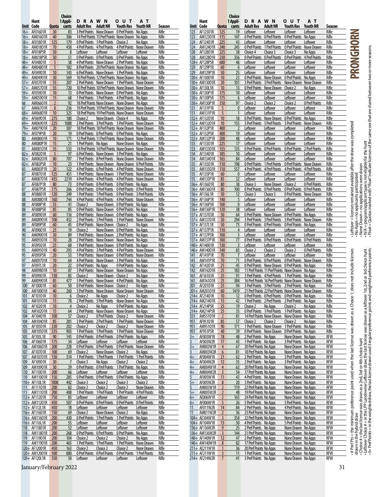|          |                                |                | Choice         |                           |                                         |                                                                                                              |                          |                |              |                                |                     | Choice                           |                                                                                                          |                                                   |                                                |                           |                          |                                                                                                                                                                                                                                                        |
|----------|--------------------------------|----------------|----------------|---------------------------|-----------------------------------------|--------------------------------------------------------------------------------------------------------------|--------------------------|----------------|--------------|--------------------------------|---------------------|----------------------------------|----------------------------------------------------------------------------------------------------------|---------------------------------------------------|------------------------------------------------|---------------------------|--------------------------|--------------------------------------------------------------------------------------------------------------------------------------------------------------------------------------------------------------------------------------------------------|
|          | Hunt                           |                | 1 Appli-       | <b>DRAWN</b>              |                                         | <b>OUT</b>                                                                                                   | AТ                       |                |              | Hunt                           |                     | 1 Appli-                         | <b>DRAWN</b>                                                                                             |                                                   | o u t                                          | A T                       |                          |                                                                                                                                                                                                                                                        |
|          | Unit Code                      |                | Quota cants    | Adult Res Adult NR        |                                         | Youth Res Youth NR<br>3 Pref Points None Drawn 0 Pref Points No Apps                                         |                          | Season         |              | Unit Code<br>AF12301R          | Quota               | cants                            | <b>Adult Res</b>                                                                                         | <b>Adult NR</b>                                   | Youth Res                                      | Youth NR                  | Season                   |                                                                                                                                                                                                                                                        |
|          | 16+ AF01601R<br>16+ AM01601R   | 30<br>40       | 83<br>306      |                           |                                         | 14 Pref Points 15 Pref Points None Drawn No Apps                                                             |                          | Rifle<br>Rifle | 123<br>123   | AM12301R                       | 125<br>115          | 19<br>147                        | Leftover<br><b>O Pref Points O Pref Points</b>                                                           | Leftover                                          | Leftover<br>0 Pref Points No Apps              | Leftover                  | Rifle<br>Rifle           | RONGHORN                                                                                                                                                                                                                                               |
|          | 18+ AF01801R                   | 125            | 179            |                           | 0 Pref Points 1 Pref Points Choice 2    |                                                                                                              | No Apps                  | Rifle          | 124          | AF12401R                       | 225                 | 43                               | Leftover                                                                                                 | Leftover                                          | Leftover                                       | Leftover                  | Rifle                    |                                                                                                                                                                                                                                                        |
|          | 18+ AM01801R                   | 70             | 438            |                           |                                         | 4 Pref Points 4 Pref Points 4 Pref Points None Drawn                                                         |                          | Rifle          | 124          | AM12401R                       | 240                 | 245                              | 0 Pref Points                                                                                            | 1 Pref Points                                     | 0 Pref Points None Drawn                       |                           | Rifle                    |                                                                                                                                                                                                                                                        |
|          | 18+ AF018P5R                   | 50             | 8              | Leftover                  | Leftover                                | Leftover                                                                                                     | Leftover                 | Rifle          | 128          | AF12801R                       | 225                 | 38                               | Choice 4                                                                                                 | Choice 3                                          | Choice 3                                       | No Apps                   | Rifle                    |                                                                                                                                                                                                                                                        |
|          | 18+ AM018P5R                   | 50             | 51             |                           |                                         | O Pref Points O Pref Points O Pref Points No Apps                                                            |                          | Rifle          | 128          | AM12801R                       | 230                 | 356                              | 0 Pref Points                                                                                            | 0 Pref Points                                     | 0 Pref Points 4 Pref Points                    |                           | Rifle                    |                                                                                                                                                                                                                                                        |
|          | 48+ AF04801R                   | 5              | 38             |                           |                                         | 4 Pref Points None Drawn 2 Pref Points No Apps                                                               |                          | Rifle          |              | 128+ AF128P5R                  | 680                 | 46                               | Leftover                                                                                                 | Leftover                                          | Leftover                                       | Leftover                  | Rifle                    |                                                                                                                                                                                                                                                        |
|          | 48+ AM04801R                   | 5              | 182            |                           |                                         | 8 Pref Points 20 Pref Points None Drawn No Apps                                                              |                          | Rifle          | 129          | AF129P1R                       | 60                  | 6                                | Leftover                                                                                                 | Leftover                                          | Leftover                                       | Leftover                  | Rifle                    |                                                                                                                                                                                                                                                        |
|          | 49+ AF04901R                   | 10             | 143            |                           |                                         | 6 Pref Points None Drawn 3 Pref Points No Apps                                                               |                          | Rifle          | 129          | <b>AM129P1R</b>                | 50                  | 25                               | Leftover                                                                                                 | Leftover                                          | Leftover                                       | Leftover                  | Rifle                    |                                                                                                                                                                                                                                                        |
|          | 49+ AM04901R                   | 30             | 569            |                           |                                         | 10 Pref Points 12 Pref Points None Drawn No Apps                                                             |                          | Rifle          |              | 130+ AF13001R                  | 10 <sup>°</sup>     | 23                               | 0 Pref Points None Drawn                                                                                 |                                                   | <b>O Pref Points</b> No Apps                   |                           | Rifle                    |                                                                                                                                                                                                                                                        |
|          | 57+ AF05701R                   | 55             | 207            |                           |                                         | 2 Pref Points None Drawn 1 Pref Points None Drawn                                                            |                          | Rifle          |              | 130+ AM13001R                  | 20                  | 101                              | 3 Pref Points 3 Pref Points<br>0 Pref Points                                                             |                                                   | None Drawn None Drawn                          |                           | Rifle                    |                                                                                                                                                                                                                                                        |
|          | 57+ AM05701R<br>59+ AF05901R   | 55<br>10       | 720<br>13      |                           |                                         | 10 Pref Points 10 Pref Points None Drawn None Drawn<br>O Pref Points None Drawn O Pref Points No Apps        |                          | Rifle<br>Rifle |              | 130+ AF130L1R<br>130+ AF130P1R | 10<br>175           | 13<br>10 <sup>°</sup>            | Leftover                                                                                                 | None Drawn<br>Leftover                            | Choice 2<br>Leftover                           | No Apps<br>Leftover       | Rifle<br>Rifle           |                                                                                                                                                                                                                                                        |
|          | 59+ AM05901R                   | 15             | 68             |                           |                                         | 1 Pref Points 1 Pref Points 4 Pref Points No Apps                                                            |                          | Rifle          |              | 130+ AF130P5R                  | 175                 | $6 \overline{6}$                 | Leftover                                                                                                 | Leftover                                          | Leftover                                       | Leftover                  | Rifle                    |                                                                                                                                                                                                                                                        |
| 66       | AM06601R                       | $\overline{2}$ | 92             |                           |                                         | 18 Pref Points None Drawn None Drawn No Apps                                                                 |                          | Rifle          |              | 130+ AM130P1R                  | 150                 | 97                               | Choice 2                                                                                                 | Choice 2                                          | Choice 2                                       | 0 Pref Points             | Rifle                    |                                                                                                                                                                                                                                                        |
| 67       | AM06701R                       | 8              | 236            |                           |                                         | 19 Pref Points 19 Pref Points None Drawn None Drawn                                                          |                          | Rifle          | 131          | AF131P1R                       | 5                   | $\mathbf{0}$                     | Leftover                                                                                                 | Leftover                                          | Leftover                                       | Leftover                  | Rifle                    |                                                                                                                                                                                                                                                        |
|          | 68+ AM06801R                   | 10             | 325            |                           |                                         | 18 Pref Points 19 Pref Points None Drawn None Drawn                                                          |                          | Rifle          | 131          | <b>AM131P1R</b>                | 5                   |                                  | Leftover                                                                                                 | Leftover                                          | Leftover                                       | Leftover                  | Rifle                    |                                                                                                                                                                                                                                                        |
|          | 69+ AF06901R                   | 275            | 180            | Choice 2                  | None Drawn Choice 4                     |                                                                                                              | No Apps                  | Rifle          |              | 132+ AF13201R                  | 10 <sup>°</sup>     | 18 <sup>2</sup>                  | 0 Pref Points None Drawn                                                                                 |                                                   | 0 Pref Points No Apps                          |                           | Rifle                    |                                                                                                                                                                                                                                                        |
|          | 69+ AM06901R                   | 225            | 1088           |                           |                                         | 2 Pref Points 3 Pref Points 3 Pref Points None Drawn                                                         |                          | Rifle          |              | 132+ AM13201R                  | 10 <sup>°</sup>     | 155                              | 3 Pref Points 5 Pref Points                                                                              |                                                   | 3 Pref Points None Drawn                       |                           | Rifle                    |                                                                                                                                                                                                                                                        |
|          | 79+ AM07901R                   | 20             | 387            |                           |                                         | 18 Pref Points 18 Pref Points None Drawn None Drawn                                                          |                          | Rifle          |              | 132+ AF132P1R                  | 400                 | $\overline{2}$                   | Leftover                                                                                                 | Leftover                                          | Leftover                                       | Leftover                  | Rifle                    |                                                                                                                                                                                                                                                        |
|          | 79+ AF079P5R                   | 20             | 19             |                           |                                         | O Pref Points O Pref Points O Pref Points No Apps                                                            |                          | Rifle          |              | 132+ AF132P5R                  | 400                 | 19                               | Leftover                                                                                                 | Leftover                                          | Leftover                                       | Leftover                  | Rifle                    |                                                                                                                                                                                                                                                        |
| 80<br>80 | AM08001R<br>AM080P1R           | 10<br>15       | 171<br>21      | 1 Pref Points No Apps     |                                         | 12 Pref Points 11 Pref Points None Drawn None Drawn<br>None Drawn No Apps                                    |                          | Rifle<br>Rifle | 133          | 132+ AM132P1R<br>AF13301R      | 200<br>225          | 48<br>17                         | Leftover<br>Leftover                                                                                     | Leftover<br>Leftover                              | Leftover<br>Leftover                           | Leftover<br>Leftover      | Rifle<br>Rifle           |                                                                                                                                                                                                                                                        |
| 81       | AM08101R                       | 35             | 533            |                           |                                         | 14 Pref Points 14 Pref Points None Drawn None Drawn                                                          |                          | Rifle          | 133          | AM13301R                       | 155                 | 135                              | 0 Pref Points                                                                                            | 0 Pref Points                                     | 0 Pref Points                                  | 2 Pref Points             | Rifle                    |                                                                                                                                                                                                                                                        |
|          | 82+ AF08201R                   | 5              | 97             |                           |                                         | 6 Pref Points None Drawn 3 Pref Points No Apps                                                               |                          | Rifle          | 134          | AF13401R                       | 185                 | 10 <sup>°</sup>                  | Leftover                                                                                                 | Leftover                                          | Leftover                                       | Leftover                  | Rifle                    |                                                                                                                                                                                                                                                        |
|          | 82+ AM08201R                   | 80             | 707            |                           |                                         | 7 Pref Points 8 Pref Points None Drawn None Drawn                                                            |                          | Rifle          | 134          | AM13401R                       | 165                 | 84                               | Leftover                                                                                                 | Leftover                                          | Leftover                                       | Leftover                  | Rifle                    |                                                                                                                                                                                                                                                        |
|          | 82+ AF082P5R                   | 10             | 23             |                           |                                         | 1 Pref Points None Drawn None Drawn 0 Pref Points                                                            |                          | Rifle          | 135          | AF13501R                       | 110                 | 198                              | 0 Pref Points 1 Pref Points                                                                              |                                                   | 0 Pref Points None Drawn                       |                           | Rifle                    |                                                                                                                                                                                                                                                        |
| 83       | AM083P1R                       | 20             | 122            |                           |                                         | 4 Pref Points 6 Pref Points 4 Pref Points None Drawn                                                         |                          | Rifle          | 135          | AM13501R                       | 110                 | 557                              | 4 Pref Points 4 Pref Points                                                                              |                                                   | 4 Pref Points 4 Pref Points                    |                           | Rifle                    |                                                                                                                                                                                                                                                        |
| 87       | AF08701R                       | 125            | 451            |                           |                                         | 1 Pref Points None Drawn 1 Pref Points None Drawn                                                            |                          | Rifle          | 135          | AF135P1R                       | 60                  | $\mathbf{0}$                     | Leftover                                                                                                 | Leftover                                          | Leftover                                       | Leftover                  | Rifle                    |                                                                                                                                                                                                                                                        |
| 87       | AM08701R                       | 435            | 2219           |                           |                                         | 4 Pref Points 4 Pref Points 4 Pref Points None Drawn                                                         |                          | Rifle          | 135          | <b>AM135P1R</b>                | 85                  | 32                               | Leftover                                                                                                 | Leftover                                          | Leftover                                       | Leftover                  | Rifle                    | : Drawn = no applications were drawn<br>= program/applicant type is not eligible for the hunt<br>= Quotas marked with "Float" indicate licenses of the same sex that are shared between two or more seasons.<br>available after the draw was completed |
| 87<br>87 | AF087P1R                       | 80             | 73             |                           |                                         | O Pref Points O Pref Points O Pref Points No Apps<br>O Pref Points O Pref Points O Pref Points O Pref Points |                          | Rifle          |              | 136+ AF13601R                  | 80                  | 38                               | Choice 3                                                                                                 | None Drawn                                        | Choice 2<br><b>O Pref Points O Pref Points</b> | 0 Pref Points             | Rifle                    |                                                                                                                                                                                                                                                        |
| 88       | AF087P5R<br>AF08801R           | 175<br>120     | 266<br>249     |                           |                                         | 1 Pref Points 1 Pref Points 0 Pref Points 3 Pref Points                                                      |                          | Rifle<br>Rifle |              | 136+ AM13601R<br>136+ AF136L1R | 80<br>50            | 100<br>12                        | 0 Pref Points<br>Choice 3                                                                                | 0 Pref Points<br>Choice 3                         | 0 Pref Points None Drawn                       |                           | Rifle<br>Rifle           | ou = incenses remained ava -<br>• No Apps = no applicants particip<br>• None Drawn = no applications<br>• N/A = program/applican+ + −<br>• Float = Cn → + −                                                                                            |
| 88       | AM08801R                       | 160            | 744            |                           |                                         | 4 Pref Points 4 Pref Points 4 Pref Points None Drawn                                                         |                          | Rifle          |              | 136+ AF136P1R                  | 140                 | $\overline{3}$                   | Leftover                                                                                                 | Leftover                                          | Leftover                                       | Leftover                  | Rifle                    |                                                                                                                                                                                                                                                        |
| 88       | AF088P1R                       | 55             | 41             | Choice 2                  |                                         | None Drawn 0 Pref Points No Apps                                                                             |                          | Rifle          |              | 136+ AF136P5R                  | 100                 | $\mathbf{0}$                     | Leftover                                                                                                 | Leftover                                          | Leftover                                       | Leftover                  | Rifle                    |                                                                                                                                                                                                                                                        |
| 88       | <b>AF088P5R</b>                | 85             | 85             |                           |                                         | O Pref Points None Drawn O Pref Points No Apps                                                               |                          | Rifle          |              | 136+ AM136P1R                  | 120                 | 38                               | Leftover                                                                                                 | Leftover                                          | Leftover                                       | Leftover                  | Rifle                    |                                                                                                                                                                                                                                                        |
| 89       | AF08901R                       | 60             | 116            |                           |                                         | O Pref Points None Drawn O Pref Points No Apps                                                               |                          | Rifle          |              | 137+ AF13701R                  | 50                  | 64                               | 0 Pref Points None Drawn                                                                                 |                                                   | O Pref Points No Apps                          |                           | Rifle                    |                                                                                                                                                                                                                                                        |
| 89       | AM08901R                       | 100            | 432            |                           |                                         | 2 Pref Points 3 Pref Points 3 Pref Points None Drawn                                                         |                          | Rifle          |              | 137+ AM13701R                  | 50                  | 294                              | 3 Pref Points 3 Pref Points                                                                              |                                                   | 3 Pref Points None Drawn                       |                           | Rifle                    |                                                                                                                                                                                                                                                        |
| 89       | AF089P5R                       | 60             | 45             |                           | 0 Pref Points None Drawn Choice 2       |                                                                                                              | No Apps                  | Rifle          |              | 137+ AF137L1R                  | 50                  | 73                               | 0 Pref Points                                                                                            | 0 Pref Points                                     | 0 Pref Points                                  | No Apps                   | Rifle                    |                                                                                                                                                                                                                                                        |
| 90       | AF09001R                       | 25             | 19             | Choice 2                  |                                         | None Drawn 0 Pref Points No Apps                                                                             |                          | Rifle          |              | 137+ AF137P1R                  | 110                 | $\overline{4}$<br>$\overline{3}$ | Leftover                                                                                                 | Leftover                                          | Leftover                                       | Leftover                  | Rifle                    |                                                                                                                                                                                                                                                        |
| 90<br>93 | AM09001R<br>AM09301R           | 30<br>10       | 89<br>28       |                           |                                         | 1 Pref Points None Drawn 2 Pref Points No Apps<br>2 Pref Points None Drawn None Drawn No Apps                |                          | Rifle<br>Rifle |              | 137+ AF137P5R<br>137+ AM137P1R | 100<br>100          | 77                               | Leftover<br>0 Pref Points 0 Pref Points                                                                  | Leftover                                          | Leftover<br>0 Pref Points                      | Leftover<br>0 Pref Points | Rifle<br>Rifle           |                                                                                                                                                                                                                                                        |
| 95       | AF09501R                       | 25             | 60             |                           |                                         | 1 Pref Points None Drawn 0 Pref Points No Apps                                                               |                          | Rifle          |              | 140+ AF14001R                  | 130                 | $\overline{3}$                   | Leftover                                                                                                 | Leftover                                          | Leftover                                       | Leftover                  | Rifle                    |                                                                                                                                                                                                                                                        |
| 95       | AM09501R                       | 40             | 293            |                           |                                         | 4 Pref Points 3 Pref Points 4 Pref Points None Drawn                                                         |                          | Rifle          |              | 140+ AM14001R                  | 140                 | 83                               | Choice 2                                                                                                 | Choice 2                                          | Choice 2                                       | 0 Pref Points             | Rifle                    |                                                                                                                                                                                                                                                        |
| 95       | AF095P5R                       | 20             | 53             |                           |                                         | 1 Pref Points None Drawn 0 Pref Points None Drawn                                                            |                          | Rifle          | 141          | AF141P1R                       | 70                  | 7                                | Leftover                                                                                                 | Leftover                                          | Leftover                                       | Leftover                  | Rifle                    |                                                                                                                                                                                                                                                        |
| 97       | AM09701R                       | 10             | 64             |                           |                                         | 4 Pref Points None Drawn 3 Pref Points No Apps                                                               |                          | Rifle          | 141          | <b>AM141P1R</b>                | 70                  | 71                               | <b>O Pref Points O Pref Points</b>                                                                       |                                                   | 0 Pref Points None Drawn                       |                           | Rifle                    |                                                                                                                                                                                                                                                        |
| 97       | AF097L1R                       | 20             | 22             | 0 Pref Points No Apps     |                                         | 0 Pref Points No Apps                                                                                        |                          | Rifle          | 142          | AF14201R                       | 25                  | 45                               | O Pref Points None Drawn O Pref Points No Apps                                                           |                                                   |                                                |                           | Rifle                    |                                                                                                                                                                                                                                                        |
| 98       | AM09801R                       | 10             | 87             |                           |                                         | 3 Pref Points None Drawn None Drawn No Apps                                                                  |                          | Rifle          | 142          | AM14201R                       | 25                  | 183                              | 11 Pref Points 11 Pref Points None Drawn No Apps                                                         |                                                   |                                                |                           | Rifle                    |                                                                                                                                                                                                                                                        |
| 99<br>99 | AF09901R<br>AM09901R           | 130<br>85      | 85<br>477      | Choice 2                  | None Drawn Choice 2                     | 3 Pref Points None Drawn 4 Pref Points No Apps                                                               | No Apps                  | Rifle<br>Rifle | 161<br>161   | AF16101R<br>AM16101R           | 25<br>25            | 91<br>384                        | 3 Pref Points 4 Pref Points 1 Pref Points No Apps<br>16 Pref Points 16 Pref Points None Drawn None Drawn |                                                   |                                                |                           | Rifle<br>Rifle           | 1; does not include licenses<br>ver 1st, 2nd or 3rd choice hunt<br>nd weighted preference points                                                                                                                                                       |
| 100      | AF10001R                       | 60             | 50             |                           | 0 Pref Points None Drawn Choice 2       |                                                                                                              | No Apps                  | Rifle          | 201          | AF20101R                       | 25                  | 94                               |                                                                                                          | 3 Pref Points 3 Pref Points 2 Pref Points No Apps |                                                |                           | Rifle                    |                                                                                                                                                                                                                                                        |
| 100      | AM10001R                       | 40             | 260            |                           |                                         | 3 Pref Points None Drawn None Drawn None Drawn                                                               |                          | Rifle          |              | 201+ AM20101R                  | 60                  | 1419                             | 21 Pref Points 22 Pref Points None Drawn None Drawn                                                      |                                                   |                                                |                           | Rifle                    |                                                                                                                                                                                                                                                        |
|          | 101 AF10101R                   | 10             | 6              | Choice 2                  | No Apps                                 | Choice 2                                                                                                     | No Apps                  | Rifle          |              | 214+ AF21401R                  | 10                  | 12                               | O Pref Points O Pref Points O Pref Points No Apps                                                        |                                                   |                                                |                           | Rifle                    | $\omega$                                                                                                                                                                                                                                               |
| 101      | AM10101R                       | 15             | 78             |                           |                                         | 2 Pref Points 3 Pref Points None Drawn No Apps                                                               |                          | Rifle          |              | 214+ AM21401R                  | 15                  | 42                               | 1 Pref Points 2 Pref Points 2 Pref Points No Apps                                                        |                                                   |                                                |                           | Rifle                    | Choic                                                                                                                                                                                                                                                  |
| 102      | AF10201R                       | 10             | $\overline{4}$ | Choice 2                  | No Apps                                 | 0 Pref Points No Apps                                                                                        |                          | Rifle          |              | 214+ AF214P5R                  | 25                  | 19                               | Choice 2                                                                                                 | No Apps                                           | Choice 2                                       | No Apps                   | Rifle                    | $\bar{\sigma}$                                                                                                                                                                                                                                         |
|          | 102 AM10201R                   | 15             | 64             |                           |                                         | 2 Pref Points None Drawn None Drawn No Apps                                                                  |                          | Rifle          |              | 214+ AM214P5R                  | 25                  | 35 <sup>5</sup>                  | 0 Pref Points 1 Pref Points                                                                              |                                                   | 1 Pref Points No Apps                          |                           | Rifle                    | æ                                                                                                                                                                                                                                                      |
| 104      | AF10401R                       | 100            | 57             | Choice 2                  | 0 Pref Points                           | Choice 2                                                                                                     | None Drawn               | Rifle          | 551          | AM55101R                       | $\overline{2}$      | 81                               | 14 Pref Points None Drawn                                                                                |                                                   | None Drawn No Apps                             |                           | Rifle                    |                                                                                                                                                                                                                                                        |
|          | 104 AM10401R<br>105 AF10501R   | 85<br>330      | 281<br>202     | 2 Pref Points<br>Choice 2 | 2 Pref Points<br>Choice 2               | 1 Pref Points<br>Choice 2                                                                                    | None Drawn<br>None Drawn | Rifle<br>Rifle | 951<br>951   | AF95101R<br>AM95101R           | 85<br>90            | 57<br>171                        | Choice 2<br>1 Pref Points None Drawn                                                                     | Choice 2                                          | Choice 2<br>1 Pref Points No Apps              | No Apps                   | Rifle<br>Rifle           | drawn in the hybrid draw<br>• Choice # = the last licente UPI Landowner Leftover draw the last license was drawn as a leftov<br>• 3 + Pref Points = in the weighted draw, the last license draw the last license was drawn as a left<br>was drawn      |
| 105      | AM10501R                       | 335            | 903            | 1 Pref Points             | 1 Pref Points                           | 1 Pref Points None Drawn                                                                                     |                          | Rifle          | 951          | AF951P5R                       | 40                  | 39                               | 0 Pref Points None Drawn                                                                                 |                                                   | 0 Pref Points No Apps                          |                           | Rifle                    |                                                                                                                                                                                                                                                        |
| 105      | AF105L1R                       | 90             | 145            | 0 Pref Points             | 0 Pref Points                           | 0 Pref Points No Apps                                                                                        |                          | Rifle          | 3+           | AF003W1R                       | 18                  | 48                               | 2 Pref Points No Apps                                                                                    |                                                   | None Drawn No Apps                             |                           | <b>RFW</b>               |                                                                                                                                                                                                                                                        |
|          | 106 AF10601R                   | 175            | 34             | Leftover                  | Leftover                                | Leftover                                                                                                     | Leftover                 | Rifle          |              | AF003W2R                       | 17                  | 43                               | 1 Pref Points No Apps                                                                                    |                                                   | 3 Pref Points No Apps                          |                           | <b>RFW</b>               | point used when the last license                                                                                                                                                                                                                       |
| 106      | AM10601R                       | 200            | 228            |                           |                                         | O Pref Points O Pref Points O Pref Points None Drawn                                                         |                          | Rifle          |              | AM003W1R                       | $\overline{4}$      | 67                               | 20 Pref Points No Apps                                                                                   |                                                   | None Drawn No Apps                             |                           | <b>RFW</b>               |                                                                                                                                                                                                                                                        |
|          | 107 AF10701R                   | 100            | 69             | Choice 2                  | None Drawn Choice 2                     |                                                                                                              | No Apps                  | Rifle          |              | AM003W2R                       | $6\phantom{1}$      | 81                               | 18 Pref Points No Apps                                                                                   |                                                   | None Drawn No Apps                             |                           | <b>RFW</b>               |                                                                                                                                                                                                                                                        |
|          | 107 AM10701R                   | 150            | 314            |                           |                                         | 1 Pref Points 1 Pref Points 1 Pref Points 1 Pref Points                                                      |                          | Rifle          | 4+           | AF004W1R                       | 21                  | 62                               | 2 Pref Points No Apps                                                                                    |                                                   | 3 Pref Points No Apps                          |                           | <b>RFW</b>               |                                                                                                                                                                                                                                                        |
| 109      | AF10901R                       | 30             | 7              | Choice 3                  | No Apps                                 | Choice <sub>2</sub>                                                                                          | Choice 2                 | Rifle          | 4+           | AF004W2R                       | 12                  | 35                               | 2 Pref Points No Apps                                                                                    |                                                   | 3 Pref Points No Apps                          |                           | <b>RFW</b>               |                                                                                                                                                                                                                                                        |
|          | 109 AM10901R<br>110 AF11001R   | 30<br>200      | 39             | 0 Pref Points<br>Leftover | 0 Pref Points<br>Leftover               | 1 Pref Points No Apps                                                                                        | Leftover                 | Rifle<br>Rifle | $4+$<br>$4+$ | AM004W1R<br>AM004W2R           | 4<br>3              | 63<br>54                         | 20 Pref Points No Apps<br>17 Pref Points No Apps                                                         |                                                   | None Drawn No Apps<br>None Drawn No Apps       |                           | <b>RFW</b><br><b>RFW</b> |                                                                                                                                                                                                                                                        |
|          | 110 AM11001R                   | 150            | 66<br>285      |                           | 0 Pref Points 0 Pref Points             | Leftover<br><b>O Pref Points</b> No Apps                                                                     |                          | Rifle          |              | AF005W1R                       | 11                  | 43                               | 4 Pref Points No Apps                                                                                    |                                                   | None Drawn No Apps                             |                           | <b>RFW</b>               |                                                                                                                                                                                                                                                        |
|          | 110+ AF110L1R                  | 1000           | 442            | Choice 3                  | Choice 2                                | Choice 3                                                                                                     | Choice 2                 | Rifle          | $5+$         | AF005W2R                       | 8                   | 20                               | 3 Pref Points No Apps                                                                                    |                                                   | None Drawn No Apps                             |                           | <b>RFW</b>               |                                                                                                                                                                                                                                                        |
|          | 111 AF11101R                   | 200            | 82             | Choice 2                  | Choice 2                                | Choice 2                                                                                                     | None Drawn               | Rifle          |              | AM005W1R                       |                     | 119                              | 22 Pref Points No Apps                                                                                   |                                                   | None Drawn No Apps                             |                           | <b>RFW</b>               |                                                                                                                                                                                                                                                        |
|          | 111 AM11101R                   | 200            | 408            | 1 Pref Points             | 1 Pref Points                           | 1 Pref Points 4 Pref Points                                                                                  |                          | Rifle          | $5+$         | AM005W2R                       | $\overline{2}$      | 48                               | 19 Pref Points No Apps                                                                                   |                                                   | None Drawn No Apps                             |                           | <b>RFW</b>               |                                                                                                                                                                                                                                                        |
|          | 112+ AF11201R                  | 750            | 85             | Leftover                  | Leftover                                | Leftover                                                                                                     | Leftover                 | Rifle          | $6+$         | AE006W1R                       | $\overline{2}$      | 165                              | 24 Pref Points No Apps                                                                                   |                                                   | None Drawn No Apps                             |                           | <b>RFW</b>               | preference                                                                                                                                                                                                                                             |
|          | 112+ AM11201R                  | 450            | 507            |                           | 0 Pref Points 0 Pref Points             | 0 Pref Points 0 Pref Points                                                                                  |                          | Rifle          | $6+$         | AF006W1R                       | 5                   | 26                               | 5 Pref Points No Apps                                                                                    |                                                   | 5 Pref Points No Apps                          |                           | <b>RFW</b>               |                                                                                                                                                                                                                                                        |
|          | 112+ AF112L1R                  | 450            | 18             | Leftover                  | Leftover                                | Leftover                                                                                                     | Leftover                 | Rifle          | 11           | AF011W2R                       | 14                  | 84                               | 2 Pref Points No Apps                                                                                    |                                                   | 4 Pref Points No Apps                          |                           | <b>RFW</b>               |                                                                                                                                                                                                                                                        |
|          | 116+ AF11601R                  | 150            | 69             | Choice 2                  | None Drawn                              | Choice 2                                                                                                     | No Apps                  | Rifle          | 11           | AM011W2R                       | $\overline{2}$<br>3 | 36                               | 23 Pref Points No Apps                                                                                   |                                                   | None Drawn No Apps                             |                           | <b>RFW</b>               | minimum                                                                                                                                                                                                                                                |
|          | 116+ AM11601R<br>116+ AF116L1R | 200<br>200     | 430<br>55      | Leftover                  | 0 Pref Points 1 Pref Points<br>Leftover | 1 Pref Points No Apps<br>Leftover                                                                            | Leftover                 | Rifle<br>Rifle |              | 104+ AE104W1R<br>104+ AF104W1R | 13                  | 354<br>50                        | 22 Pref Points No Apps<br>4 Pref Points No Apps                                                          |                                                   | None Drawn No Apps<br>5 Pref Points No Apps    |                           | <b>RFW</b><br><b>RFW</b> |                                                                                                                                                                                                                                                        |
|          | 118 AF11801R                   | 200            | 52             | Leftover                  | Leftover                                | Leftover                                                                                                     | Leftover                 | Rifle          |              | 136+ AF136W2R                  | 9                   | 25                               | 2 Pref Points No Apps                                                                                    |                                                   | None Drawn No Apps                             |                           | <b>RFW</b>               |                                                                                                                                                                                                                                                        |
|          | 118 AM11801R                   | 200            | 268            |                           | 0 Pref Points 0 Pref Points             | O Pref Points No Apps                                                                                        |                          | Rifle          |              | 136+ AM136W2R                  | 3                   | 144                              | 21 Pref Points No Apps                                                                                   |                                                   | None Drawn No Apps                             |                           | <b>RFW</b>               | $=$ the                                                                                                                                                                                                                                                |
|          | 119 AF11901R                   | 200            | 104            | Choice 2                  | Choice 2                                | Choice 2                                                                                                     | No Apps                  | Rifle          |              | 140+ AF140W1R                  | 12                  | 47                               | 2 Pref Points No Apps                                                                                    |                                                   | None Drawn No Apps                             |                           | <b>RFW</b>               |                                                                                                                                                                                                                                                        |
|          | 119 AM11901R                   | 200            | 465            | 1 Pref Points             | 1 Pref Points                           | 1 Pref Points                                                                                                | None Drawn               | Rifle          |              | 140+ AM140W1R                  | 8                   | 82                               | 17 Pref Points No Apps                                                                                   |                                                   | None Drawn No Apps                             |                           | <b>RFW</b>               |                                                                                                                                                                                                                                                        |
|          | 120+ AF12001R                  | 450            | 163            | Choice 2                  | Choice 2                                | Choice 2                                                                                                     | None Drawn               | Rifle          |              | 211+ AE211W1R                  |                     | 36                               | 20 Pref Points No Apps                                                                                   |                                                   | None Drawn No Apps                             |                           | <b>RFW</b>               | $\cdot$ # Pref Pts = t<br>drawn in the h                                                                                                                                                                                                               |
|          | 120+ AM12001R                  | 500            | 880            | <b>0 Pref Points</b>      | <b>O</b> Pref Points                    | O Pref Points                                                                                                | 1 Pref Points            | Rifle          |              | 211+ AF211W1R                  | $\overline{3}$      | 11                               | 1 Pref Points No Apps                                                                                    |                                                   | None Drawn No Apps                             |                           | <b>RFW</b>               |                                                                                                                                                                                                                                                        |
|          | 120+ AF120L1R                  | 350            | 50             | Leftover                  | Leftover                                | Leftover                                                                                                     | Leftover                 | Rifle          |              | 214+ AF214W2R                  | $\overline{7}$      | 41                               | 3 Pref Points No Apps                                                                                    |                                                   | None Drawn No Apps                             |                           | RFW                      |                                                                                                                                                                                                                                                        |

January/Feb<mark>rua</mark>ry 2022 31